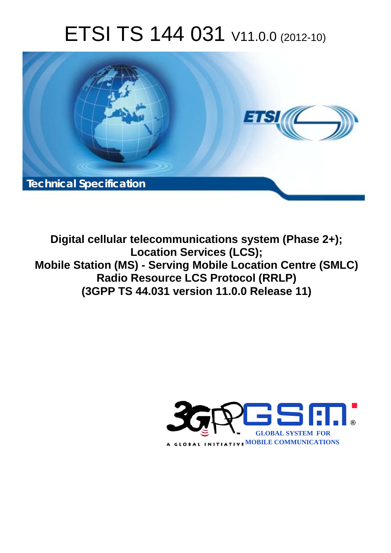# ETSI TS 144 031 V11.0.0 (2012-10)



**Digital cellular telecommunications system (Phase 2+); Location Services (LCS); Mobile Station (MS) - Serving Mobile Location Centre (SMLC) Radio Resource LCS Protocol (RRLP) (3GPP TS 44.031 version 11.0.0 Release 11)** 

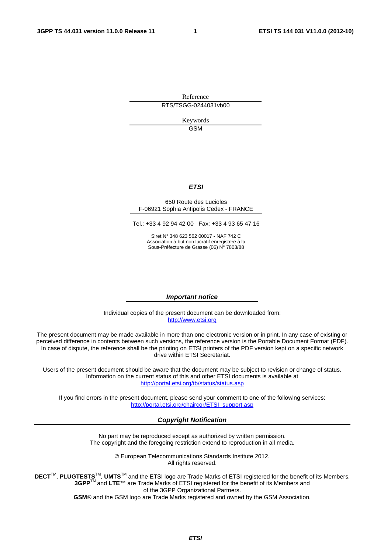Reference RTS/TSGG-0244031vb00

> Keywords GSM

#### *ETSI*

#### 650 Route des Lucioles F-06921 Sophia Antipolis Cedex - FRANCE

Tel.: +33 4 92 94 42 00 Fax: +33 4 93 65 47 16

Siret N° 348 623 562 00017 - NAF 742 C Association à but non lucratif enregistrée à la Sous-Préfecture de Grasse (06) N° 7803/88

#### *Important notice*

Individual copies of the present document can be downloaded from: [http://www.etsi.org](http://www.etsi.org/)

The present document may be made available in more than one electronic version or in print. In any case of existing or perceived difference in contents between such versions, the reference version is the Portable Document Format (PDF). In case of dispute, the reference shall be the printing on ETSI printers of the PDF version kept on a specific network drive within ETSI Secretariat.

Users of the present document should be aware that the document may be subject to revision or change of status. Information on the current status of this and other ETSI documents is available at <http://portal.etsi.org/tb/status/status.asp>

If you find errors in the present document, please send your comment to one of the following services: [http://portal.etsi.org/chaircor/ETSI\\_support.asp](http://portal.etsi.org/chaircor/ETSI_support.asp)

#### *Copyright Notification*

No part may be reproduced except as authorized by written permission. The copyright and the foregoing restriction extend to reproduction in all media.

> © European Telecommunications Standards Institute 2012. All rights reserved.

**DECT**TM, **PLUGTESTS**TM, **UMTS**TM and the ETSI logo are Trade Marks of ETSI registered for the benefit of its Members. **3GPP**TM and **LTE**™ are Trade Marks of ETSI registered for the benefit of its Members and of the 3GPP Organizational Partners.

**GSM**® and the GSM logo are Trade Marks registered and owned by the GSM Association.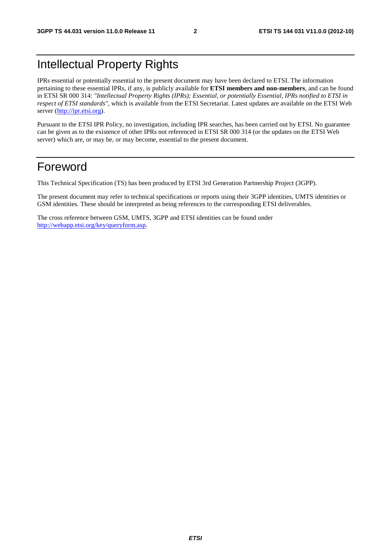## Intellectual Property Rights

IPRs essential or potentially essential to the present document may have been declared to ETSI. The information pertaining to these essential IPRs, if any, is publicly available for **ETSI members and non-members**, and can be found in ETSI SR 000 314: *"Intellectual Property Rights (IPRs); Essential, or potentially Essential, IPRs notified to ETSI in respect of ETSI standards"*, which is available from the ETSI Secretariat. Latest updates are available on the ETSI Web server [\(http://ipr.etsi.org](http://webapp.etsi.org/IPR/home.asp)).

Pursuant to the ETSI IPR Policy, no investigation, including IPR searches, has been carried out by ETSI. No guarantee can be given as to the existence of other IPRs not referenced in ETSI SR 000 314 (or the updates on the ETSI Web server) which are, or may be, or may become, essential to the present document.

## Foreword

This Technical Specification (TS) has been produced by ETSI 3rd Generation Partnership Project (3GPP).

The present document may refer to technical specifications or reports using their 3GPP identities, UMTS identities or GSM identities. These should be interpreted as being references to the corresponding ETSI deliverables.

The cross reference between GSM, UMTS, 3GPP and ETSI identities can be found under [http://webapp.etsi.org/key/queryform.asp.](http://webapp.etsi.org/key/queryform.asp)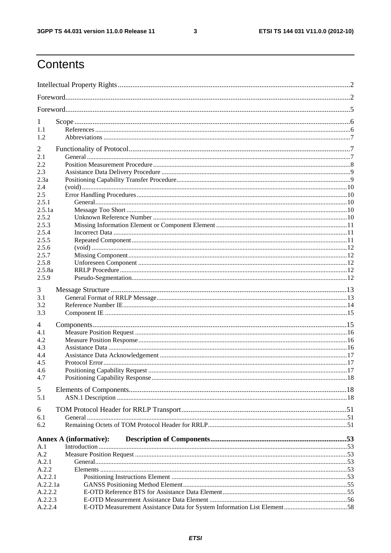$\mathbf{3}$ 

## Contents

| 1           |                               |  |  |
|-------------|-------------------------------|--|--|
| 1.1         |                               |  |  |
| 1.2         |                               |  |  |
|             |                               |  |  |
| 2           |                               |  |  |
| 2.1         |                               |  |  |
| 2.2         |                               |  |  |
| 2.3         |                               |  |  |
| 2.3a<br>2.4 |                               |  |  |
| 2.5         |                               |  |  |
| 2.5.1       |                               |  |  |
| 2.5.1a      |                               |  |  |
| 2.5.2       |                               |  |  |
| 2.5.3       |                               |  |  |
| 2.5.4       |                               |  |  |
| 2.5.5       |                               |  |  |
| 2.5.6       |                               |  |  |
| 2.5.7       |                               |  |  |
| 2.5.8       |                               |  |  |
| 2.5.8a      |                               |  |  |
| 2.5.9       |                               |  |  |
|             |                               |  |  |
| 3           |                               |  |  |
| 3.1<br>3.2  |                               |  |  |
| 3.3         |                               |  |  |
|             |                               |  |  |
| 4           |                               |  |  |
| 4.1         |                               |  |  |
| 4.2         |                               |  |  |
| 4.3         |                               |  |  |
| 4.4         |                               |  |  |
| 4.5         |                               |  |  |
| 4.6         |                               |  |  |
| 4.7         |                               |  |  |
| 5           |                               |  |  |
| 5.1         |                               |  |  |
|             |                               |  |  |
| 6           |                               |  |  |
| 6.1         |                               |  |  |
| 6.2         |                               |  |  |
|             | <b>Annex A (informative):</b> |  |  |
| A.1         |                               |  |  |
| A.2         |                               |  |  |
| A.2.1       |                               |  |  |
| A.2.2       |                               |  |  |
| A.2.2.1     |                               |  |  |
| A.2.2.1a    |                               |  |  |
| A.2.2.2     |                               |  |  |
| A.2.2.3     |                               |  |  |
| A.2.2.4     |                               |  |  |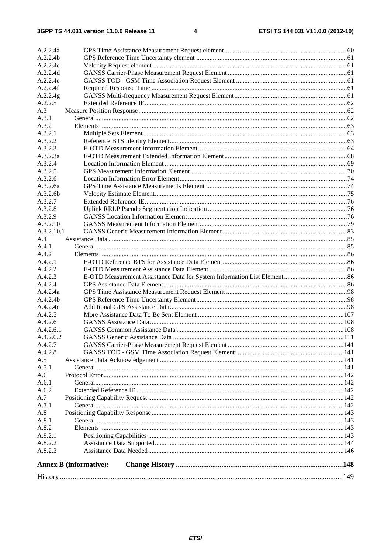| A.2.2.4a             |                                      |  |
|----------------------|--------------------------------------|--|
| A.2.2.4b             |                                      |  |
| A.2.2.4c             |                                      |  |
| A.2.2.4d             |                                      |  |
| A.2.2.4e             |                                      |  |
| A.2.2.4f             |                                      |  |
| A.2.2.4g             |                                      |  |
| A.2.2.5              |                                      |  |
| A.3                  |                                      |  |
| A.3.1                |                                      |  |
| A.3.2                |                                      |  |
| A.3.2.1              |                                      |  |
| A.3.2.2              |                                      |  |
| A.3.2.3              |                                      |  |
| A.3.2.3a             |                                      |  |
| A.3.2.4              |                                      |  |
| A.3.2.5              |                                      |  |
| A.3.2.6              |                                      |  |
| A.3.2.6a             |                                      |  |
| A.3.2.6 <sub>b</sub> |                                      |  |
| A.3.2.7              |                                      |  |
| A.3.2.8              |                                      |  |
| A.3.2.9              |                                      |  |
| A.3.2.10             |                                      |  |
| A.3.2.10.1           |                                      |  |
| A.4                  |                                      |  |
| A.4.1                |                                      |  |
| A.4.2                |                                      |  |
| A.4.2.1              |                                      |  |
| A.4.2.2              |                                      |  |
| A.4.2.3              |                                      |  |
| A.4.2.4              |                                      |  |
| A.4.2.4a             |                                      |  |
| A.4.2.4b             |                                      |  |
| A.4.2.4c             |                                      |  |
| A.4.2.5              |                                      |  |
| A.4.2.6              |                                      |  |
| A.4.2.6.1            |                                      |  |
| A.4.2.6.2            | <b>GANSS Generic Assistance Data</b> |  |
| A.4.2.7<br>A.4.2.8   |                                      |  |
| A.5                  |                                      |  |
| A.5.1                |                                      |  |
| A.6                  |                                      |  |
| A.6.1                |                                      |  |
| A.6.2                |                                      |  |
| A.7                  |                                      |  |
| A.7.1                |                                      |  |
| A.8                  |                                      |  |
| A.8.1                |                                      |  |
| A.8.2                |                                      |  |
| A.8.2.1              |                                      |  |
| A.8.2.2              |                                      |  |
| A.8.2.3              |                                      |  |
|                      |                                      |  |
|                      | <b>Annex B</b> (informative):        |  |
|                      |                                      |  |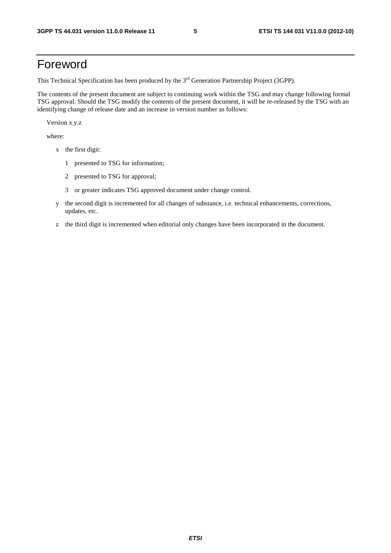## Foreword

This Technical Specification has been produced by the 3<sup>rd</sup> Generation Partnership Project (3GPP).

The contents of the present document are subject to continuing work within the TSG and may change following formal TSG approval. Should the TSG modify the contents of the present document, it will be re-released by the TSG with an identifying change of release date and an increase in version number as follows:

Version x.y.z

where:

- x the first digit:
	- 1 presented to TSG for information;
	- 2 presented to TSG for approval;
	- 3 or greater indicates TSG approved document under change control.
- y the second digit is incremented for all changes of substance, i.e. technical enhancements, corrections, updates, etc.
- z the third digit is incremented when editorial only changes have been incorporated in the document.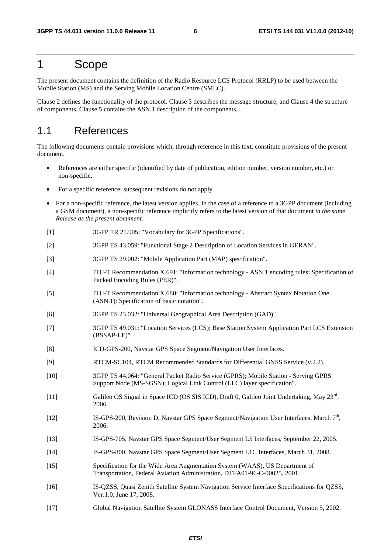## 1 Scope

The present document contains the definition of the Radio Resource LCS Protocol (RRLP) to be used between the Mobile Station (MS) and the Serving Mobile Location Centre (SMLC).

Clause 2 defines the functionality of the protocol. Clause 3 describes the message structure, and Clause 4 the structure of components. Clause 5 contains the ASN.1 description of the components.

### 1.1 References

The following documents contain provisions which, through reference in this text, constitute provisions of the present document.

- References are either specific (identified by date of publication, edition number, version number, etc.) or non-specific.
- For a specific reference, subsequent revisions do not apply.
- For a non-specific reference, the latest version applies. In the case of a reference to a 3GPP document (including a GSM document), a non-specific reference implicitly refers to the latest version of that document *in the same Release as the present document*.
- [1] 3GPP TR 21.905: "Vocabulary for 3GPP Specifications".
- [2] 3GPP TS 43.059: "Functional Stage 2 Description of Location Services in GERAN".
- [3] 3GPP TS 29.002: "Mobile Application Part (MAP) specification".
- [4] ITU-T Recommendation X.691: "Information technology ASN.1 encoding rules: Specification of Packed Encoding Rules (PER)".
- [5] ITU-T Recommendation X.680: "Information technology Abstract Syntax Notation One (ASN.1): Specification of basic notation".
- [6] 3GPP TS 23.032: "Universal Geographical Area Description (GAD)".
- [7] 3GPP TS 49.031: "Location Services (LCS); Base Station System Application Part LCS Extension (BSSAP-LE)".
- [8] ICD-GPS-200, Navstar GPS Space Segment/Navigation User Interfaces.
- [9] RTCM-SC104, RTCM Recommended Standards for Differential GNSS Service (v.2.2).
- [10] 3GPP TS 44.064: "General Packet Radio Service (GPRS); Mobile Station Serving GPRS Support Node (MS-SGSN); Logical Link Control (LLC) layer specification".
- [11] Galileo OS Signal in Space ICD (OS SIS ICD), Draft 0, Galileo Joint Undertaking, May 23rd, 2006.
- [12] IS-GPS-200, Revision D, Navstar GPS Space Segment/Navigation User Interfaces, March 7<sup>th</sup>, 2006.
- [13] IS-GPS-705, Navstar GPS Space Segment/User Segment L5 Interfaces, September 22, 2005.
- [14] IS-GPS-800, Navstar GPS Space Segment/User Segment L1C Interfaces, March 31, 2008.
- [15] Specification for the Wide Area Augmentation System (WAAS), US Department of Transportation, Federal Aviation Administration, DTFA01-96-C-00025, 2001.
- [16] IS-QZSS, Quasi Zenith Satellite System Navigation Service Interface Specifications for QZSS, Ver.1.0, June 17, 2008.
- [17] Global Navigation Satellite System GLONASS Interface Control Document, Version 5, 2002.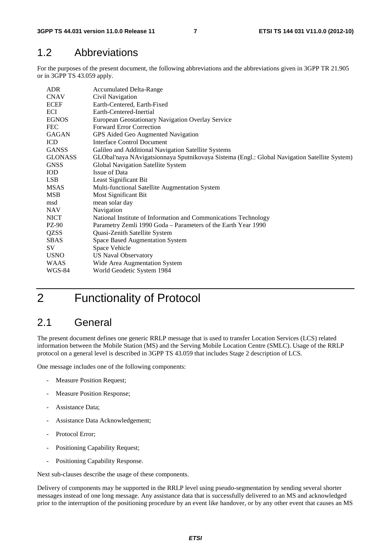### 1.2 Abbreviations

For the purposes of the present document, the following abbreviations and the abbreviations given in 3GPP TR 21.905 or in 3GPP TS 43.059 apply.

| ADR.           | <b>Accumulated Delta-Range</b>                                                               |
|----------------|----------------------------------------------------------------------------------------------|
| <b>CNAV</b>    | Civil Navigation                                                                             |
| <b>ECEF</b>    | Earth-Centered, Earth-Fixed                                                                  |
| ECI            | Earth-Centered-Inertial                                                                      |
| <b>EGNOS</b>   | European Geostationary Navigation Overlay Service                                            |
| <b>FEC</b>     | <b>Forward Error Correction</b>                                                              |
| <b>GAGAN</b>   | GPS Aided Geo Augmented Navigation                                                           |
| <b>ICD</b>     | Interface Control Document                                                                   |
| <b>GANSS</b>   | Galileo and Additional Navigation Satellite Systems                                          |
| <b>GLONASS</b> | GLObal'naya NAvigatsionnaya Sputnikovaya Sistema (Engl.: Global Navigation Satellite System) |
| <b>GNSS</b>    | Global Navigation Satellite System                                                           |
| <b>IOD</b>     | Issue of Data                                                                                |
| LSB.           | Least Significant Bit                                                                        |
| <b>MSAS</b>    | Multi-functional Satellite Augmentation System                                               |
| MSB            | Most Significant Bit                                                                         |
| msd            | mean solar day                                                                               |
| <b>NAV</b>     | Navigation                                                                                   |
| <b>NICT</b>    | National Institute of Information and Communications Technology                              |
| PZ-90          | Parametry Zemli 1990 Goda - Parameters of the Earth Year 1990                                |
| QZSS           | Quasi-Zenith Satellite System                                                                |
| <b>SBAS</b>    | Space Based Augmentation System                                                              |
| SV             | Space Vehicle                                                                                |
| <b>USNO</b>    | <b>US Naval Observatory</b>                                                                  |
| <b>WAAS</b>    | Wide Area Augmentation System                                                                |
| WGS-84         | World Geodetic System 1984                                                                   |

## 2 Functionality of Protocol

## 2.1 General

The present document defines one generic RRLP message that is used to transfer Location Services (LCS) related information between the Mobile Station (MS) and the Serving Mobile Location Centre (SMLC). Usage of the RRLP protocol on a general level is described in 3GPP TS 43.059 that includes Stage 2 description of LCS.

One message includes one of the following components:

- Measure Position Request;
- Measure Position Response;
- Assistance Data:
- Assistance Data Acknowledgement;
- Protocol Error;
- Positioning Capability Request;
- Positioning Capability Response.

Next sub-clauses describe the usage of these components.

Delivery of components may be supported in the RRLP level using pseudo-segmentation by sending several shorter messages instead of one long message. Any assistance data that is successfully delivered to an MS and acknowledged prior to the interruption of the positioning procedure by an event like handover, or by any other event that causes an MS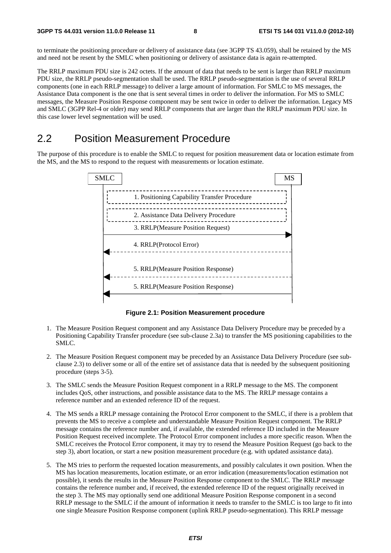to terminate the positioning procedure or delivery of assistance data (see 3GPP TS 43.059), shall be retained by the MS and need not be resent by the SMLC when positioning or delivery of assistance data is again re-attempted.

The RRLP maximum PDU size is 242 octets. If the amount of data that needs to be sent is larger than RRLP maximum PDU size, the RRLP pseudo-segmentation shall be used. The RRLP pseudo-segmentation is the use of several RRLP components (one in each RRLP message) to deliver a large amount of information. For SMLC to MS messages, the Assistance Data component is the one that is sent several times in order to deliver the information. For MS to SMLC messages, the Measure Position Response component may be sent twice in order to deliver the information. Legacy MS and SMLC (3GPP Rel-4 or older) may send RRLP components that are larger than the RRLP maximum PDU size. In this case lower level segmentation will be used.

### 2.2 Position Measurement Procedure

The purpose of this procedure is to enable the SMLC to request for position measurement data or location estimate from the MS, and the MS to respond to the request with measurements or location estimate.



**Figure 2.1: Position Measurement procedure** 

- 1. The Measure Position Request component and any Assistance Data Delivery Procedure may be preceded by a Positioning Capability Transfer procedure (see sub-clause 2.3a) to transfer the MS positioning capabilities to the SMLC.
- 2. The Measure Position Request component may be preceded by an Assistance Data Delivery Procedure (see subclause 2.3) to deliver some or all of the entire set of assistance data that is needed by the subsequent positioning procedure (steps 3-5).
- 3. The SMLC sends the Measure Position Request component in a RRLP message to the MS. The component includes QoS, other instructions, and possible assistance data to the MS. The RRLP message contains a reference number and an extended reference ID of the request.
- 4. The MS sends a RRLP message containing the Protocol Error component to the SMLC, if there is a problem that prevents the MS to receive a complete and understandable Measure Position Request component. The RRLP message contains the reference number and, if available, the extended reference ID included in the Measure Position Request received incomplete. The Protocol Error component includes a more specific reason. When the SMLC receives the Protocol Error component, it may try to resend the Measure Position Request (go back to the step 3), abort location, or start a new position measurement procedure (e.g. with updated assistance data).
- 5. The MS tries to perform the requested location measurements, and possibly calculates it own position. When the MS has location measurements, location estimate, or an error indication (measurements/location estimation not possible), it sends the results in the Measure Position Response component to the SMLC. The RRLP message contains the reference number and, if received, the extended reference ID of the request originally received in the step 3. The MS may optionally send one additional Measure Position Response component in a second RRLP message to the SMLC if the amount of information it needs to transfer to the SMLC is too large to fit into one single Measure Position Response component (uplink RRLP pseudo-segmentation). This RRLP message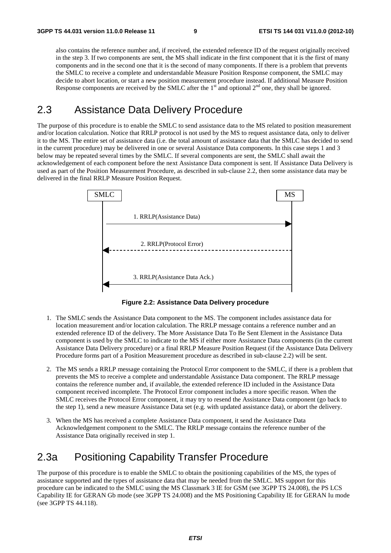also contains the reference number and, if received, the extended reference ID of the request originally received in the step 3. If two components are sent, the MS shall indicate in the first component that it is the first of many components and in the second one that it is the second of many components. If there is a problem that prevents the SMLC to receive a complete and understandable Measure Position Response component, the SMLC may decide to abort location, or start a new position measurement procedure instead. If additional Measure Position Response components are received by the SMLC after the  $1<sup>st</sup>$  and optional  $2<sup>nd</sup>$  one, they shall be ignored.

### 2.3 Assistance Data Delivery Procedure

The purpose of this procedure is to enable the SMLC to send assistance data to the MS related to position measurement and/or location calculation. Notice that RRLP protocol is not used by the MS to request assistance data, only to deliver it to the MS. The entire set of assistance data (i.e. the total amount of assistance data that the SMLC has decided to send in the current procedure) may be delivered in one or several Assistance Data components. In this case steps 1 and 3 below may be repeated several times by the SMLC. If several components are sent, the SMLC shall await the acknowledgement of each component before the next Assistance Data component is sent. If Assistance Data Delivery is used as part of the Position Measurement Procedure, as described in sub-clause 2.2, then some assistance data may be delivered in the final RRLP Measure Position Request.



**Figure 2.2: Assistance Data Delivery procedure** 

- 1. The SMLC sends the Assistance Data component to the MS. The component includes assistance data for location measurement and/or location calculation. The RRLP message contains a reference number and an extended reference ID of the delivery. The More Assistance Data To Be Sent Element in the Assistance Data component is used by the SMLC to indicate to the MS if either more Assistance Data components (in the current Assistance Data Delivery procedure) or a final RRLP Measure Position Request (if the Assistance Data Delivery Procedure forms part of a Position Measurement procedure as described in sub-clause 2.2) will be sent.
- 2. The MS sends a RRLP message containing the Protocol Error component to the SMLC, if there is a problem that prevents the MS to receive a complete and understandable Assistance Data component. The RRLP message contains the reference number and, if available, the extended reference ID included in the Assistance Data component received incomplete. The Protocol Error component includes a more specific reason. When the SMLC receives the Protocol Error component, it may try to resend the Assistance Data component (go back to the step 1), send a new measure Assistance Data set (e.g. with updated assistance data), or abort the delivery.
- 3. When the MS has received a complete Assistance Data component, it send the Assistance Data Acknowledgement component to the SMLC. The RRLP message contains the reference number of the Assistance Data originally received in step 1.

## 2.3a Positioning Capability Transfer Procedure

The purpose of this procedure is to enable the SMLC to obtain the positioning capabilities of the MS, the types of assistance supported and the types of assistance data that may be needed from the SMLC. MS support for this procedure can be indicated to the SMLC using the MS Classmark 3 IE for GSM (see 3GPP TS 24.008), the PS LCS Capability IE for GERAN Gb mode (see 3GPP TS 24.008) and the MS Positioning Capability IE for GERAN Iu mode (see 3GPP TS 44.118).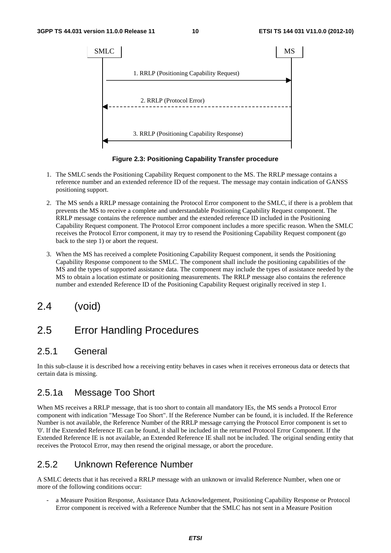

**Figure 2.3: Positioning Capability Transfer procedure** 

- 1. The SMLC sends the Positioning Capability Request component to the MS. The RRLP message contains a reference number and an extended reference ID of the request. The message may contain indication of GANSS positioning support.
- 2. The MS sends a RRLP message containing the Protocol Error component to the SMLC, if there is a problem that prevents the MS to receive a complete and understandable Positioning Capability Request component. The RRLP message contains the reference number and the extended reference ID included in the Positioning Capability Request component. The Protocol Error component includes a more specific reason. When the SMLC receives the Protocol Error component, it may try to resend the Positioning Capability Request component (go back to the step 1) or abort the request.
- 3. When the MS has received a complete Positioning Capability Request component, it sends the Positioning Capability Response component to the SMLC. The component shall include the positioning capabilities of the MS and the types of supported assistance data. The component may include the types of assistance needed by the MS to obtain a location estimate or positioning measurements. The RRLP message also contains the reference number and extended Reference ID of the Positioning Capability Request originally received in step 1.
- 2.4 (void)

## 2.5 Error Handling Procedures

#### 2.5.1 General

In this sub-clause it is described how a receiving entity behaves in cases when it receives erroneous data or detects that certain data is missing.

#### 2.5.1a Message Too Short

When MS receives a RRLP message, that is too short to contain all mandatory IEs, the MS sends a Protocol Error component with indication "Message Too Short". If the Reference Number can be found, it is included. If the Reference Number is not available, the Reference Number of the RRLP message carrying the Protocol Error component is set to '0'. If the Extended Reference IE can be found, it shall be included in the returned Protocol Error Component. If the Extended Reference IE is not available, an Extended Reference IE shall not be included. The original sending entity that receives the Protocol Error, may then resend the original message, or abort the procedure.

#### 2.5.2 Unknown Reference Number

A SMLC detects that it has received a RRLP message with an unknown or invalid Reference Number, when one or more of the following conditions occur:

a Measure Position Response, Assistance Data Acknowledgement, Positioning Capability Response or Protocol Error component is received with a Reference Number that the SMLC has not sent in a Measure Position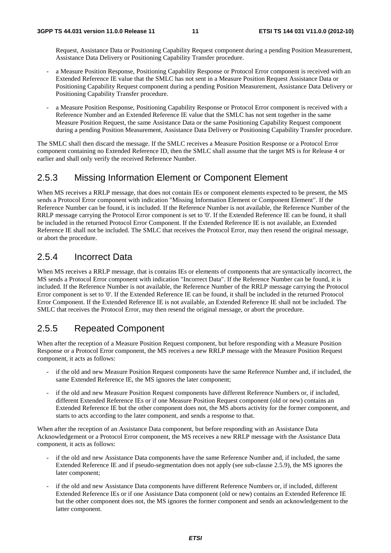Request, Assistance Data or Positioning Capability Request component during a pending Position Measurement, Assistance Data Delivery or Positioning Capability Transfer procedure.

- a Measure Position Response, Positioning Capability Response or Protocol Error component is received with an Extended Reference IE value that the SMLC has not sent in a Measure Position Request Assistance Data or Positioning Capability Request component during a pending Position Measurement, Assistance Data Delivery or Positioning Capability Transfer procedure.
- a Measure Position Response, Positioning Capability Response or Protocol Error component is received with a Reference Number and an Extended Reference IE value that the SMLC has not sent together in the same Measure Position Request, the same Assistance Data or the same Positioning Capability Request component during a pending Position Measurement, Assistance Data Delivery or Positioning Capability Transfer procedure.

The SMLC shall then discard the message. If the SMLC receives a Measure Position Response or a Protocol Error component containing no Extended Reference ID, then the SMLC shall assume that the target MS is for Release 4 or earlier and shall only verify the received Reference Number.

#### 2.5.3 Missing Information Element or Component Element

When MS receives a RRLP message, that does not contain IEs or component elements expected to be present, the MS sends a Protocol Error component with indication "Missing Information Element or Component Element". If the Reference Number can be found, it is included. If the Reference Number is not available, the Reference Number of the RRLP message carrying the Protocol Error component is set to '0'. If the Extended Reference IE can be found, it shall be included in the returned Protocol Error Component. If the Extended Reference IE is not available, an Extended Reference IE shall not be included. The SMLC that receives the Protocol Error, may then resend the original message, or abort the procedure.

#### 2.5.4 Incorrect Data

When MS receives a RRLP message, that is contains IEs or elements of components that are syntactically incorrect, the MS sends a Protocol Error component with indication "Incorrect Data". If the Reference Number can be found, it is included. If the Reference Number is not available, the Reference Number of the RRLP message carrying the Protocol Error component is set to '0'. If the Extended Reference IE can be found, it shall be included in the returned Protocol Error Component. If the Extended Reference IE is not available, an Extended Reference IE shall not be included. The SMLC that receives the Protocol Error, may then resend the original message, or abort the procedure.

#### 2.5.5 Repeated Component

When after the reception of a Measure Position Request component, but before responding with a Measure Position Response or a Protocol Error component, the MS receives a new RRLP message with the Measure Position Request component, it acts as follows:

- if the old and new Measure Position Request components have the same Reference Number and, if included, the same Extended Reference IE, the MS ignores the later component;
- if the old and new Measure Position Request components have different Reference Numbers or, if included, different Extended Reference IEs or if one Measure Position Request component (old or new) contains an Extended Reference IE but the other component does not, the MS aborts activity for the former component, and starts to acts according to the later component, and sends a response to that.

When after the reception of an Assistance Data component, but before responding with an Assistance Data Acknowledgement or a Protocol Error component, the MS receives a new RRLP message with the Assistance Data component, it acts as follows:

- if the old and new Assistance Data components have the same Reference Number and, if included, the same Extended Reference IE and if pseudo-segmentation does not apply (see sub-clause 2.5.9), the MS ignores the later component;
- if the old and new Assistance Data components have different Reference Numbers or, if included, different Extended Reference IEs or if one Assistance Data component (old or new) contains an Extended Reference IE but the other component does not, the MS ignores the former component and sends an acknowledgement to the latter component.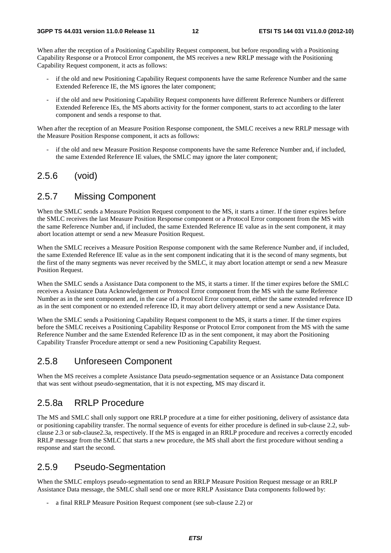When after the reception of a Positioning Capability Request component, but before responding with a Positioning Capability Response or a Protocol Error component, the MS receives a new RRLP message with the Positioning Capability Request component, it acts as follows:

- if the old and new Positioning Capability Request components have the same Reference Number and the same Extended Reference IE, the MS ignores the later component;
- if the old and new Positioning Capability Request components have different Reference Numbers or different Extended Reference IEs, the MS aborts activity for the former component, starts to act according to the later component and sends a response to that.

When after the reception of an Measure Position Response component, the SMLC receives a new RRLP message with the Measure Position Response component, it acts as follows:

if the old and new Measure Position Response components have the same Reference Number and, if included, the same Extended Reference IE values, the SMLC may ignore the later component;

#### 2.5.6 (void)

#### 2.5.7 Missing Component

When the SMLC sends a Measure Position Request component to the MS, it starts a timer. If the timer expires before the SMLC receives the last Measure Position Response component or a Protocol Error component from the MS with the same Reference Number and, if included, the same Extended Reference IE value as in the sent component, it may abort location attempt or send a new Measure Position Request.

When the SMLC receives a Measure Position Response component with the same Reference Number and, if included, the same Extended Reference IE value as in the sent component indicating that it is the second of many segments, but the first of the many segments was never received by the SMLC, it may abort location attempt or send a new Measure Position Request.

When the SMLC sends a Assistance Data component to the MS, it starts a timer. If the timer expires before the SMLC receives a Assistance Data Acknowledgement or Protocol Error component from the MS with the same Reference Number as in the sent component and, in the case of a Protocol Error component, either the same extended reference ID as in the sent component or no extended reference ID, it may abort delivery attempt or send a new Assistance Data.

When the SMLC sends a Positioning Capability Request component to the MS, it starts a timer. If the timer expires before the SMLC receives a Positioning Capability Response or Protocol Error component from the MS with the same Reference Number and the same Extended Reference ID as in the sent component, it may abort the Positioning Capability Transfer Procedure attempt or send a new Positioning Capability Request.

#### 2.5.8 Unforeseen Component

When the MS receives a complete Assistance Data pseudo-segmentation sequence or an Assistance Data component that was sent without pseudo-segmentation, that it is not expecting, MS may discard it.

#### 2.5.8a RRLP Procedure

The MS and SMLC shall only support one RRLP procedure at a time for either positioning, delivery of assistance data or positioning capability transfer. The normal sequence of events for either procedure is defined in sub-clause 2.2, subclause 2.3 or sub-clause2.3a, respectively. If the MS is engaged in an RRLP procedure and receives a correctly encoded RRLP message from the SMLC that starts a new procedure, the MS shall abort the first procedure without sending a response and start the second.

#### 2.5.9 Pseudo-Segmentation

When the SMLC employs pseudo-segmentation to send an RRLP Measure Position Request message or an RRLP Assistance Data message, the SMLC shall send one or more RRLP Assistance Data components followed by:

a final RRLP Measure Position Request component (see sub-clause 2.2) or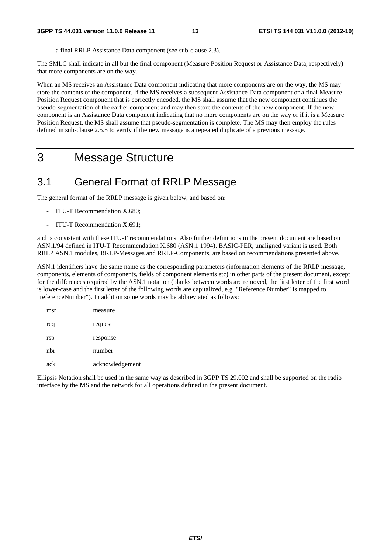a final RRLP Assistance Data component (see sub-clause 2.3).

The SMLC shall indicate in all but the final component (Measure Position Request or Assistance Data, respectively) that more components are on the way.

When an MS receives an Assistance Data component indicating that more components are on the way, the MS may store the contents of the component. If the MS receives a subsequent Assistance Data component or a final Measure Position Request component that is correctly encoded, the MS shall assume that the new component continues the pseudo-segmentation of the earlier component and may then store the contents of the new component. If the new component is an Assistance Data component indicating that no more components are on the way or if it is a Measure Position Request, the MS shall assume that pseudo-segmentation is complete. The MS may then employ the rules defined in sub-clause 2.5.5 to verify if the new message is a repeated duplicate of a previous message.

## 3 Message Structure

### 3.1 General Format of RRLP Message

The general format of the RRLP message is given below, and based on:

- ITU-T Recommendation X.680;
- ITU-T Recommendation X.691;

and is consistent with these ITU-T recommendations. Also further definitions in the present document are based on ASN.1/94 defined in ITU-T Recommendation X.680 (ASN.1 1994). BASIC-PER, unaligned variant is used. Both RRLP ASN.1 modules, RRLP-Messages and RRLP-Components, are based on recommendations presented above.

ASN.1 identifiers have the same name as the corresponding parameters (information elements of the RRLP message, components, elements of components, fields of component elements etc) in other parts of the present document, except for the differences required by the ASN.1 notation (blanks between words are removed, the first letter of the first word is lower-case and the first letter of the following words are capitalized, e.g. "Reference Number" is mapped to "referenceNumber"). In addition some words may be abbreviated as follows:

| msr | measure         |
|-----|-----------------|
| req | request         |
| rsp | response        |
| nbr | number          |
| ack | acknowledgement |

Ellipsis Notation shall be used in the same way as described in 3GPP TS 29.002 and shall be supported on the radio interface by the MS and the network for all operations defined in the present document.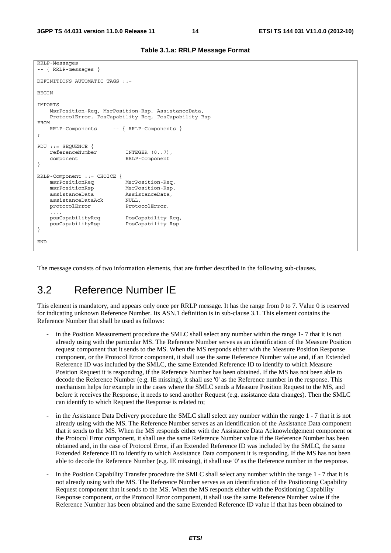;

}

}

```
RRLP-Messages 
-- { RRLP-messages } 
DEFINITIONS AUTOMATIC TAGS ::= 
BEGIN
IMPORTS 
    MsrPosition-Req, MsrPosition-Rsp, AssistanceData, 
    ProtocolError, PosCapability-Req, PosCapability-Rsp 
FROM 
    RRLP-Components -- { RRLP-Components } 
PDU ::= SEQUENCE { 
    referenceNumber INTEGER (0..7), 
    component RRLP-Component 
RRLP-Component ::= CHOICE {<br>msrPositionReq
                           MsrPosition-Req,
    msrPositionRsp MsrPosition-Rsp, 
    assistanceData AssistanceData, 
    assistanceDataAck NULL, 
   protocolError ProtocolError,
     ..., 
    posCapabilityReq PosCapability-Req, 
    posCapabilityRsp PosCapability-Rsp 
END
```
The message consists of two information elements, that are further described in the following sub-clauses.

### 3.2 Reference Number IE

This element is mandatory, and appears only once per RRLP message. It has the range from 0 to 7. Value 0 is reserved for indicating unknown Reference Number. Its ASN.1 definition is in sub-clause 3.1. This element contains the Reference Number that shall be used as follows:

- in the Position Measurement procedure the SMLC shall select any number within the range 1-7 that it is not already using with the particular MS. The Reference Number serves as an identification of the Measure Position request component that it sends to the MS. When the MS responds either with the Measure Position Response component, or the Protocol Error component, it shall use the same Reference Number value and, if an Extended Reference ID was included by the SMLC, the same Extended Reference ID to identify to which Measure Position Request it is responding, if the Reference Number has been obtained. If the MS has not been able to decode the Reference Number (e.g. IE missing), it shall use '0' as the Reference number in the response. This mechanism helps for example in the cases where the SMLC sends a Measure Position Request to the MS, and before it receives the Response, it needs to send another Request (e.g. assistance data changes). Then the SMLC can identify to which Request the Response is related to;
- in the Assistance Data Delivery procedure the SMLC shall select any number within the range 1 7 that it is not already using with the MS. The Reference Number serves as an identification of the Assistance Data component that it sends to the MS. When the MS responds either with the Assistance Data Acknowledgement component or the Protocol Error component, it shall use the same Reference Number value if the Reference Number has been obtained and, in the case of Protocol Error, if an Extended Reference ID was included by the SMLC, the same Extended Reference ID to identify to which Assistance Data component it is responding. If the MS has not been able to decode the Reference Number (e.g. IE missing), it shall use '0' as the Reference number in the response.
- in the Position Capability Transfer procedure the SMLC shall select any number within the range 1 7 that it is not already using with the MS. The Reference Number serves as an identification of the Positioning Capability Request component that it sends to the MS. When the MS responds either with the Positioning Capability Response component, or the Protocol Error component, it shall use the same Reference Number value if the Reference Number has been obtained and the same Extended Reference ID value if that has been obtained to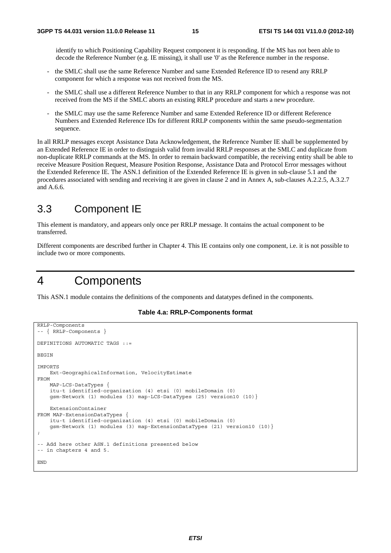identify to which Positioning Capability Request component it is responding. If the MS has not been able to decode the Reference Number (e.g. IE missing), it shall use '0' as the Reference number in the response.

- the SMLC shall use the same Reference Number and same Extended Reference ID to resend any RRLP component for which a response was not received from the MS.
- the SMLC shall use a different Reference Number to that in any RRLP component for which a response was not received from the MS if the SMLC aborts an existing RRLP procedure and starts a new procedure.
- the SMLC may use the same Reference Number and same Extended Reference ID or different Reference Numbers and Extended Reference IDs for different RRLP components within the same pseudo-segmentation sequence.

In all RRLP messages except Assistance Data Acknowledgement, the Reference Number IE shall be supplemented by an Extended Reference IE in order to distinguish valid from invalid RRLP responses at the SMLC and duplicate from non-duplicate RRLP commands at the MS. In order to remain backward compatible, the receiving entity shall be able to receive Measure Position Request, Measure Position Response, Assistance Data and Protocol Error messages without the Extended Reference IE. The ASN.1 definition of the Extended Reference IE is given in sub-clause 5.1 and the procedures associated with sending and receiving it are given in clause 2 and in Annex A, sub-clauses A.2.2.5, A.3.2.7 and A.6.6.

#### 3.3 Component IE

This element is mandatory, and appears only once per RRLP message. It contains the actual component to be transferred.

Different components are described further in Chapter 4. This IE contains only one component, i.e. it is not possible to include two or more components.

## 4 Components

This ASN.1 module contains the definitions of the components and datatypes defined in the components.

#### **Table 4.a: RRLP-Components format**

```
RRLP-Components 
-- { RRLP-Components } 
DEFINITIONS AUTOMATIC TAGS ::= 
BEGIN 
IMPORTS 
     Ext-GeographicalInformation, VelocityEstimate 
FROM 
     MAP-LCS-DataTypes { 
     itu-t identified-organization (4) etsi (0) mobileDomain (0) 
     gsm-Network (1) modules (3) map-LCS-DataTypes (25) version10 (10)} 
     ExtensionContainer 
FROM MAP-ExtensionDataTypes { 
     itu-t identified-organization (4) etsi (0) mobileDomain (0) 
     gsm-Network (1) modules (3) map-ExtensionDataTypes (21) version10 (10)} 
; 
-- Add here other ASN.1 definitions presented below 
-- in chapters 4 and 5. 
END
```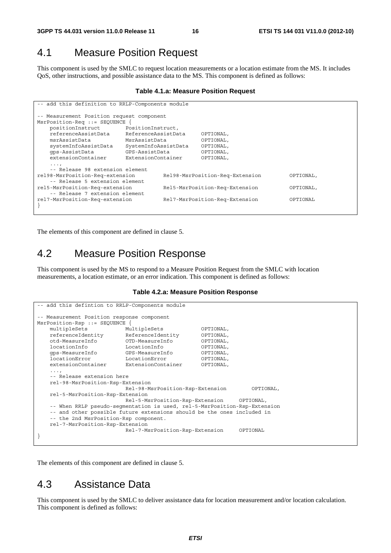#### 4.1 Measure Position Request

This component is used by the SMLC to request location measurements or a location estimate from the MS. It includes QoS, other instructions, and possible assistance data to the MS. This component is defined as follows:

#### **Table 4.1.a: Measure Position Request**

| -- add this definition to RRLP-Components module |                                       |                                 |           |           |          |
|--------------------------------------------------|---------------------------------------|---------------------------------|-----------|-----------|----------|
| -- Measurement Position request component        |                                       |                                 |           |           |          |
| MsrPosition-Req ::= SEQUENCE                     |                                       |                                 |           |           |          |
|                                                  | positionInstruct<br>PositionInstruct, |                                 |           |           |          |
| referenceAssistData<br>ReferenceAssistData       |                                       |                                 | OPTIONAL, |           |          |
| msrAssistData<br>MsrAssistData                   |                                       |                                 | OPTIONAL, |           |          |
| systemInfoAssistData                             | SystemInfoAssistData                  |                                 | OPTIONAL, |           |          |
| qps-AssistData                                   | GPS-AssistData                        |                                 | OPTIONAL, |           |          |
| extensionContainer                               | ExtensionContainer                    |                                 | OPTIONAL, |           |          |
| $\cdots$                                         |                                       |                                 |           |           |          |
| -- Release 98 extension element                  |                                       |                                 |           |           |          |
| rel98-MsrPosition-Req-extension                  |                                       | Rel98-MsrPosition-Req-Extension |           | OPTIONAL, |          |
| -- Release 5 extension element                   |                                       |                                 |           |           |          |
| rel5-MsrPosition-Req-extension                   | Rel5-MsrPosition-Req-Extension        |                                 |           | OPTIONAL, |          |
| -- Release 7 extension element                   |                                       |                                 |           |           |          |
| rel7-MsrPosition-Req-extension                   |                                       | Rel7-MsrPosition-Req-Extension  |           |           | OPTIONAL |
|                                                  |                                       |                                 |           |           |          |

The elements of this component are defined in clause 5.

#### 4.2 Measure Position Response

This component is used by the MS to respond to a Measure Position Request from the SMLC with location measurements, a location estimate, or an error indication. This component is defined as follows:

#### **Table 4.2.a: Measure Position Response**

```
-- add this defintion to RRLP-Components module 
 -- Measurement Position response component 
MsrPosition-Rsp ::= SEQUENCE { 
    multipleSets MultipleSets OPTIONAL, 
    referenceIdentity ReferenceIdentity OPTIONAL, 
    otd-MeasureInfo OTD-MeasureInfo OPTIONAL, 
    locationInfo LocationInfo OPTIONAL, 
    gps-MeasureInfo GPS-MeasureInfo OPTIONAL, 
   locationError LocationError OPTIONAL,<br>extensionContainer ExtensionContainer OPTIONAL,
                           ExtensionContainer
    ..., 
     -- Release extension here 
    rel-98-MsrPosition-Rsp-Extension 
                            Rel-98-MsrPosition-Rsp-Extension OPTIONAL, 
    rel-5-MsrPosition-Rsp-Extension 
                            Rel-5-MsrPosition-Rsp-Extension OPTIONAL, 
    -- When RRLP pseudo-segmentation is used, rel-5-MsrPosition-Rsp-Extension 
    -- and other possible future extensions should be the ones included in 
     -- the 2nd MsrPosition-Rsp component. 
    rel-7-MsrPosition-Rsp-Extension 
                            Rel-7-MsrPosition-Rsp-Extension OPTIONAL 
}
```
The elements of this component are defined in clause 5.

#### 4.3 Assistance Data

This component is used by the SMLC to deliver assistance data for location measurement and/or location calculation. This component is defined as follows: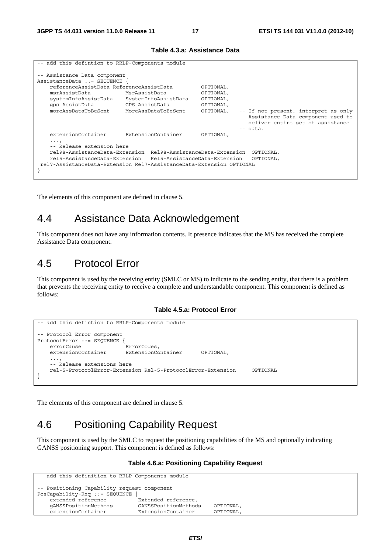| -- add this defintion to RRLP-Components module                                                                                                                                                                                                                         |                    |                                                               |                                                                                                                                   |  |  |
|-------------------------------------------------------------------------------------------------------------------------------------------------------------------------------------------------------------------------------------------------------------------------|--------------------|---------------------------------------------------------------|-----------------------------------------------------------------------------------------------------------------------------------|--|--|
| -- Assistance Data component<br>AssistanceData ::= SEOUENCE {                                                                                                                                                                                                           |                    |                                                               |                                                                                                                                   |  |  |
| referenceAssistData ReferenceAssistData<br>msrAssistData<br>MsrAssistData<br>SystemInfoAssistData<br>systemInfoAssistData<br>qps-AssistData<br>GPS-AssistData<br>moreAssDataToBeSent<br>MoreAssDataToBeSent                                                             |                    | OPTIONAL,<br>OPTIONAL,<br>OPTIONAL,<br>OPTIONAL,<br>OPTIONAL, | -- If not present, interpret as only<br>-- Assistance Data component used to<br>-- deliver entire set of assistance<br>$--$ data. |  |  |
| extensionContainer                                                                                                                                                                                                                                                      | ExtensionContainer | OPTIONAL,                                                     |                                                                                                                                   |  |  |
| $\cdots$<br>-- Release extension here<br>rel98-AssistanceData-Extension Rel98-AssistanceData-Extension OPTIONAL,<br>rel5-AssistanceData-Extension<br>Rel5-AssistanceData-Extension<br>OPTIONAL,<br>rel7-AssistanceData-Extension Rel7-AssistanceData-Extension OPTIONAL |                    |                                                               |                                                                                                                                   |  |  |

#### **Table 4.3.a: Assistance Data**

The elements of this component are defined in clause 5.

### 4.4 Assistance Data Acknowledgement

This component does not have any information contents. It presence indicates that the MS has received the complete Assistance Data component.

### 4.5 Protocol Error

This component is used by the receiving entity (SMLC or MS) to indicate to the sending entity, that there is a problem that prevents the receiving entity to receive a complete and understandable component. This component is defined as follows:

#### **Table 4.5.a: Protocol Error**

```
-- add this defintion to RRLP-Components module 
-- Protocol Error component 
ProtocolError ::= SEQUENCE { 
    errorCause ErrorCodes, 
    extensionContainer ExtensionContainer OPTIONAL, 
 ..., 
    -- Release extensions here 
    rel-5-ProtocolError-Extension Rel-5-ProtocolError-Extension OPTIONAL 
}
```
The elements of this component are defined in clause 5.

## 4.6 Positioning Capability Request

This component is used by the SMLC to request the positioning capabilities of the MS and optionally indicating GANSS positioning support. This component is defined as follows:

#### **Table 4.6.a: Positioning Capability Request**

```
-- add this definition to RRLP-Components module 
-- Positioning Capability request component 
PosCapability-Req ::= SEQUENCE { 
                              .<br>Extended-reference,
    gANSSPositionMethods GANSSPositionMethods OPTIONAL, 
    extensionContainer ExtensionContainer OPTIONAL,
```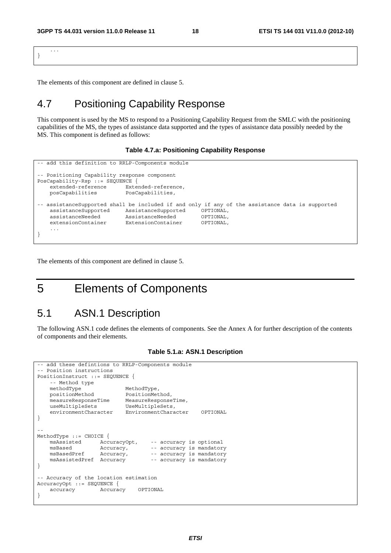... }

The elements of this component are defined in clause 5.

### 4.7 Positioning Capability Response

This component is used by the MS to respond to a Positioning Capability Request from the SMLC with the positioning capabilities of the MS, the types of assistance data supported and the types of assistance data possibly needed by the MS. This component is defined as follows:

#### **Table 4.7.a: Positioning Capability Response**

```
-- add this definition to RRLP-Components module 
-- Positioning Capability response component 
PosCapability-Rsp ::= SEQUENCE { 
     extended-reference Extended-reference, 
    posCapabilities PosCapabilities, 
-- assistanceSupported shall be included if and only if any of the assistance data is supported<br>assistanceSupported assistanceSupported OPTIONAL.
 assistanceSupported AssistanceSupported OPTIONAL, 
 assistanceNeeded AssistanceNeeded OPTIONAL, 
     extensionContainer ExtensionContainer OPTIONAL, 
 ... 
}
```
The elements of this component are defined in clause 5.

## 5 Elements of Components

#### 5.1 ASN.1 Description

The following ASN.1 code defines the elements of components. See the Annex A for further description of the contents of components and their elements.

```
add these defintions to RRLP-Components module
-- Position instructions 
PositionInstruct ::= SEQUENCE { 
     -- Method type 
   methodType MethodType,<br>positionMethod PositionMet
 positionMethod PositionMethod, 
 measureResponseTime MeasureResponseTime, 
    useMultipleSets UseMultipleSets,
     environmentCharacter EnvironmentCharacter OPTIONAL 
} 
-- 
MethodType ::= CHOICE {<br>msAssisted AccuracyOpt,
    msAssisted AccuracyOpt, -- accuracy is optional msBased Accuracy, -- accuracy is mandator
     msBased Accuracy, -- accuracy is mandatory 
                    Accuracy, - -- accuracy is mandatory
     msAssistedPref Accuracy -- accuracy is mandatory 
} 
-- Accuracy of the location estimation 
AccuracyOpt ::= SEQUENCE { 
     accuracy Accuracy OPTIONAL 
}
```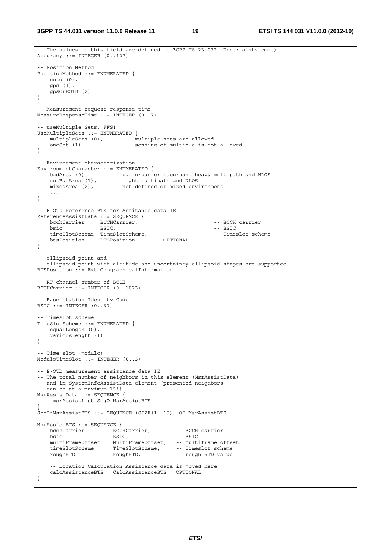**3GPP TS 44.031 version 11.0.0 Release 11 19 ETSI TS 144 031 V11.0.0 (2012-10)**

```
-- The values of this field are defined in 3GPP TS 23.032 (Uncertainty code) 
Accuracy ::= INTEGER (0..127) 
-- Position Method 
PositionMethod ::= ENUMERATED { 
    eotd (0), 
    gps (1), 
    gpsOrEOTD (2) 
} 
-- Measurement request response time 
MeasureResponseTime ::= INTEGER (0..7) 
-- useMultiple Sets, FFS! 
UseMultipleSets ::= ENUMERATED { 
   multipleSets (0), -- multiple sets are allowed
    oneSet (1) -- sending of multiple is not allowed 
} 
-- Environment characterization 
EnvironmentCharacter ::= ENUMERATED { 
 badArea (0), -- bad urban or suburban, heavy multipath and NLOS 
 notBadArea (1), -- light multipath and NLOS 
 mixedArea (2), -- not defined or mixed environment 
     ... 
} 
-- E-OTD reference BTS for Assitance data IE 
ReferenceAssistData ::= SEQUENCE { 
    bcchCarrier BCCHCarrier, -- BCCH carrier 
bsic BSIC, and BSIC, the BSIC of the BSIC of the BSIC of the BSIC of the BSIC of the BSIC of the BSIC of the BSIC of the BSIC of the BSIC of the BSIC of the BSIC of the BSIC of the BSIC of the BSIC of the BSIC of the BSIC 
   timeSlotScheme TimeSlotScheme,<br>
btsPosition BTSPosition OPTIONAL -- Timeslot scheme
   btsPosition BTSPosition
} 
-- ellipsoid point and 
-- ellipsoid point with altitude and uncertainty ellipsoid shapes are supported 
BTSPosition ::= Ext-GeographicalInformation 
-- RF channel number of BCCH 
BCCHCarrier ::= INTEGER (0..1023) 
-- Base station Identity Code 
BSIC ::= INTEGER (0..63)-- Timeslot scheme 
TimeSlotScheme ::= ENUMERATED { 
    equalLength (0), 
    variousLength (1) 
} 
-- Time slot (modulo) 
ModuloTimeSlot ::= INTEGER (0..3) 
-- E-OTD measurement assistance data IE 
-- The total number of neighbors in this element (MsrAssistData) 
-- and in SystemInfoAssistData element (presented neighbors 
-- can be at a maximum 15!) 
MsrAssistData ::= SEQUENCE { 
     msrAssistList SeqOfMsrAssistBTS 
} 
SeqOfMsrAssistBTS ::= SEQUENCE (SIZE(1..15)) OF MsrAssistBTS 
MsrAssistBTS ::= SEQUENCE { 
bcchCarrier BCCHCarrier, -- BCCH carrier
bsic BSIC, - - BSTCmultiFrameOffset MultiFrameOffset, -- multiframe offset<br>timeSlotScheme TimeSlotScheme, -- Timeslot scheme
 timeSlotScheme TimeSlotScheme, -- Timeslot scheme 
 roughRTD RoughRTD, -- rough RTD value 
     -- Location Calculation Assistance data is moved here 
    calcAssistanceBTS CalcAssistanceBTS OPTIONAL 
}
```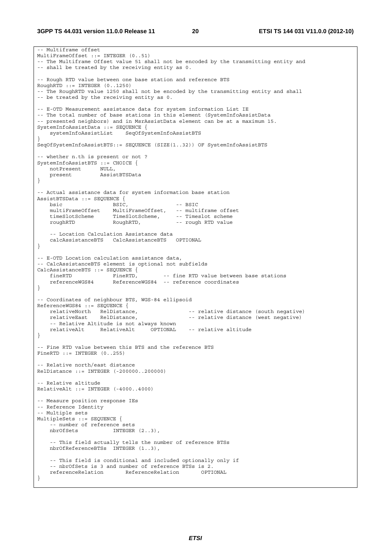-- Multiframe offset MultiFrameOffset ::= INTEGER (0..51) -- The Multiframe Offset value 51 shall not be encoded by the transmitting entity and -- shall be treated by the receiving entity as 0. -- Rough RTD value between one base station and reference BTS RoughRTD ::= INTEGER (0..1250) -- The RoughRTD value 1250 shall not be encoded by the transmitting entity and shall -- be treated by the receiving entity as 0. -- E-OTD Measurement assistance data for system information List IE -- The total number of base stations in this element (SystemInfoAssistData -- presented neighbors) and in MsrAssistData element can be at a maximum 15. SystemInfoAssistData ::= SEQUENCE { systemInfoAssistList SeqOfSystemInfoAssistBTS } SeqOfSystemInfoAssistBTS::= SEQUENCE (SIZE(1..32)) OF SystemInfoAssistBTS -- whether n.th is present or not ? SystemInfoAssistBTS ::= CHOICE { notPresent NULL, present AssistBTSData } -- Actual assistance data for system information base station AssistBTSData ::= SEQUENCE {<br>bsic BSIC, bsic BSIC,  $- - BSTC$ MultiFrameOffset, -- multiframe offset<br>TimeSlotScheme, -- Timeslot scheme timeSlotScheme TimeSlotScheme, -- Timeslot scheme roughRTD RoughRTD, -- rough RTD value -- Location Calculation Assistance data calcAssistanceBTS CalcAssistanceBTS OPTIONAL } -- E-OTD Location calculation assistance data, -- CalcAssistanceBTS element is optional not subfields CalcAssistanceBTS ::= SEQUENCE { fineRTD FineRTD, -- fine RTD value between base stations referenceWGS84 ReferenceWGS84 -- reference coordinates } -- Coordinates of neighbour BTS, WGS-84 ellipsoid ReferenceWGS84 ::= SEQUENCE {<br>relativeNorth RelDistance, RelDistance, -- relative distance (south negative)<br>RelDistance, -- relative distance (west negative) relativeEast RelDistance, end in relative distance (west negative) -- Relative Altitude is not always known relativeAlt RelativeAlt OPTIONAL -- relative altitude } -- Fine RTD value between this BTS and the reference BTS FineRTD ::= INTEGER (0..255) -- Relative north/east distance RelDistance ::= INTEGER (-200000..200000) -- Relative altitude RelativeAlt ::= INTEGER (-4000..4000) -- Measure position response IEs -- Reference Identity -- Multiple sets MultipleSets ::= SEQUENCE { -- number of reference sets nbrOfSets INTEGER (2..3), -- This field actually tells the number of reference BTSs nbrOfReferenceBTSs INTEGER (1..3), -- This field is conditional and included optionally only if -- nbrOfSets is 3 and number of reference BTSs is 2. referenceRelation ReferenceRelation OPTIONAL }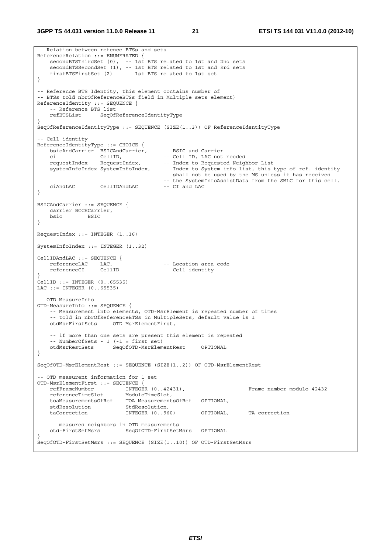**3GPP TS 44.031 version 11.0.0 Release 11 21 ETSI TS 144 031 V11.0.0 (2012-10)**

```
-- Relation between refence BTSs and sets 
ReferenceRelation ::= ENUMERATED { 
    secondBTSThirdSet (0), -- 1st BTS related to 1st and 2nd sets 
    secondBTSSecondSet (1), -- 1st BTS related to 1st and 3rd sets 
    firstBTSFirstSet (2) -- 1st BTS related to 1st set 
} 
-- Reference BTS Identity, this element contains number of 
-- BTSs told nbrOfReferenceBTSs field in Multiple sets element) 
ReferenceIdentity ::= SEQUENCE { 
    -- Reference BTS list 
    refBTSList SeqOfReferenceIdentityType 
} 
SeqOfReferenceIdentityType ::= SEQUENCE (SIZE(1..3)) OF ReferenceIdentityType 
-- Cell identity 
ReferenceIdentityType ::= CHOICE { 
 bsicAndCarrier BSICAndCarrier, -- BSIC and Carrier 
 ci CellID, -- Cell ID, LAC not needed 
   requestIndex RequestIndex, -- Index to Requested Neighbor List
    systemInfoIndex SystemInfoIndex, -- Index to System info list, this type of ref. identity 
                                       -- shall not be used by the MS unless it has received 
                                       -- the SystemInfoAssistData from the SMLC for this cell. 
   ciAndLAC CellIDAndLAC -- CI and LAC 
} 
BSICAndCarrier ::= SEQUENCE { 
    carrier BCCHCarrier, 
    bsic BSIC 
} 
RequestIndex ::= INTEGER (1..16) 
SystemInfoIndex ::= INTEGER (1..32) 
CellIDAndLAC ::= SEQUENCE { 
   referenceLAC LAC, -- Location area code<br>referenceCI CellID -- Cell identity
                                     -- Cell identity
} 
CellID ::= INTEGER (0..65535) 
LAC ::= INTEGER (0..65535) 
-- OTD-MeasureInfo 
OTD-MeasureInfo ::= SEQUENCE { 
    -- Measurement info elements, OTD-MsrElement is repeated number of times 
    -- told in nbrOfReferenceBTSs in MultipleSets, default value is 1 
    otdMsrFirstSets OTD-MsrElementFirst, 
    -- if more than one sets are present this element is repeated 
    -- NumberOfSets - 1 (-1 = first set) 
    otdMsrRestSets SeqOfOTD-MsrElementRest OPTIONAL 
} 
SeqOfOTD-MsrElementRest ::= SEQUENCE (SIZE(1..2)) OF OTD-MsrElementRest 
-- OTD measurent information for 1 set 
OTD-MsrElementFirst ::= SEQUENCE { 
 refFrameNumber INTEGER (0..42431), -- Frame number modulo 42432 
 referenceTimeSlot ModuloTimeSlot, 
    toaMeasurementsOfRef TOA-MeasurementsOfRef OPTIONAL, 
   stdResolution StdResolution,
    taCorrection INTEGER (0..960) OPTIONAL, -- TA correction 
    -- measured neighbors in OTD measurements 
    otd-FirstSetMsrs SeqOfOTD-FirstSetMsrs OPTIONAL 
} 
SeqOfOTD-FirstSetMsrs ::= SEQUENCE (SIZE(1..10)) OF OTD-FirstSetMsrs
```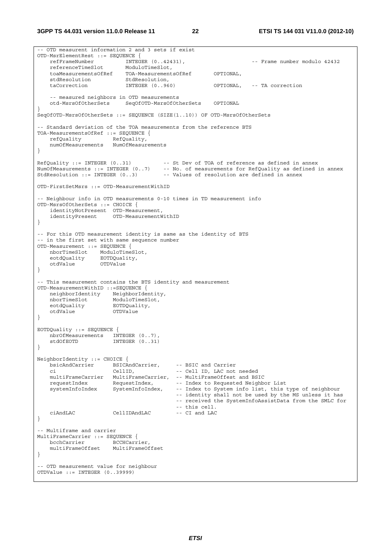**3GPP TS 44.031 version 11.0.0 Release 11 22 ETSI TS 144 031 V11.0.0 (2012-10)**

-- OTD measurent information 2 and 3 sets if exist OTD-MsrElementRest ::= SEQUENCE { refFrameNumber INTEGER (0..42431), -- Frame number modulo 42432 referenceTimeSlot ModuloTimeSlot, toaMeasurementsOfRef TOA-MeasurementsOfRef OPTIONAL, er.<br>stdResolution taCorrection INTEGER (0..960) OPTIONAL, -- TA correction -- measured neighbors in OTD measurements otd-MsrsOfOtherSets SeqOfOTD-MsrsOfOtherSets OPTIONAL } SeqOfOTD-MsrsOfOtherSets ::= SEQUENCE (SIZE(1..10)) OF OTD-MsrsOfOtherSets -- Standard deviation of the TOA measurements from the reference BTS TOA-MeasurementsOfRef ::= SEQUENCE { refQuality RefQuality, numOfMeasurements NumOfMeasurements } RefQuality ::= INTEGER (0..31) -- St Dev of TOA of reference as defined in annex NumOfMeasurements ::= INTEGER (0..7) -- No. of measurements for RefQuality as defined in annex StdResolution ::= INTEGER (0..3) -- Values of resolution are defined in annex OTD-FirstSetMsrs ::= OTD-MeasurementWithID -- Neighbour info in OTD measurements 0-10 times in TD measurement info OTD-MsrsOfOtherSets ::= CHOICE { identityNotPresent OTD-Measurement, identityPresent OTD-MeasurementWithID } -- For this OTD measurement identity is same as the identity of BTS -- in the first set with same sequence number OTD-Measurement ::= SEQUENCE { nborTimeSlot ModuloTimeSlot,<br>eotdOuality EOTDOuality, eotdQuality EOTDQuality, otdValue OTDValue } -- This measurement contains the BTS identity and measurement OTD-MeasurementWithID ::=SEQUENCE { neighborIdentity NeighborIdentity, nborTimeSlot ModuloTimeSlot, eotdQuality EOTDQuality, otdValue OTDValue } EOTDQuality ::= SEQUENCE { nbrOfMeasurements INTEGER (0..7), stdOfEOTD INTEGER (0..31) } NeighborIdentity ::= CHOICE { bsicAndCarrier BSICAndCarrier, -- BSIC and Carrier -- Cell ID, LAC not needed multiFrameCarrier MultiFrameCarrier, -- MultiFrameOffest and BSIC requestIndex RequestIndex,<br>systemInfoIndex SystemInfoIndex, -- Index to System info list, this type of neighbour -- identity shall not be used by the MS unless it has -- received the SystemInfoAssistData from the SMLC for -- this cell.<br>-- CI and LAC ciAndLAC CellIDAndLAC -- CI and LAC } -- Multiframe and carrier MultiFrameCarrier ::= SEQUENCE {<br>bcchCarrier BCCHCarr BCCHCarrier, multiFrameOffset MultiFrameOffset } -- OTD measurement value for neighbour OTDValue ::= INTEGER (0..39999)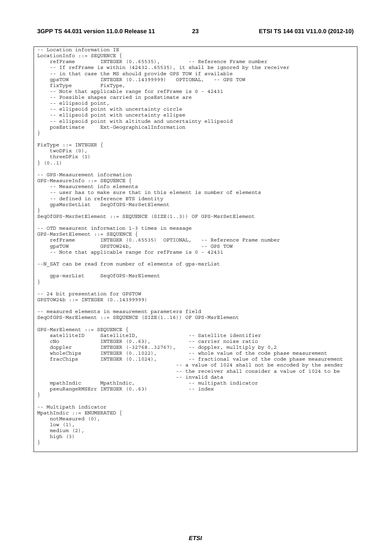-- Location information IE  $\begin{array}{lll} \texttt{LocationInfo} & ::= & \texttt{SEQUENCE} & \{ \\ & \texttt{refFrame} & \texttt{INTER} & (0..65535) \, , \end{array}$ refFrame INTEGER (0..65535), -- Reference Frame number -- If refFrame is within (42432..65535), it shall be ignored by the receiver -- in that case the MS should provide GPS TOW if available<br>qpsTOW 1NTEGER (0..14399999) OPTIONAL, -- GPS TOW qpsTOW INTEGER (0..14399999) OPTIONAL, fixType FixType, -- Note that applicable range for refFrame is 0 - 42431 -- Possible shapes carried in posEstimate are -- ellipsoid point, -- ellipsoid point with uncertainty circle -- ellipsoid point with uncertainty ellipse -- ellipsoid point with altitude and uncertainty ellipsoid<br>posEstimate Ext-GeographicalInformation Ext-GeographicalInformation } FixType ::= INTEGER { twoDFix (0), threeDFix (1) } (0..1) -- GPS-Measurement information GPS-MeasureInfo ::= SEQUENCE { -- Measurement info elements -- user has to make sure that in this element is number of elements -- defined in reference BTS identity gpsMsrSetList SeqOfGPS-MsrSetElement } SeqOfGPS-MsrSetElement ::= SEQUENCE (SIZE(1..3)) OF GPS-MsrSetElement -- OTD measurent information 1-3 times in message GPS-MsrSetElement ::= SEQUENCE {<br>refFrame INTEGER (0..6 INTEGER (0..65535) OPTIONAL, -- Reference Frame number gpsTOW GPSTOW24b, -- GPS TOW -- Note that applicable range for refFrame is 0 - 42431 --N\_SAT can be read from number of elements of gps-msrList gps-msrList SeqOfGPS-MsrElement } -- 24 bit presentation for GPSTOW GPSTOW24b ::= INTEGER (0..14399999) -- measured elements in measurement parameters field SeqOfGPS-MsrElement ::= SEQUENCE (SIZE(1..16)) OF GPS-MsrElement GPS-MsrElement ::= SEQUENCE { STRIETER SATELEMENT II. SATELEMENT II.<br>
SatelliteID SatelliteID, SatelliteID, SatelliteID CNO INTEGER (0..63), SATELLITE TOISE TATIO cNo INTEGER (0..63), -- carrier noise ratio doppler INTEGER (-32768..32767), -- doppler, mulltiply by 0,2 wholeChips INTEGER (0..1022), -- whole value of the code phase measurement fracChips INTEGER (0..1024), -- fractional value of the code phase measurement -- a value of 1024 shall not be encoded by the sender -- the receiver shall consider a value of 1024 to be -- invalid data<br>mpathIndic MpathIndic, 1999-1-12-12-2008, MpathIndic, 1999-1-12-2012 -- multipath indicator<br>-- index pseuRangeRMSErr INTEGER (0..63) } -- Multipath indicator MpathIndic ::= ENUMERATED { notMeasured (0), low (1), medium (2), high (3) }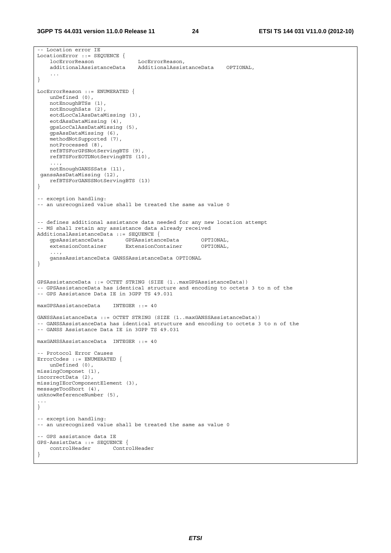```
-- Location error IE 
LocationError ::= SEQUENCE { 
    locErrorReason LocErrorReason, 
     additionalAssistanceData AdditionalAssistanceData OPTIONAL, 
     ... 
} 
LocErrorReason ::= ENUMERATED { 
    unDefined (0), 
    notEnoughBTSs (1), 
    notEnoughSats (2), 
    eotdLocCalAssDataMissing (3), 
    eotdAssDataMissing (4), 
    gpsLocCalAssDataMissing (5), 
    gpsAssDataMissing (6), 
    methodNotSupported (7), 
    notProcessed (8), 
    refBTSForGPSNotServingBTS (9), 
    refBTSForEOTDNotServingBTS (10), 
     ..., 
    notEnoughGANSSSats (11), 
 ganssAssDataMissing (12), 
    refBTSForGANSSNotServingBTS (13) 
} 
-- exception handling: 
-- an unrecognized value shall be treated the same as value 0 
-- defines additional assistance data needed for any new location attempt 
-- MS shall retain any assistance data already received 
AdditionalAssistanceData ::= SEQUENCE { 
 gpsAssistanceData GPSAssistanceData OPTIONAL, 
 extensionContainer ExtensionContainer OPTIONAL, 
 ..., 
    ganssAssistanceData GANSSAssistanceData OPTIONAL 
} 
GPSAssistanceData ::= OCTET STRING (SIZE (1..maxGPSAssistanceData)) 
-- GPSAssistanceData has identical structure and encoding to octets 3 to n of the 
-- GPS Assistance Data IE in 3GPP TS 49.031 
maxGPSAssistanceData INTEGER ::= 40 
GANSSAssistanceData ::= OCTET STRING (SIZE (1..maxGANSSAssistanceData)) 
-- GANSSAssistanceData has identical structure and encoding to octets 3 to n of the 
-- GANSS Assistance Data IE in 3GPP TS 49.031 
maxGANSSAssistanceData INTEGER ::= 40 
-- Protocol Error Causes 
ErrorCodes ::= ENUMERATED { 
    unDefined (0), 
missingComponet (1), 
incorrectData (2), 
missingIEorComponentElement (3), 
messageTooShort (4), 
unknowReferenceNumber (5), 
... 
} 
-- exception handling: 
-- an unrecognized value shall be treated the same as value 0 
-- GPS assistance data IE 
GPS-AssistData ::= SEQUENCE { 
    controlHeader ControlHeader 
}
```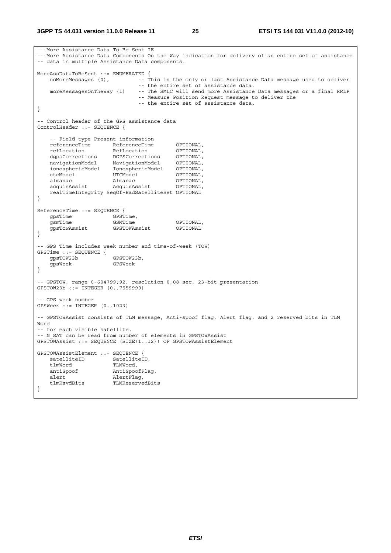```
-- More Assistance Data To Be Sent IE 
-- More Assistance Data Components On the Way indication for delivery of an entire set of assistance 
-- data in multiple Assistance Data components. 
MoreAssDataToBeSent ::= ENUMERATED { 
  noMoreMessages (0), --- This is the only or last Assistance Data message used to deliver
   -- the entire set of assistance data.<br>moreMessagesOnTheWay (1) -- The SMLC will send more Assistance
                               -- The SMLC will send more Assistance Data messages or a final RRLP
                                -- Measure Position Request message to deliver the 
                                 -- the entire set of assistance data. 
} 
-- Control header of the GPS assistance data 
ControlHeader ::= SEQUENCE { 
     -- Field type Present information 
   referenceTime ReferenceTime OPTIONAL,
 refLocation RefLocation OPTIONAL, 
 dgpsCorrections DGPSCorrections OPTIONAL, 
 navigationModel NavigationModel OPTIONAL, 
 ionosphericModel IonosphericModel OPTIONAL, 
utcModel UTCModel OPTIONAL,
 almanac Almanac OPTIONAL, 
    acquisAssist AcquisAssist OPTIONAL, 
    realTimeIntegrity SeqOf-BadSatelliteSet OPTIONAL 
} 
ReferenceTime ::= SEQUENCE { 
   gpsTime GPSTime,
   gsmTime GSMTime OPTIONAL,<br>qpsTowAssist GPSTOWAssist OPTIONAL
   -<br>gpsTowAssist
} 
-- GPS Time includes week number and time-of-week (TOW) 
GPSTime ::= SEQUENCE { 
   gpsTOW23b GPSTOW23b,<br>qpsWeek GPSWeek
                       gpsWeek GPSWeek 
} 
-- GPSTOW, range 0-604799,92, resolution 0,08 sec, 23-bit presentation 
GPSTOW23b ::= INTEGER (0..7559999) 
-- GPS week number 
GPSWeek ::= INTEGER (0..1023) 
-- GPSTOWAssist consists of TLM message, Anti-spoof flag, Alert flag, and 2 reserved bits in TLM 
Word 
-- for each visible satellite. 
-- N SAT can be read from number of elements in GPSTOWAssist
GPSTOWAssist ::= SEQUENCE (SIZE(1..12)) OF GPSTOWAssistElement 
GPSTOWAssistElement ::= SEQUENCE { 
   satelliteID SatelliteID,<br>tlmWord TLMWord,
   tlmWord TLMWord,<br>antiSpoof AntiSpoc
                      AntiSpoofFlaq,
   alert AlertFlag,<br>tlmRsvdBits TLMReserve
                       TLMReservedBits
}
```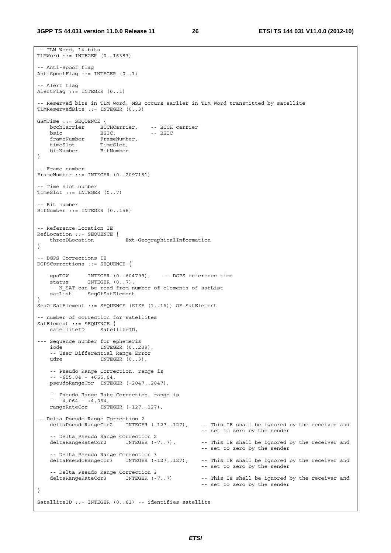```
-- TLM Word, 14 bits 
TLMWord ::= INTEGER (0..16383) 
-- Anti-Spoof flag 
AntiSpoofFlag ::= INTEGER (0..1) 
-- Alert flag 
AlertFlag ::= INTEGER (0..1) 
 -- Reserved bits in TLM word, MSB occurs earlier in TLM Word transmitted by satellite 
TLMReservedBits ::= INTEGER (0..3) 
GSMTime ::= SEQUENCE { 
   bcchCarrier BCCHCarrier, -- BCCH carrier<br>bsic BSIC, -- BSIC
bsic BSIC, -- BSIC
 frameNumber FrameNumber, 
 timeSlot TimeSlot, 
 bitNumber BitNumber 
} 
-- Frame number 
FrameNumber ::= INTEGER (0..2097151) 
 -- Time slot number 
TimeSlot ::= INTEGER (0..7)-- Bit number 
BitNumber ::= INTEGER (0..156) 
-- Reference Location IE 
RefLocation ::= SEQUENCE {<br>threeDLocation
                           Ext-GeographicalInformation
} 
 -- DGPS Corrections IE 
DGPSCorrections ::= SEQUENCE { 
 gpsTOW INTEGER (0..604799), -- DGPS reference time 
status INTEGER (0..7),
     -- N_SAT can be read from number of elements of satList 
   satList SeqOfSatElement
} 
SeqOfSatElement ::= SEQUENCE (SIZE (1..16)) OF SatElement 
-- number of correction for satellites 
SatElement ::= SEOUENCE {
   satelliteID SatelliteID,
--- Sequence number for ephemeris<br>iode INTEGER (0..2)
                   INTEGER (0..239),
     -- User Differential Range Error 
   udre INTEGER (0..3),
    -- Pseudo Range Correction, range is 
    -- -655,04 - +655,04, 
    pseudoRangeCor INTEGER (-2047..2047), 
     -- Pseudo Range Rate Correction, range is 
   - - 4.064 - 4.064,
    rangeRateCor INTEGER (-127..127), 
-- Delta Pseudo Range Correction 2 
    deltaPseudoRangeCor2 INTEGER (-127..127), -- This IE shall be ignored by the receiver and 
                                                      -- set to zero by the sender 
   -- Delta Pseudo Range Correction 2<br>deltaRangeRateCor2      INTEGER (-7..7),
                                                    -- This IE shall be ignored by the receiver and
                                                      -- set to zero by the sender 
    -- Delta Pseudo Range Correction 3 
    deltaPseudoRangeCor3 INTEGER (-127..127), -- This IE shall be ignored by the receiver and 
                                                      -- set to zero by the sender 
     -- Delta Pseudo Range Correction 3 
    deltaRangeRateCor3 INTEGER (-7..7) -- This IE shall be ignored by the receiver and 
                                                      -- set to zero by the sender 
} 
SatelliteID ::= INTEGER (0..63) -- identifies satellite
```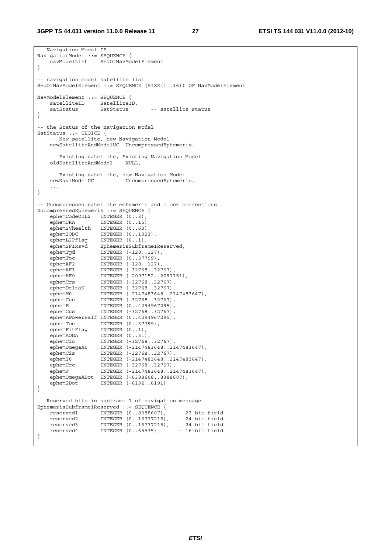```
-- Navigation Model IE 
NavigationModel ::= SEQUENCE { 
    navModelList SeqOfNavModelElement 
} 
 -- navigation model satellite list 
SeqOfNavModelElement ::= SEQUENCE (SIZE(1..16)) OF NavModelElement 
NavModelElement ::= SEQUENCE { 
   satelliteID SatelliteID,<br>satStatus SatStatus
   satStatus SatStatus -- satellite status
} 
-- the Status of the navigation model 
SatStatus ::= CHOICE {
    -- New satellite, new Navigation Model 
    newSatelliteAndModelUC UncompressedEphemeris, 
   -- Existing satellite, Existing Navigation Model<br>oldSatelliteAndModel NULL,
   oldSatelliteAndModel
    -- Existing satellite, new Navigation Model 
                         UncompressedEphemeris,
 ... 
} 
-- Uncompressed satellite emhemeris and clock corrections 
UncompressedEphemeris ::= SEQUENCE { 
   ephemCodeOnL2 INTEGER (0..3),
 ephemURA INTEGER (0..15), 
 ephemSVhealth INTEGER (0..63), 
 ephemIODC INTEGER (0..1023), 
 ephemL2Pflag INTEGER (0..1), 
 ephemSF1Rsvd EphemerisSubframe1Reserved, 
 ephemTgd INTEGER (-128..127), 
 ephemToc INTEGER (0..37799), 
 ephemAF2 INTEGER (-128..127), 
 ephemAF1 INTEGER (-32768..32767), 
 ephemAF0 INTEGER (-2097152..2097151), 
 ephemCrs INTEGER (-32768..32767), 
 ephemDeltaN INTEGER (-32768..32767), 
 ephemM0 INTEGER (-2147483648..2147483647), 
 ephemCuc INTEGER (-32768..32767), 
 ephemE INTEGER (0..4294967295), 
 ephemCus INTEGER (-32768..32767), 
    ephemAPowerHalf INTEGER (0..4294967295), 
 ephemToe INTEGER (0..37799), 
 ephemFitFlag INTEGER (0..1), 
 ephemAODA INTEGER (0..31), 
 ephemCic INTEGER (-32768..32767), 
 ephemOmegaA0 INTEGER (-2147483648..2147483647), 
 ephemCis INTEGER (-32768..32767), 
 ephemI0 INTEGER (-2147483648..2147483647), 
 ephemCrc INTEGER (-32768..32767), 
 ephemW INTEGER (-2147483648..2147483647), 
   ephemOmegaADot INTEGER (-8388608..8388607),<br>ephemIDot INTEGER (-8192..8191)
                  INTEGER (-8192..8191)
} 
-- Reserved bits in subframe 1 of navigation message 
EphemerisSubframe1Reserved ::= SEQUENCE { 
 reserved1 INTEGER (0..8388607), -- 23-bit field 
 reserved2 INTEGER (0..16777215), -- 24-bit field 
 reserved3 INTEGER (0..16777215), -- 24-bit field 
 reserved4 INTEGER (0..65535) -- 16-bit field 
}
```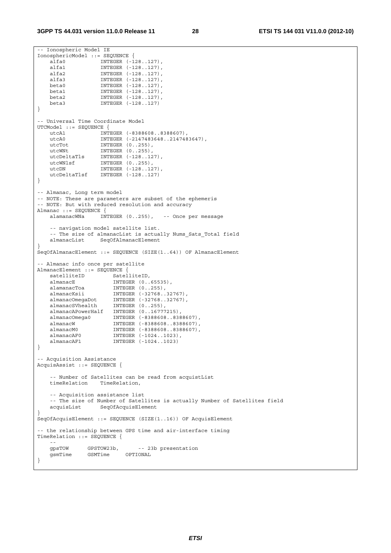```
-- Ionospheric Model IE 
IonosphericModel ::= SEQUENCE { 
 alfa0 INTEGER (-128..127), 
 alfa1 INTEGER (-128..127), 
 alfa2 INTEGER (-128..127), 
 alfa3 INTEGER (-128..127), 
 beta0 INTEGER (-128..127), 
 beta1 INTEGER (-128..127), 
    beta2 INTEGER (-128..127), 
                  INTEGER (-128..127)
} 
-- Universal Time Coordinate Model 
UTCModel ::= SEQUENCE { 
 utcA1 INTEGER (-8388608..8388607), 
 utcA0 INTEGER (-2147483648..2147483647), 
utcTot INTEGER (0..255),
utcWNt INTEGER (0..255),
 utcDeltaTls INTEGER (-128..127), 
 utcWNlsf INTEGER (0..255), 
utcDN INTEGER (-128..127),
    utcDeltaTlsf INTEGER (-128..127) 
} 
-- Almanac, Long term model 
-- NOTE: These are parameters are subset of the ephemeris 
-- NOTE: But with reduced resolution and accuracy 
Almanac ::= SEQUENCE { 
    alamanacWNa INTEGER (0..255), -- Once per message 
    -- navigation model satellite list. 
   -- The size of almanacList is actually Nums_Sats_Total field<br>almanacList SegOfAlmanacElement
                 SeqOfAlmanacElement
} 
SeqOfAlmanacElement ::= SEQUENCE (SIZE(1..64)) OF AlmanacElement 
-- Almanac info once per satellite 
AlmanacElement ::= SEQUENCE { 
   satelliteID SatelliteID,
   almanacE INTEGER (0..65535),<br>alamanacToa INTEGER (0..255),<br>almanacKsii INTEGER (-32768 20
                     --------- (11..255),<br>INTEGER (0..255),<br>INTEGER (-32768..32767),
 almanacKsii INTEGER (-32768..32767), 
 almanacOmegaDot INTEGER (-32768..32767), 
 almanacSVhealth INTEGER (0..255), 
 almanacAPowerHalf INTEGER (0..16777215), 
 almanacOmega0 INTEGER (-8388608..8388607), 
 almanacW INTEGER (-8388608..8388607), 
    almanacM0 INTEGER (-8388608..8388607), 
 almanacAF0 INTEGER (-1024..1023), 
 almanacAF1 INTEGER (-1024..1023) 
} 
 -- Acquisition Assistance 
AcquisAssist ::= SEQUENCE { 
   -- Number of Satellites can be read from acquistList<br>timeRelation TimeRelation,
                  TimeRelation,
    -- Acquisition assistance list 
   -- The size of Number of Satellites is actually Number of Satellites field
    acquisList SeqOfAcquisElement 
} 
SeqOfAcquisElement ::= SEQUENCE (SIZE(1..16)) OF AcquisElement 
 -- the relationship between GPS time and air-interface timing 
TimeRelation ::= SEQUENCE { 
 -- 
   gpsTOW GPSTOW23b, -- 23b presentation<br>
GSMTime CSMTime OPTIONAL
   gsmTime GSMTime
}
```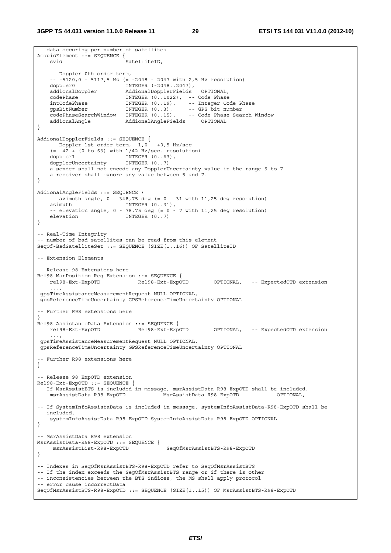```
-- data occuring per number of satellites 
AcquisElement ::= SEQUENCE { 
   svid SatelliteID,
    -- Doppler 0th order term, 
    -- -5120,0 - 5117,5 Hz (= -2048 - 2047 with 2,5 Hz resolution) 
    doppler0 INTEGER (-2048..2047), 
    addionalDoppler AddionalDopplerFields OPTIONAL, 
                         INTEGER (0.1022), -- Code Phase
 intCodePhase INTEGER (0..19), -- Integer Code Phase 
 gpsBitNumber INTEGER (0..3), -- GPS bit number 
 codePhaseSearchWindow INTEGER (0..15), -- Code Phase Search Window 
 addionalAngle AddionalAngleFields OPTIONAL 
} 
AddionalDopplerFields ::= SEQUENCE { 
    -- Doppler 1st order term, -1,0 - +0,5 Hz/sec 
   (= -42 + (0 \text{ to } 63) \text{ with } 1/42 \text{ Hz/sec. resolution}) doppler1 INTEGER (0..63), 
   dopplerUncertainty
  -- a sender shall not encode any DopplerUncertainty value in the range 5 to 7 
  -- a receiver shall ignore any value between 5 and 7. 
} 
AddionalAngleFields ::= SEQUENCE { 
   -- azimuth angle, 0 - 348,75 deg (= 0 - 31 with 11,25 deg resolution)
   azimuth INTEGER (0..31),
   -- elevation angle, 0 - 78,75 deg (= 0 - 7 \text{ with } 11,25 deg resolution)
   elevation INTEGER (0..7)
} 
-- Real-Time Integrity 
-- number of bad satellites can be read from this element 
SeqOf-BadSatelliteSet ::= SEQUENCE (SIZE(1..16)) OF SatelliteID 
 -- Extension Elements 
-- Release 98 Extensions here 
Rel98-MsrPosition-Req-Extension ::= SEQUENCE { 
 rel98-Ext-ExpOTD Rel98-Ext-ExpOTD OPTIONAL, -- ExpectedOTD extension 
 ..., 
 gpsTimeAssistanceMeasurementRequest NULL OPTIONAL, 
 gpsReferenceTimeUncertainty GPSReferenceTimeUncertainty OPTIONAL 
 -- Further R98 extensions here 
} 
Rel98-AssistanceData-Extension ::= SEQUENCE { 
   rel98-Ext-ExpOTD Rel98-Ext-ExpOTD OPTIONAL, -- ExpectedOTD extension 
 ..., 
 gpsTimeAssistanceMeasurementRequest NULL OPTIONAL, 
 gpsReferenceTimeUncertainty GPSReferenceTimeUncertainty OPTIONAL 
-- Further R98 extensions here 
} 
-- Release 98 ExpOTD extension 
Rel98-Ext-ExpOTD ::= SEQUENCE { 
-- If MsrAssistBTS is included in message, msrAssistData-R98-ExpOTD shall be included. 
    msrAssistData-R98-ExpOTD MsrAssistData-R98-ExpOTD OPTIONAL, 
-- If SystemInfoAssistaData is included in message, systemInfoAssistData-R98-ExpOTD shall be 
-- included. 
    systemInfoAssistData-R98-ExpOTD SystemInfoAssistData-R98-ExpOTD OPTIONAL 
} 
-- MsrAssistData R98 extension 
MsrAssistData-R98-ExpOTD ::= SEQUENCE { 
    msrAssistList-R98-ExpOTD SeqOfMsrAssistBTS-R98-ExpOTD 
} 
-- Indexes in SeqOfMsrAssistBTS-R98-ExpOTD refer to SeqOfMsrAssistBTS 
-- If the index exceeds the SegOfMsrAssistBTS range or if there is other 
-- inconsistencies between the BTS indices, the MS shall apply protocol 
-- error cause incorrectData 
SeqOfMsrAssistBTS-R98-ExpOTD ::= SEQUENCE (SIZE(1..15)) OF MsrAssistBTS-R98-ExpOTD
```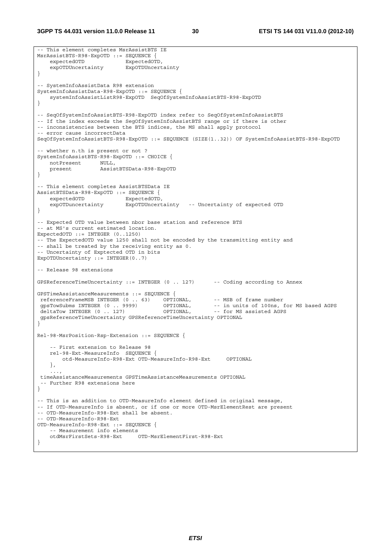**3GPP TS 44.031 version 11.0.0 Release 11 30 ETSI TS 144 031 V11.0.0 (2012-10)**

```
-- This element completes MsrAssistBTS IE 
MsrAssistBTS-R98-ExpOTD ::= SEQUENCE { 
   expectedOTD ExpectedOTD,
     expOTDUncertainty ExpOTDUncertainty 
} 
-- SystemInfoAssistData R98 extension 
SystemInfoAssistData-R98-ExpOTD ::= SEQUENCE { 
    systemInfoAssistListR98-ExpOTD SeqOfSystemInfoAssistBTS-R98-ExpOTD 
} 
-- SeqOfSystemInfoAssistBTS-R98-ExpOTD index refer to SeqOfSystemInfoAssistBTS 
-- If the index exceeds the SegOfSystemInfoAssistBTS range or if there is other 
-- inconsistencies between the BTS indices, the MS shall apply protocol 
-- error cause incorrectData 
SeqOfSystemInfoAssistBTS-R98-ExpOTD ::= SEQUENCE (SIZE(1..32)) OF SystemInfoAssistBTS-R98-ExpOTD 
-- whether n.th is present or not ? 
SystemInfoAssistBTS-R98-ExpOTD ::= CHOICE { 
   notPresent NULL,<br>present Assis
                     present AssistBTSData-R98-ExpOTD 
} 
-- This element completes AssistBTSData IE 
AssistBTSData-R98-ExpOTD ::= SEQUENCE { 
   expectedOTD ExpectedOTD,
    expOTDuncertainty ExpOTDUncertainty -- Uncertainty of expected OTD 
} 
-- Expected OTD value between nbor base station and reference BTS 
-- at MS's current estimated location. 
ExpectedOTD ::= INTEGER (0..1250) 
-- The ExpectedOTD value 1250 shall not be encoded by the transmitting entity and 
-- shall be treated by the receiving entity as 0. 
-- Uncertainty of Exptected OTD in bits 
ExpOTDUncertainty := INTEGER(0..7)
-- Release 98 extensions 
GPSReferenceTimeUncertainty ::= INTEGER (0 .. 127) -- Coding according to Annex 
GPSTimeAssistanceMeasurements ::= SEQUENCE { 
The TerenceFrameMSB INTEGER (0 . . 63) OPTIONAL, -- MSB of frame number<br>gpsTowSubms INTEGER (0 . . . . 9999) OPTIONAL, -- in units of 100ns, for MS based AGPS<br>deltaTow INTEGER (0 . . . 127) OPTIONAL, -- for MS assisted AGP
gpsTowSubms INTEGER (0 .. 9999) OPTIONAL, -- in units of 100ns, for MS based AGPS
deltaTow INTEGER (0 .. 127) OPTIONAL, -- for MS assisted AGPS
 gpsReferenceTimeUncertainty GPSReferenceTimeUncertainty OPTIONAL 
} 
Rel-98-MsrPosition-Rsp-Extension ::= SEQUENCE { 
     -- First extension to Release 98 
     rel-98-Ext-MeasureInfo SEQUENCE { 
         otd-MeasureInfo-R98-Ext OTD-MeasureInfo-R98-Ext OPTIONAL 
     }, 
 ..., 
  timeAssistanceMeasurements GPSTimeAssistanceMeasurements OPTIONAL 
   -- Further R98 extensions here 
} 
-- This is an addition to OTD-MeasureInfo element defined in original message, 
-- If OTD-MeasureInfo is absent, or if one or more OTD-MsrElementRest are present 
-- OTD-MeasureInfo-R98-Ext shall be absent. 
-- OTD-MeasureInfo-R98-Ext 
OTD-MeasureInfo-R98-Ext ::= SEQUENCE { 
    -- Measurement info elements<br>otdMsrFirstSets-R98-Ext
                                 OTD-MsrElementFirst-R98-Ext
}
```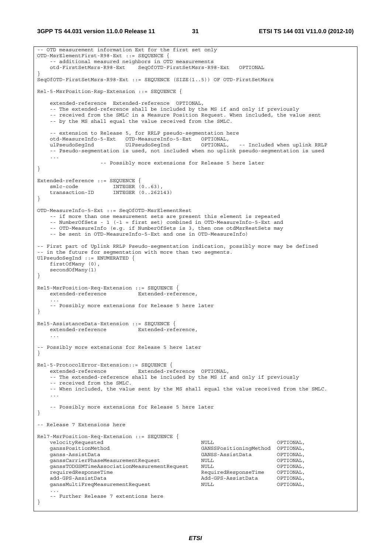```
-- OTD measurement information Ext for the first set only 
OTD-MsrElementFirst-R98-Ext ::= SEQUENCE { 
    -- additional measured neighbors in OTD measurements 
    otd-FirstSetMsrs-R98-Ext SeqOfOTD-FirstSetMsrs-R98-Ext OPTIONAL 
} 
SeqOfOTD-FirstSetMsrs-R98-Ext ::= SEQUENCE (SIZE(1..5)) OF OTD-FirstSetMsrs 
Rel-5-MsrPosition-Rsp-Extension ::= SEQUENCE { 
    extended-reference Extended-reference OPTIONAL, 
    -- The extended-reference shall be included by the MS if and only if previously 
    -- received from the SMLC in a Measure Position Request. When included, the value sent 
    -- by the MS shall equal the value received from the SMLC. 
    -- extension to Release 5, for RRLP pseudo-segmentation here 
    otd-MeasureInfo-5-Ext OTD-MeasureInfo-5-Ext OPTIONAL, 
    ulPseudoSegInd UlPseudoSegInd OPTIONAL, -- Included when uplink RRLP 
    -- Pseudo-segmentation is used, not included when no uplink pseudo-segmentation is used 
    ... 
                   -- Possibly more extensions for Release 5 here later 
} 
Extended-reference ::= SEQUENCE { 
smlc-code INTEGER (0..63),
 transaction-ID INTEGER (0..262143) 
} 
OTD-MeasureInfo-5-Ext ::= SeqOfOTD-MsrElementRest 
    -- if more than one measurement sets are present this element is repeated 
    -- NumberOfSets - 1 (-1 = first set) combined in OTD-MeasureInfo-5-Ext and 
    -- OTD-MeasureInfo (e.g. if NumberOfSets is 3, then one otdMsrRestSets may 
    -- be sent in OTD-MeasureInfo-5-Ext and one in OTD-MeasureInfo) 
-- First part of Uplink RRLP Pseudo-segmentation indication, possibly more may be defined 
-- in the future for segmentation with more than two segments. 
UlPseudoSegInd ::= ENUMERATED { 
    firstOfMany (0), 
    secondOfMany(1) 
} 
Rel5-MsrPosition-Req-Extension ::= SEQUENCE { 
    extended-reference Extended-reference, 
 ... 
    -- Possibly more extensions for Release 5 here later 
} 
Rel5-AssistanceData-Extension ::= SEQUENCE { 
   extended-reference Extended-reference, 
 ... 
-- Possibly more extensions for Release 5 here later 
} 
Rel-5-ProtocolError-Extension::= SEQUENCE { 
   extended-reference Extended-reference OPTIONAL, 
    -- The extended-reference shall be included by the MS if and only if previously 
    -- received from the SMLC. 
    -- When included, the value sent by the MS shall equal the value received from the SMLC. 
 ... 
    -- Possibly more extensions for Release 5 here later 
} 
-- Release 7 Extensions here 
Rel7-MsrPosition-Req-Extension ::= SEQUENCE { 
   velocityRequested and NUL optional,
    ganssPositionMethod GANSSPositioningMethod OPTIONAL, 
    ganss-AssistData GANSS-AssistData OPTIONAL, 
    ganssCarrierPhaseMeasurementRequest NULL OPTIONAL, 
   ganssTODGSMTimeAssociationMeasurementRequest NULL (OPTIONAL, requiredResponseTime OPTIONAL,
                                                 requiredResponseTime RequiredResponseTime OPTIONAL, 
    add-GPS-AssistData Add-GPS-AssistData OPTIONAL, 
   ganssMultiFreqMeasurementRequest \hbox{NULL} ... 
    -- Further Release 7 extentions here 
}
```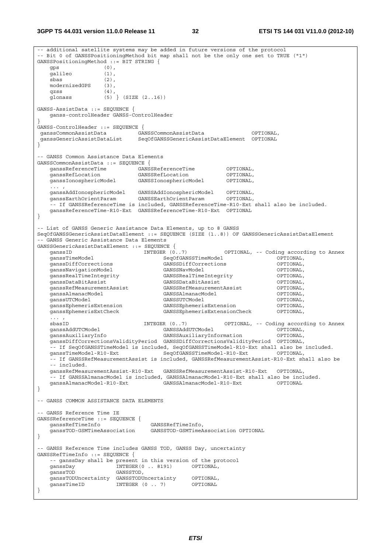**3GPP TS 44.031 version 11.0.0 Release 11 32 ETSI TS 144 031 V11.0.0 (2012-10)**

-- additional satellite systems may be added in future versions of the protocol -- Bit 0 of GANSSPositioningMethod bit map shall not be the only one set to TRUE ("1") GANSSPositioningMethod ::= BIT STRING { gps (0), galileo (1), sbas (2), modernizedGPS (3), qzss (4), glonass (5) } (SIZE (2..16)) GANSS-AssistData ::= SEQUENCE { ganss-controlHeader GANSS-ControlHeader } GANSS-ControlHeader ::= SEQUENCE { ganssCommonAssistData GANSSCommonAssistData OPTIONAL, ganssGenericAssistDataList SeqOfGANSSGenericAssistDataElement OPTIONAL } -- GANSS Common Assistance Data Elements GANSSCommonAssistData ::= SEQUENCE { ganssReferenceTime GANSSReferenceTime OPTIONAL, ganssRefLocation GANSSRefLocation OPTIONAL, ganssIonosphericModel GANSSIonosphericModel OPTIONAL, ... , ganssAddIonosphericModel GANSSAddIonosphericModel OPTIONAL, ganssEarthOrientParam GANSSEarthOrientParam OPTIONAL, -- If GANSSReferenceTime is included, GANSSReferenceTime-R10-Ext shall also be included. ganssReferenceTime-R10-Ext GANSSReferenceTime-R10-Ext OPTIONAL } - List of GANSS Generic Assistance Data Elements, up to 8 GANSS SeqOfGANSSGenericAssistDataElement ::= SEQUENCE (SIZE (1..8)) OF GANSSGenericAssistDataElement -- GANSS Generic Assistance Data Elements GANSSGenericAssistDataElement ::= SEQUENCE { INTEGER (0..7) OPTIONAL, -- Coding according to Annex external operations of the SeqOfGANSSTimeModel (OPTIONAL, canssDiffCorrections operations) operations of the C<br>Canselectron operations of the Canselectron of the Communications of the Communications of the Communications ganssDiffCorrections GANSSDiffCorrections OPTIONAL, ganssNavigationModel GANSSNavModel OPTIONAL, ganssRealTimeIntegrity GANSSRealTimeIntegrity OPTIONAL, ganssDataBitAssist GANSSDataBitAssist OPTIONAL, ganssRefMeasurementAssist GANSSRefMeasurementAssist OPTIONAL, ganssAlmanacModel GANSSAlmanacModel OPTIONAL, ganssUTCModel GANSSUTCModel GANSSUTCModel (OPTIONAL)<br>ganssEphemerisExtension GANSSEphemerisExtension (OPTIONAL) ganssEphemerisExtension GANSSEphemerisExtension OPTIONAL, ganssephemerisExtensionCheck  $\ldots$  ,<br>shas ID sbasID INTEGER (0..7) OPTIONAL, -- Coding according to Annex ganssAddUTCModel GANSSAddUTCModel OPTIONAL, ganssAuxiliaryInfo GANSSAuxiliaryInformation OPTIONAL, ganssDiffCorrectionsValidityPeriod GANSSDiffCorrectionsValidityPeriod OPTIONAL, -- If SeqOfGANSSTimeModel is included, SeqOfGANSSTimeModel-R10-Ext shall also be included. ganssTimeModel-R10-Ext SeqOfGANSSTimeModel-R10-Ext OPTIONAL, -- If GANSSRefMeasurementAssist is included, GANSSRefMeasurementAssist-R10-Ext shall also be -- included. ganssRefMeasurementAssist-R10-Ext GANSSRefMeasurementAssist-R10-Ext OPTIONAL, -- If GANSSAlmanacModel is included, GANSSAlmanacModel-R10-Ext shall also be included.<br>ganssAlmanacModel-R10-Ext GANSSAlmanacModel-R10-Ext OPTIONAL ganssAlmanacModel-R10-Ext } -- GANSS COMMON ASSISTANCE DATA ELEMENTS -- GANSS Reference Time IE GANSSReferenceTime ::= SEQUENCE { ganssRefTimeInfo GANSSRefTimeInfo, ganssTOD-GSMTimeAssociation GANSSTOD-GSMTimeAssociation OPTIONAL } -- GANSS Reference Time includes GANSS TOD, GANSS Day, uncertainty GANSSRefTimeInfo ::= SEQUENCE { -- ganssDay shall be present in this version of the protocol ganssDay INTEGER(0 .. 8191) OPTIONAL, ganssTOD GANSSTOD, ganssTODUncertainty GANSSTODUncertainty OPTIONAL, ganssTimeID INTEGER (0 .. 7) }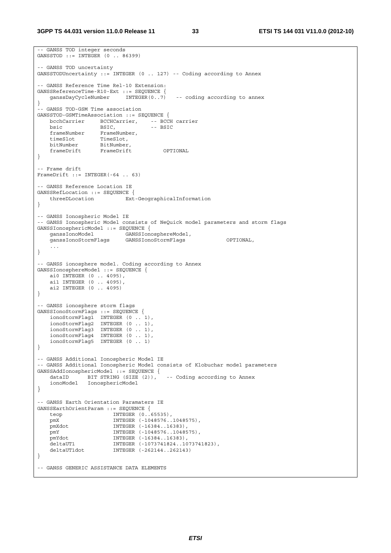```
-- GANSS TOD integer seconds 
GANSSTOD ::= INTEGER (0 .. 86399) 
-- GANSS TOD uncertainty 
GANSSTODUncertainty ::= INTEGER (0 .. 127) -- Coding according to Annex 
-- GANSS Reference Time Rel-10 Extension: 
GANSSReferenceTime-R10-Ext ::= SEQUENCE {<br>ganssDayCycleNumber INTEGER(0..7)
                                           -- coding according to annex
} 
-- GANSS TOD-GSM Time association 
GANSSTOD-GSMTimeAssociation ::= SEQUENCE {<br>bcchCarrier BCCHCarrier, -- BCCH carrier
 bcchCarrier BCCHCarrier, -- BCCH carrier 
bsic BSIC, -- BSIC
 frameNumber FrameNumber, 
 timeSlot TimeSlot, 
 bitNumber BitNumber, 
 frameDrift FrameDrift OPTIONAL 
} 
-- Frame drift 
FrameDrift ::= INTEGER(-64 .. 63) 
 -- GANSS Reference Location IE 
GANSSRefLocation ::= SEQUENCE { 
    threeDLocation Ext-GeographicalInformation 
} 
-- GANSS Ionospheric Model IE 
-- GANSS Ionospheric Model consists of NeQuick model parameters and storm flags 
GANSSIonosphericModel ::= SEQUENCE {<br>ganssIonoModel GANSSIono
 ganssIonoModel GANSSIonosphereModel, 
 ganssIonoStormFlags GANSSIonoStormFlags OPTIONAL, 
 ... 
} 
-- GANSS ionosphere model. Coding according to Annex 
GANSSIonosphereModel ::= SEQUENCE { 
     ai0 INTEGER (0 .. 4095), 
    ai1 INTEGER (0 .. 4095), 
    ai2 INTEGER (0 .. 4095) 
} 
-- GANSS ionosphere storm flags 
GANSSIonoStormFlags ::= SEQUENCE { 
 ionoStormFlag1 INTEGER (0 .. 1), 
 ionoStormFlag2 INTEGER (0 .. 1), 
    ionoStormFlag3 INTEGER (0 .. 1), 
 ionoStormFlag4 INTEGER (0 .. 1), 
 ionoStormFlag5 INTEGER (0 .. 1) 
} 
-- GANSS Additional Ionospheric Model IE 
-- GANSS Additional Ionospheric Model consists of Klobuchar model parameters 
GANSSAddIonosphericModel ::= SEQUENCE { 
 dataID BIT STRING (SIZE (2)), -- Coding according to Annex 
 ionoModel IonosphericModel 
} 
-- GANSS Earth Orientation Paramaters IE 
GANSSEarthOrientParam ::= SEQUENCE { 
   teop INTEGER (0..65535), 
    pmX INTEGER (-1048576..1048575), 
    pmXdot INTEGER (-16384..16383), 
 pmY INTEGER (-1048576..1048575), 
 pmYdot INTEGER (-16384..16383), 
   pmxaot     INTEGER (-16384..16383),<br>deltaUT1     INTEGER (-1073741824..1073741823),<br>deltaUT1dot   INTEGER (-262144..262143)
                       INTEGER (-262144..262143)
} 
-- GANSS GENERIC ASSISTANCE DATA ELEMENTS
```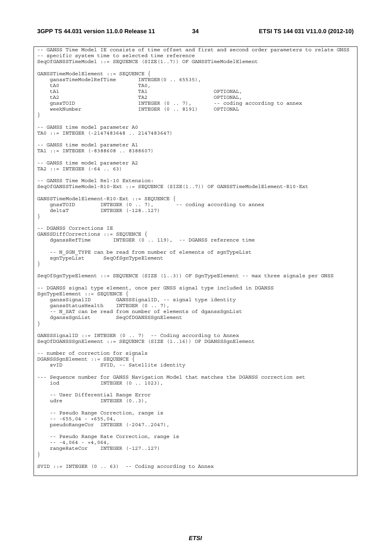**3GPP TS 44.031 version 11.0.0 Release 11 34 ETSI TS 144 031 V11.0.0 (2012-10)**

-- GANSS Time Model IE consists of time offset and first and second order parameters to relate GNSS -- specific system time to selected time reference SeqOfGANSSTimeModel ::= SEQUENCE (SIZE(1..7)) OF GANSSTimeModelElement GANSSTimeModelElement ::= SEQUENCE { ganssTimeModelRefTime INTEGER(0 .. 65535), tA0 TA0, tA1 TA1 OPTIONAL, tA2 TA2 OPTIONAL, -- coding according to annex weekNumber INTEGER (0 .. 8191) OPTIONAL } -- GANSS time model parameter A0 TA0 ::= INTEGER (-2147483648 .. 2147483647) -- GANSS time model parameter A1 TA1 ::= INTEGER (-8388608 .. 8388607) -- GANSS time model parameter A2 TA2 ::= INTEGER (-64 .. 63) -- GANSS Time Model Rel-10 Extension: SeqOfGANSSTimeModel-R10-Ext ::= SEQUENCE (SIZE(1..7)) OF GANSSTimeModelElement-R10-Ext GANSSTimeModelElement-R10-Ext ::= SEQUENCE { gnssTOID INTEGER (0 .. 7), deltaT INTEGER (-128..127) } -- DGANSS Corrections IE GANSSDiffCorrections ::= SEQUENCE { INTEGER (0 .. 119), -- DGANSS reference time -- N\_SGN\_TYPE can be read from number of elements of sgnTypeList sgnTypeList SeqOfSgnTypeElement } SeqOfSgnTypeElement ::= SEQUENCE (SIZE (1..3)) OF SgnTypeElement -- max three signals per GNSS -- DGANSS signal type element, once per GNSS signal type included in DGANSS SgnTypeElement ::= SEQUENCE { ganssSignalID GANSSSignalID, -- signal type identity ganssStatusHealth INTEGER (0 .. 7), -- N SAT can be read from number of elements of dganssSgnList dganssSqnList SeqOfDGANSSSqnElement } GANSSSignalID ::= INTEGER (0 .. 7) -- Coding according to Annex SeqOfDGANSSSgnElement ::= SEQUENCE (SIZE (1..16)) OF DGANSSSgnElement - number of correction for signals DGANSSSgnElement ::= SEQUENCE {<br>syID SWID -- Sa SVID, -- Satellite identity --- Sequence number for GANSS Navigation Model that matches the DGANSS correction set iod INTEGER (0 .. 1023), -- User Differential Range Error udre INTEGER (0.3) -- Pseudo Range Correction, range is  $-- -655,04 - +655,04,$  pseudoRangeCor INTEGER (-2047..2047), -- Pseudo Range Rate Correction, range is  $- - 4,064 - 4,064,$  rangeRateCor INTEGER (-127..127) } SVID  $::=$  INTEGER  $(0 \ldots 63)$  -- Coding according to Annex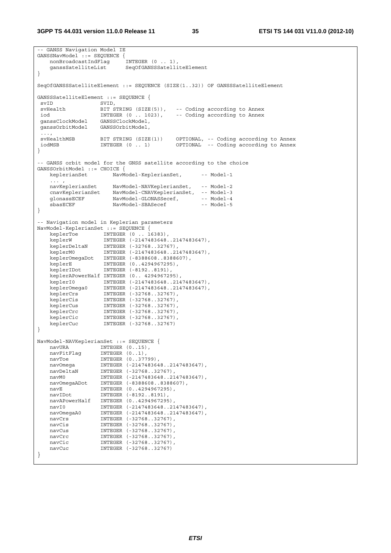```
-- GANSS Navigation Model IE 
GANSSNavModel::= SEOUENCE {
    nonBroadcastIndFlag INTEGER (0 .. 1), 
    ganssSatelliteList SeqOfGANSSSatelliteElement 
} 
SeqOfGANSSSatelliteElement ::= SEQUENCE (SIZE(1..32)) OF GANSSSatelliteElement 
GANSSSatelliteElement ::= SEQUENCE {<br>svID SVID.
 svID SVID, 
                 BIT STRING (SIZE(5)), -- Coding according to Annex<br>INTEGER (0 .. 1023), -- Coding according to Annex
 iod INTEGER (0 .. 1023), -- Coding according to Annex 
 ganssClockModel GANSSClockModel, 
 ganssOrbitModel GANSSOrbitModel, 
  ..., 
 svHealthMSB BIT STRING (SIZE(1)) OPTIONAL, -- Coding according to Annex 
 iodMSB INTEGER (0 .. 1) OPTIONAL -- Coding according to Annex 
} 
-- GANSS orbit model for the GNSS satellite according to the choice 
GANSSOrbitModel ::= CHOICE { 
   keplerianSet NavModel-KeplerianSet, -- Model-1
   ... ,<br>navKeplerianSet
 navKeplerianSet NavModel-NAVKeplerianSet, -- Model-2 
 cnavKeplerianSet NavModel-CNAVKeplerianSet, -- Model-3 
glonassECEF NavModel-GLONASSecef, -- Model-4
    sbasECEF NavModel-SBASecef -- Model-5 
} 
-- Navigation model in Keplerian parameters 
NavModel-KeplerianSet ::= SEQUENCE { 
 keplerToe INTEGER (0 .. 16383), 
 keplerW INTEGER (-2147483648..2147483647), 
 keplerDeltaN INTEGER (-32768..32767), 
 keplerM0 INTEGER (-2147483648..2147483647), 
 keplerOmegaDot INTEGER (-8388608..8388607), 
 keplerE INTEGER (0..4294967295), 
 keplerIDot INTEGER (-8192..8191), 
    keplerAPowerHalf INTEGER (0.. 4294967295), 
 keplerI0 INTEGER (-2147483648..2147483647), 
 keplerOmega0 INTEGER (-2147483648..2147483647), 
 keplerCrs INTEGER (-32768..32767), 
 keplerCis INTEGER (-32768..32767), 
 keplerCus INTEGER (-32768..32767), 
 keplerCrc INTEGER (-32768..32767), 
 keplerCic INTEGER (-32768..32767), 
 keplerCuc INTEGER (-32768..32767) 
} 
NavModel-NAVKeplerianSet ::= SEQUENCE { 
   navURA INTEGER (0..15),<br>navFitFlag INTEGER (0..1),
 navFitFlag INTEGER (0..1), 
navToe INTEGER (0..37799),
 navOmega INTEGER (-2147483648..2147483647), 
 navDeltaN INTEGER (-32768..32767), 
 navM0 INTEGER (-2147483648..2147483647), 
 navOmegaADot INTEGER (-8388608..8388607), 
 navE INTEGER (0..4294967295), 
    navIDot INTEGER (-8192..8191), 
 navAPowerHalf INTEGER (0..4294967295), 
 navI0 INTEGER (-2147483648..2147483647), 
 navOmegaA0 INTEGER (-2147483648..2147483647), 
 navCrs INTEGER (-32768..32767), 
 navCis INTEGER (-32768..32767), 
   navCis INTEGER (-32768..32767), navCus INTEGER (-32768..32767),
   navCrc INTEGER (-32768..32767),<br>navCic INTEGER (-32768..32767),
 navCic INTEGER (-32768..32767), 
 navCuc INTEGER (-32768..32767) 
}
```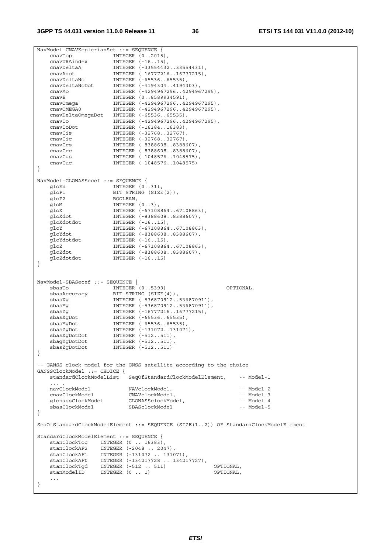NavModel-CNAVKeplerianSet ::= SEQUENCE { cnavTop INTEGER (0..2015), cnavURAindex INTEGER (-16..15), cnavDeltaA INTEGER (-33554432..33554431), cnavAdot INTEGER (-16777216..16777215), cnavDeltaNo INTEGER (-65536..65535), cnavDeltaNoDot INTEGER (-4194304..4194303), cnavMo INTEGER (-4294967296..4294967295), cnavE INTEGER (0..8589934591), cnavOmega INTEGER (-4294967296..4294967295), cnavOMEGA0 INTEGER (-4294967296..4294967295), cnavDeltaOmegaDot INTEGER (-65536..65535), cnavIo INTEGER (-4294967296..4294967295), cnavIoDot INTEGER (-16384..16383), cnavCis INTEGER (-32768..32767), CHAVIODOC MINISTRY (1999)<br>
CHAVCIS INTEGER (-32768..32767),<br>
CHAVCIC INTEGER (-32768..32767),<br>
CHAVCIS INTEGER (-8388608..83886 cnavCrs INTEGER (-8388608..8388607), cnavCrc INTEGER (-8388608..8388607), cnavCus INTEGER (-1048576..1048575), cnavCus INTEGER (-1048576..1048575)<br>cnavCuc INTEGER (-1048576..1048575) } NavModel-GLONASSecef ::= SEQUENCE { gloEn INTEGER (0..31),<br>gloP1 BIT STRING (SIZE BIT STRING (SIZE(2)), gloP2 BOOLEAN, gloM INTEGER (0..3), gloX INTEGER (-67108864..67108863), gloXdot INTEGER (-8388608..8388607), gloXdotdot INTEGER (-16..15), gloY INTEGER (-67108864..67108863), gloYdot INTEGER (-8388608..8388607), gloYdotdot INTEGER (-16..15), gloZ INTEGER (-67108864..67108863), gloZdot INTEGER (-8388608..8388607), gloZdotdot INTEGER (-16..15) } NavModel-SBASecef ::= SEQUENCE { sbasTo INTEGER (0..5399) OPTIONAL, sbasAccuracy BIT STRING (SIZE(4)), sbasXg INTEGER (-536870912..536870911), sbasYg INTEGER (-536870912..536870911), sbasZg INTEGER (-16777216..16777215), sbasXgDot INTEGER (-65536..65535), sbasYgDot INTEGER (-65536..65535), sbasZgDot INTEGER (-131072..131071), sbasXgDotDot INTEGER (-512..511), sbagYgDotDot INTEGER (-512..511), sbasZgDotDot INTEGER (-512..511) } -- GANSS clock model for the GNSS satellite according to the choice GANSSClockModel ::= CHOICE { standardClockModelList SeqOfStandardClockModelElement, -- Model-1  $\ldots$  ,  $\ldots$  ,  $\ldots$  navClockModel NAVclockModel, -- Model-2 cnavClockModel CNAVclockModel, -- Model-3 glonassClockModel GLONASSclockModel, -- Model-4 sbasClockModel SBASclockModel -- Model-5 } SeqOfStandardClockModelElement ::= SEQUENCE (SIZE(1..2)) OF StandardClockModelElement StandardClockModelElement ::= SEQUENCE { stanClockToc INTEGER (0 .. 16383), stanClockAF2 INTEGER (-2048 .. 2047), stanClockAF1 INTEGER (-131072 .. 131071), stanClockAF0 INTEGER (-134217728 .. 134217727), stanClockTgd INTEGER (-512 .. 511) OPTIONAL,  $stanModelID$  INTEGER  $(0 \ldots 1)$  ... }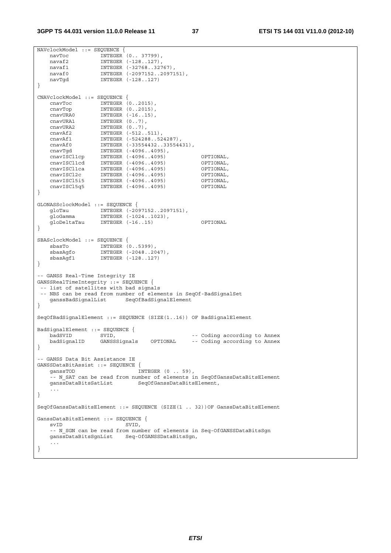```
NAVclockModel ::= SEQUENCE { 
 navToc INTEGER (0.. 37799), 
 navaf2 INTEGER (-128..127), 
 navaf1 INTEGER (-32768..32767), 
 navaf0 INTEGER (-2097152..2097151), 
   navaf0           INTEGER (-2097152..2097151),<br>navTgd        INTEGER (-128..127)
} 
CNAVclockModel ::= SEQUENCE { 
 cnavToc INTEGER (0..2015), 
 cnavTop INTEGER (0..2015), 
 cnavURA0 INTEGER (-16..15), 
 cnavURA1 INTEGER (0..7), 
 cnavURA2 INTEGER (0..7), 
 cnavAf2 INTEGER (-512..511), 
 cnavAf1 INTEGER (-524288..524287), 
 cnavAf0 INTEGER (-33554432..33554431), 
 cnavTgd INTEGER (-4096..4095), 
 cnavISCl1cp INTEGER (-4096..4095) OPTIONAL, 
 cnavISCl1cd INTEGER (-4096..4095) OPTIONAL, 
 cnavISCl1ca INTEGER (-4096..4095) OPTIONAL, 
 cnavISCl2c INTEGER (-4096..4095) OPTIONAL, 
 cnavISCl5i5 INTEGER (-4096..4095) OPTIONAL, 
 cnavISCl5q5 INTEGER (-4096..4095) OPTIONAL 
} 
GLONASSclockModel ::= SEQUENCE { 
 gloTau INTEGER (-2097152..2097151), 
 gloGamma INTEGER (-1024..1023), 
    gloDeltaTau INTEGER (-16..15) OPTIONAL 
} 
SBASclockModel ::= SEQUENCE { 
 sbasTo INTEGER (0..5399), 
 sbasAgfo INTEGER (-2048..2047), 
 sbasAgf1 INTEGER (-128..127) 
} 
-- GANSS Real-Time Integrity IE 
GANSSRealTimeIntegrity ::= SEQUENCE { 
 -- list of satellites with bad signals 
 -- NBS can be read from number of elements in SeqOf-BadSignalSet 
    ganssBadSignalList SeqOfBadSignalElement 
} 
SeqOfBadSignalElement ::= SEQUENCE (SIZE(1..16)) OF BadSignalElement 
BadSignalElement ::= SEQUENCE { 
badSVID SVID, SVID, \sim -- Coding according to Annex
 badSignalID GANSSSignals OPTIONAL -- Coding according to Annex 
} 
-- GANSS Data Bit Assistance IE 
GANSSDataBitAssist ::= SEQUENCE { 
  ganssTOD INTEGER (0 . 59),
    -- N_SAT can be read from number of elements in SeqOfGanssDataBitsElement 
   ganssDataBitsSatList SeqOfGanssDataBitsElement,
 ... 
} 
SeqOfGanssDataBitsElement ::= SEQUENCE (SIZE(1 .. 32))OF GanssDataBitsElement 
GanssDataBitsElement ::= SEQUENCE { 
   svID SVID,
   -- N SGN can be read from number of elements in Seq-OfGANSSDataBitsSgn
    ganssDataBitsSgnList Seq-OfGANSSDataBitsSgn, 
    ... 
}
```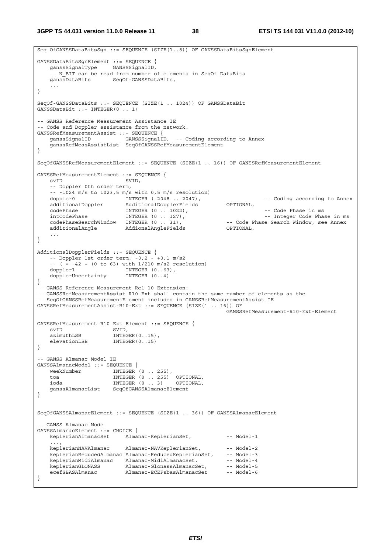**3GPP TS 44.031 version 11.0.0 Release 11 38 ETSI TS 144 031 V11.0.0 (2012-10)**

```
Seq-OfGANSSDataBitsSgn ::= SEQUENCE (SIZE(1..8)) OF GANSSDataBitsSgnElement 
GANSSDataBitsSgnElement ::= SEQUENCE { 
    ganssSignalType GANSSSignalID, 
     -- N_BIT can be read from number of elements in SeqOf-DataBits 
     ganssDataBits SeqOf-GANSSDataBits, 
 ... 
} 
SeqOf-GANSSDataBits ::= SEQUENCE (SIZE(1 .. 1024)) OF GANSSDataBit 
GANSSDataBit ::= INTEGER(0 .. 1) 
-- GANSS Reference Measurement Assistance IE 
-- Code and Doppler assistance from the network. 
GANSSRefMeasurementAssist ::= SEQUENCE { 
                           GANSSSignalID, -- Coding according to Annex
     ganssRefMeasAssistList SeqOfGANSSRefMeasurementElement 
} 
SeqOfGANSSRefMeasurementElement ::= SEQUENCE (SIZE(1 .. 16)) OF GANSSRefMeasurementElement 
GANSSRefMeasurementElement ::= SEQUENCE { 
   svID SVID.
     -- Doppler 0th order term, 
    -- -1024 m/s to 1023,5 m/s with 0,5 m/s resolution)<br>doppler0 INTEGER (-2048 \dots 2047),
   doppler0 INTEGER (-2048 .. 2047), -- Coding according to Annex<br>additionalDoppler AdditionalDopplerFields OPTIONAL,<br>codePhase in ms -- Code Phase in ms<br>at CodePhase in ms -- CodePhase in ms -- CodePhase in ms
   additionalDoppler AdditionalDopplerFields
 codePhase INTEGER (0 .. 1022), -- Code Phase in ms 
 intCodePhase INTEGER (0 .. 127), -- Integer Code Phase in ms 
   codePhaseSearchWindow INTEGER (0 . 31),    -- Code Phase Search Window, see Annex additionalAngle    -- AddionalAngleFields    -- Code Phase Search Window, see Annex
                            and and the Community Community Community<br>AddionalAngleFields
     ... 
} 
AdditionalDopplerFields ::= SEQUENCE { 
   -- Doppler 1st order term, -0.2 - 0.1 m/s2
    -(-(-8.42 + (0 \text{ to } 63)) \text{ with } 1/210 \text{ m/s2 resolution}) doppler1 INTEGER (0..63), 
    dopplerUncertainty INTEGER (0..4) 
} 
-- GANSS Reference Measurement Rel-10 Extension: 
-- GANSSRefMeasurementAssist-R10-Ext shall contain the same number of elements as the 
-- SeqOfGANSSRefMeasurementElement included in GANSSRefMeasurementAssist IE 
GANSSRefMeasurementAssist-R10-Ext ::= SEQUENCE (SIZE(1 .. 16)) OF 
                                                               GANSSRefMeasurement-R10-Ext-Element 
GANSSRefMeasurement-R10-Ext-Element ::= SEQUENCE {<br>svID SVID.
svID SVID,
azimuthLSB INTEGER(0..15),
    elevationLSB INTEGER(0..15)
} 
-- GANSS Almanac Model IE 
GANSSAlmanacModel ::= SEQUENCE { 
   weekNumber \overline{\text{INTEGR}} (0 . 255),
    toa INTEGER (0 .. 255) OPTIONAL, 
                        INTEGR (0 .. 3) ganssAlmanacList SeqOfGANSSAlmanacElement 
} 
SeqOfGANSSAlmanacElement ::= SEQUENCE (SIZE(1 .. 36)) OF GANSSAlmanacElement 
-- GANSS Almanac Model 
GANSSAlmanacElement ::= CHOICE { 
    keplerianAlmanacSet Almanac-KeplerianSet, -- Model-1
     ..., 
    keplerianNAVAlmanac Almanac-NAVKeplerianSet, -- Model-2
   keplerianReducedAlmanac Almanac-ReducedKeplerianSet, -- Model-3
 keplerianMidiAlmanac Almanac-MidiAlmanacSet, -- Model-4 
keplerianGLONASS Almanac-GlonassAlmanacSet, -- Model-5
    ecefSBASAlmanac -- Almanac-ECEFsbasAlmanacSet -- Model-6
}
```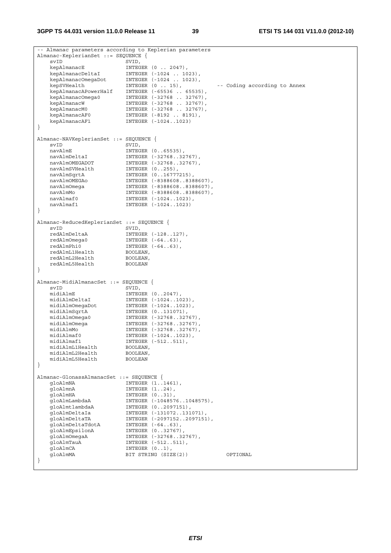$\mathbf I$ 

| -- Almanac parameters according to Keplerian parameters |                  |                             |                              |
|---------------------------------------------------------|------------------|-----------------------------|------------------------------|
| Almanac-KeplerianSet ::= SEQUENCE {                     |                  |                             |                              |
| svID                                                    | SVID,            |                             |                              |
| kepAlmanacE                                             |                  | INTEGER $(0 \ldots 2047)$ , |                              |
| kepAlmanacDeltaI                                        |                  | INTEGER (-1024  1023),      |                              |
| kepAlmanacOmegaDot                                      |                  | INTEGER (-1024  1023),      |                              |
| kepSVHealth                                             |                  | INTEGER $(0 \ldots 15)$ ,   | -- Coding according to Annex |
| kepAlmanacAPowerHalf                                    |                  | INTEGER (-65536  65535),    |                              |
| kepAlmanacOmega0                                        |                  | INTEGER (-32768  32767),    |                              |
|                                                         |                  |                             |                              |
| kepAlmanacW                                             |                  | INTEGER (-32768  32767),    |                              |
| kepAlmanacM0                                            |                  | INTEGER (-32768  32767),    |                              |
| kepAlmanacAF0                                           |                  | INTEGER (-8192  8191),      |                              |
| kepAlmanacAF1                                           |                  | INTEGER (-10241023)         |                              |
| $\}$                                                    |                  |                             |                              |
|                                                         |                  |                             |                              |
| Almanac-NAVKeplerianSet ::= SEQUENCE {                  |                  |                             |                              |
| svID                                                    | SVID,            |                             |                              |
| navAlmE                                                 |                  | INTEGER (065535),           |                              |
| navAlmDeltaI                                            |                  | INTEGER (-3276832767),      |                              |
| navAlmOMEGADOT                                          |                  | INTEGER (-3276832767),      |                              |
| navAlmSVHealth                                          |                  |                             |                              |
|                                                         |                  | INTEGER $(0255)$ ,          |                              |
| navAlmSqrtA                                             |                  | INTEGER (016777215),        |                              |
| navAlmOMEGAo                                            |                  | INTEGER (-83886088388607),  |                              |
| navAlmOmega                                             |                  | INTEGER (-83886088388607),  |                              |
| navAlmMo                                                |                  | INTEGER (-83886088388607),  |                              |
| navAlmaf0                                               |                  | INTEGER (-10241023),        |                              |
| navAlmaf1                                               |                  | INTEGER (-10241023)         |                              |
| $\}$                                                    |                  |                             |                              |
|                                                         |                  |                             |                              |
| Almanac-ReducedKeplerianSet ::= SEQUENCE {              |                  |                             |                              |
| svID                                                    |                  |                             |                              |
|                                                         | SVID,            |                             |                              |
| redAlmDeltaA                                            |                  | INTEGER (-128127),          |                              |
| redAlmOmega0                                            |                  | INTEGER $(-6463)$ ,         |                              |
| redAlmPhi0                                              |                  | INTEGER $(-6463)$ ,         |                              |
| redAlmL1Health                                          | BOOLEAN,         |                             |                              |
| redAlmL2Health                                          | BOOLEAN,         |                             |                              |
| redAlmL5Health                                          | <b>BOOLEAN</b>   |                             |                              |
| $\}$                                                    |                  |                             |                              |
|                                                         |                  |                             |                              |
| Almanac-MidiAlmanacSet ::= SEQUENCE {                   |                  |                             |                              |
| svID                                                    | SVID,            |                             |                              |
| midiAlmE                                                |                  |                             |                              |
|                                                         |                  | INTEGER $(02047)$ ,         |                              |
| midiAlmDeltaI                                           |                  | INTEGER (-10241023),        |                              |
| midiAlmOmegaDot                                         |                  | INTEGER (-10241023),        |                              |
| midiAlmSqrtA                                            |                  | INTEGER (0131071),          |                              |
| midiAlmOmega0                                           |                  | INTEGER (-3276832767),      |                              |
| midiAlmOmega                                            |                  | INTEGER (-3276832767),      |                              |
| midiAlmMo                                               |                  | INTEGER (-3276832767),      |                              |
| midiAlmaf0                                              |                  | INTEGER (-10241023),        |                              |
| midiAlmaf1                                              |                  | INTEGER (-512511),          |                              |
| midiAlmL1Health                                         | BOOLEAN,         |                             |                              |
| midiAlmL2Health                                         | BOOLEAN,         |                             |                              |
| midiAlmL5Health                                         | <b>BOOLEAN</b>   |                             |                              |
|                                                         |                  |                             |                              |
| $\}$                                                    |                  |                             |                              |
|                                                         |                  |                             |                              |
| Almanac-GlonassAlmanacSet ::= SEQUENCE {                |                  |                             |                              |
| gloAlmNA                                                |                  | INTEGER (11461),            |                              |
| gloAlmnA                                                |                  | INTEGER $(124)$ ,           |                              |
| qloAlmHA                                                |                  | INTEGER (031),              |                              |
| qloAlmLambdaA                                           |                  | INTEGER (-10485761048575),  |                              |
| qloAlmtlambdaA                                          |                  | INTEGER (02097151),         |                              |
| qloAlmDeltaIa                                           |                  | INTEGER (-131072131071),    |                              |
| qloAlmDeltaTA                                           |                  | INTEGER (-20971522097151),  |                              |
| gloAlmDeltaTdotA                                        |                  | INTEGER $(-6463)$ ,         |                              |
| qloAlmEpsilonA                                          |                  | INTEGER (032767),           |                              |
| gloAlmOmegaA                                            |                  |                             |                              |
|                                                         |                  | INTEGER (-3276832767),      |                              |
| qloAlmTauA                                              |                  | INTEGER (-512511),          |                              |
| gloAlmCA                                                | INTEGER $(01)$ , |                             |                              |
| qloAlmMA                                                |                  | BIT STRING (SIZE(2))        | OPTIONAL                     |
| $\}$                                                    |                  |                             |                              |
|                                                         |                  |                             |                              |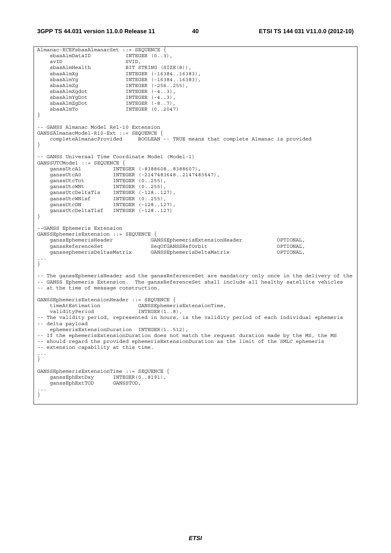```
Almanac-ECEFsbasAlmanacSet ::= SEQUENCE { 
   sbasAlmDataID
svID SVID,
sbasAlmHealth BIT STRING (SIZE(8)),
 sbasAlmXg INTEGER (-16384..16383), 
 sbasAlmYg INTEGER (-16384..16383), 
 sbasAlmZg INTEGER (-256..255), 
 sbasAlmXgdot INTEGER (-4..3), 
sbasAlmYgDot INTEGER (-4..3),
   \begin{tabular}{lllllllllllll} \multicolumn{4}{c}{\textbf{INTEGR & (-4..3)}}, \\ \textbf{sbasAlmYgDot} & \textbf{INTEGR & (-4..3)}\\ \textbf{sbasAlmZgDot} & \textbf{INTEGR & (-8..7)}\\ \end{tabular}sbasAlmTo INTEGER (0.2047)} 
-- GANSS Almanac Model Rel-10 Extension 
GANSSAlmanacModel-R10-Ext ::= SEQUENCE { 
   completeAlmanacProvided BOOLEAN -- TRUE means that complete Almanac is provided 
} 
-- GANSS Universal Time Coordinate Model (Model-1) 
GANSSUTCModel ::= SEQUENCE { 
 ganssUtcA1 INTEGER (-8388608..8388607), 
 ganssUtcA0 INTEGER (-2147483648..2147483647), 
 ganssUtcTot INTEGER (0..255), 
 ganssUtcWNt INTEGER (0..255), 
 ganssUtcDeltaTls INTEGER (-128..127), 
 ganssUtcWNlsf INTEGER (0..255), 
ganssUtcDN INTEGER (-128..127),
    ganssUtcDeltaTlsf INTEGER (-128..127) 
} 
--GANSS Ephemeris Extension 
GANSSEphemerisExtension ::= SEQUENCE { 
 ganssEphemerisHeader GANSSEphemerisExtensionHeader OPTIONAL, 
 ganssReferenceSet SeqOfGANSSRefOrbit OPTIONAL, 
    ganssephemerisDeltasMatrix GANSSEphemerisDeltaMatrix OPTIONAL, 
... 
} 
-- The ganssEphemerisHeader and the ganssReferenceSet are mandatory only once in the delivery of the 
-- GANSS Ephemeris Extension. The ganssReferenceSet shall include all healthy satellite vehicles 
-- at the time of message construction. 
GANSSEphemerisExtensionHeader ::= SEQUENCE { 
 timeAtEstimation GANSSEphemerisExtensionTime, 
 validityPeriod INTEGER(1..8), 
-- The validity period, represented in hours, is the validity period of each individual ephemeris 
-- delta payload 
   ephemerisExtensionDuration INTEGER(1..512), 
-- If the ephemerisExtensionDuration does not match the request duration made by the MS, the MS 
-- should regard the provided ephemerisExtensionDuration as the limit of the SMLC ephemeris 
-- extension capability at this time. 
... 
} 
GANSSEphemerisExtensionTime ::= SEQUENCE { 
 ganssEphExtDay INTEGER(0..8191), 
 ganssEphExtTOD GANSSTOD, 
... 
}
```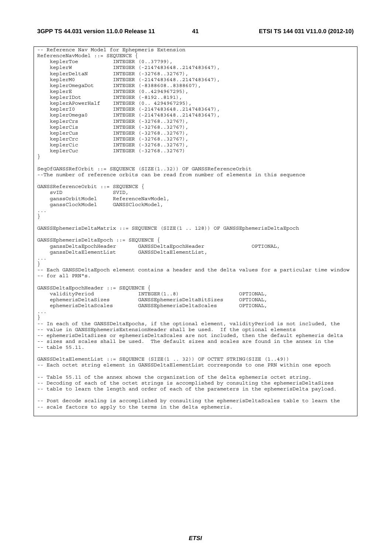```
-- Reference Nav Model for Ephepmeris Extension 
ReferenceNavModel ::= SEQUENCE { 
 keplerToe INTEGER (0..37799), 
 keplerW INTEGER (-2147483648..2147483647), 
 keplerDeltaN INTEGER (-32768..32767), 
 keplerM0 INTEGER (-2147483648..2147483647), 
 keplerOmegaDot INTEGER (-8388608..8388607), 
 keplerE INTEGER (0..4294967295), 
 keplerIDot INTEGER (-8192..8191), 
 keplerAPowerHalf INTEGER (0.. 4294967295), 
 keplerI0 INTEGER (-2147483648..2147483647), 
 keplerOmega0 INTEGER (-2147483648..2147483647), 
 keplerCrs INTEGER (-32768..32767), 
   keplerCis (-32768..32767),<br>keplerCis INTEGER (-32768..32767),<br>keplerCus INTEGER (-32768..32767),<br>keplerCrc INTEGER (-32768..32767),
 keplerCus INTEGER (-32768..32767), 
 keplerCrc INTEGER (-32768..32767), 
 keplerCic INTEGER (-32768..32767), 
 keplerCuc INTEGER (-32768..32767) 
} 
SeqOfGANSSRefOrbit ::= SEQUENCE (SIZE(1..32)) OF GANSSReferenceOrbit 
--The number of reference orbits can be read from number of elements in this sequence 
GANSSReferenceOrbit ::= SEOUENCE {
   evID SVID,
    ganssOrbitModel ReferenceNavModel, 
    ganssClockModel GANSSClockModel, 
... 
} 
GANSSEphemerisDeltaMatrix ::= SEQUENCE (SIZE(1 .. 128)) OF GANSSEphemerisDeltaEpoch 
GANSSEphemerisDeltaEpoch ::= SEQUENCE { 
 ganssDeltaEpochHeader GANSSDeltaEpochHeader OPTIONAL, 
 ganssDeltaElementList GANSSDeltaElementList, 
... 
} 
-- Each GANSSDeltaEpoch element contains a header and the delta values for a particular time window 
-- for all PRN"s. 
GANSSDeltaEpochHeader ::= SEQUENCE { 
 validityPeriod INTEGER(1..8) OPTIONAL, 
 ephemerisDeltaSizes GANSSEphemerisDeltaBitSizes OPTIONAL, 
    ephemerisDeltaScales GANSSEphemerisDeltaScales OPTIONAL, 
... 
} 
-- In each of the GANSSDeltaEpochs, if the optional element, validityPeriod is not included, the 
-- value in GANSSEphemerisExtensionHeader shall be used. If the optional elements 
-- ephemerisDeltaSizes or ephemerisDeltaScales are not included, then the default ephemeris delta 
-- sizes and scales shall be used. The default sizes and scales are found in the annex in the 
-- table 55.11. 
GANSSDeltaElementList ::= SEQUENCE (SIZE(1 .. 32)) OF OCTET STRING(SIZE (1..49)) 
-- Each octet string element in GANSSDeltaElementList corresponds to one PRN within one epoch 
-- Table 55.11 of the annex shows the organization of the delta ephemeris octet string. 
-- Decoding of each of the octet strings is accomplished by consulting the ephemerisDeltaSizes 
-- table to learn the length and order of each of the parameters in the ephemerisDelta payload. 
-- Post decode scaling is accomplished by consulting the ephemerisDeltaScales table to learn the 
-- scale factors to apply to the terms in the delta ephemeris.
```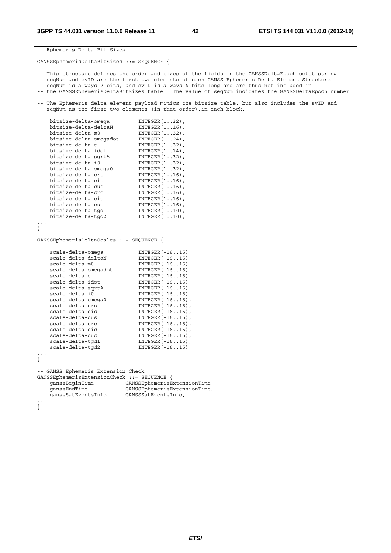```
-- Ephemeris Delta Bit Sizes. 
GANSSEphemerisDeltaBitSizes ::= SEQUENCE { 
-- This structure defines the order and sizes of the fields in the GANSSDeltaEpoch octet string 
-- seqNum and svID are the first two elements of each GANSS Ephemeris Delta Element Structure 
-- seqNum is always 7 bits, and svID is always 6 bits long and are thus not included in 
-- the GANSSEphemerisDeltaBitSizes table. The value of seqNum indicates the GANSSDeltaEpoch number 
-- The Ephemeris delta element payload mimics the bitsize table, but also includes the svID and 
-- seqNum as the first two elements (in that order), in each block.
 bitsize-delta-omega INTEGER(1..32), 
 bitsize-delta-deltaN INTEGER(1..16), 
 bitsize-delta-m0 INTEGER(1..32), 
 bitsize-delta-omegadot INTEGER(1..24), 
 bitsize-delta-e INTEGER(1..32), 
 bitsize-delta-idot INTEGER(1..14), 
 bitsize-delta-sqrtA INTEGER(1..32), 
 bitsize-delta-i0 INTEGER(1..32), 
 bitsize-delta-omega0 INTEGER(1..32), 
 bitsize-delta-crs INTEGER(1..16), 
 bitsize-delta-cis INTEGER(1..16), 
 bitsize-delta-cus INTEGER(1..16), 
 bitsize-delta-crc INTEGER(1..16), 
 bitsize-delta-cic INTEGER(1..16), 
 bitsize-delta-cuc INTEGER(1..16), 
 bitsize-delta-tgd1 INTEGER(1..10), 
 bitsize-delta-tgd2 INTEGER(1..10), 
... 
} 
GANSSEphemerisDeltaScales ::= SEQUENCE { 
 scale-delta-omega INTEGER(-16..15), 
scale-delta-deltaN INTEGER(-16..15),
scale-delta-m0 INTEGER(-16..15),
 scale-delta-omegadot INTEGER(-16..15), 
scale-delta-e INTEGER(-16..15),
scale-delta-idot INTEGER(-16..15),
scale-delta-sqrtA INTEGER(-16..15),
scale-delta-i0 INTEGER(-16..15),
 scale-delta-omega0 INTEGER(-16..15), 
scale-delta-crs INTEGER(-16..15),
scale-delta-cis INTEGER(-16..15),
scale-delta-cus INTEGER(-16..15),
scale-delta-crc INTEGER(-16..15),
scale-delta-cic INTEGER(-16..15),
scale-delta-cuc INTEGER(-16..15),
 scale-delta-tgd1 INTEGER(-16..15), 
 scale-delta-tgd2 INTEGER(-16..15), 
... 
} 
-- GANSS Ephemeris Extension Check 
GANSSEphemerisExtensionCheck ::= SEQUENCE { 
 ganssBeginTime GANSSEphemerisExtensionTime, 
 ganssEndTime GANSSEphemerisExtensionTime, 
 ganssSatEventsInfo GANSSSatEventsInfo, 
... 
}
```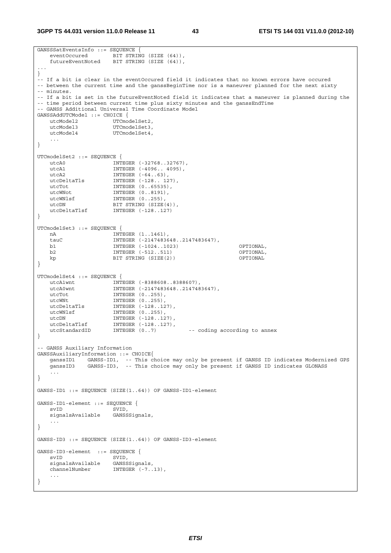#### **3GPP TS 44.031 version 11.0.0 Release 11 43 ETSI TS 144 031 V11.0.0 (2012-10)**

```
GANSSSatEventsInfo ::= SEQUENCE {<br>eventOccured BIT STRIN
                    \overline{B} IT STRING (SIZE (64)),
    futureEventNoted BIT STRING (SIZE (64)), 
... 
} 
-- If a bit is clear in the eventOccured field it indicates that no known errors have occured 
-- between the current time and the ganssBeginTime nor is a maneuver planned for the next sixty
-- minutes. 
-- If a bit is set in the futureEventNoted field it indicates that a maneuver is planned during the 
-- time period between current time plus sixty minutes and the ganssEndTime
-- GANSS Additional Universal Time Coordinate Model 
GANSSAddUTCModel ::= CHOICE { 
utcModel2 UTCmodelSet2,
utcModel3 UTCmodelSet3,
   utcModel4 UTCmodelSet4,
    ... 
} 
UTCmodelSet2 ::= SEQUENCE { 
 utcA0 INTEGER (-32768..32767), 
 utcA1 INTEGER (-4096.. 4095), 
utcA2 INTEGER (-64..63),
 utcDeltaTls INTEGER (-128.. 127), 
utcTot INTEGER (0..65535),
   utcWNot INTEGER (0..8191),<br>utcWNlsf INTEGER (0..255),
                     INTER (0..255),
utcDN BIT STRING (SIZE(4)),
 utcDeltaTlsf INTEGER (-128..127) 
} 
UTCmodelSet3 ::= SEQUENCE { 
  nA NTEGER (1..1461),tauC NTEGER (-21474836)INTEGER (-2147483648..2147483647),
    b1 INTEGER (-1024..1023) OPTIONAL, 
    b2 INTEGER (-512..511) OPTIONAL, 
   kp BIT STRING (SIZE(2))
} 
UTCmodelSet4 ::= SEQUENCE { 
 utcA1wnt INTEGER (-8388608..8388607), 
 utcA0wnt INTEGER (-2147483648..2147483647), 
utcTot INTEGER (0..255),
utcWNt INTEGER (0..255),
 utcDeltaTls INTEGER (-128..127), 
utcWNlsf INTEGER (0..255),
   utcWN1sf INTEGER (0..255),<br>utcDN INTEGER (-128..127),
 utcDeltaTlsf INTEGER (-128..127), 
 utcStandardID INTEGER (0..7) -- coding according to annex 
} 
-- GANSS Auxiliary Information 
GANSSAuxiliaryInformation ::= CHOICE{ 
   ganssID1 GANSS-ID1, -- This choice may only be present if GANSS ID indicates Modernized GPS 
    ganssID3 GANSS-ID3, -- This choice may only be present if GANSS ID indicates GLONASS 
    ... 
} 
GANSS-ID1 ::= SEQUENCE (SIZE(1..64)) OF GANSS-ID1-element
GANSS-ID1-element ::= SEQUENCE { 
    svID SVID, 
    signalsAvailable GANSSSignals, 
    ... 
} 
GANSS-ID3 ::= SEQUENCE (SIZE(1..64)) OF GANSS-ID3-element 
GANSS-ID3-element ::= SEQUENCE {<br>syID SVID.
                    SVID,<br>GANSSSignals,
   signalsAvailable
   channelNumber INTEGER (-7..13),
 ... 
}
```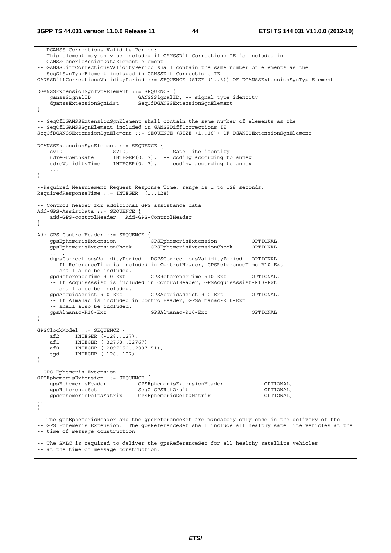-- DGANSS Corrections Validity Period: -- This element may only be included if GANSSDiffCorrections IE is included in -- GANSSGenericAssistDataElement element. -- GANSSDiffCorrectionsValidityPeriod shall contain the same number of elements as the -- SeqOfSgnTypeElement included in GANSSDiffCorrections IE GANSSDiffCorrectionsValidityPeriod ::= SEQUENCE (SIZE (1..3)) OF DGANSSExtensionSgnTypeElement DGANSSExtensionSgnTypeElement ::= SEQUENCE { GANSSSignalID, -- signal type identity dganssExtensionSgnList SeqOfDGANSSExtensionSgnElement } -- SeqOfDGANSSExtensionSgnElement shall contain the same number of elements as the -- SegOfDGANSSSqnElement included in GANSSDiffCorrections IE SeqOfDGANSSExtensionSgnElement ::= SEQUENCE (SIZE (1..16)) OF DGANSSExtensionSgnElement DGANSSExtensionSgnElement ::= SEQUENCE { svID SVID, -- Satellite identity udreGrowthRate INTEGER(0..7), -- coding according to annex udreValidityTime INTEGER(0..7), -- coding according to annex ... } --Required Measurement Request Response Time, range is 1 to 128 seconds. RequiredResponseTime ::= INTEGER (1..128) -- Control header for additional GPS assistance data Add-GPS-AssistData ::= SEQUENCE { add-GPS-controlHeader Add-GPS-ControlHeader } Add-GPS-ControlHeader ::= SEQUENCE { gpsEphemerisExtension GPSEphemerisExtension OPTIONAL, gpsEphemerisExtensionCheck GPSEphemerisExtensionCheck OPTIONAL, ... , dgpsCorrectionsValidityPeriod DGPSCorrectionsValidityPeriod OPTIONAL, -- If ReferenceTime is included in ControlHeader, GPSReferenceTime-R10-Ext -- shall also be included.<br>gpsReferenceTime-R10-Ext gpsReferenceTime-R10-Ext GPSReferenceTime-R10-Ext OPTIONAL, -- If AcquisAssist is included in ControlHeader, GPSAcquisAssist-R10-Ext -- shall also be included. gpsAcquisAssist-R10-Ext GPSAcquisAssist-R10-Ext OPTIONAL, -- If Almanac is included in ControlHeader, GPSAlmanac-R10-Ext -- shall also be included. gpsAlmanac-R10-Ext GPSAlmanac-R10-Ext OPTIONAL } GPSClockModel ::= SEQUENCE {  $\begin{array}{ccc}\n & -22 & \text{NTEGER} \\
\text{a} & \text{INTEGER} & (-128..127) \\
\end{array}$ af1 INTEGER (-32768..32767),<br>af0 INTEGER (-2097152..20971 af0 INTEGER (-2097152..2097151), tgd INTEGER (-128..127) } --GPS Ephemeris Extension GPSEphemerisExtension ::= SEQUENCE { gpsEphemerisHeader GPSEphemerisExtensionHeader OPTIONAL, gpsReferenceSet SeqOfGPSRefOrbit OPTIONAL, gpsephemerisDeltaMatrix GPSEphemerisDeltaMatrix OPTIONAL, ... } -- The gpsEphemerisHeader and the gpsReferenceSet are mandatory only once in the delivery of the -- GPS Ephemeris Extension. The gpsReferenceSet shall include all healthy satellite vehicles at the -- time of message construction -- The SMLC is required to deliver the gpsReferenceSet for all healthy satellite vehicles -- at the time of message construction.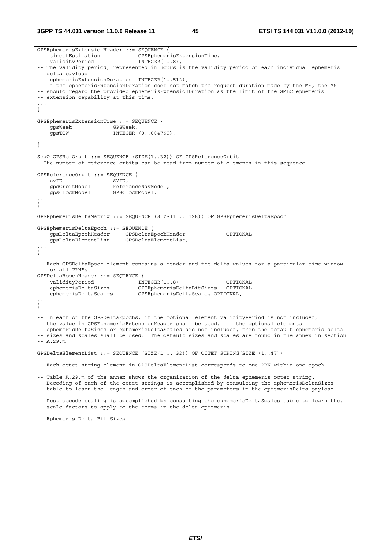**3GPP TS 44.031 version 11.0.0 Release 11 45 ETSI TS 144 031 V11.0.0 (2012-10)**

```
GPSEphemerisExtensionHeader ::= SEQUENCE { 
   filmentials.
   validityPeriod INTEGER(1..8),
-- The validity period, represented in hours is the validity period of each individual ephemeris 
-- delta payload 
    ephemerisExtensionDuration INTEGER(1..512), 
-- If the ephemerisExtensionDuration does not match the request duration made by the MS, the MS 
-- should regard the provided ephemerisExtensionDuration as the limit of the SMLC ephemeris 
-- extension capability at this time. 
... 
} 
GPSEphemerisExtensionTime ::= SEQUENCE { 
   gpsWeek GPSWeek,<br>gpsTOW INTEGER
                       INTEGER (0..604799),
... 
} 
SeqOfGPSRefOrbit ::= SEQUENCE (SIZE(1..32)) OF GPSReferenceOrbit 
--The number of reference orbits can be read from number of elements in this sequence 
GPSReferenceOrbit ::= SEQUENCE { 
svID SVID,
 gpsOrbitModel ReferenceNavModel, 
     gpsClockModel GPSClockModel, 
... 
} 
GPSEphemerisDeltaMatrix ::= SEQUENCE (SIZE(1 .. 128)) OF GPSEphemerisDeltaEpoch 
GPSEphemerisDeltaEpoch ::= SEQUENCE { 
   gpsDeltaEpochHeader GPSDeltaEpochHeader OPTIONAL,<br>gpsDeltaElementList GPSDeltaElementList,
    gpsDeltaElementList GPSDeltaElementList, 
... 
} 
-- Each GPSDeltaEpoch element contains a header and the delta values for a particular time window 
-- for all PRN"s. 
GPSDeltaEpochHeader ::= SEQUENCE { 
   validityPeriod INTEGER(1..8) OPTIONAL,
    ephemerisDeltaSizes GPSEphemerisDeltaBitSizes OPTIONAL, 
    ephemerisDeltaScales GPSEphemerisDeltaScales OPTIONAL, 
... 
} 
-- In each of the GPSDeltaEpochs, if the optional element validityPeriod is not included, 
-- the value in GPSEphemerisExtensionHeader shall be used. if the optional elements 
-- ephemerisDeltaSizes or ephemerisDeltaScales are not included, then the default ephemeris delta 
-- sizes and scales shall be used. The default sizes and scales are found in the annex in section 
-- A.29.m 
GPSDeltaElementList ::= SEQUENCE (SIZE(1 .. 32)) OF OCTET STRING(SIZE (1..47)) 
-- Each octet string element in GPSDeltaElementList corresponds to one PRN within one epoch 
-- Table A.29.m of the annex shows the organization of the delta ephemeris octet string. 
-- Decoding of each of the octet strings is accomplished by consulting the ephemerisDeltaSizes 
-- table to learn the length and order of each of the parameters in the ephemerisDelta payload 
-- Post decode scaling is accomplished by consulting the ephemerisDeltaScales table to learn the. 
-- scale factors to apply to the terms in the delta ephemeris 
-- Ephemeris Delta Bit Sizes.
```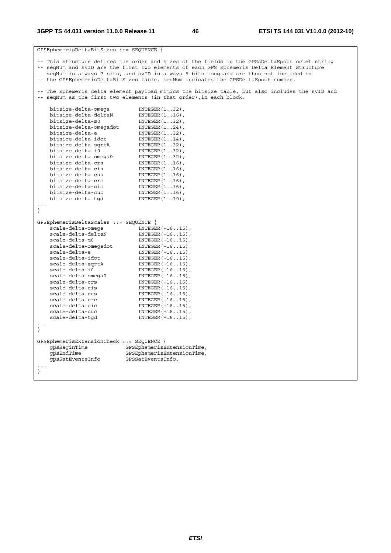| GPSEphemerisDeltaBitSizes ::= SEQUENCE {  |                                                                                                                                                                        |  |  |
|-------------------------------------------|------------------------------------------------------------------------------------------------------------------------------------------------------------------------|--|--|
|                                           | -- This structure defines the order and sizes of the fields in the GPSsDeltaEpoch octet string                                                                         |  |  |
|                                           | -- seqNum and svID are the first two elements of each GPS Ephemeris Delta Element Structure                                                                            |  |  |
|                                           | -- seqNum is always 7 bits, and svID is always 5 bits long and are thus not included in                                                                                |  |  |
|                                           | -- the GPSEphemerisDeltaBitSizes table. seqNum indicates the GPSDeltaEpoch number.                                                                                     |  |  |
|                                           |                                                                                                                                                                        |  |  |
|                                           | -- The Ephemeris delta element payload mimics the bitsize table, but also includes the svID and<br>-- seqNum as the first two elements (in that order), in each block. |  |  |
| bitsize-delta-omega                       | $INTER(132)$ ,                                                                                                                                                         |  |  |
| bitsize-delta-deltaN                      | $INTEGER(116)$ ,                                                                                                                                                       |  |  |
| bitsize-delta-m0                          | $INTEGER(132)$ ,                                                                                                                                                       |  |  |
| bitsize-delta-omegadot                    | $INTEGR(124)$ ,                                                                                                                                                        |  |  |
| bitsize-delta-e                           | $INTER(132)$ ,                                                                                                                                                         |  |  |
| bitsize-delta-idot                        | $INTEGER(114)$ ,                                                                                                                                                       |  |  |
| bitsize-delta-sqrtA                       | $INTER(132)$ ,                                                                                                                                                         |  |  |
| bitsize-delta-i0                          | $INTER(132)$ ,                                                                                                                                                         |  |  |
| bitsize-delta-omega0                      | $INTEGER(132)$ ,                                                                                                                                                       |  |  |
| bitsize-delta-crs                         | $INTEGER(116)$ ,                                                                                                                                                       |  |  |
| bitsize-delta-cis                         | $INTEGER(116)$ ,                                                                                                                                                       |  |  |
| bitsize-delta-cus                         | $INTEGER(116)$ ,                                                                                                                                                       |  |  |
| bitsize-delta-crc                         | $INTEGER(116)$ ,                                                                                                                                                       |  |  |
| bitsize-delta-cic                         | $INTEGR(116)$ ,                                                                                                                                                        |  |  |
| bitsize-delta-cuc                         | $INTEGER(116)$ ,                                                                                                                                                       |  |  |
| bitsize-delta-tqd                         | $INTEGER(110)$ ,                                                                                                                                                       |  |  |
|                                           |                                                                                                                                                                        |  |  |
| }                                         |                                                                                                                                                                        |  |  |
| GPSEphemerisDeltaScales ::= SEQUENCE {    |                                                                                                                                                                        |  |  |
| scale-delta-omega                         | $INTEGER(-1615)$ ,                                                                                                                                                     |  |  |
| scale-delta-deltaN                        | $INTEGER(-1615)$ ,                                                                                                                                                     |  |  |
| scale-delta-m0                            | $INTEGER (-1615)$ ,                                                                                                                                                    |  |  |
| scale-delta-omegadot                      | $INTEGER (-1615)$ ,                                                                                                                                                    |  |  |
| scale-delta-e                             | $INTEGER(-1615)$ ,                                                                                                                                                     |  |  |
| scale-delta-idot                          | $INTEGER(-1615)$ ,                                                                                                                                                     |  |  |
| scale-delta-sqrtA                         | $INTEGER(-1615)$ ,                                                                                                                                                     |  |  |
| scale-delta-i0                            | $INTEGER(-1615)$ ,                                                                                                                                                     |  |  |
| scale-delta-omega0                        | $INTEGER (-1615)$ ,                                                                                                                                                    |  |  |
| scale-delta-crs                           | $INTEGER(-1615)$ ,                                                                                                                                                     |  |  |
| scale-delta-cis                           | $INTEGER (-1615)$ ,                                                                                                                                                    |  |  |
| scale-delta-cus                           | $INTEGER(-1615)$ ,                                                                                                                                                     |  |  |
| scale-delta-crc                           | $INTER(-1615)$ ,                                                                                                                                                       |  |  |
| scale-delta-cic                           | $INTEGER(-1615)$ ,                                                                                                                                                     |  |  |
| scale-delta-cuc                           | $INTEGER(-1615)$ ,                                                                                                                                                     |  |  |
| scale-delta-tqd                           | $INTEGER (-1615)$ ,                                                                                                                                                    |  |  |
| $\big\}$                                  |                                                                                                                                                                        |  |  |
|                                           |                                                                                                                                                                        |  |  |
| GPSEphemerisExtensionCheck ::= SEQUENCE { |                                                                                                                                                                        |  |  |
| qpsBeginTime                              | GPSEphemerisExtensionTime,                                                                                                                                             |  |  |
| qpsEndTime                                | GPSEphemerisExtensionTime,                                                                                                                                             |  |  |
| gpsSatEventsInfo                          | GPSSatEventsInfo,                                                                                                                                                      |  |  |
|                                           |                                                                                                                                                                        |  |  |
|                                           |                                                                                                                                                                        |  |  |
|                                           |                                                                                                                                                                        |  |  |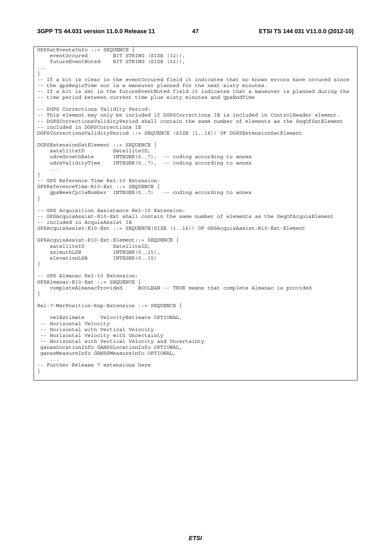**3GPP TS 44.031 version 11.0.0 Release 11 47 ETSI TS 144 031 V11.0.0 (2012-10)**

```
GPSSatEventsInfo ::= SEQUENCE {<br>eventOccured BIT STR
                       BIT STRING (SIZE (32)),
    futureEventNoted BIT STRING (SIZE (32)), 
... 
} 
-- If a bit is clear in the eventOccured field it indicates that no known errors have occured since 
-- the gpsBeginTime nor is a maneuver planned for the next sixty minutes. 
-- If a bit is set in the futureEventNoted field it indicates that a maneuver is planned during the 
-- time period between current time plus sixty minutes and gpsEndTime 
-- DGPS Corrections Validity Period: 
-- This element may only be included if DGPSCorrections IE is included in ControlHeader element. 
-- DGPSCorrectionsValidityPeriod shall contain the same number of elements as the SeqOfSatElement 
-- included in DGPSCorrections IE 
DGPSCorrectionsValidityPeriod ::= SEQUENCE (SIZE (1..16)) OF DGPSExtensionSatElement 
DGPSExtensionSatElement ::= SEQUENCE { 
satelliteID SatelliteID,
 udreGrowthRate INTEGER(0..7), -- coding according to annex 
    udreValidityTime INTEGER(0..7), -- coding according to annex 
 ... 
} 
 -- GPS Reference Time Rel-10 Extension: 
GPSReferenceTime-R10-Ext ::= SEQUENCE {<br>qpsWeekCycleNumber INTEGER(0..7) -- coding according to annex
   qpsWeekCycleNumber INTEGER(0..7)} 
-- GPS Acquisition Assistance Rel-10 Extension: 
-- GPSAcquisAssist-R10-Ext shall contain the same number of elements as the SeqOfAcquisElement 
-- included in AcquisAssist IE 
GPSAcquisAssist-R10-Ext ::= SEQUENCE(SIZE (1..16)) OF GPSAcquisAssist-R10-Ext-Element 
GPSAcquisAssist-R10-Ext-Element::= SEQUENCE { 
   satelliteID SatelliteID,
   azimuthLSB INTEGER(0..15)<br>elevationLSB INTEGER(0..15)
                         INTEGR(0..15)} 
-- GPS Almanac Rel-10 Extension: 
GPSAlmanac-R10-Ext ::= SEQUENCE { 
    completeAlmanacProvided BOOLEAN -- TRUE means that complete Almanac is provided 
} 
Rel-7-MsrPosition-Rsp-Extension ::= SEQUENCE { 
    velEstimate VelocityEstimate OPTIONAL, 
  -- Horizontal Velocity 
  -- Horizontal with Vertical Velocity 
  -- Horizontal Velocity with Uncertainty 
  -- Horizontal with Vertical Velocity and Uncertainty 
 ganssLocationInfo GANSSLocationInfo OPTIONAL, 
 ganssMeasureInfo GANSSMeasureInfo OPTIONAL, 
 ... 
-- Further Release 7 extensions here 
}
```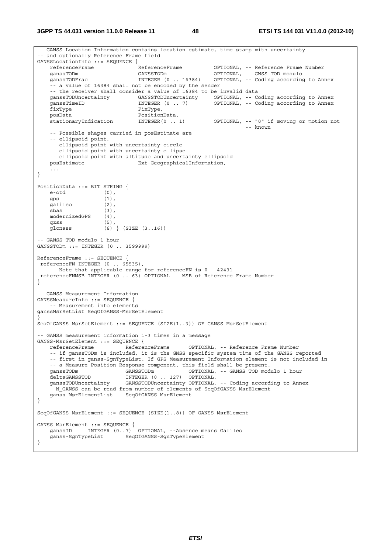**3GPP TS 44.031 version 11.0.0 Release 11 48 ETSI TS 144 031 V11.0.0 (2012-10)**

```
-- GANSS Location Information contains location estimate, time stamp with uncertainty 
 -- and optionally Reference Frame field 
GANSSLocationInfo ::= SEQUENCE {<br>referenceFrame ReferenceFrame
    referenceFrame ReferenceFrame OPTIONAL, -- Reference Frame Number 
    ganssTODm GANSSTODm OPTIONAL, -- GNSS TOD modulo 
    ganssTODFrac INTEGER (0 .. 16384) OPTIONAL, -- Coding according to Annex 
     -- a value of 16384 shall not be encoded by the sender 
   -- the receiver shall consider a value of 16384 to be invalid data<br>ganssTODUncertainty GANSSTODUncertainty OPTIONAL, -- Co
   ganssTODUncertainty GANSSTODUncertainty OPTIONAL, -- Coding according to Annex<br>ganssTimeID 1NTEGER (0 .. 7) OPTIONAL, -- Coding according to Annex
   ganssTimeID INTEGER (0 . . 7) OPTIONAL, -- Coding according to Annex fixType,
   -<br>fixType FixType,<br>posData PositionT
 posData PositionData, 
 stationaryIndication INTEGER(0 .. 1) OPTIONAL, -- "0" if moving or motion not 
 -- known 
     -- Possible shapes carried in posEstimate are 
     -- ellipsoid point, 
     -- ellipsoid point with uncertainty circle 
     -- ellipsoid point with uncertainty ellipse 
   -- ellipsoid point with altitude and uncertainty ellipsoid posEstimate x + 1<br>Ext-GeographicalInformation,
                                Ext-GeographicalInformation,
 ... 
} 
PositionData ::= BIT STRING { 
   e-otd (0)gps (1),<br>galileo (2),
   s.<br>galileo
    sbas (3), 
    modernizedGPS (4), 
 qzss (5), 
 glonass (6) } (SIZE (3..16)) 
-- GANSS TOD modulo 1 hour 
GANSSTODm ::= INTEGER (0 .. 3599999) 
ReferenceFrame ::= SEQUENCE { 
 referenceFN INTEGER (0 .. 65535), 
     -- Note that applicable range for referenceFN is 0 - 42431 
 referenceFNMSB INTEGER (0 .. 63) OPTIONAL -- MSB of Reference Frame Number
} 
-- GANSS Measurement Information 
GANSSMeasureInfo ::= SEQUENCE { 
     -- Measurement info elements 
ganssMsrSetList SeqOfGANSS-MsrSetElement 
} 
SeqOfGANSS-MsrSetElement ::= SEQUENCE (SIZE(1..3)) OF GANSS-MsrSetElement 
 -- GANSS measurement information 1-3 times in a message 
GANSS-MsrSetElement ::= SEQUENCE { 
    referenceFrame ReferenceFrame OPTIONAL, -- Reference Frame Number 
     -- if ganssTODm is included, it is the GNSS specific system time of the GANSS reported 
     -- first in ganss-SgnTypeList. If GPS Measurement Information element is not included in 
   -- a Measure Position Response component, this field shall be present.<br>ganssTODm (GANSSTODm OPTIONAL, -- GANSS TOD mod
                                                OPTIONAL, -- GANSS TOD modulo 1 hour
   deltaGANSSTOD INTEGER (0 .. 127) OPTIONAL,<br>ganssTODUncertainty GANSSTODUncertainty OPTIONAL,
                            GANSSTODUncertainty OPTIONAL, -- Coding according to Annex
    --N_GANSS can be read from number of elements of SeqOfGANSS-MsrElement
    ganss-MsrElementList SeqOfGANSS-MsrElement 
} 
SeqOfGANSS-MsrElement ::= SEQUENCE (SIZE(1..8)) OF GANSS-MsrElement 
GANSS-MsrElement ::= SEQUENCE { 
 ganssID INTEGER (0..7) OPTIONAL, --Absence means Galileo 
    ganss-SgnTypeList SeqOfGANSS-SgnTypeElement 
}
```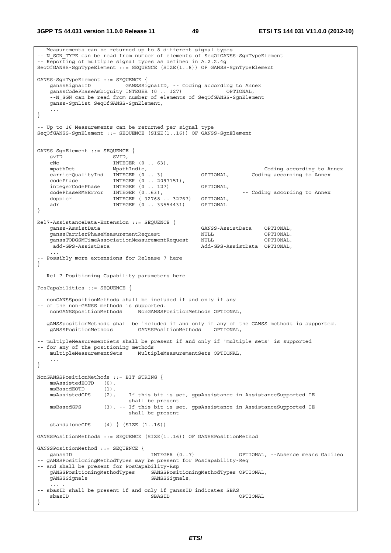```
-- Measurements can be returned up to 8 different signal types 
-- N_SGN_TYPE can be read from number of elements of SeqOfGANSS-SgnTypeElement
-- Reporting of multiple signal types as defined in A.2.2.4g 
SeqOfGANSS-SgnTypeElement ::= SEQUENCE (SIZE(1..8)) OF GANSS-SgnTypeElement 
GANSS-SgnTypeElement ::= SEQUENCE { 
 ganssSignalID GANSSSignalID, -- Coding according to Annex 
 ganssCodePhaseAmbiguity INTEGER (0 .. 127) OPTIONAL, 
    --N_SGN can be read from number of elements of SeqOfGANSS-SgnElement
    ganss-SgnList SeqOfGANSS-SgnElement, 
 ... 
} 
-- Up to 16 Measurements can be returned per signal type 
SeqOfGANSS-SgnElement ::= SEQUENCE (SIZE(1..16)) OF GANSS-SgnElement 
GANSS-SgnElement ::= SEQUENCE { 
   svID SVID,<br>
CNO INTEG
                       INTEGER (0 \ldots 63),
   mpathDet MpathIndic, MpathIndic, and the Coding according to Annex
   carrierQualityInd INTEGER (0 .. 3) OPTIONAL, -- Coding according to Annex
 codePhase INTEGER (0 .. 2097151), 
 integerCodePhase INTEGER (0 .. 127) OPTIONAL, 
   codePhaseRMSError INTEGER (0..63), The coding according to Annex
   doppler INTEGER (-32768 .. 32767) OPTIONAL,
   adr INTEGER (0 .. 33554431) OPTIONAL
} 
Rel7-AssistanceData-Extension ::= SEQUENCE { 
                                                  ganss-AssistData GANSS-AssistData OPTIONAL, 
    ganssCarrierPhaseMeasurementRequest NULL OPTIONAL, 
    ganssTODGSMTimeAssociationMeasurementRequest NULL OPTIONAL, 
    add-GPS-AssistData<br>add-GPS-AssistData Add-GPS-AssistData OPTIONAL,
 ... 
 -- Possibly more extensions for Release 7 here 
} 
-- Rel-7 Positioning Capability parameters here 
PosCapabilities ::= SEQUENCE { 
-- nonGANSSpositionMethods shall be included if and only if any 
-- of the non-GANSS methods is supported.<br>nonGANSSpositionMethods NonGANSSP
                              nonGANSSpositionMethods NonGANSSPositionMethods OPTIONAL, 
-- gANSSpositionMethods shall be included if and only if any of the GANSS methods is supported. 
    gANSSPositionMethods GANSSPositionMethods OPTIONAL, 
-- multipleMeasurementSets shall be present if and only if 'multiple sets' is supported 
-- for any of the positioning methods 
    multipleMeasurementSets MultipleMeasurementSets OPTIONAL, 
     ... 
} 
NonGANSSPositionMethods ::= BIT STRING { 
    msAssistedEOTD (0), 
   msBasedEOTD (1),<br>msAssistedGPS (2),
                    (2), -- If this bit is set, gpsAssistance in AssistanceSupported IE
                          -- shall be present 
   msBasedGPS (3), -- If this bit is set, gpsAssistance in AssistanceSupported IE
                          -- shall be present 
    standaloneGPS (4) } (SIZE (1..16)) 
GANSSPositionMethods ::= SEQUENCE (SIZE(1..16)) OF GANSSPositionMethod 
GANSSPositionMethod ::= SEQUENCE { 
   ganssID                   INTEGER (0..7)         OPTIONAL, --Absence means Galileo
-- gANSSPositioningMethodTypes may be present for PosCapability-Req 
-- and shall be present for PosCapability-Rsp 
    gANSSPositioningMethodTypes GANSSPositioningMethodTypes OPTIONAL, 
    gANSSSignals GANSSSignals, 
\ldots , \ldots , \ldots-- sbasID shall be present if and only if ganssID indicates SBAS 
 sbasID SBASID OPTIONAL 
}
```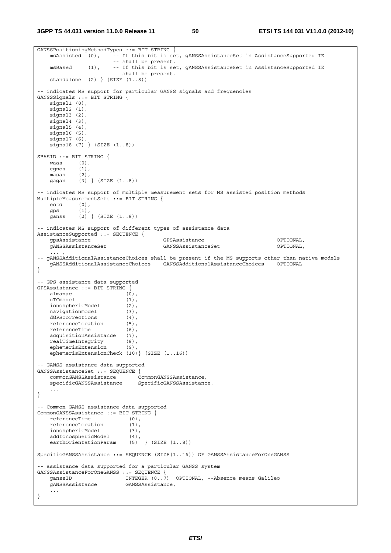```
GANSSPositioningMethodTypes ::= BIT STRING {<br>msAssisted (0), -- If this bit is set
                        ..<br>-- If this bit is set, qANSSAssistanceSet in AssistanceSupported IE
                          -- shall be present. 
     msBased (1), -- If this bit is set, gANSSAssistanceSet in AssistanceSupported IE 
                          -- shall be present. 
    standalone (2) (SIZE (1..8))-- indicates MS support for particular GANSS signals and frequencies 
GANSSSignals ::= BIT STRING { 
   signal1 (0),
    signal<sub>2</sub> (1),
     signal3 (2), 
    signal4(3).
    signal5 (4),
     signal6 (5), 
     signal7 (6), 
     signal8 (7) } (SIZE (1..8)) 
SBASID ::= BIT STRING { 
   waasegnos (1),<br>masas (2),
    mass<sub>2</sub> gagan (3) } (SIZE (1..8)) 
-- indicates MS support of multiple measurement sets for MS assisted position methods 
MultipleMeasurementSets ::= BIT STRING { 
    eotd (0), 
     gps (1), 
     ganss (2) } (SIZE (1..8)) 
-- indicates MS support of different types of assistance data 
AssistanceSupported ::= SEQUENCE { 
    gpsAssistance GPSAssistance OPTIONAL, 
     gANSSAssistanceSet GANSSAssistanceSet OPTIONAL, 
\ldots , \ldots , \ldots-- gANSSAdditionalAssistanceChoices shall be present if the MS supports other than native models 
    gANSSAdditionalAssistanceChoices GANSSAdditionalAssistanceChoices OPTIONAL 
} 
-- GPS assistance data supported 
GPSAssistance ::= BIT STRING { 
    almanac (0), 
   uTCmodel (1),<br>ionosphericModel (2),
   ionosphericModel (2),<br>navigationmodel (3),
    navigationmodel (3), 
   dGPScorrections (4),
    referenceLocation (5), 
   referenceTime (6),
     acquisitionAssistance (7), 
    realTimeIntegrity (8), 
     ephemerisExtension (9), 
     ephemerisExtensionCheck (10)} (SIZE (1..16)) 
 -- GANSS assistance data supported 
GANSSAssistanceSet ::= SEQUENCE { 
    commonGANSSAssistance<br>specificGANSSAssistance
                                SpecificGANSSAssistance,
     ... 
} 
-- Common GANSS assistance data supported 
CommonGANSSAssistance ::= BIT STRING { 
   referenceTime (0),
     referenceLocation (1), 
     ionosphericModel (3), 
    addIonosphericModel (4),<br>earthOrientationParam (5) } (SIZE (1..8))
    earthOrientationParam
SpecificGANSSAssistance ::= SEQUENCE (SIZE(1..16)) OF GANSSAssistanceForOneGANSS 
-- assistance data supported for a particular GANSS system 
GANSSASsistanceForOneGANSS ::= SEQUENCE {<br>GanssAssistanceForOneGANSS ::= SEQUENCE {<br>GanssID INTEGER (0..7
                             INTEGER (0..7) OPTIONAL, --Absence means Galileo
     gANSSAssistance GANSSAssistance, 
     ... 
}
```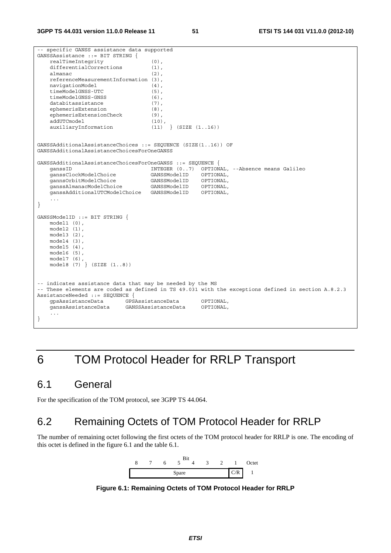-- specific GANSS assistance data supported GANSSAssistance ::= BIT STRING { realTimeIntegrity (0), differentialCorrections (1), almanac (2), referenceMeasurementInformation (3), navigationModel (4),<br>timeModelGNSS-UTC (5), timeModelGNSS-UTC timeModelGNSS-GNSS (6),<br>databitassistance (7), databitassistance ephemerisExtension (8), ephemerisExtensionCheck (9), addUTCmodel (10),<br>auxiliaryInformation (11) } (SIZE (1..16))  $auxiliaryInformation$  (11) GANSSAdditionalAssistanceChoices ::= SEQUENCE (SIZE(1..16)) OF GANSSAdditionalAssistanceChoicesForOneGANSS GANSSAdditionalAssistanceChoicesForOneGANSS ::= SEQUENCE { INTEGER (0..7) OPTIONAL, --Absence means Galileo ganssClockModelChoice GANSSModelID OPTIONAL, gannsOrbitModelChoice GANSSModelID OPTIONAL, ganssAlmanacModelChoice GANSSModelID OPTIONAL, ganssAdditionalUTCModelChoice GANSSModelID OPTIONAL, ... } GANSSModelID ::= BIT STRING { model1 (0), model2 (1), model3 (2), model4 (3), model5 (4), model6 (5), model7 (6), model8 (7) } (SIZE (1..8)) -- indicates assistance data that may be needed by the MS -- These elements are coded as defined in TS 49.031 with the exceptions defined in section A.8.2.3 AssistanceNeeded ::= SEQUENCE { gpsAssistanceData GPSAssistanceData OPTIONAL, ganssAssistanceData GANSSAssistanceData OPTIONAL, ... }

# 6 TOM Protocol Header for RRLP Transport

# 6.1 General

For the specification of the TOM protocol, see 3GPP TS 44.064.

# 6.2 Remaining Octets of TOM Protocol Header for RRLP

The number of remaining octet following the first octets of the TOM protocol header for RRLP is one. The encoding of this octet is defined in the figure 6.1 and the table 6.1.



**Figure 6.1: Remaining Octets of TOM Protocol Header for RRLP**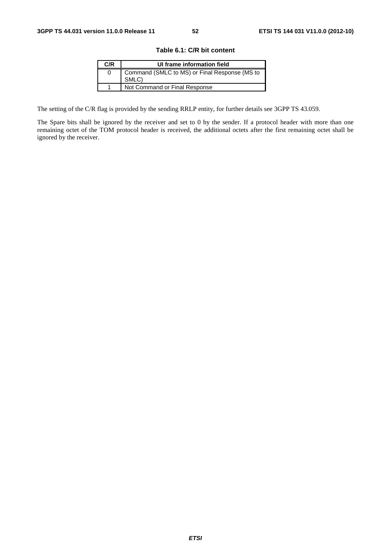| Table 6.1: C/R bit content |  |
|----------------------------|--|
|----------------------------|--|

| C/R | UI frame information field                             |
|-----|--------------------------------------------------------|
| O   | Command (SMLC to MS) or Final Response (MS to<br>SMLC) |
|     | Not Command or Final Response                          |

The setting of the C/R flag is provided by the sending RRLP entity, for further details see 3GPP TS 43.059.

The Spare bits shall be ignored by the receiver and set to 0 by the sender. If a protocol header with more than one remaining octet of the TOM protocol header is received, the additional octets after the first remaining octet shall be ignored by the receiver.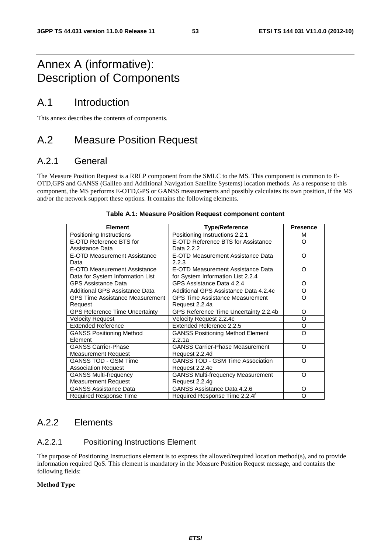# Annex A (informative): Description of Components

# A.1 Introduction

This annex describes the contents of components.

# A.2 Measure Position Request

# A.2.1 General

The Measure Position Request is a RRLP component from the SMLC to the MS. This component is common to E-OTD,GPS and GANSS (Galileo and Additional Navigation Satellite Systems) location methods. As a response to this component, the MS performs E-OTD,GPS or GANSS measurements and possibly calculates its own position, if the MS and/or the network support these options. It contains the following elements.

| <b>Element</b>                         | <b>Type/Reference</b>                    | <b>Presence</b> |
|----------------------------------------|------------------------------------------|-----------------|
| Positioning Instructions               | Positioning Instructions 2.2.1           | м               |
| E-OTD Reference BTS for                | E-OTD Reference BTS for Assistance       | Ω               |
| Assistance Data                        | Data 2.2.2                               |                 |
| E-OTD Measurement Assistance           | E-OTD Measurement Assistance Data        | O               |
| Data                                   | 2.2.3                                    |                 |
| <b>E-OTD Measurement Assistance</b>    | E-OTD Measurement Assistance Data        | Ω               |
| Data for System Information List       | for System Information List 2.2.4        |                 |
| <b>GPS Assistance Data</b>             | GPS Assistance Data 4.2.4                | O               |
| Additional GPS Assistance Data         | Additional GPS Assistance Data 4.2.4c    | O               |
| <b>GPS Time Assistance Measurement</b> | <b>GPS Time Assistance Measurement</b>   | O               |
| Request                                | Request 2.2.4a                           |                 |
| <b>GPS Reference Time Uncertainty</b>  | GPS Reference Time Uncertainty 2.2.4b    | O               |
| <b>Velocity Request</b>                | Velocity Request 2.2.4c                  | O               |
| <b>Extended Reference</b>              | Extended Reference 2.2.5                 | O               |
| <b>GANSS Positioning Method</b>        | <b>GANSS Positioning Method Element</b>  | റ               |
| Element                                | 2.2.1a                                   |                 |
| <b>GANSS Carrier-Phase</b>             | <b>GANSS Carrier-Phase Measurement</b>   | റ               |
| <b>Measurement Request</b>             | Request 2.2.4d                           |                 |
| <b>GANSS TOD - GSM Time</b>            | <b>GANSS TOD - GSM Time Association</b>  | റ               |
| <b>Association Request</b>             | Request 2.2.4e                           |                 |
| <b>GANSS Multi-frequency</b>           | <b>GANSS Multi-frequency Measurement</b> | റ               |
| <b>Measurement Request</b>             | Request 2.2.4g                           |                 |
| <b>GANSS Assistance Data</b>           | GANSS Assistance Data 4.2.6              | O               |
| Required Response Time                 | Required Response Time 2.2.4f            | Ω               |

### **Table A.1: Measure Position Request component content**

# A.2.2 Elements

# A.2.2.1 Positioning Instructions Element

The purpose of Positioning Instructions element is to express the allowed/required location method(s), and to provide information required QoS. This element is mandatory in the Measure Position Request message, and contains the following fields:

# **Method Type**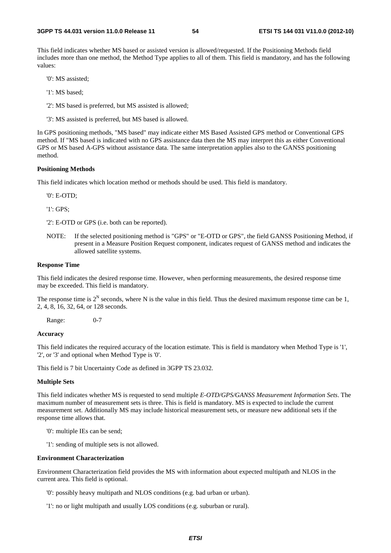This field indicates whether MS based or assisted version is allowed/requested. If the Positioning Methods field includes more than one method, the Method Type applies to all of them. This field is mandatory, and has the following values:

'0': MS assisted;

- '1': MS based;
- '2': MS based is preferred, but MS assisted is allowed;
- '3': MS assisted is preferred, but MS based is allowed.

In GPS positioning methods, "MS based" may indicate either MS Based Assisted GPS method or Conventional GPS method. If "MS based is indicated with no GPS assistance data then the MS may interpret this as either Conventional GPS or MS based A-GPS without assistance data. The same interpretation applies also to the GANSS positioning method.

### **Positioning Methods**

This field indicates which location method or methods should be used. This field is mandatory.

'0': E-OTD;

'1': GPS;

'2': E-OTD or GPS (i.e. both can be reported).

NOTE: If the selected positioning method is "GPS" or "E-OTD or GPS", the field GANSS Positioning Method, if present in a Measure Position Request component, indicates request of GANSS method and indicates the allowed satellite systems.

### **Response Time**

This field indicates the desired response time. However, when performing measurements, the desired response time may be exceeded. This field is mandatory.

The response time is  $2^N$  seconds, where N is the value in this field. Thus the desired maximum response time can be 1, 2, 4, 8, 16, 32, 64, or 128 seconds.

Range: 0-7

### **Accuracy**

This field indicates the required accuracy of the location estimate. This is field is mandatory when Method Type is '1', '2', or '3' and optional when Method Type is '0'.

This field is 7 bit Uncertainty Code as defined in 3GPP TS 23.032.

### **Multiple Sets**

This field indicates whether MS is requested to send multiple *E-OTD/GPS/GANSS Measurement Information Sets*. The maximum number of measurement sets is three. This is field is mandatory. MS is expected to include the current measurement set. Additionally MS may include historical measurement sets, or measure new additional sets if the response time allows that.

- '0': multiple IEs can be send;
- '1': sending of multiple sets is not allowed.

#### **Environment Characterization**

Environment Characterization field provides the MS with information about expected multipath and NLOS in the current area. This field is optional.

- '0': possibly heavy multipath and NLOS conditions (e.g. bad urban or urban).
- '1': no or light multipath and usually LOS conditions (e.g. suburban or rural).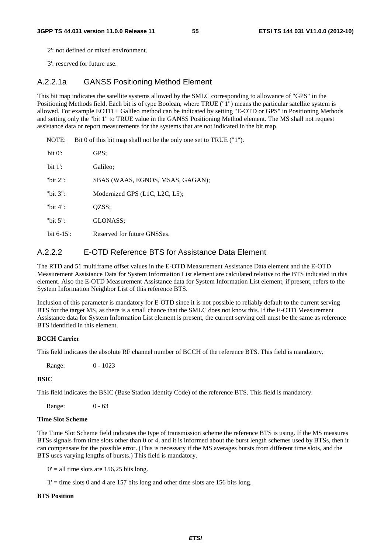'2': not defined or mixed environment.

'3': reserved for future use.

# A.2.2.1a GANSS Positioning Method Element

This bit map indicates the satellite systems allowed by the SMLC corresponding to allowance of "GPS" in the Positioning Methods field. Each bit is of type Boolean, where TRUE ("1") means the particular satellite system is allowed. For example EOTD + Galileo method can be indicated by setting "E-OTD or GPS" in Positioning Methods and setting only the "bit 1" to TRUE value in the GANSS Positioning Method element. The MS shall not request assistance data or report measurements for the systems that are not indicated in the bit map.

NOTE: Bit 0 of this bit map shall not be the only one set to TRUE ("1").

| 'bit $0$ ':    | GPS:                             |
|----------------|----------------------------------|
| 'bit $1$ ':    | Galileo:                         |
| "bit $2$ ":    | SBAS (WAAS, EGNOS, MSAS, GAGAN); |
| "bit $3$ ":    | Modernized GPS (L1C, L2C, L5);   |
| "bit $4$ ":    | OZSS:                            |
| "bit $5$ ":    | GLONASS:                         |
| "bit $6-15$ ": | Reserved for future GNSSes.      |

# A.2.2.2 E-OTD Reference BTS for Assistance Data Element

The RTD and 51 multiframe offset values in the E-OTD Measurement Assistance Data element and the E-OTD Measurement Assistance Data for System Information List element are calculated relative to the BTS indicated in this element. Also the E-OTD Measurement Assistance data for System Information List element, if present, refers to the System Information Neighbor List of this reference BTS.

Inclusion of this parameter is mandatory for E-OTD since it is not possible to reliably default to the current serving BTS for the target MS, as there is a small chance that the SMLC does not know this. If the E-OTD Measurement Assistance data for System Information List element is present, the current serving cell must be the same as reference BTS identified in this element.

### **BCCH Carrier**

This field indicates the absolute RF channel number of BCCH of the reference BTS. This field is mandatory.

Range: 0 - 1023

### **BSIC**

This field indicates the BSIC (Base Station Identity Code) of the reference BTS. This field is mandatory.

Range: 0 - 63

### **Time Slot Scheme**

The Time Slot Scheme field indicates the type of transmission scheme the reference BTS is using. If the MS measures BTSs signals from time slots other than 0 or 4, and it is informed about the burst length schemes used by BTSs, then it can compensate for the possible error. (This is necessary if the MS averages bursts from different time slots, and the BTS uses varying lengths of bursts.) This field is mandatory.

 $0'$  = all time slots are 156,25 bits long.

 $'1'$  = time slots 0 and 4 are 157 bits long and other time slots are 156 bits long.

### **BTS Position**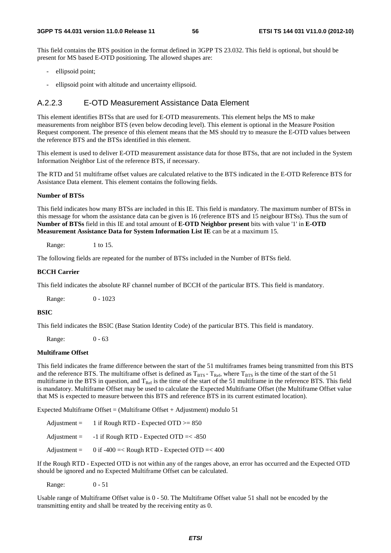This field contains the BTS position in the format defined in 3GPP TS 23.032. This field is optional, but should be present for MS based E-OTD positioning. The allowed shapes are:

- ellipsoid point;
- ellipsoid point with altitude and uncertainty ellipsoid.

# A.2.2.3 E-OTD Measurement Assistance Data Element

This element identifies BTSs that are used for E-OTD measurements. This element helps the MS to make measurements from neighbor BTS (even below decoding level). This element is optional in the Measure Position Request component. The presence of this element means that the MS should try to measure the E-OTD values between the reference BTS and the BTSs identified in this element.

This element is used to deliver E-OTD measurement assistance data for those BTSs, that are not included in the System Information Neighbor List of the reference BTS, if necessary.

The RTD and 51 multiframe offset values are calculated relative to the BTS indicated in the E-OTD Reference BTS for Assistance Data element. This element contains the following fields.

### **Number of BTSs**

This field indicates how many BTSs are included in this IE. This field is mandatory. The maximum number of BTSs in this message for whom the assistance data can be given is 16 (reference BTS and 15 neigbour BTSs). Thus the sum of **Number of BTSs** field in this IE and total amount of **E-OTD Neighbor present** bits with value '1' in **E-OTD Measurement Assistance Data for System Information List IE** can be at a maximum 15.

Range: 1 to 15.

The following fields are repeated for the number of BTSs included in the Number of BTSs field.

### **BCCH Carrier**

This field indicates the absolute RF channel number of BCCH of the particular BTS. This field is mandatory.

Range: 0 - 1023

### **BSIC**

This field indicates the BSIC (Base Station Identity Code) of the particular BTS. This field is mandatory.

Range: 0 - 63

## **Multiframe Offset**

This field indicates the frame difference between the start of the 51 multiframes frames being transmitted from this BTS and the reference BTS. The multiframe offset is defined as  $T_{BTS}$  -  $T_{Ref}$ , where  $T_{BTS}$  is the time of the start of the 51 multiframe in the BTS in question, and  $T_{\text{Ref}}$  is the time of the start of the 51 multiframe in the reference BTS. This field is mandatory. Multiframe Offset may be used to calculate the Expected Multiframe Offset (the Multiframe Offset value that MS is expected to measure between this BTS and reference BTS in its current estimated location).

Expected Multiframe Offset = (Multiframe Offset + Adjustment) modulo 51

| $\text{Adjustment} =$ | 1 if Rough RTD - Expected OTD $>= 850$       |
|-----------------------|----------------------------------------------|
| $\text{Adjustment} =$ | -1 if Rough RTD - Expected OTD $=<$ -850     |
| Adjustment $=$        | 0 if -400 =< Rough RTD - Expected OTD =< 400 |

If the Rough RTD - Expected OTD is not within any of the ranges above, an error has occurred and the Expected OTD should be ignored and no Expected Multiframe Offset can be calculated.

Range: 0 - 51

Usable range of Multiframe Offset value is 0 - 50. The Multiframe Offset value 51 shall not be encoded by the transmitting entity and shall be treated by the receiving entity as 0.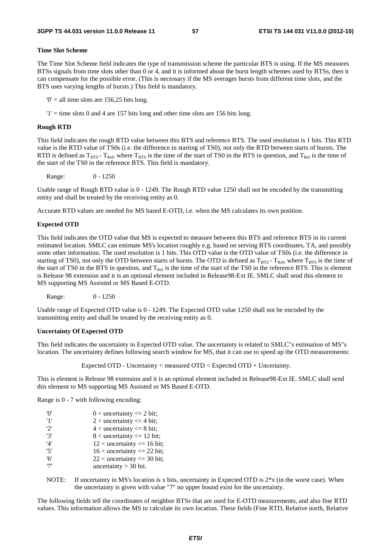# **Time Slot Scheme**

The Time Slot Scheme field indicates the type of transmission scheme the particular BTS is using. If the MS measures BTSs signals from time slots other than 0 or 4, and it is informed about the burst length schemes used by BTSs, then it can compensate for the possible error. (This is necessary if the MS averages bursts from different time slots, and the BTS uses varying lengths of bursts.) This field is mandatory.

 $0'$  = all time slots are 156,25 bits long.

 $'1'$  = time slots 0 and 4 are 157 bits long and other time slots are 156 bits long.

## **Rough RTD**

This field indicates the rough RTD value between this BTS and reference BTS. The used resolution is 1 bits. This RTD value is the RTD value of TS0s (i.e. the difference in starting of TS0), not only the RTD between starts of bursts. The RTD is defined as  $T_{BTS}$  -  $T_{Ref}$ , where  $T_{BTS}$  is the time of the start of TS0 in the BTS in question, and  $T_{Ref}$  is the time of the start of the TS0 in the reference BTS. This field is mandatory.

Range: 0 - 1250

Usable range of Rough RTD value is 0 - 1249. The Rough RTD value 1250 shall not be encoded by the transmitting entity and shall be treated by the receiving entity as 0.

Accurate RTD values are needed for MS based E-OTD, i.e. when the MS calculates its own position.

# **Expected OTD**

This field indicates the OTD value that MS is expected to measure between this BTS and reference BTS in its current estimated location. SMLC can estimate MS's location roughly e.g. based on serving BTS coordinates, TA, and possibly some other information. The used resolution is 1 bits. This OTD value is the OTD value of TS0s (i.e. the difference in starting of TS0), not only the OTD between starts of bursts. The OTD is defined as  $T_{BTS}$ - T<sub>Ref</sub>, where T<sub>BTS</sub> is the time of the start of TS0 in the BTS in question, and  $T_{\text{Ref}}$  is the time of the start of the TS0 in the reference BTS. This is element is Release 98 extension and it is an optional element included in Release98-Ext IE. SMLC shall send this element to MS supporting MS Assisted or MS Based E-OTD.

Range: 0 - 1250

Usable range of Expected OTD value is 0 - 1249. The Expected OTD value 1250 shall not be encoded by the transmitting entity and shall be treated by the receiving entity as 0.

### **Uncertainty Of Expected OTD**

This field indicates the uncertainty in Expected OTD value. The uncertainty is related to SMLC"s estimation of MS"s location. The uncertainty defines following search window for MS, that it can use to speed up the OTD measurements:

Expected OTD - Uncertainty < measured OTD < Expected OTD + Uncertainty.

This is element is Release 98 extension and it is an optional element included in Release98-Ext IE. SMLC shall send this element to MS supporting MS Assisted or MS Based E-OTD.

Range is 0 - 7 with following encoding:

| 'O' | $0 <$ uncertainty $\leq 2$ bit; |
|-----|---------------------------------|
| '1' | 2 < uncertainty $\leq$ 4 bit;   |
| 2'  | $4$ < uncertainty $\leq 8$ bit; |
| '3' | $8$ < uncertainty <= 12 bit;    |
| '4' | $12$ < uncertainty <= 16 bit;   |
| '5' | $16$ < uncertainty <= 22 bit;   |
| '6' | $22$ < uncertainty <= 30 bit;   |
| '7' | uncertainty $>$ 30 bit.         |

NOTE: If uncertainty in MS's location is x bits, uncertainty in Expected OTD is  $2*x$  (in the worst case). When the uncertainty is given with value "7" no upper bound exist for the uncertainty.

The following fields tell the coordinates of neighbor BTSs that are used for E-OTD measurements, and also fine RTD values. This information allows the MS to calculate its own location. These fields (Fine RTD, Relative north, Relative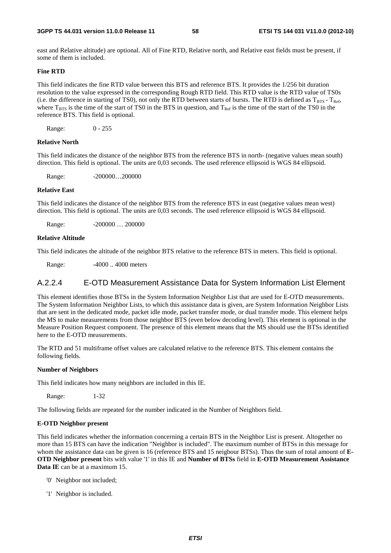east and Relative altitude) are optional. All of Fine RTD, Relative north, and Relative east fields must be present, if some of them is included.

### **Fine RTD**

This field indicates the fine RTD value between this BTS and reference BTS. It provides the 1/256 bit duration resolution to the value expressed in the corresponding Rough RTD field. This RTD value is the RTD value of TS0s (i.e. the difference in starting of TS0), not only the RTD between starts of bursts. The RTD is defined as  $T_{BTS} - T_{Ref}$ , where  $T_{BTS}$  is the time of the start of TS0 in the BTS in question, and  $T_{Ref}$  is the time of the start of the TS0 in the reference BTS. This field is optional.

Range: 0 - 255

### **Relative North**

This field indicates the distance of the neighbor BTS from the reference BTS in north- (negative values mean south) direction. This field is optional. The units are 0,03 seconds. The used reference ellipsoid is WGS 84 ellipsoid.

Range: -200000...200000

### **Relative East**

This field indicates the distance of the neighbor BTS from the reference BTS in east (negative values mean west) direction. This field is optional. The units are 0,03 seconds. The used reference ellipsoid is WGS 84 ellipsoid.

Range: -200000 ... 200000

### **Relative Altitude**

This field indicates the altitude of the neighbor BTS relative to the reference BTS in meters. This field is optional.

Range: -4000... 4000 meters

# A.2.2.4 E-OTD Measurement Assistance Data for System Information List Element

This element identifies those BTSs in the System Information Neighbor List that are used for E-OTD measurements. The System Information Neighbor Lists, to which this assistance data is given, are System Information Neighbor Lists that are sent in the dedicated mode, packet idle mode, packet transfer mode, or dual transfer mode. This element helps the MS to make measurements from those neighbor BTS (even below decoding level). This element is optional in the Measure Position Request component. The presence of this element means that the MS should use the BTSs identified here to the E-OTD measurements.

The RTD and 51 multiframe offset values are calculated relative to the reference BTS. This element contains the following fields.

### **Number of Neighbors**

This field indicates how many neighbors are included in this IE.

Range: 1-32

The following fields are repeated for the number indicated in the Number of Neighbors field.

### **E-OTD Neighbor present**

This field indicates whether the information concerning a certain BTS in the Neighbor List is present. Altogether no more than 15 BTS can have the indication "Neighbor is included". The maximum number of BTSs in this message for whom the assistance data can be given is 16 (reference BTS and 15 neigbour BTSs). Thus the sum of total amount of **E-OTD Neighbor present** bits with value '1' in this IE and **Number of BTSs** field in **E-OTD Measurement Assistance Data IE** can be at a maximum 15.

- '0' Neighbor not included;
- '1' Neighbor is included.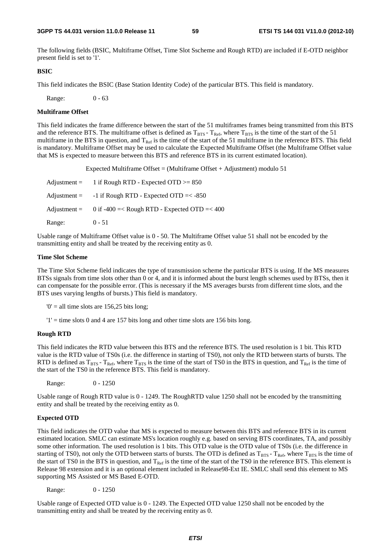The following fields (BSIC, Multiframe Offset, Time Slot Sscheme and Rough RTD) are included if E-OTD neighbor present field is set to '1'.

### **BSIC**

This field indicates the BSIC (Base Station Identity Code) of the particular BTS. This field is mandatory.

Range: 0 - 63

### **Multiframe Offset**

This field indicates the frame difference between the start of the 51 multiframes frames being transmitted from this BTS and the reference BTS. The multiframe offset is defined as  $T_{\rm BTS}$  -  $T_{\rm Ref}$ , where  $T_{\rm BTS}$  is the time of the start of the 51 multiframe in the BTS in question, and  $T_{Ref}$  is the time of the start of the 51 multiframe in the reference BTS. This field is mandatory. Multiframe Offset may be used to calculate the Expected Multiframe Offset (the Multiframe Offset value that MS is expected to measure between this BTS and reference BTS in its current estimated location).

Expected Multiframe Offset = (Multiframe Offset + Adjustment) modulo 51

|        | Adjustment = $1$ if Rough RTD - Expected OTD $>= 850$       |
|--------|-------------------------------------------------------------|
|        | Adjustment = $-1$ if Rough RTD - Expected OTD =< $-850$     |
|        | Adjustment = $0$ if -400 =< Rough RTD - Expected OTD =< 400 |
| Range: | $0 - 51$                                                    |

Usable range of Multiframe Offset value is 0 - 50. The Multiframe Offset value 51 shall not be encoded by the transmitting entity and shall be treated by the receiving entity as 0.

### **Time Slot Scheme**

The Time Slot Scheme field indicates the type of transmission scheme the particular BTS is using. If the MS measures BTSs signals from time slots other than 0 or 4, and it is informed about the burst length schemes used by BTSs, then it can compensate for the possible error. (This is necessary if the MS averages bursts from different time slots, and the BTS uses varying lengths of bursts.) This field is mandatory.

 $0' =$  all time slots are 156,25 bits long;

 $'1'$  = time slots 0 and 4 are 157 bits long and other time slots are 156 bits long.

### **Rough RTD**

This field indicates the RTD value between this BTS and the reference BTS. The used resolution is 1 bit. This RTD value is the RTD value of TS0s (i.e. the difference in starting of TS0), not only the RTD between starts of bursts. The RTD is defined as  $T_{BTS}$  -  $T_{Ref}$ , where  $T_{BTS}$  is the time of the start of TS0 in the BTS in question, and  $T_{Ref}$  is the time of the start of the TS0 in the reference BTS. This field is mandatory.

Range: 0 - 1250

Usable range of Rough RTD value is 0 - 1249. The RoughRTD value 1250 shall not be encoded by the transmitting entity and shall be treated by the receiving entity as 0.

### **Expected OTD**

This field indicates the OTD value that MS is expected to measure between this BTS and reference BTS in its current estimated location. SMLC can estimate MS's location roughly e.g. based on serving BTS coordinates, TA, and possibly some other information. The used resolution is 1 bits. This OTD value is the OTD value of TS0s (i.e. the difference in starting of TS0), not only the OTD between starts of bursts. The OTD is defined as  $T_{BTS}$  -  $T_{Ref}$ , where  $T_{BTS}$  is the time of the start of TS0 in the BTS in question, and  $T_{Ref}$  is the time of the start of the TS0 in the reference BTS. This element is Release 98 extension and it is an optional element included in Release98-Ext IE. SMLC shall send this element to MS supporting MS Assisted or MS Based E-OTD.

Range: 0 - 1250

Usable range of Expected OTD value is 0 - 1249. The Expected OTD value 1250 shall not be encoded by the transmitting entity and shall be treated by the receiving entity as 0.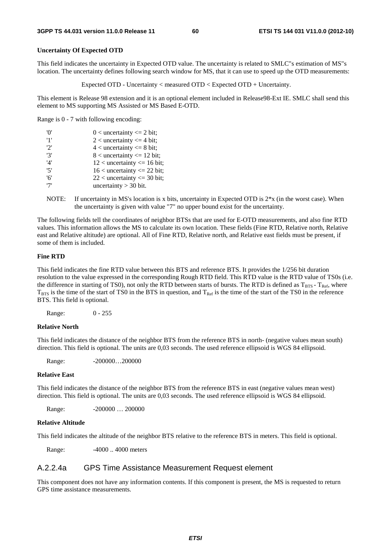### **Uncertainty Of Expected OTD**

This field indicates the uncertainty in Expected OTD value. The uncertainty is related to SMLC"s estimation of MS"s location. The uncertainty defines following search window for MS, that it can use to speed up the OTD measurements:

Expected OTD - Uncertainty < measured OTD < Expected OTD + Uncertainty.

This element is Release 98 extension and it is an optional element included in Release98-Ext IE. SMLC shall send this element to MS supporting MS Assisted or MS Based E-OTD.

Range is 0 - 7 with following encoding:

| 'O' | $0$ < uncertainty <= 2 bit;      |
|-----|----------------------------------|
| '1' | 2 < uncertainty $\leq$ 4 bit;    |
| '2' | $4$ < uncertainty $\leq 8$ bit;  |
| '3' | $8$ < uncertainty $\leq 12$ bit; |
| '4' | $12$ < uncertainty <= 16 bit;    |
| '5' | $16$ < uncertainty <= 22 bit;    |
| '6' | $22$ < uncertainty <= 30 bit;    |
| '7' | uncertainty $>$ 30 bit.          |

NOTE: If uncertainty in MS's location is x bits, uncertainty in Expected OTD is 2\*x (in the worst case). When the uncertainty is given with value "7" no upper bound exist for the uncertainty.

The following fields tell the coordinates of neighbor BTSs that are used for E-OTD measurements, and also fine RTD values. This information allows the MS to calculate its own location. These fields (Fine RTD, Relative north, Relative east and Relative altitude) are optional. All of Fine RTD, Relative north, and Relative east fields must be present, if some of them is included.

### **Fine RTD**

This field indicates the fine RTD value between this BTS and reference BTS. It provides the 1/256 bit duration resolution to the value expressed in the corresponding Rough RTD field. This RTD value is the RTD value of TS0s (i.e. the difference in starting of TS0), not only the RTD between starts of bursts. The RTD is defined as  $T_{BTS}$  -  $T_{Ref}$ , where  $T_{\text{BTS}}$  is the time of the start of TS0 in the BTS in question, and  $T_{\text{Ref}}$  is the time of the start of the TS0 in the reference BTS. This field is optional.

Range: 0 - 255

### **Relative North**

This field indicates the distance of the neighbor BTS from the reference BTS in north- (negative values mean south) direction. This field is optional. The units are 0,03 seconds. The used reference ellipsoid is WGS 84 ellipsoid.

Range: -200000...200000

#### **Relative East**

This field indicates the distance of the neighbor BTS from the reference BTS in east (negative values mean west) direction. This field is optional. The units are 0,03 seconds. The used reference ellipsoid is WGS 84 ellipsoid.

Range: -200000 ... 200000

### **Relative Altitude**

This field indicates the altitude of the neighbor BTS relative to the reference BTS in meters. This field is optional.

Range:  $-4000$ ... 4000 meters

### A.2.2.4a GPS Time Assistance Measurement Request element

This component does not have any information contents. If this component is present, the MS is requested to return GPS time assistance measurements.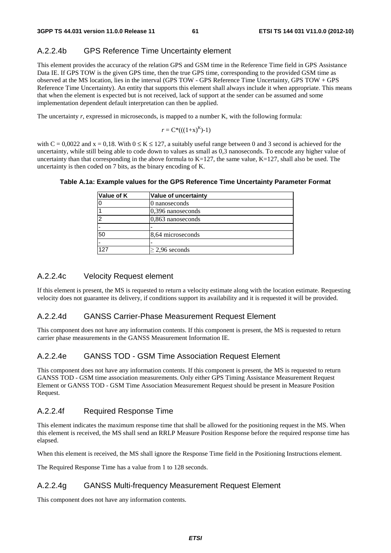# A.2.2.4b GPS Reference Time Uncertainty element

This element provides the accuracy of the relation GPS and GSM time in the Reference Time field in GPS Assistance Data IE. If GPS TOW is the given GPS time, then the true GPS time, corresponding to the provided GSM time as observed at the MS location, lies in the interval (GPS TOW - GPS Reference Time Uncertainty, GPS TOW + GPS Reference Time Uncertainty). An entity that supports this element shall always include it when appropriate. This means that when the element is expected but is not received, lack of support at the sender can be assumed and some implementation dependent default interpretation can then be applied.

The uncertainty *r*, expressed in microseconds, is mapped to a number K, with the following formula:

$$
r = C^*((1+x)^K)-1)
$$

with  $C = 0.0022$  and  $x = 0.18$ . With  $0 \le K \le 127$ , a suitably useful range between 0 and 3 second is achieved for the uncertainty, while still being able to code down to values as small as 0,3 nanoseconds. To encode any higher value of uncertainty than that corresponding in the above formula to  $K=127$ , the same value,  $K=127$ , shall also be used. The uncertainty is then coded on 7 bits, as the binary encoding of K.

| Value of uncertainty |
|----------------------|
| 0 nanoseconds        |
| $ 0,396$ nanoseconds |
| $0,863$ nanoseconds  |
|                      |
| 8,64 microseconds    |
|                      |
| $\geq$ 2,96 seconds  |
|                      |

### **Table A.1a: Example values for the GPS Reference Time Uncertainty Parameter Format**

# A.2.2.4c Velocity Request element

If this element is present, the MS is requested to return a velocity estimate along with the location estimate. Requesting velocity does not guarantee its delivery, if conditions support its availability and it is requested it will be provided.

# A.2.2.4d GANSS Carrier-Phase Measurement Request Element

This component does not have any information contents. If this component is present, the MS is requested to return carrier phase measurements in the GANSS Measurement Information IE.

# A.2.2.4e GANSS TOD - GSM Time Association Request Element

This component does not have any information contents. If this component is present, the MS is requested to return GANSS TOD - GSM time association measurements. Only either GPS Timing Assistance Measurement Request Element or GANSS TOD - GSM Time Association Measurement Request should be present in Measure Position Request.

# A.2.2.4f Required Response Time

This element indicates the maximum response time that shall be allowed for the positioning request in the MS. When this element is received, the MS shall send an RRLP Measure Position Response before the required response time has elapsed.

When this element is received, the MS shall ignore the Response Time field in the Positioning Instructions element.

The Required Response Time has a value from 1 to 128 seconds.

# A.2.2.4g GANSS Multi-frequency Measurement Request Element

This component does not have any information contents.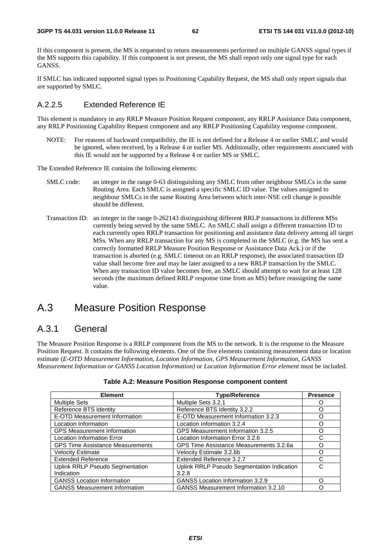If this component is present, the MS is requested to return measurements performed on multiple GANSS signal types if the MS supports this capability. If this component is not present, the MS shall report only one signal type for each GANSS.

If SMLC has indicated supported signal types in Positioning Capability Request, the MS shall only report signals that are supported by SMLC.

# A.2.2.5 Extended Reference IE

This element is mandatory in any RRLP Measure Position Request component, any RRLP Assistance Data component, any RRLP Positioning Capability Request component and any RRLP Positioning Capability response component.

NOTE: For reasons of backward compatibility, the IE is not defined for a Release 4 or earlier SMLC and would be ignored, when received, by a Release 4 or earlier MS. Additionally, other requirements associated with this IE would not be supported by a Release 4 or earlier MS or SMLC.

The Extended Reference IE contains the following elements:

- SMLC code: an integer in the range 0-63 distinguishing any SMLC from other neighbour SMLCs in the same Routing Area. Each SMLC is assigned a specific SMLC ID value. The values assigned to neighbour SMLCs in the same Routing Area between which inter-NSE cell change is possible should be different.
- Transaction ID: an integer in the range 0-262143 distinguishing different RRLP transactions in different MSs currently being served by the same SMLC. An SMLC shall assign a different transaction ID to each currently open RRLP transaction for positioning and assistance data delivery among all target MSs. When any RRLP transaction for any MS is completed in the SMLC (e.g. the MS has sent a correctly formatted RRLP Measure Position Response or Assistance Data Ack.) or if the transaction is aborted (e.g. SMLC timeout on an RRLP response), the associated transaction ID value shall become free and may be later assigned to a new RRLP transaction by the SMLC. When any transaction ID value becomes free, an SMLC should attempt to wait for at least 128 seconds (the maximum defined RRLP response time from an MS) before reassigning the same value.

# A.3 Measure Position Response

# A.3.1 General

The Measure Position Response is a RRLP component from the MS to the network. It is the response to the Measure Position Request. It contains the following elements. One of the five elements containing measurement data or location estimate (*E-OTD Measurement Information*, *Location Information*, *GPS Measurement Information, GANSS Measurement Information or GANSS Location Information)* or *Location Information Error element* must be included.

| <b>Element</b>                          | <b>Type/Reference</b>                       | <b>Presence</b> |
|-----------------------------------------|---------------------------------------------|-----------------|
| <b>Multiple Sets</b>                    | Multiple Sets 3.2.1                         |                 |
| Reference BTS Identity                  | Reference BTS Identity 3.2.2                |                 |
| E-OTD Measurement Information           | E-OTD Measurement Information 3.2.3         | ∩               |
| Location Information                    | Location Information 3.2.4                  | ∩               |
| <b>GPS Measurement Information</b>      | GPS Measurement Information 3.2.5           | Ω               |
| <b>Location Information Error</b>       | Location Information Error 3.2.6            | C               |
| <b>GPS Time Assistance Measurements</b> | GPS Time Assistance Measurements 3.2.6a     | ∩               |
| <b>Velocity Estimate</b>                | Velocity Estimate 3.2.6b                    | Ω               |
| <b>Extended Reference</b>               | Extended Reference 3.2.7                    | C               |
| <b>Uplink RRLP Pseudo Segmentation</b>  | Uplink RRLP Pseudo Segmentation Indication  | C               |
| Indication                              | 3.2.8                                       |                 |
| <b>GANSS Location Information</b>       | <b>GANSS Location Information 3.2.9</b>     | ∩               |
| <b>GANSS Measurement Information</b>    | <b>GANSS Measurement Information 3.2.10</b> |                 |

### **Table A.2: Measure Position Response component content**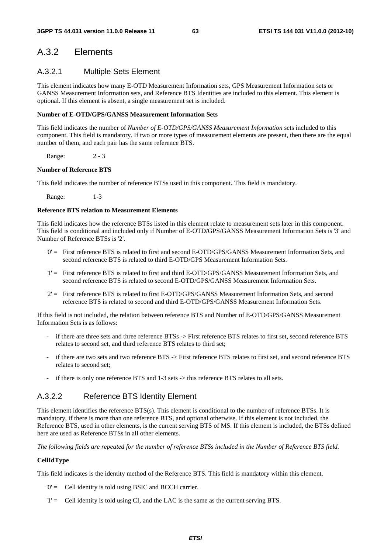# A.3.2 Elements

# A.3.2.1 Multiple Sets Element

This element indicates how many E-OTD Measurement Information sets, GPS Measurement Information sets or GANSS Measurement Information sets, and Reference BTS Identities are included to this element. This element is optional. If this element is absent, a single measurement set is included.

### **Number of E-OTD/GPS/GANSS Measurement Information Sets**

This field indicates the number of *Number of E-OTD/GPS/GANSS Measurement Information* sets included to this component. This field is mandatory. If two or more types of measurement elements are present, then there are the equal number of them, and each pair has the same reference BTS.

Range: 2 - 3

## **Number of Reference BTS**

This field indicates the number of reference BTSs used in this component. This field is mandatory.

Range: 1-3

## **Reference BTS relation to Measurement Elements**

This field indicates how the reference BTSs listed in this element relate to measurement sets later in this component. This field is conditional and included only if Number of E-OTD/GPS/GANSS Measurement Information Sets is '3' and Number of Reference BTSs is '2'.

- '0' = First reference BTS is related to first and second E-OTD/GPS/GANSS Measurement Information Sets, and second reference BTS is related to third E-OTD/GPS Measurement Information Sets.
- '1' = First reference BTS is related to first and third E-OTD/GPS/GANSS Measurement Information Sets, and second reference BTS is related to second E-OTD/GPS/GANSS Measurement Information Sets.
- '2' = First reference BTS is related to first E-OTD/GPS/GANSS Measurement Information Sets, and second reference BTS is related to second and third E-OTD/GPS/GANSS Measurement Information Sets.

If this field is not included, the relation between reference BTS and Number of E-OTD/GPS/GANSS Measurement Information Sets is as follows:

- if there are three sets and three reference BTSs -> First reference BTS relates to first set, second reference BTS relates to second set, and third reference BTS relates to third set;
- if there are two sets and two reference BTS -> First reference BTS relates to first set, and second reference BTS relates to second set;
- if there is only one reference BTS and 1-3 sets -> this reference BTS relates to all sets.

# A.3.2.2 Reference BTS Identity Element

This element identifies the reference BTS(s). This element is conditional to the number of reference BTSs. It is mandatory, if there is more than one reference BTS, and optional otherwise. If this element is not included, the Reference BTS, used in other elements, is the current serving BTS of MS. If this element is included, the BTSs defined here are used as Reference BTSs in all other elements.

*The following fields are repeated for the number of reference BTSs included in the Number of Reference BTS field.* 

## **CellIdType**

This field indicates is the identity method of the Reference BTS. This field is mandatory within this element.

- '0' = Cell identity is told using BSIC and BCCH carrier.
- '1' = Cell identity is told using CI, and the LAC is the same as the current serving BTS.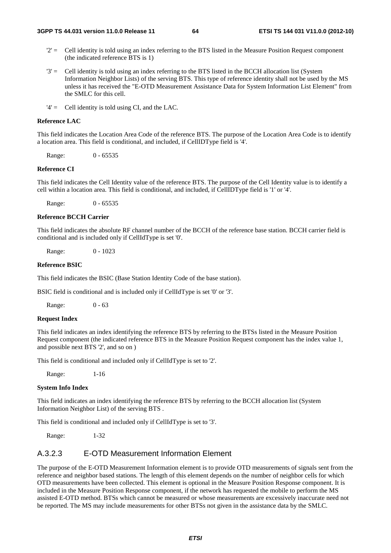- $2'$  = Cell identity is told using an index referring to the BTS listed in the Measure Position Request component (the indicated reference BTS is 1)
- '3' = Cell identity is told using an index referring to the BTS listed in the BCCH allocation list (System Information Neighbor Lists) of the serving BTS. This type of reference identity shall not be used by the MS unless it has received the "E-OTD Measurement Assistance Data for System Information List Element" from the SMLC for this cell.
- '4' = Cell identity is told using CI, and the LAC.

# **Reference LAC**

This field indicates the Location Area Code of the reference BTS. The purpose of the Location Area Code is to identify a location area. This field is conditional, and included, if CellIDType field is '4'.

Range: 0 - 65535

## **Reference CI**

This field indicates the Cell Identity value of the reference BTS. The purpose of the Cell Identity value is to identify a cell within a location area. This field is conditional, and included, if CellIDType field is '1' or '4'.

Range: 0 - 65535

#### **Reference BCCH Carrier**

This field indicates the absolute RF channel number of the BCCH of the reference base station. BCCH carrier field is conditional and is included only if CellIdType is set '0'.

Range: 0 - 1023

### **Reference BSIC**

This field indicates the BSIC (Base Station Identity Code of the base station).

BSIC field is conditional and is included only if CellIdType is set '0' or '3'.

Range: 0 - 63

## **Request Index**

This field indicates an index identifying the reference BTS by referring to the BTSs listed in the Measure Position Request component (the indicated reference BTS in the Measure Position Request component has the index value 1, and possible next BTS '2', and so on )

This field is conditional and included only if CellIdType is set to '2'.

Range: 1-16

### **System Info Index**

This field indicates an index identifying the reference BTS by referring to the BCCH allocation list (System Information Neighbor List) of the serving BTS .

This field is conditional and included only if CellIdType is set to '3'.

Range: 1-32

# A.3.2.3 E-OTD Measurement Information Element

The purpose of the E-OTD Measurement Information element is to provide OTD measurements of signals sent from the reference and neighbor based stations. The length of this element depends on the number of neighbor cells for which OTD measurements have been collected. This element is optional in the Measure Position Response component. It is included in the Measure Position Response component, if the network has requested the mobile to perform the MS assisted E-OTD method. BTSs which cannot be measured or whose measurements are excessively inaccurate need not be reported. The MS may include measurements for other BTSs not given in the assistance data by the SMLC.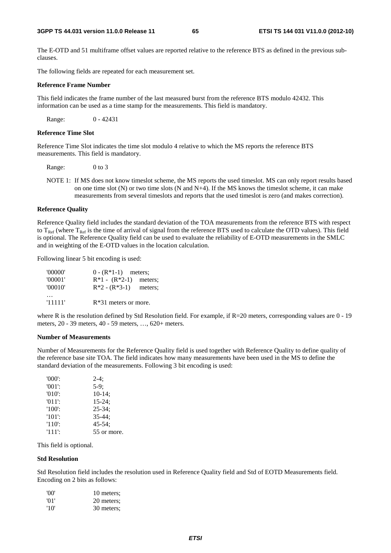The E-OTD and 51 multiframe offset values are reported relative to the reference BTS as defined in the previous subclauses.

The following fields are repeated for each measurement set.

### **Reference Frame Number**

This field indicates the frame number of the last measured burst from the reference BTS modulo 42432. This information can be used as a time stamp for the measurements. This field is mandatory.

Range: 0 - 42431

### **Reference Time Slot**

Reference Time Slot indicates the time slot modulo 4 relative to which the MS reports the reference BTS measurements. This field is mandatory.

Range: 0 to 3

NOTE 1: If MS does not know timeslot scheme, the MS reports the used timeslot. MS can only report results based on one time slot  $(N)$  or two time slots  $(N \text{ and } N+4)$ . If the MS knows the timeslot scheme, it can make measurements from several timeslots and reports that the used timeslot is zero (and makes correction).

### **Reference Quality**

Reference Quality field includes the standard deviation of the TOA measurements from the reference BTS with respect to  $T_{\text{Ref}}$  (where  $T_{\text{Ref}}$  is the time of arrival of signal from the reference BTS used to calculate the OTD values). This field is optional. The Reference Quality field can be used to evaluate the reliability of E-OTD measurements in the SMLC and in weighting of the E-OTD values in the location calculation.

Following linear 5 bit encoding is used:

| '00000' | $0 - (R*1-1)$ meters;   |         |
|---------|-------------------------|---------|
| '00001' | $R*1 - (R*2-1)$ meters; |         |
| '00010' | $R*2 - (R*3-1)$         | meters: |
|         |                         |         |
| '11111' | $R*31$ meters or more.  |         |

where R is the resolution defined by Std Resolution field. For example, if R=20 meters, corresponding values are 0 - 19 meters, 20 - 39 meters, 40 - 59 meters, …, 620+ meters.

#### **Number of Measurements**

Number of Measurements for the Reference Quality field is used together with Reference Quality to define quality of the reference base site TOA. The field indicates how many measurements have been used in the MS to define the standard deviation of the measurements. Following 3 bit encoding is used:

| $'000'$ : | $2-4:$      |
|-----------|-------------|
| $'001'$ : | $5-9:$      |
| $'010'$ : | $10-14$ :   |
| $'011'$ : | $15 - 24$ ; |
| $'100'$ : | $25 - 34$ ; |
| $'101'$ : | $35 - 44:$  |
| $'110'$ : | $45 - 54$ : |
| $'111'$ : | 55 or more. |

This field is optional.

### **Std Resolution**

Std Resolution field includes the resolution used in Reference Quality field and Std of EOTD Measurements field. Encoding on 2 bits as follows:

| 'OO' | 10 meters: |
|------|------------|
| '01' | 20 meters; |
| '10' | 30 meters; |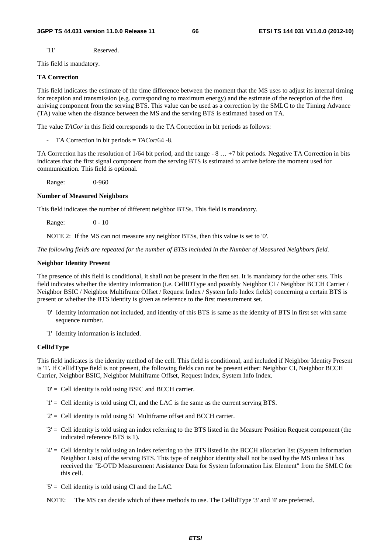'11' Reserved.

This field is mandatory.

### **TA Correction**

This field indicates the estimate of the time difference between the moment that the MS uses to adjust its internal timing for reception and transmission (e.g. corresponding to maximum energy) and the estimate of the reception of the first arriving component from the serving BTS. This value can be used as a correction by the SMLC to the Timing Advance (TA) value when the distance between the MS and the serving BTS is estimated based on TA.

The value *TACor* in this field corresponds to the TA Correction in bit periods as follows:

- TA Correction in bit periods = *TACor*/64 -8.

TA Correction has the resolution of 1/64 bit period, and the range - 8 … +7 bit periods. Negative TA Correction in bits indicates that the first signal component from the serving BTS is estimated to arrive before the moment used for communication. This field is optional.

Range: 0-960

### **Number of Measured Neighbors**

This field indicates the number of different neighbor BTSs. This field is mandatory.

Range: 0 - 10

NOTE 2: If the MS can not measure any neighbor BTSs, then this value is set to '0'.

*The following fields are repeated for the number of BTSs included in the Number of Measured Neighbors field.* 

### **Neighbor Identity Present**

The presence of this field is conditional, it shall not be present in the first set. It is mandatory for the other sets. This field indicates whether the identity information (i.e. CellIDType and possibly Neighbor CI / Neighbor BCCH Carrier / Neighbor BSIC / Neighbor Multiframe Offset / Request Index / System Info Index fields) concerning a certain BTS is present or whether the BTS identity is given as reference to the first measurement set.

- '0' Identity information not included, and identity of this BTS is same as the identity of BTS in first set with same sequence number.
- '1' Identity information is included.

### **CellIdType**

This field indicates is the identity method of the cell. This field is conditional, and included if Neighbor Identity Present is '1'**.** If CellIdType field is not present, the following fields can not be present either: Neighbor CI, Neighbor BCCH Carrier, Neighbor BSIC, Neighbor Multiframe Offset, Request Index, System Info Index.

- '0' = Cell identity is told using BSIC and BCCH carrier.
- '1' = Cell identity is told using CI, and the LAC is the same as the current serving BTS.
- '2' = Cell identity is told using 51 Multiframe offset and BCCH carrier.
- '3' = Cell identity is told using an index referring to the BTS listed in the Measure Position Request component (the indicated reference BTS is 1).
- '4' = Cell identity is told using an index referring to the BTS listed in the BCCH allocation list (System Information Neighbor Lists) of the serving BTS. This type of neighbor identity shall not be used by the MS unless it has received the "E-OTD Measurement Assistance Data for System Information List Element" from the SMLC for this cell.
- $5'$  = Cell identity is told using CI and the LAC.
- NOTE: The MS can decide which of these methods to use. The CellIdType '3' and '4' are preferred.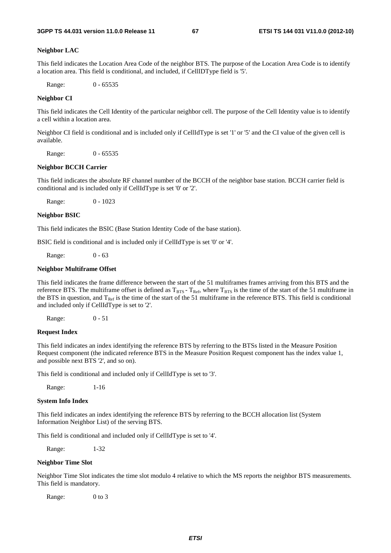### **Neighbor LAC**

This field indicates the Location Area Code of the neighbor BTS. The purpose of the Location Area Code is to identify a location area. This field is conditional, and included, if CellIDType field is '5'.

Range: 0 - 65535

### **Neighbor CI**

This field indicates the Cell Identity of the particular neighbor cell. The purpose of the Cell Identity value is to identify a cell within a location area.

Neighbor CI field is conditional and is included only if CellIdType is set '1' or '5' and the CI value of the given cell is available.

Range: 0 - 65535

#### **Neighbor BCCH Carrier**

This field indicates the absolute RF channel number of the BCCH of the neighbor base station. BCCH carrier field is conditional and is included only if CellIdType is set '0' or '2'.

Range: 0 - 1023

#### **Neighbor BSIC**

This field indicates the BSIC (Base Station Identity Code of the base station).

BSIC field is conditional and is included only if CellIdType is set '0' or '4'.

Range: 0 - 63

### **Neighbor Multiframe Offset**

This field indicates the frame difference between the start of the 51 multiframes frames arriving from this BTS and the reference BTS. The multiframe offset is defined as  $T_{BTS}$  -  $T_{Ref}$ , where  $T_{BTS}$  is the time of the start of the 51 multiframe in the BTS in question, and  $T_{Ref}$  is the time of the start of the 51 multiframe in the reference BTS. This field is conditional and included only if CellIdType is set to '2'.

Range: 0 - 51

### **Request Index**

This field indicates an index identifying the reference BTS by referring to the BTSs listed in the Measure Position Request component (the indicated reference BTS in the Measure Position Request component has the index value 1, and possible next BTS '2', and so on).

This field is conditional and included only if CellIdType is set to '3'.

Range: 1-16

#### **System Info Index**

This field indicates an index identifying the reference BTS by referring to the BCCH allocation list (System Information Neighbor List) of the serving BTS.

This field is conditional and included only if CellIdType is set to '4'.

Range: 1-32

### **Neighbor Time Slot**

Neighbor Time Slot indicates the time slot modulo 4 relative to which the MS reports the neighbor BTS measurements. This field is mandatory.

Range: 0 to 3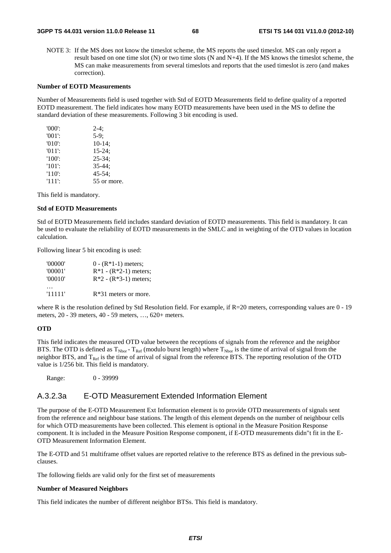NOTE 3: If the MS does not know the timeslot scheme, the MS reports the used timeslot. MS can only report a result based on one time slot (N) or two time slots (N and N+4). If the MS knows the timeslot scheme, the MS can make measurements from several timeslots and reports that the used timeslot is zero (and makes correction).

### **Number of EOTD Measurements**

Number of Measurements field is used together with Std of EOTD Measurements field to define quality of a reported EOTD measurement. The field indicates how many EOTD measurements have been used in the MS to define the standard deviation of these measurements. Following 3 bit encoding is used.

| $'000$ .  | $2-4:$      |
|-----------|-------------|
| $'001'$ : | $5-9:$      |
| $'010'$ : | $10-14$ ;   |
| $'011'$ : | $15 - 24$ ; |
| $'100'$ : | $25 - 34$ ; |
| $'101'$ : | $35 - 44:$  |
| $'110'$ : | $45 - 54$ ; |
| $'111'$ : | 55 or more. |

This field is mandatory.

### **Std of EOTD Measurements**

Std of EOTD Measurements field includes standard deviation of EOTD measurements. This field is mandatory. It can be used to evaluate the reliability of EOTD measurements in the SMLC and in weighting of the OTD values in location calculation.

Following linear 5 bit encoding is used:

| '00000' | $0 - (R*1-1)$ meters;   |
|---------|-------------------------|
| '00001' | $R*1 - (R*2-1)$ meters; |
| '00010' | $R*2 - (R*3-1)$ meters; |
|         |                         |
| '11111' | $R*31$ meters or more.  |

where R is the resolution defined by Std Resolution field. For example, if R=20 meters, corresponding values are 0 - 19 meters, 20 - 39 meters, 40 - 59 meters, …, 620+ meters.

### **OTD**

This field indicates the measured OTD value between the receptions of signals from the reference and the neighbor BTS. The OTD is defined as  $T_{Nbor}$  -  $T_{Ref}$  (modulo burst length) where  $T_{Nbor}$  is the time of arrival of signal from the neighbor BTS, and  $T_{\text{Ref}}$  is the time of arrival of signal from the reference BTS. The reporting resolution of the OTD value is 1/256 bit. This field is mandatory.

Range: 0 - 39999

# A.3.2.3a E-OTD Measurement Extended Information Element

The purpose of the E-OTD Measurement Ext Information element is to provide OTD measurements of signals sent from the reference and neighbour base stations. The length of this element depends on the number of neighbour cells for which OTD measurements have been collected. This element is optional in the Measure Position Response component. It is included in the Measure Position Response component, if E-OTD measurements didn"t fit in the E-OTD Measurement Information Element.

The E-OTD and 51 multiframe offset values are reported relative to the reference BTS as defined in the previous subclauses.

The following fields are valid only for the first set of measurements

### **Number of Measured Neighbors**

This field indicates the number of different neighbor BTSs. This field is mandatory.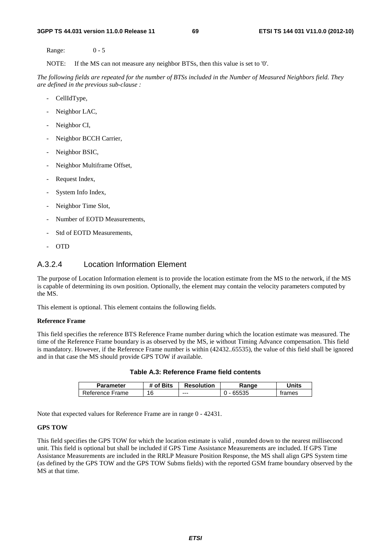Range: 0 - 5

NOTE: If the MS can not measure any neighbor BTSs, then this value is set to '0'.

*The following fields are repeated for the number of BTSs included in the Number of Measured Neighbors field. They are defined in the previous sub-clause :*

- CellIdType,
- Neighbor LAC,
- Neighbor CI,
- Neighbor BCCH Carrier,
- Neighbor BSIC,
- Neighbor Multiframe Offset,
- Request Index,
- System Info Index,
- Neighbor Time Slot,
- Number of EOTD Measurements,
- Std of EOTD Measurements,
- OTD

# A.3.2.4 Location Information Element

The purpose of Location Information element is to provide the location estimate from the MS to the network, if the MS is capable of determining its own position. Optionally, the element may contain the velocity parameters computed by the MS.

This element is optional. This element contains the following fields.

### **Reference Frame**

This field specifies the reference BTS Reference Frame number during which the location estimate was measured. The time of the Reference Frame boundary is as observed by the MS, ie without Timing Advance compensation. This field is mandatory. However, if the Reference Frame number is within (42432..65535), the value of this field shall be ignored and in that case the MS should provide GPS TOW if available.

| <b>Parameter</b> | # of Bits | <b>Resolution</b> | .≺anqe | Jnits  |
|------------------|-----------|-------------------|--------|--------|
| Reference Frame  | 16        | ---               | `5535  | trames |

**Table A.3: Reference Frame field contents** 

Note that expected values for Reference Frame are in range 0 - 42431.

## **GPS TOW**

This field specifies the GPS TOW for which the location estimate is valid , rounded down to the nearest millisecond unit. This field is optional but shall be included if GPS Time Assistance Measurements are included. If GPS Time Assistance Measurements are included in the RRLP Measure Position Response, the MS shall align GPS System time (as defined by the GPS TOW and the GPS TOW Subms fields) with the reported GSM frame boundary observed by the MS at that time.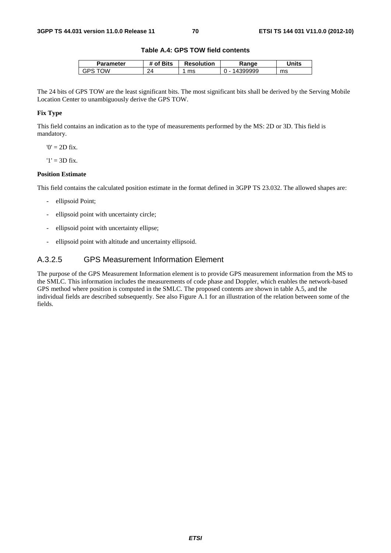### **Table A.4: GPS TOW field contents**

| Parameter | <b>'</b> Bits<br>Ω1 | <b>Resolution</b> | ₹anqe | Units |
|-----------|---------------------|-------------------|-------|-------|
| ١W<br>GPS | 24                  | ms                | aaaa  | ms    |

The 24 bits of GPS TOW are the least significant bits. The most significant bits shall be derived by the Serving Mobile Location Center to unambiguously derive the GPS TOW.

# **Fix Type**

This field contains an indication as to the type of measurements performed by the MS: 2D or 3D. This field is mandatory.

 $0' = 2D$  fix.

 $'1' = 3D$  fix.

### **Position Estimate**

This field contains the calculated position estimate in the format defined in 3GPP TS 23.032. The allowed shapes are:

- ellipsoid Point;
- ellipsoid point with uncertainty circle;
- ellipsoid point with uncertainty ellipse;
- ellipsoid point with altitude and uncertainty ellipsoid.

# A.3.2.5 GPS Measurement Information Element

The purpose of the GPS Measurement Information element is to provide GPS measurement information from the MS to the SMLC. This information includes the measurements of code phase and Doppler, which enables the network-based GPS method where position is computed in the SMLC. The proposed contents are shown in table A.5, and the individual fields are described subsequently. See also Figure A.1 for an illustration of the relation between some of the fields.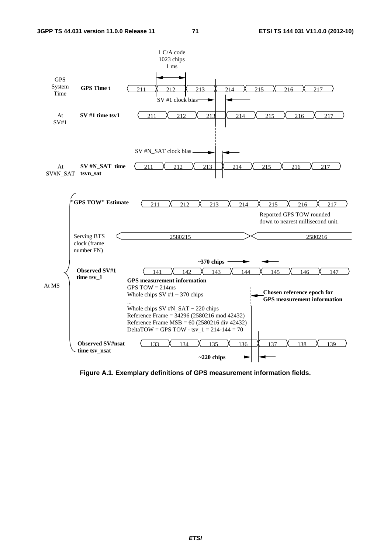

**Figure A.1. Exemplary definitions of GPS measurement information fields.**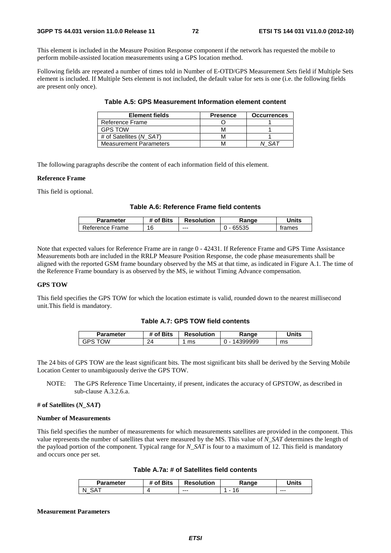This element is included in the Measure Position Response component if the network has requested the mobile to perform mobile-assisted location measurements using a GPS location method.

Following fields are repeated a number of times told in Number of E-OTD/GPS Measurement *Sets* field if Multiple Sets element is included. If Multiple Sets element is not included, the default value for sets is one (i.e. the following fields are present only once).

| Element fields                | <b>Presence</b> | <b>Occurrences</b> |
|-------------------------------|-----------------|--------------------|
| Reference Frame               |                 |                    |
| <b>GPS TOW</b>                |                 |                    |
| # of Satellites (N SAT)       |                 |                    |
| <b>Measurement Parameters</b> |                 |                    |

**Table A.5: GPS Measurement Information element content** 

The following paragraphs describe the content of each information field of this element.

#### **Reference Frame**

This field is optional.

## **Table A.6: Reference Frame field contents**

| Parameter       | # of Bits | <b>Resolution</b> | Range | Units  |
|-----------------|-----------|-------------------|-------|--------|
| Reference Frame | 16        | $--$              | 65535 | trames |

Note that expected values for Reference Frame are in range 0 - 42431. If Reference Frame and GPS Time Assistance Measurements both are included in the RRLP Measure Position Response, the code phase measurements shall be aligned with the reported GSM frame boundary observed by the MS at that time, as indicated in Figure A.1. The time of the Reference Frame boundary is as observed by the MS, ie without Timing Advance compensation.

## **GPS TOW**

This field specifies the GPS TOW for which the location estimate is valid, rounded down to the nearest millisecond unit.This field is mandatory.

## **Table A.7: GPS TOW field contents**

| Parameter | of Bits | <b>Resolution</b> | Range                              | <b>Units</b> |
|-----------|---------|-------------------|------------------------------------|--------------|
| ١W<br>GPS | 24      | ms                | 399999<br>$\overline{\phantom{a}}$ | ms           |

The 24 bits of GPS TOW are the least significant bits. The most significant bits shall be derived by the Serving Mobile Location Center to unambiguously derive the GPS TOW.

NOTE: The GPS Reference Time Uncertainty, if present, indicates the accuracy of GPSTOW, as described in sub-clause A.3.2.6.a.

## **# of Satellites (***N\_SAT***)**

#### **Number of Measurements**

This field specifies the number of measurements for which measurements satellites are provided in the component. This value represents the number of satellites that were measured by the MS. This value of *N\_SAT* determines the length of the payload portion of the component. Typical range for *N\_SAT* is four to a maximum of 12. This field is mandatory and occurs once per set.

| Parameter | <sup>4</sup> of Bits | <b>Resolution</b> | Ranqe | <b>Inits</b> |
|-----------|----------------------|-------------------|-------|--------------|
| N<br>_    |                      | $--$              |       | $- - -$      |

#### **Measurement Parameters**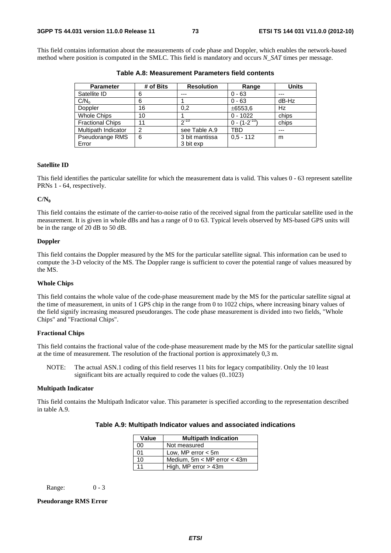This field contains information about the measurements of code phase and Doppler, which enables the network-based method where position is computed in the SMLC. This field is mandatory and occurs *N\_SAT* times per message.

| <b>Parameter</b>        | # of Bits      | <b>Resolution</b> | Range               | <b>Units</b> |
|-------------------------|----------------|-------------------|---------------------|--------------|
| Satellite ID            | 6              | ---               | $0 - 63$            | ---          |
| C/N <sub>o</sub>        | 6              |                   | $0 - 63$            | dB-Hz        |
| Doppler                 | 16             | 0.2               | ±6553,6             | Hz           |
| <b>Whole Chips</b>      | 10             |                   | $0 - 1022$          | chips        |
| <b>Fractional Chips</b> | 11             | $2^{-10}$         | $0 - (1 - 2^{-10})$ | chips        |
| Multipath Indicator     | $\overline{2}$ | see Table A.9     | TBD                 | ---          |
| Pseudorange RMS         | 6              | 3 bit mantissa    | $0.5 - 112$         | m            |
| Error                   |                | 3 bit exp         |                     |              |

**Table A.8: Measurement Parameters field contents** 

### **Satellite ID**

This field identifies the particular satellite for which the measurement data is valid. This values 0 - 63 represent satellite PRNs 1 - 64, respectively.

#### **C/N0**

This field contains the estimate of the carrier-to-noise ratio of the received signal from the particular satellite used in the measurement. It is given in whole dBs and has a range of 0 to 63. Typical levels observed by MS-based GPS units will be in the range of 20 dB to 50 dB.

## **Doppler**

This field contains the Doppler measured by the MS for the particular satellite signal. This information can be used to compute the 3-D velocity of the MS. The Doppler range is sufficient to cover the potential range of values measured by the MS.

### **Whole Chips**

This field contains the whole value of the code-phase measurement made by the MS for the particular satellite signal at the time of measurement, in units of 1 GPS chip in the range from 0 to 1022 chips, where increasing binary values of the field signify increasing measured pseudoranges. The code phase measurement is divided into two fields, "Whole Chips" and "Fractional Chips".

## **Fractional Chips**

This field contains the fractional value of the code-phase measurement made by the MS for the particular satellite signal at the time of measurement. The resolution of the fractional portion is approximately 0,3 m.

NOTE: The actual ASN.1 coding of this field reserves 11 bits for legacy compatibility. Only the 10 least significant bits are actually required to code the values (0..1023)

#### **Multipath Indicator**

This field contains the Multipath Indicator value. This parameter is specified according to the representation described in table A.9.

| Value | <b>Multipath Indication</b>     |  |  |
|-------|---------------------------------|--|--|
| 00    | Not measured                    |  |  |
| 01    | Low, MP error $<$ 5m            |  |  |
| 10    | Medium, $5m < MP$ error $<$ 43m |  |  |
| 11    | High, MP error $>$ 43m          |  |  |

Range: 0 - 3

## **Pseudorange RMS Error**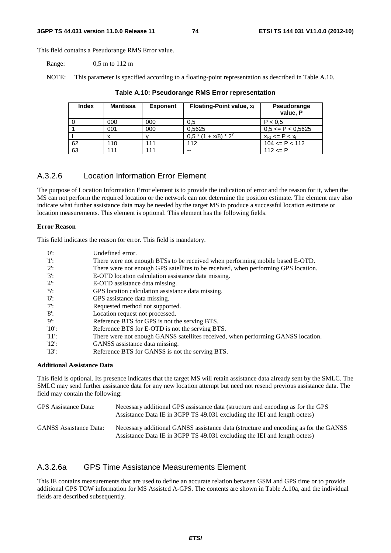#### **3GPP TS 44.031 version 11.0.0 Release 11 74 ETSI TS 144 031 V11.0.0 (2012-10)**

This field contains a Pseudorange RMS Error value.

Range: 0,5 m to 112 m

NOTE: This parameter is specified according to a floating-point representation as described in Table A.10.

| <b>Index</b> | <b>Mantissa</b> | <b>Exponent</b> | Floating-Point value, $x_i$ | Pseudorange<br>value, P  |
|--------------|-----------------|-----------------|-----------------------------|--------------------------|
|              | 000             | 000             | 0.5                         | P < 0.5                  |
|              | 001             | 000             | 0,5625                      | $0,5 \leq P \leq 0,5625$ |
|              |                 |                 | $0.5*(1 + x/8)*2^{y}$       | $x_{i-1}$ <= P < $x_i$   |
| 62           | 110             | 111             | 112                         | $104 \leq P \leq 112$    |
| 63           | 111             | 111             | --                          | $112 \le P$              |

## **Table A.10: Pseudorange RMS Error representation**

## A.3.2.6 Location Information Error Element

The purpose of Location Information Error element is to provide the indication of error and the reason for it, when the MS can not perform the required location or the network can not determine the position estimate. The element may also indicate what further assistance data may be needed by the target MS to produce a successful location estimate or location measurements. This element is optional. This element has the following fields.

#### **Error Reason**

This field indicates the reason for error. This field is mandatory.

| $^{\prime}$ (0': | Undefined error.                                                                   |
|------------------|------------------------------------------------------------------------------------|
| $1!$ :           | There were not enough BTSs to be received when performing mobile based E-OTD.      |
| $2$ :            | There were not enough GPS satellites to be received, when performing GPS location. |
| $'3'$ :          | E-OTD location calculation assistance data missing.                                |
| $'4$ :           | E-OTD assistance data missing.                                                     |
| $'5$ :           | GPS location calculation assistance data missing.                                  |
| $^{\prime}6$ .   | GPS assistance data missing.                                                       |
| "7               | Requested method not supported.                                                    |
| $'8'$ :          | Location request not processed.                                                    |
| '9               | Reference BTS for GPS is not the serving BTS.                                      |
| $'10'$ :         | Reference BTS for E-OTD is not the serving BTS.                                    |
| -'11':           | There were not enough GANSS satellites received, when performing GANSS location.   |
| 12:              | GANSS assistance data missing.                                                     |
| $'13$ :          | Reference BTS for GANSS is not the serving BTS.                                    |

## **Additional Assistance Data**

This field is optional. Its presence indicates that the target MS will retain assistance data already sent by the SMLC. The SMLC may send further assistance data for any new location attempt but need not resend previous assistance data. The field may contain the following:

| GPS Assistance Data:          | Necessary additional GPS assistance data (structure and encoding as for the GPS<br>Assistance Data IE in 3GPP TS 49.031 excluding the IEI and length octets)     |
|-------------------------------|------------------------------------------------------------------------------------------------------------------------------------------------------------------|
| <b>GANSS</b> Assistance Data: | Necessary additional GANSS assistance data (structure and encoding as for the GANSS<br>Assistance Data IE in 3GPP TS 49.031 excluding the IEI and length octets) |

## A.3.2.6a GPS Time Assistance Measurements Element

This IE contains measurements that are used to define an accurate relation between GSM and GPS time or to provide additional GPS TOW information for MS Assisted A-GPS. The contents are shown in Table A.10a, and the individual fields are described subsequently.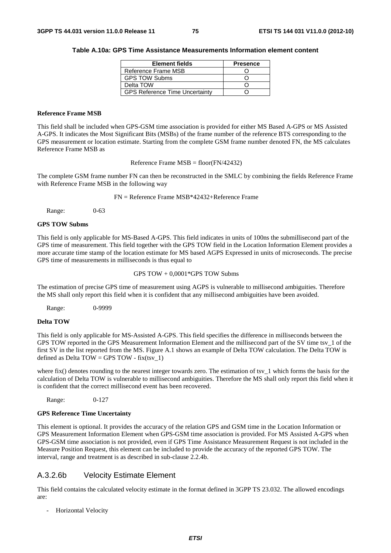#### **Table A.10a: GPS Time Assistance Measurements Information element content**

| <b>Element fields</b>                 | <b>Presence</b> |
|---------------------------------------|-----------------|
| Reference Frame MSB                   |                 |
| <b>GPS TOW Subms</b>                  |                 |
| Delta TOW                             |                 |
| <b>GPS Reference Time Uncertainty</b> |                 |

### **Reference Frame MSB**

This field shall be included when GPS-GSM time association is provided for either MS Based A-GPS or MS Assisted A-GPS. It indicates the Most Significant Bits (MSBs) of the frame number of the reference BTS corresponding to the GPS measurement or location estimate. Starting from the complete GSM frame number denoted FN, the MS calculates Reference Frame MSB as

Reference Frame MSB = floor(FN/42432)

The complete GSM frame number FN can then be reconstructed in the SMLC by combining the fields Reference Frame with Reference Frame MSB in the following way

FN = Reference Frame MSB\*42432+Reference Frame

Range: 0-63

## **GPS TOW Subms**

This field is only applicable for MS-Based A-GPS. This field indicates in units of 100ns the submillisecond part of the GPS time of measurement. This field together with the GPS TOW field in the Location Information Element provides a more accurate time stamp of the location estimate for MS based AGPS Expressed in units of microseconds. The precise GPS time of measurements in milliseconds is thus equal to

GPS TOW + 0,0001\*GPS TOW Subms

The estimation of precise GPS time of measurement using AGPS is vulnerable to millisecond ambiguities. Therefore the MS shall only report this field when it is confident that any millisecond ambiguities have been avoided.

Range: 0-9999

## **Delta TOW**

This field is only applicable for MS-Assisted A-GPS. This field specifies the difference in milliseconds between the GPS TOW reported in the GPS Measurement Information Element and the millisecond part of the SV time tsv\_1 of the first SV in the list reported from the MS. Figure A.1 shows an example of Delta TOW calculation. The Delta TOW is defined as Delta TOW = GPS TOW - fix(tsy\_1)

where fix() denotes rounding to the nearest integer towards zero. The estimation of tsv $1$  which forms the basis for the calculation of Delta TOW is vulnerable to millisecond ambiguities. Therefore the MS shall only report this field when it is confident that the correct millisecond event has been recovered.

Range: 0-127

#### **GPS Reference Time Uncertainty**

This element is optional. It provides the accuracy of the relation GPS and GSM time in the Location Information or GPS Measurement Information Element when GPS-GSM time association is provided. For MS Assisted A-GPS when GPS-GSM time association is not provided, even if GPS Time Assistance Measurement Request is not included in the Measure Position Request, this element can be included to provide the accuracy of the reported GPS TOW. The interval, range and treatment is as described in sub-clause 2.2.4b.

## A.3.2.6b Velocity Estimate Element

This field contains the calculated velocity estimate in the format defined in 3GPP TS 23.032. The allowed encodings are:

- Horizontal Velocity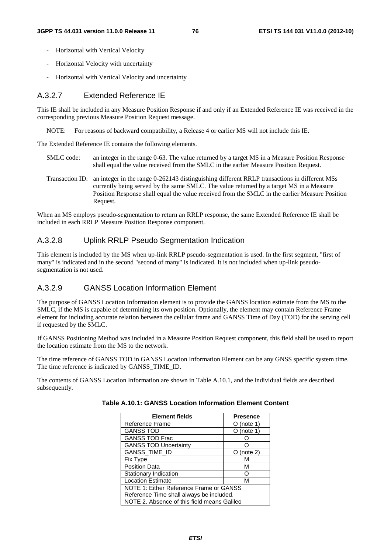- Horizontal with Vertical Velocity
- Horizontal Velocity with uncertainty
- Horizontal with Vertical Velocity and uncertainty

## A.3.2.7 Extended Reference IE

This IE shall be included in any Measure Position Response if and only if an Extended Reference IE was received in the corresponding previous Measure Position Request message.

NOTE: For reasons of backward compatibility, a Release 4 or earlier MS will not include this IE.

The Extended Reference IE contains the following elements.

- SMLC code: an integer in the range 0-63. The value returned by a target MS in a Measure Position Response shall equal the value received from the SMLC in the earlier Measure Position Request.
- Transaction ID: an integer in the range 0-262143 distinguishing different RRLP transactions in different MSs currently being served by the same SMLC. The value returned by a target MS in a Measure Position Response shall equal the value received from the SMLC in the earlier Measure Position Request.

When an MS employs pseudo-segmentation to return an RRLP response, the same Extended Reference IE shall be included in each RRLP Measure Position Response component.

## A.3.2.8 Uplink RRLP Pseudo Segmentation Indication

This element is included by the MS when up-link RRLP pseudo-segmentation is used. In the first segment, "first of many" is indicated and in the second "second of many" is indicated. It is not included when up-link pseudosegmentation is not used.

## A.3.2.9 GANSS Location Information Element

The purpose of GANSS Location Information element is to provide the GANSS location estimate from the MS to the SMLC, if the MS is capable of determining its own position. Optionally, the element may contain Reference Frame element for including accurate relation between the cellular frame and GANSS Time of Day (TOD) for the serving cell if requested by the SMLC.

If GANSS Positioning Method was included in a Measure Position Request component, this field shall be used to report the location estimate from the MS to the network.

The time reference of GANSS TOD in GANSS Location Information Element can be any GNSS specific system time. The time reference is indicated by GANSS\_TIME\_ID.

The contents of GANSS Location Information are shown in Table A.10.1, and the individual fields are described subsequently.

| <b>Element fields</b>                       | <b>Presence</b> |  |
|---------------------------------------------|-----------------|--|
| Reference Frame                             | (note 1)        |  |
| <b>GANSS TOD</b>                            | (note 1)        |  |
| <b>GANSS TOD Frac</b>                       |                 |  |
| <b>GANSS TOD Uncertainty</b>                |                 |  |
| GANSS_TIME_ID                               | (note 2)        |  |
| <b>Fix Type</b>                             | м               |  |
| <b>Position Data</b>                        | м               |  |
| Stationary Indication                       |                 |  |
| <b>Location Estimate</b>                    | м               |  |
| NOTE 1: Either Reference Frame or GANSS     |                 |  |
| Reference Time shall always be included.    |                 |  |
| NOTE 2. Absence of this field means Galileo |                 |  |

| Table A.10.1: GANSS Location Information Element Content |  |  |  |  |
|----------------------------------------------------------|--|--|--|--|
|----------------------------------------------------------|--|--|--|--|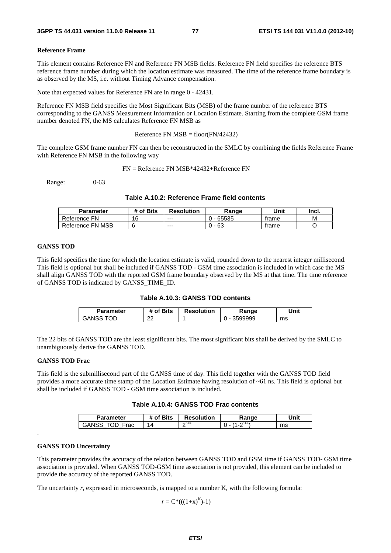#### **Reference Frame**

This element contains Reference FN and Reference FN MSB fields. Reference FN field specifies the reference BTS reference frame number during which the location estimate was measured. The time of the reference frame boundary is as observed by the MS, i.e. without Timing Advance compensation.

Note that expected values for Reference FN are in range 0 - 42431.

Reference FN MSB field specifies the Most Significant Bits (MSB) of the frame number of the reference BTS corresponding to the GANSS Measurement Information or Location Estimate. Starting from the complete GSM frame number denoted FN, the MS calculates Reference FN MSB as

Reference FN  $MSB = floor(FN/42432)$ 

The complete GSM frame number FN can then be reconstructed in the SMLC by combining the fields Reference Frame with Reference FN MSB in the following way

FN = Reference FN MSB\*42432+Reference FN

Range: 0-63

## **Table A.10.2: Reference Frame field contents**

| <b>Parameter</b> | # of Bits | <b>Resolution</b> | Range | Unit  | Incl. |
|------------------|-----------|-------------------|-------|-------|-------|
| Reference FN     | 16        | $- - -$           | 65535 | trame | M     |
| Reference FN MSB |           | $- - -$           | 63    | trame |       |

#### **GANSS TOD**

This field specifies the time for which the location estimate is valid, rounded down to the nearest integer millisecond. This field is optional but shall be included if GANSS TOD - GSM time association is included in which case the MS shall align GANSS TOD with the reported GSM frame boundary observed by the MS at that time. The time reference of GANSS TOD is indicated by GANSS\_TIME\_ID.

| Table A.10.3: GANSS TOD contents |  |  |  |
|----------------------------------|--|--|--|
|----------------------------------|--|--|--|

| Parameter    | f Bits *<br>იf | <b>Resolution</b> | Range   | Unit |
|--------------|----------------|-------------------|---------|------|
| OD.<br>GANSS | ົ<br>້         |                   | 3599999 | ms   |

The 22 bits of GANSS TOD are the least significant bits. The most significant bits shall be derived by the SMLC to unambiguously derive the GANSS TOD.

#### **GANSS TOD Frac**

This field is the submillisecond part of the GANSS time of day. This field together with the GANSS TOD field provides a more accurate time stamp of the Location Estimate having resolution of ~61 ns. This field is optional but shall be included if GANSS TOD - GSM time association is included.

## **Table A.10.4: GANSS TOD Frac contents**

| Parameter     | f Bits<br>оt | <b>Resolution</b> | Range | Unit |
|---------------|--------------|-------------------|-------|------|
| GANSS<br>Frac | $\Delta$     | ∩-14<br>-         |       | ms   |

#### **GANSS TOD Uncertainty**

.

This parameter provides the accuracy of the relation between GANSS TOD and GSM time if GANSS TOD- GSM time association is provided. When GANSS TOD-GSM time association is not provided, this element can be included to provide the accuracy of the reported GANSS TOD.

The uncertainty *r*, expressed in microseconds, is mapped to a number K, with the following formula:

 $r = C^*((1+x)^K)-1)$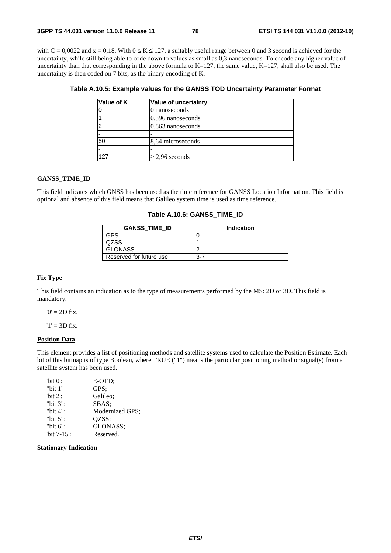with  $C = 0.0022$  and  $x = 0.18$ . With  $0 \le K \le 127$ , a suitably useful range between 0 and 3 second is achieved for the uncertainty, while still being able to code down to values as small as 0,3 nanoseconds. To encode any higher value of uncertainty than that corresponding in the above formula to  $K=127$ , the same value,  $K=127$ , shall also be used. The uncertainty is then coded on 7 bits, as the binary encoding of K.

| Value of K | Value of uncertainty |
|------------|----------------------|
|            | 0 nanoseconds        |
|            | 0,396 nanoseconds    |
|            | 0,863 nanoseconds    |
|            |                      |
| 50         | 8,64 microseconds    |
|            |                      |
| 127        | $\geq$ 2,96 seconds  |

## **GANSS\_TIME\_ID**

This field indicates which GNSS has been used as the time reference for GANSS Location Information. This field is optional and absence of this field means that Galileo system time is used as time reference.

### **Table A.10.6: GANSS\_TIME\_ID**

| <b>GANSS TIME ID</b>    | Indication |
|-------------------------|------------|
| GPS                     |            |
| QZSS.                   |            |
| <b>GLONASS</b>          |            |
| Reserved for future use | $3 - 7$    |

#### **Fix Type**

This field contains an indication as to the type of measurements performed by the MS: 2D or 3D. This field is mandatory.

 $'0' = 2D$  fix.

 $'1' = 3D$  fix.

### **Position Data**

This element provides a list of positioning methods and satellite systems used to calculate the Position Estimate. Each bit of this bitmap is of type Boolean, where TRUE ("1") means the particular positioning method or signal(s) from a satellite system has been used.

| "bit $0$ ":    | E-OTD:          |
|----------------|-----------------|
| "bit $1$ "     | GPS:            |
| "bit $2$ ":    | Galileo:        |
| "bit $3$ ":    | SBAS:           |
| "bit 4":       | Modernized GPS; |
| "bit $5$ ":    | OZSS:           |
| "bit $6$ ":    | GLONASS:        |
| "bit $7-15$ ": | Reserved.       |

**Stationary Indication**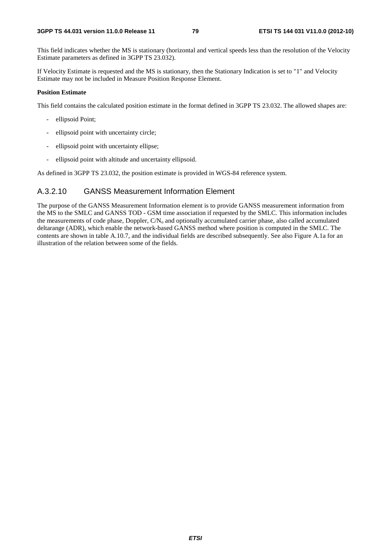This field indicates whether the MS is stationary (horizontal and vertical speeds less than the resolution of the Velocity Estimate parameters as defined in 3GPP TS 23.032).

If Velocity Estimate is requested and the MS is stationary, then the Stationary Indication is set to "1" and Velocity Estimate may not be included in Measure Position Response Element.

## **Position Estimate**

This field contains the calculated position estimate in the format defined in 3GPP TS 23.032. The allowed shapes are:

- ellipsoid Point;
- ellipsoid point with uncertainty circle;
- ellipsoid point with uncertainty ellipse;
- ellipsoid point with altitude and uncertainty ellipsoid.

As defined in 3GPP TS 23.032, the position estimate is provided in WGS-84 reference system.

## A.3.2.10 GANSS Measurement Information Element

The purpose of the GANSS Measurement Information element is to provide GANSS measurement information from the MS to the SMLC and GANSS TOD - GSM time association if requested by the SMLC. This information includes the measurements of code phase, Doppler,  $CN<sub>o</sub>$  and optionally accumulated carrier phase, also called accumulated deltarange (ADR), which enable the network-based GANSS method where position is computed in the SMLC. The contents are shown in table A.10.7, and the individual fields are described subsequently. See also Figure A.1a for an illustration of the relation between some of the fields.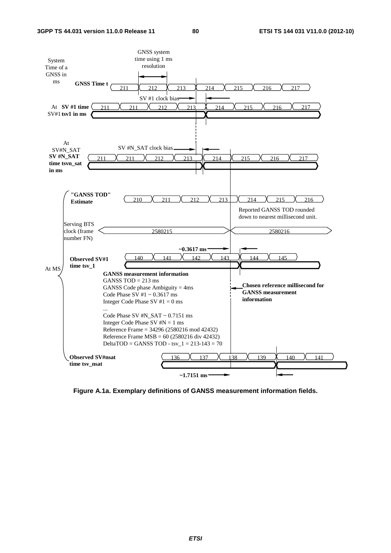

**Figure A.1a. Exemplary definitions of GANSS measurement information fields.**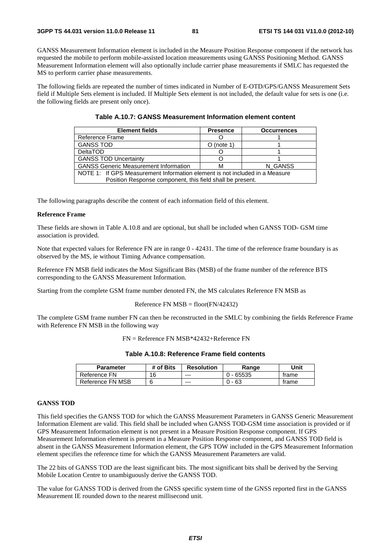GANSS Measurement Information element is included in the Measure Position Response component if the network has requested the mobile to perform mobile-assisted location measurements using GANSS Positioning Method. GANSS Measurement Information element will also optionally include carrier phase measurements if SMLC has requested the MS to perform carrier phase measurements.

The following fields are repeated the number of times indicated in Number of E-OTD/GPS/GANSS Measurement Sets field if Multiple Sets element is included. If Multiple Sets element is not included, the default value for sets is one (i.e. the following fields are present only once).

| <b>Element fields</b>                                                       | <b>Presence</b> | <b>Occurrences</b> |  |  |
|-----------------------------------------------------------------------------|-----------------|--------------------|--|--|
| Reference Frame                                                             |                 |                    |  |  |
| <b>GANSS TOD</b>                                                            | $O$ (note 1)    |                    |  |  |
| <b>DeltaTOD</b>                                                             |                 |                    |  |  |
| <b>GANSS TOD Uncertainty</b>                                                |                 |                    |  |  |
| <b>GANSS Generic Measurement Information</b><br>N GANSS<br>м                |                 |                    |  |  |
| NOTE 1: If GPS Measurement Information element is not included in a Measure |                 |                    |  |  |
| Position Response component, this field shall be present.                   |                 |                    |  |  |

The following paragraphs describe the content of each information field of this element.

## **Reference Frame**

These fields are shown in Table A.10.8 and are optional, but shall be included when GANSS TOD- GSM time association is provided.

Note that expected values for Reference FN are in range  $0 - 42431$ . The time of the reference frame boundary is as observed by the MS, ie without Timing Advance compensation.

Reference FN MSB field indicates the Most Significant Bits (MSB) of the frame number of the reference BTS corresponding to the GANSS Measurement Information.

Starting from the complete GSM frame number denoted FN, the MS calculates Reference FN MSB as

### Reference FN  $MSB = floor(FN/42432)$

The complete GSM frame number FN can then be reconstructed in the SMLC by combining the fields Reference Frame with Reference FN MSB in the following way

FN = Reference FN MSB\*42432+Reference FN

| Table A.10.8: Reference Frame field contents |  |  |
|----------------------------------------------|--|--|
|----------------------------------------------|--|--|

| <b>Parameter</b> | # of Bits | <b>Resolution</b> | Range       | Unit  |
|------------------|-----------|-------------------|-------------|-------|
| Reference FN     | 16        | $- - -$           | $0 - 65535$ | trame |
| Reference FN MSB |           | $--$              | - 63<br>∩.  | trame |

## **GANSS TOD**

This field specifies the GANSS TOD for which the GANSS Measurement Parameters in GANSS Generic Measurement Information Element are valid. This field shall be included when GANSS TOD-GSM time association is provided or if GPS Measurement Information element is not present in a Measure Position Response component. If GPS Measurement Information element is present in a Measure Position Response component, and GANSS TOD field is absent in the GANSS Measurement Information element, the GPS TOW included in the GPS Measurement Information element specifies the reference time for which the GANSS Measurement Parameters are valid.

The 22 bits of GANSS TOD are the least significant bits. The most significant bits shall be derived by the Serving Mobile Location Centre to unambiguously derive the GANSS TOD.

The value for GANSS TOD is derived from the GNSS specific system time of the GNSS reported first in the GANSS Measurement IE rounded down to the nearest millisecond unit.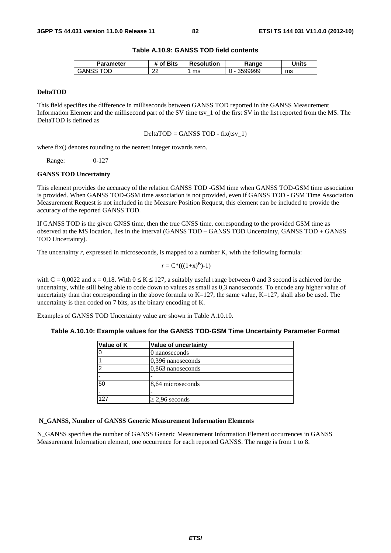## **Table A.10.9: GANSS TOD field contents**

| Parameter   | <b>'</b> Bits<br>⊹of | <b>Resolution</b> | Ranqe | Units |
|-------------|----------------------|-------------------|-------|-------|
| ОE<br>GANS: | ົ<br>"               | ms                | 99999 | ms    |

## **DeltaTOD**

This field specifies the difference in milliseconds between GANSS TOD reported in the GANSS Measurement Information Element and the millisecond part of the SV time tsv\_1 of the first SV in the list reported from the MS. The DeltaTOD is defined as

 $DeltaTOP = GANSS TOP - fix(tsv_1)$ 

where fix() denotes rounding to the nearest integer towards zero.

Range: 0-127

#### **GANSS TOD Uncertainty**

This element provides the accuracy of the relation GANSS TOD -GSM time when GANSS TOD-GSM time association is provided. When GANSS TOD-GSM time association is not provided, even if GANSS TOD - GSM Time Association Measurement Request is not included in the Measure Position Request, this element can be included to provide the accuracy of the reported GANSS TOD.

If GANSS TOD is the given GNSS time, then the true GNSS time, corresponding to the provided GSM time as observed at the MS location, lies in the interval (GANSS TOD – GANSS TOD Uncertainty, GANSS TOD + GANSS TOD Uncertainty).

The uncertainty *r*, expressed in microseconds, is mapped to a number K, with the following formula:

$$
r = C^*(( (1+x)^K )-1)
$$

with  $C = 0.0022$  and  $x = 0.18$ . With  $0 \le K \le 127$ , a suitably useful range between 0 and 3 second is achieved for the uncertainty, while still being able to code down to values as small as 0,3 nanoseconds. To encode any higher value of uncertainty than that corresponding in the above formula to  $K=127$ , the same value,  $K=127$ , shall also be used. The uncertainty is then coded on 7 bits, as the binary encoding of K.

Examples of GANSS TOD Uncertainty value are shown in Table A.10.10.

| Table A.10.10: Example values for the GANSS TOD-GSM Time Uncertainty Parameter Format |  |  |  |
|---------------------------------------------------------------------------------------|--|--|--|
|---------------------------------------------------------------------------------------|--|--|--|

| Value of K | Value of uncertainty |
|------------|----------------------|
|            | 0 nanoseconds        |
|            | 0,396 nanoseconds    |
| ◠          | 0,863 nanoseconds    |
|            |                      |
| 50         | 8,64 microseconds    |
| -          |                      |
| 127        | $\geq$ 2,96 seconds  |

## **N\_GANSS, Number of GANSS Generic Measurement Information Elements**

N\_GANSS specifies the number of GANSS Generic Measurement Information Element occurrences in GANSS Measurement Information element, one occurrence for each reported GANSS. The range is from 1 to 8.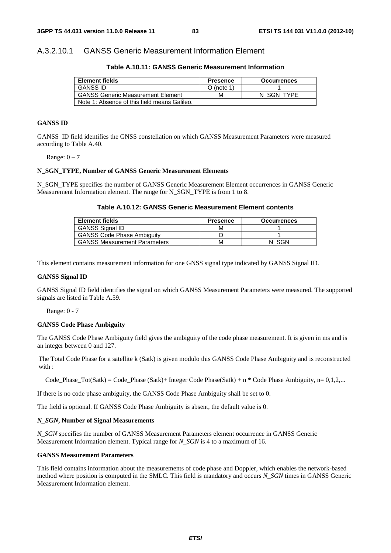## A.3.2.10.1 GANSS Generic Measurement Information Element

**Table A.10.11: GANSS Generic Measurement Information** 

| <b>Element fields</b>                        | <b>Presence</b> | <b>Occurrences</b> |
|----------------------------------------------|-----------------|--------------------|
| <b>GANSS ID</b>                              | $O$ (note 1)    |                    |
| <b>GANSS Generic Measurement Element</b>     | м               | N SGN TYPE         |
| Note 1: Absence of this field means Galileo. |                 |                    |

#### **GANSS ID**

GANSS ID field identifies the GNSS constellation on which GANSS Measurement Parameters were measured according to Table A.40.

Range:  $0 - 7$ 

#### **N\_SGN\_TYPE, Number of GANSS Generic Measurement Elements**

N\_SGN\_TYPE specifies the number of GANSS Generic Measurement Element occurrences in GANSS Generic Measurement Information element. The range for N\_SGN\_TYPE is from 1 to 8.

## **Table A.10.12: GANSS Generic Measurement Element contents**

| <b>Element fields</b>               | <b>Presence</b> | <b>Occurrences</b> |
|-------------------------------------|-----------------|--------------------|
| <b>GANSS Signal ID</b>              | м               |                    |
| <b>GANSS Code Phase Ambiguity</b>   |                 |                    |
| <b>GANSS Measurement Parameters</b> | м               | SGN                |

This element contains measurement information for one GNSS signal type indicated by GANSS Signal ID.

## **GANSS Signal ID**

GANSS Signal ID field identifies the signal on which GANSS Measurement Parameters were measured. The supported signals are listed in Table A.59.

Range: 0 - 7

#### **GANSS Code Phase Ambiguity**

The GANSS Code Phase Ambiguity field gives the ambiguity of the code phase measurement. It is given in ms and is an integer between 0 and 127.

The Total Code Phase for a satellite k (Satk) is given modulo this GANSS Code Phase Ambiguity and is reconstructed with :

Code Phase  $Tot(Satk) = Code\_Phase (Satk) + Integer Code Phase(Satk) + n * Code Phase Ambiguity, n= 0,1,2,...$ 

If there is no code phase ambiguity, the GANSS Code Phase Ambiguity shall be set to 0.

The field is optional. If GANSS Code Phase Ambiguity is absent, the default value is 0.

## *N\_SGN***, Number of Signal Measurements**

*N\_SGN* specifies the number of GANSS Measurement Parameters element occurrence in GANSS Generic Measurement Information element. Typical range for *N\_SGN* is 4 to a maximum of 16.

#### **GANSS Measurement Parameters**

This field contains information about the measurements of code phase and Doppler, which enables the network-based method where position is computed in the SMLC. This field is mandatory and occurs *N\_SGN* times in GANSS Generic Measurement Information element.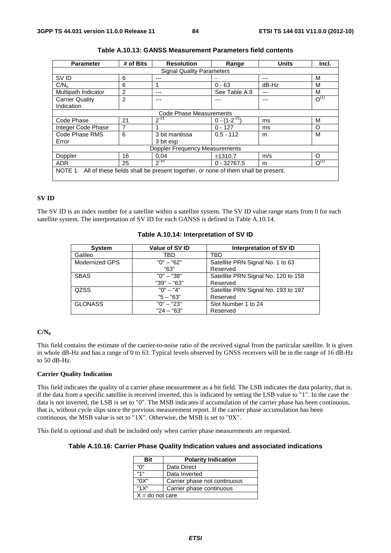| <b>Parameter</b>                                                                         | # of Bits | <b>Resolution</b>       | Range               | <b>Units</b> | Incl.     |
|------------------------------------------------------------------------------------------|-----------|-------------------------|---------------------|--------------|-----------|
| <b>Signal Quality Parameters</b>                                                         |           |                         |                     |              |           |
| SV ID                                                                                    | 6         | ---                     |                     |              | M         |
| C/N <sub>o</sub>                                                                         | 6         |                         | $0 - 63$            | $dB-Hz$      | M         |
| Multipath Indicator                                                                      | 2         | ---                     | See Table A.9       | ---          | М         |
| <b>Carrier Quality</b>                                                                   | 2         |                         |                     |              | $O^{(1)}$ |
| Indication                                                                               |           |                         |                     |              |           |
|                                                                                          |           | Code Phase Measurements |                     |              |           |
| Code Phase                                                                               | 21        | $2^{-21}$               | $0 - (1 - 2^{-21})$ | ms           | M         |
| Integer Code Phase                                                                       | 7         |                         | $0 - 127$           | ms           | O         |
| Code Phase RMS                                                                           | 6         | 3 bit mantissa          | $0,5 - 112$         | m            | M         |
| Error                                                                                    |           | 3 bit exp               |                     |              |           |
| Doppler Frequency Measurements                                                           |           |                         |                     |              |           |
| Doppler                                                                                  | 16        | 0.04                    | ±1310.7             | m/s          | O         |
| <b>ADR</b>                                                                               | 25        | $2^{-10}$               | $0 - 32767.5$       | m            | $O^{(1)}$ |
| NOTE 1: All of these fields shall be present together, or none of them shall be present. |           |                         |                     |              |           |

## **SV ID**

The SV ID is an index number for a satellite within a satellite system. The SV ID value range starts from 0 for each satellite system. The interpretation of SV ID for each GANSS is defined in Table A.10.14.

| <b>System</b>  | Value of SV ID | Interpretation of SV ID             |
|----------------|----------------|-------------------------------------|
| Galileo        | TBD            | TBD                                 |
| Modernized GPS | $"0" - "62"$   | Satellite PRN Signal No. 1 to 63    |
|                | "63"           | Reserved                            |
| <b>SBAS</b>    | $"0" - "38"$   | Satellite PRN Signal No. 120 to 158 |
|                | $"39" - "63"$  | Reserved                            |
| <b>QZSS</b>    | $"0" - "4"$    | Satellite PRN Signal No. 193 to 197 |
|                | $"5 - "63"$    | Reserved                            |
| <b>GLONASS</b> | $"0" - "23"$   | Slot Number 1 to 24                 |
|                | $"24 - "63"$   | Reserved                            |

## **Table A.10.14: Interpretation of SV ID**

## **C/N0**

This field contains the estimate of the carrier-to-noise ratio of the received signal from the particular satellite. It is given in whole dB-Hz and has a range of 0 to 63. Typical levels observed by GNSS receivers will be in the range of 16 dB-Hz to 50 dB-Hz.

## **Carrier Quality Indication**

This field indicates the quality of a carrier phase measurement as a bit field. The LSB indicates the data polarity, that is. if the data from a specific satellite is received inverted, this is indicated by setting the LSB value to "1". In the case the data is not inverted, the LSB is set to "0". The MSB indicates if accumulation of the carrier phase has been continuous, that is, without cycle slips since the previous measurement report. If the carrier phase accumulation has been continuous, the MSB value is set to "1X". Otherwise, the MSB is set to "0X".

This field is optional and shall be included only when carrier phase measurements are requested.

## **Table A.10.16: Carrier Phase Quality Indication values and associated indications**

| Bit               | <b>Polarity Indication</b>   |  |
|-------------------|------------------------------|--|
| "በ"               | Data Direct                  |  |
| 141               | Data Inverted                |  |
| "0X"              | Carrier phase not continuous |  |
| "1X"              | Carrier phase continuous     |  |
| $X =$ do not care |                              |  |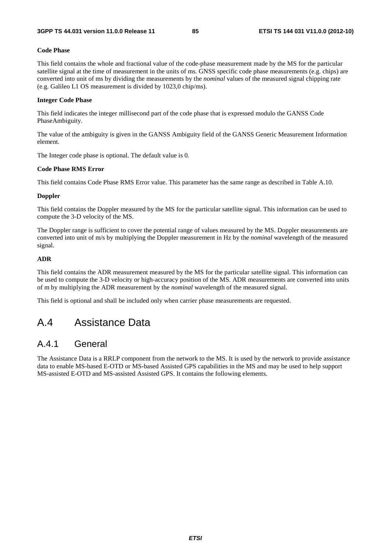### **Code Phase**

This field contains the whole and fractional value of the code-phase measurement made by the MS for the particular satellite signal at the time of measurement in the units of ms. GNSS specific code phase measurements (e.g. chips) are converted into unit of ms by dividing the measurements by the *nominal* values of the measured signal chipping rate (e.g. Galileo L1 OS measurement is divided by 1023,0 chip/ms).

#### **Integer Code Phase**

This field indicates the integer millisecond part of the code phase that is expressed modulo the GANSS Code PhaseAmbiguity.

The value of the ambiguity is given in the GANSS Ambiguity field of the GANSS Generic Measurement Information element.

The Integer code phase is optional. The default value is 0.

#### **Code Phase RMS Error**

This field contains Code Phase RMS Error value. This parameter has the same range as described in Table A.10.

#### **Doppler**

This field contains the Doppler measured by the MS for the particular satellite signal. This information can be used to compute the 3-D velocity of the MS.

The Doppler range is sufficient to cover the potential range of values measured by the MS. Doppler measurements are converted into unit of m/s by multiplying the Doppler measurement in Hz by the *nominal* wavelength of the measured signal.

## **ADR**

This field contains the ADR measurement measured by the MS for the particular satellite signal. This information can be used to compute the 3-D velocity or high-accuracy position of the MS. ADR measurements are converted into units of m by multiplying the ADR measurement by the *nominal* wavelength of the measured signal.

This field is optional and shall be included only when carrier phase measurements are requested.

# A.4 Assistance Data

## A.4.1 General

The Assistance Data is a RRLP component from the network to the MS. It is used by the network to provide assistance data to enable MS-based E-OTD or MS-based Assisted GPS capabilities in the MS and may be used to help support MS-assisted E-OTD and MS-assisted Assisted GPS. It contains the following elements.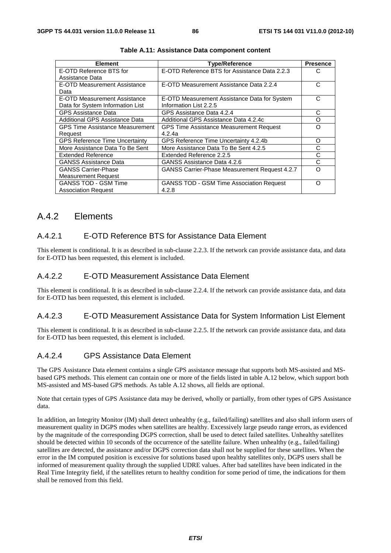| <b>Element</b>                         | <b>Type/Reference</b>                                | <b>Presence</b> |
|----------------------------------------|------------------------------------------------------|-----------------|
| E-OTD Reference BTS for                | E-OTD Reference BTS for Assistance Data 2.2.3        | C               |
| Assistance Data                        |                                                      |                 |
| E-OTD Measurement Assistance           | E-OTD Measurement Assistance Data 2.2.4              | С               |
| Data                                   |                                                      |                 |
| E-OTD Measurement Assistance           | E-OTD Measurement Assistance Data for System         | С               |
| Data for System Information List       | Information List 2.2.5                               |                 |
| <b>GPS Assistance Data</b>             | GPS Assistance Data 4.2.4                            | С               |
| Additional GPS Assistance Data         | Additional GPS Assistance Data 4.2.4c                | O               |
| <b>GPS Time Assistance Measurement</b> | <b>GPS Time Assistance Measurement Request</b>       | Ω               |
| Request                                | 4.2.4a                                               |                 |
| <b>GPS Reference Time Uncertainty</b>  | GPS Reference Time Uncertainty 4.2.4b                | O               |
| More Assistance Data To Be Sent        | More Assistance Data To Be Sent 4.2.5                | С               |
| <b>Extended Reference</b>              | Extended Reference 2.2.5                             | С               |
| <b>GANSS Assistance Data</b>           | GANSS Assistance Data 4.2.6                          | C               |
| <b>GANSS Carrier-Phase</b>             | <b>GANSS Carrier-Phase Measurement Request 4.2.7</b> | Ω               |
| <b>Measurement Request</b>             |                                                      |                 |
| <b>GANSS TOD - GSM Time</b>            | <b>GANSS TOD - GSM Time Association Request</b>      | Ω               |
| <b>Association Request</b>             | 4.2.8                                                |                 |

## A.4.2 Elements

## A.4.2.1 E-OTD Reference BTS for Assistance Data Element

This element is conditional. It is as described in sub-clause 2.2.3. If the network can provide assistance data, and data for E-OTD has been requested, this element is included.

## A.4.2.2 E-OTD Measurement Assistance Data Element

This element is conditional. It is as described in sub-clause 2.2.4. If the network can provide assistance data, and data for E-OTD has been requested, this element is included.

## A.4.2.3 E-OTD Measurement Assistance Data for System Information List Element

This element is conditional. It is as described in sub-clause 2.2.5. If the network can provide assistance data, and data for E-OTD has been requested, this element is included.

## A.4.2.4 GPS Assistance Data Element

The GPS Assistance Data element contains a single GPS assistance message that supports both MS-assisted and MSbased GPS methods. This element can contain one or more of the fields listed in table A.12 below, which support both MS-assisted and MS-based GPS methods. As table A.12 shows, all fields are optional.

Note that certain types of GPS Assistance data may be derived, wholly or partially, from other types of GPS Assistance data.

In addition, an Integrity Monitor (IM) shall detect unhealthy (e.g., failed/failing) satellites and also shall inform users of measurement quality in DGPS modes when satellites are healthy. Excessively large pseudo range errors, as evidenced by the magnitude of the corresponding DGPS correction, shall be used to detect failed satellites. Unhealthy satellites should be detected within 10 seconds of the occurrence of the satellite failure. When unhealthy (e.g., failed/failing) satellites are detected, the assistance and/or DGPS correction data shall not be supplied for these satellites. When the error in the IM computed position is excessive for solutions based upon healthy satellites only, DGPS users shall be informed of measurement quality through the supplied UDRE values. After bad satellites have been indicated in the Real Time Integrity field, if the satellites return to healthy condition for some period of time, the indications for them shall be removed from this field.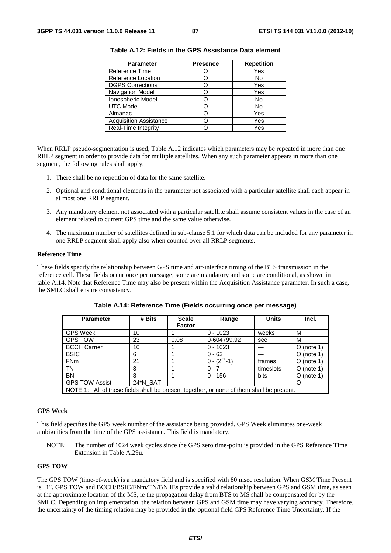| <b>Parameter</b>              | <b>Presence</b> | <b>Repetition</b> |
|-------------------------------|-----------------|-------------------|
| Reference Time                |                 | Yes               |
| Reference Location            |                 | No                |
| <b>DGPS Corrections</b>       |                 | Yes               |
| Navigation Model              |                 | Yes               |
| Ionospheric Model             |                 | No                |
| <b>UTC Model</b>              |                 | No                |
| Almanac                       |                 | Yes               |
| <b>Acquisition Assistance</b> |                 | Yes               |
| Real-Time Integrity           |                 | Yes               |

| Table A.12: Fields in the GPS Assistance Data element |  |
|-------------------------------------------------------|--|
|-------------------------------------------------------|--|

When RRLP pseudo-segmentation is used, Table A.12 indicates which parameters may be repeated in more than one RRLP segment in order to provide data for multiple satellites. When any such parameter appears in more than one segment, the following rules shall apply.

- 1. There shall be no repetition of data for the same satellite.
- 2. Optional and conditional elements in the parameter not associated with a particular satellite shall each appear in at most one RRLP segment.
- 3. Any mandatory element not associated with a particular satellite shall assume consistent values in the case of an element related to current GPS time and the same value otherwise.
- 4. The maximum number of satellites defined in sub-clause 5.1 for which data can be included for any parameter in one RRLP segment shall apply also when counted over all RRLP segments.

#### **Reference Time**

These fields specify the relationship between GPS time and air-interface timing of the BTS transmission in the reference cell. These fields occur once per message; some are mandatory and some are conditional, as shown in table A.14. Note that Reference Time may also be present within the Acquisition Assistance parameter. In such a case, the SMLC shall ensure consistency.

| <b>Parameter</b>                                                                         | # Bits   | <b>Scale</b>  | Range              | <b>Units</b> | Incl.         |
|------------------------------------------------------------------------------------------|----------|---------------|--------------------|--------------|---------------|
|                                                                                          |          | <b>Factor</b> |                    |              |               |
| <b>GPS Week</b>                                                                          | 10       |               | $0 - 1023$         | weeks        | м             |
| <b>GPS TOW</b>                                                                           | 23       | 0.08          | 0-604799,92        | sec          | м             |
| <b>BCCH Carrier</b>                                                                      | 10       |               | $0 - 1023$         | ---          | $O$ (note 1)  |
| <b>BSIC</b>                                                                              | 6        |               | $0 - 63$           | ---          | $O$ (note 1)  |
| <b>FNm</b>                                                                               | 21       |               | $0 - (2^{21} - 1)$ | frames       | $O$ (note 1)  |
| <b>TN</b>                                                                                | 3        |               | $0 - 7$            | timeslots    | (note 1)<br>O |
| <b>BN</b>                                                                                | 8        |               | $0 - 156$          | bits         | $O$ (note 1)  |
| <b>GPS TOW Assist</b>                                                                    | 24*N_SAT | ---           |                    | ---          | O             |
| NOTE 1: All of these fields shall be present together, or none of them shall be present. |          |               |                    |              |               |

**Table A.14: Reference Time (Fields occurring once per message)** 

#### **GPS Week**

This field specifies the GPS week number of the assistance being provided. GPS Week eliminates one-week ambiguities from the time of the GPS assistance. This field is mandatory.

NOTE: The number of 1024 week cycles since the GPS zero time-point is provided in the GPS Reference Time Extension in Table A.29u.

#### **GPS TOW**

The GPS TOW (time-of-week) is a mandatory field and is specified with 80 msec resolution. When GSM Time Present is "1", GPS TOW and BCCH/BSIC/FNm/TN/BN IEs provide a valid relationship between GPS and GSM time, as seen at the approximate location of the MS, ie the propagation delay from BTS to MS shall be compensated for by the SMLC. Depending on implementation, the relation between GPS and GSM time may have varying accuracy. Therefore, the uncertainty of the timing relation may be provided in the optional field GPS Reference Time Uncertainty. If the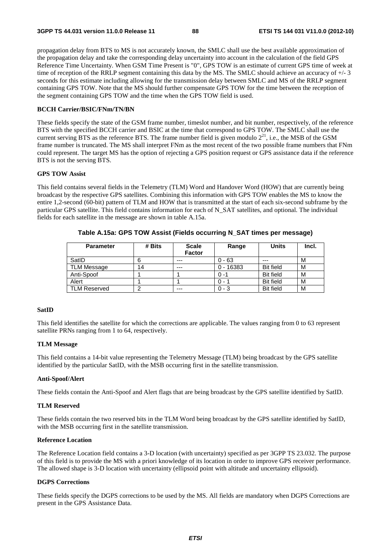propagation delay from BTS to MS is not accurately known, the SMLC shall use the best available approximation of the propagation delay and take the corresponding delay uncertainty into account in the calculation of the field GPS Reference Time Uncertainty. When GSM Time Present is "0", GPS TOW is an estimate of current GPS time of week at time of reception of the RRLP segment containing this data by the MS. The SMLC should achieve an accuracy of +/- 3 seconds for this estimate including allowing for the transmission delay between SMLC and MS of the RRLP segment containing GPS TOW. Note that the MS should further compensate GPS TOW for the time between the reception of the segment containing GPS TOW and the time when the GPS TOW field is used.

## **BCCH Carrier/BSIC/FNm/TN/BN**

These fields specify the state of the GSM frame number, timeslot number, and bit number, respectively, of the reference BTS with the specified BCCH carrier and BSIC at the time that correspond to GPS TOW. The SMLC shall use the current serving BTS as the reference BTS. The frame number field is given modulo  $2^{21}$ , i.e., the MSB of the GSM frame number is truncated. The MS shall interpret FNm as the most recent of the two possible frame numbers that FNm could represent. The target MS has the option of rejecting a GPS position request or GPS assistance data if the reference BTS is not the serving BTS.

## **GPS TOW Assist**

This field contains several fields in the Telemetry (TLM) Word and Handover Word (HOW) that are currently being broadcast by the respective GPS satellites. Combining this information with GPS TOW enables the MS to know the entire 1,2-second (60-bit) pattern of TLM and HOW that is transmitted at the start of each six-second subframe by the particular GPS satellite. This field contains information for each of N\_SAT satellites, and optional. The individual fields for each satellite in the message are shown in table A.15a.

| <b>Parameter</b>    | # Bits | <b>Scale</b><br><b>Factor</b> | Range       | <b>Units</b>     | Incl. |
|---------------------|--------|-------------------------------|-------------|------------------|-------|
| SatID               |        | ---                           | $0 - 63$    | $- - -$          | M     |
| TLM Message         | 14     | ---                           | $0 - 16383$ | <b>Bit field</b> | M     |
| Anti-Spoof          |        |                               | $0 - 1$     | <b>Bit field</b> | м     |
| Alert               |        |                               | $0 - 1$     | <b>Bit field</b> | M     |
| <b>TLM Reserved</b> |        | $---$                         | $0 - 3$     | <b>Bit field</b> | M     |

**Table A.15a: GPS TOW Assist (Fields occurring N\_SAT times per message)** 

### **SatID**

This field identifies the satellite for which the corrections are applicable. The values ranging from 0 to 63 represent satellite PRNs ranging from 1 to 64, respectively.

### **TLM Message**

This field contains a 14-bit value representing the Telemetry Message (TLM) being broadcast by the GPS satellite identified by the particular SatID, with the MSB occurring first in the satellite transmission.

#### **Anti-Spoof/Alert**

These fields contain the Anti-Spoof and Alert flags that are being broadcast by the GPS satellite identified by SatID.

## **TLM Reserved**

These fields contain the two reserved bits in the TLM Word being broadcast by the GPS satellite identified by SatID, with the MSB occurring first in the satellite transmission.

#### **Reference Location**

The Reference Location field contains a 3-D location (with uncertainty) specified as per 3GPP TS 23.032. The purpose of this field is to provide the MS with a priori knowledge of its location in order to improve GPS receiver performance. The allowed shape is 3-D location with uncertainty (ellipsoid point with altitude and uncertainty ellipsoid).

### **DGPS Corrections**

These fields specify the DGPS corrections to be used by the MS. All fields are mandatory when DGPS Corrections are present in the GPS Assistance Data.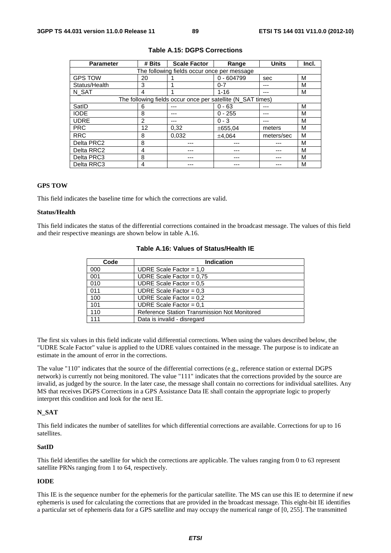| <b>Parameter</b>                            | # Bits | <b>Scale Factor</b>                                         | Range        | <b>Units</b> | Incl. |  |  |
|---------------------------------------------|--------|-------------------------------------------------------------|--------------|--------------|-------|--|--|
| The following fields occur once per message |        |                                                             |              |              |       |  |  |
| <b>GPS TOW</b>                              | 20     |                                                             | $0 - 604799$ | sec          | м     |  |  |
| Status/Health                               | 3      |                                                             | $0 - 7$      |              | м     |  |  |
| N SAT                                       | 4      |                                                             | $1 - 16$     | ---          | м     |  |  |
|                                             |        | The following fields occur once per satellite (N_SAT times) |              |              |       |  |  |
| SatID                                       | 6      |                                                             | $0 - 63$     | ---          | м     |  |  |
| <b>IODE</b>                                 | 8      |                                                             | $0 - 255$    | ---          | М     |  |  |
| <b>UDRE</b>                                 | 2      |                                                             | $0 - 3$      | ---          | м     |  |  |
| <b>PRC</b>                                  | 12     | 0,32                                                        | ±655.04      | meters       | м     |  |  |
| <b>RRC</b>                                  | 8      | 0.032                                                       | ±4.064       | meters/sec   | м     |  |  |
| Delta PRC2                                  | 8      |                                                             |              |              | м     |  |  |
| Delta RRC2                                  | 4      |                                                             |              |              | м     |  |  |
| Delta PRC3                                  | 8      |                                                             |              |              | м     |  |  |
| Delta RRC3                                  | 4      |                                                             |              |              | м     |  |  |

#### **Table A.15: DGPS Corrections**

### **GPS TOW**

This field indicates the baseline time for which the corrections are valid.

## **Status/Health**

This field indicates the status of the differential corrections contained in the broadcast message. The values of this field and their respective meanings are shown below in table A.16.

| Code | <b>Indication</b>                            |  |  |
|------|----------------------------------------------|--|--|
| 000  | UDRE Scale Factor = $1,0$                    |  |  |
| 001  | UDRE Scale Factor = $0.75$                   |  |  |
| 010  | UDRE Scale Factor = $0.5$                    |  |  |
| 011  | UDRE Scale Factor = $0.3$                    |  |  |
| 100  | UDRE Scale Factor = $0.2$                    |  |  |
| 101  | UDRE Scale Factor = $0.1$                    |  |  |
| 110  | Reference Station Transmission Not Monitored |  |  |
| 111  | Data is invalid - disregard                  |  |  |

## **Table A.16: Values of Status/Health IE**

The first six values in this field indicate valid differential corrections. When using the values described below, the "UDRE Scale Factor" value is applied to the UDRE values contained in the message. The purpose is to indicate an estimate in the amount of error in the corrections.

The value "110" indicates that the source of the differential corrections (e.g., reference station or external DGPS network) is currently not being monitored. The value "111" indicates that the corrections provided by the source are invalid, as judged by the source. In the later case, the message shall contain no corrections for individual satellites. Any MS that receives DGPS Corrections in a GPS Assistance Data IE shall contain the appropriate logic to properly interpret this condition and look for the next IE.

#### **N\_SAT**

This field indicates the number of satellites for which differential corrections are available. Corrections for up to 16 satellites.

#### **SatID**

This field identifies the satellite for which the corrections are applicable. The values ranging from 0 to 63 represent satellite PRNs ranging from 1 to 64, respectively.

#### **IODE**

This IE is the sequence number for the ephemeris for the particular satellite. The MS can use this IE to determine if new ephemeris is used for calculating the corrections that are provided in the broadcast message. This eight-bit IE identifies a particular set of ephemeris data for a GPS satellite and may occupy the numerical range of [0, 255]. The transmitted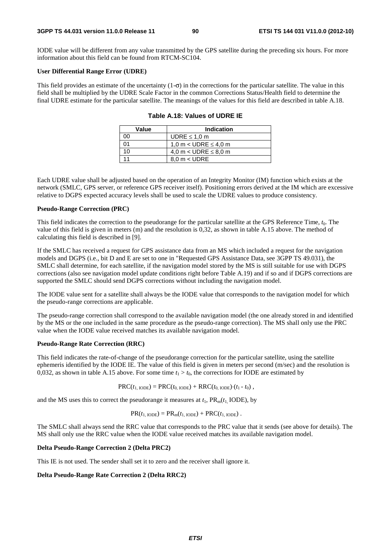IODE value will be different from any value transmitted by the GPS satellite during the preceding six hours. For more information about this field can be found from RTCM-SC104.

#### **User Differential Range Error (UDRE)**

This field provides an estimate of the uncertainty  $(1-\sigma)$  in the corrections for the particular satellite. The value in this field shall be multiplied by the UDRE Scale Factor in the common Corrections Status/Health field to determine the final UDRE estimate for the particular satellite. The meanings of the values for this field are described in table A.18.

| Value | Indication                  |
|-------|-----------------------------|
| ററ    | UDRE $\leq 1.0$ m           |
| ሰ1    | 1.0 m $<$ UDRE $\leq$ 4.0 m |
| 10    | 4,0 m < UDRE $\leq$ 8,0 m   |
|       | $8.0 m <$ UDRE              |

| Table A.18: Values of UDRE IE |  |  |
|-------------------------------|--|--|
|-------------------------------|--|--|

Each UDRE value shall be adjusted based on the operation of an Integrity Monitor (IM) function which exists at the network (SMLC, GPS server, or reference GPS receiver itself). Positioning errors derived at the IM which are excessive relative to DGPS expected accuracy levels shall be used to scale the UDRE values to produce consistency.

#### **Pseudo-Range Correction (PRC)**

This field indicates the correction to the pseudorange for the particular satellite at the GPS Reference Time, *t*0. The value of this field is given in meters (m) and the resolution is 0,32, as shown in table A.15 above. The method of calculating this field is described in [9].

If the SMLC has received a request for GPS assistance data from an MS which included a request for the navigation models and DGPS (i.e., bit D and E are set to one in "Requested GPS Assistance Data, see 3GPP TS 49.031), the SMLC shall determine, for each satellite, if the navigation model stored by the MS is still suitable for use with DGPS corrections (also see navigation model update conditions right before Table A.19) and if so and if DGPS corrections are supported the SMLC should send DGPS corrections without including the navigation model.

The IODE value sent for a satellite shall always be the IODE value that corresponds to the navigation model for which the pseudo-range corrections are applicable.

The pseudo-range correction shall correspond to the available navigation model (the one already stored in and identified by the MS or the one included in the same procedure as the pseudo-range correction). The MS shall only use the PRC value when the IODE value received matches its available navigation model.

### **Pseudo-Range Rate Correction (RRC)**

This field indicates the rate-of-change of the pseudorange correction for the particular satellite, using the satellite ephemeris identified by the IODE IE. The value of this field is given in meters per second (m/sec) and the resolution is 0,032, as shown in table A.15 above. For some time  $t_1 > t_0$ , the corrections for IODE are estimated by

$$
PRC(t_{1,\text{IODE}}) = PRC(t_{0,\text{IODE}}) + RRC(t_{0,\text{IODE}}) (t_1 - t_0),
$$

and the MS uses this to correct the pseudorange it measures at  $t_1$ ,  $PR_m(t_1 \text{ IODE})$ , by

$$
PR(t_{1,\text{IODE}}) = PR_{m}(t_{1,\text{IODE}}) + PRC(t_{1,\text{IODE}}).
$$

The SMLC shall always send the RRC value that corresponds to the PRC value that it sends (see above for details). The MS shall only use the RRC value when the IODE value received matches its available navigation model.

#### **Delta Pseudo-Range Correction 2 (Delta PRC2)**

This IE is not used. The sender shall set it to zero and the receiver shall ignore it.

#### **Delta Pseudo-Range Rate Correction 2 (Delta RRC2)**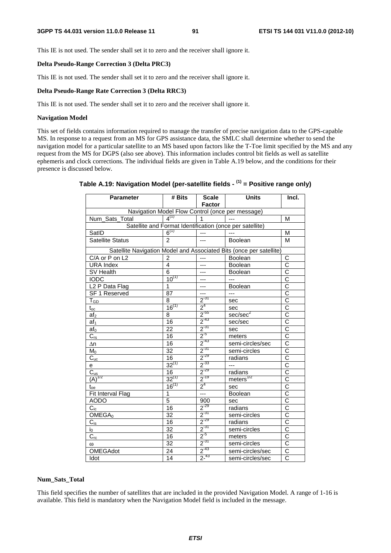This IE is not used. The sender shall set it to zero and the receiver shall ignore it.

#### **Delta Pseudo-Range Correction 3 (Delta PRC3)**

This IE is not used. The sender shall set it to zero and the receiver shall ignore it.

## **Delta Pseudo-Range Rate Correction 3 (Delta RRC3)**

This IE is not used. The sender shall set it to zero and the receiver shall ignore it.

## **Navigation Model**

This set of fields contains information required to manage the transfer of precise navigation data to the GPS-capable MS. In response to a request from an MS for GPS assistance data, the SMLC shall determine whether to send the navigation model for a particular satellite to an MS based upon factors like the T-Toe limit specified by the MS and any request from the MS for DGPS (also see above). This information includes control bit fields as well as satellite ephemeris and clock corrections. The individual fields are given in Table A.19 below, and the conditions for their presence is discussed below.

| <b>Parameter</b>                                 | # Bits          | <b>Scale</b><br><b>Factor</b> | <b>Units</b>                                                        | Incl.                               |  |  |
|--------------------------------------------------|-----------------|-------------------------------|---------------------------------------------------------------------|-------------------------------------|--|--|
| Navigation Model Flow Control (once per message) |                 |                               |                                                                     |                                     |  |  |
| Num_Sats_Total                                   | $4^{(1)}$       | $\mathbf{1}$                  | $-$                                                                 | M                                   |  |  |
|                                                  |                 |                               | Satellite and Format Identification (once per satellite)            |                                     |  |  |
| SatID                                            | $6^{(1)}$       | $---$                         | $\overline{a}$                                                      | M                                   |  |  |
| <b>Satellite Status</b>                          | $\mathcal{P}$   | ---                           | Boolean                                                             | M                                   |  |  |
|                                                  |                 |                               | Satellite Navigation Model and Associated Bits (once per satellite) |                                     |  |  |
| C/A or P on L2                                   | $\overline{2}$  | $---$                         | Boolean                                                             | C                                   |  |  |
| <b>URA Index</b>                                 | 4               | ---                           | Boolean                                                             | C                                   |  |  |
| SV Health                                        | 6               | ---                           | <b>Boolean</b>                                                      | $\overline{C}$                      |  |  |
| <b>IODC</b>                                      | $10^{(1)}$      | ---                           | $---$                                                               | $\frac{\overline{C}}{\overline{C}}$ |  |  |
| $\overline{L2}$ P Data Flag                      | 1               | ---                           | Boolean                                                             |                                     |  |  |
| SF 1 Reserved                                    | 87              | ---                           | $---$                                                               | $\overline{\text{c}}$               |  |  |
| $T_{GD}$                                         | 8               | $2^{-31}$                     | sec                                                                 | $\bar{\bar{c}}$                     |  |  |
| $t_{\underline{o}\underline{c}}$                 | $16^{(1)}$      | $2^4$                         | sec                                                                 | $\overline{\text{c}}$               |  |  |
| af <sub>2</sub>                                  | 8               | $2^{-55}$                     | sec/sec <sup>2</sup>                                                | $\overline{\text{c}}$               |  |  |
| af <sub>1</sub>                                  | 16              | $2^{-43}$                     | sec/sec                                                             | $\overline{\text{c}}$               |  |  |
| af <sub>0</sub>                                  | 22              | $2^{31}$                      | sec                                                                 | $\overline{\text{c}}$               |  |  |
| $C_{rs}$                                         | 16              | $2^{5}$                       | meters                                                              | $\overline{\text{c}}$               |  |  |
| Δn                                               | 16              | $2^{-43}$                     | semi-circles/sec                                                    | $\overline{\text{c}}$               |  |  |
| M <sub>0</sub>                                   | $\overline{32}$ | $2^{-31}$                     | semi-circles                                                        | $\overline{\text{c}}$               |  |  |
| $C_{uc}$                                         | 16              | $2^{-29}$                     | radians                                                             | $\overline{\text{c}}$               |  |  |
| e                                                | $32^{(1)}$      | $2^{-33}$                     | $---$                                                               | C                                   |  |  |
|                                                  | 16              | $2^{-29}$                     | radians                                                             | $\overline{\text{c}}$               |  |  |
| $\frac{C_{us}}{(A)^{1/2}}$                       | $32^{(1)}$      | $2^{-19}$                     | $meters$ <sup><math>1/2</math></sup>                                | $\overline{\text{c}}$               |  |  |
| $\mathfrak{t}_{\text{oe}}$                       | $16^{(1)}$      | $2^4$                         | sec                                                                 | $\overline{\text{c}}$               |  |  |
| Fit Interval Flag                                | $\mathbf 1$     | ---                           | Boolean                                                             | $\overline{C}$                      |  |  |
| <b>AODO</b>                                      | 5               | 900                           | sec                                                                 | $\overline{\text{c}}$               |  |  |
| $C_{ic}$                                         | 16              | $2^{-29}$                     | radians                                                             | $\overline{\text{c}}$               |  |  |
| OMEGA <sub>0</sub>                               | $\overline{32}$ | $2^{-31}$                     | semi-circles                                                        | $\overline{\text{c}}$               |  |  |
| $C_{is}$                                         | 16              | $2^{-29}$                     | radians                                                             | $\overline{\text{c}}$               |  |  |
| $\mathsf{i}_0$                                   | $\overline{32}$ | $2^{-31}$                     | semi-circles                                                        | $\overline{\text{c}}$               |  |  |
| $C_{rc}$                                         | 16              | $2^{5}$                       | meters                                                              | $\overline{\text{c}}$               |  |  |
| $\omega$                                         | $\overline{32}$ | $2^{31}$                      | semi-circles                                                        | $\overline{\text{c}}$               |  |  |
| <b>OMEGAdot</b>                                  | 24              | $2^{-43}$                     | semi-circles/sec                                                    | $\overline{C}$                      |  |  |
| Idot                                             | 14              | $2^{-43}$                     | semi-circles/sec                                                    | $\overline{C}$                      |  |  |

## **Table A.19: Navigation Model (per-satellite fields - (1) = Positive range only)**

#### **Num\_Sats\_Total**

This field specifies the number of satellites that are included in the provided Navigation Model. A range of 1-16 is available. This field is mandatory when the Navigation Model field is included in the message.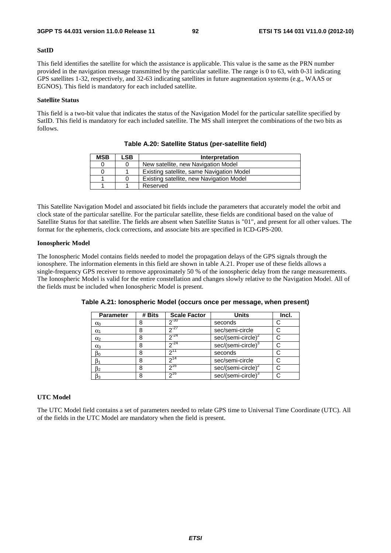#### **SatID**

This field identifies the satellite for which the assistance is applicable. This value is the same as the PRN number provided in the navigation message transmitted by the particular satellite. The range is 0 to 63, with 0-31 indicating GPS satellites 1-32, respectively, and 32-63 indicating satellites in future augmentation systems (e.g., WAAS or EGNOS). This field is mandatory for each included satellite.

### **Satellite Status**

This field is a two-bit value that indicates the status of the Navigation Model for the particular satellite specified by SatID. This field is mandatory for each included satellite. The MS shall interpret the combinations of the two bits as follows.

| <b>MSB</b> | ∟SB. | Interpretation                            |
|------------|------|-------------------------------------------|
|            |      | New satellite, new Navigation Model       |
| 0          |      | Existing satellite, same Navigation Model |
|            |      | Existing satellite, new Navigation Model  |
|            |      | Reserved                                  |

**Table A.20: Satellite Status (per-satellite field)** 

This Satellite Navigation Model and associated bit fields include the parameters that accurately model the orbit and clock state of the particular satellite. For the particular satellite, these fields are conditional based on the value of Satellite Status for that satellite. The fields are absent when Satellite Status is "01", and present for all other values. The format for the ephemeris, clock corrections, and associate bits are specified in ICD-GPS-200.

### **Ionospheric Model**

The Ionospheric Model contains fields needed to model the propagation delays of the GPS signals through the ionosphere. The information elements in this field are shown in table A.21. Proper use of these fields allows a single-frequency GPS receiver to remove approximately 50 % of the ionospheric delay from the range measurements. The Ionospheric Model is valid for the entire constellation and changes slowly relative to the Navigation Model. All of the fields must be included when Ionospheric Model is present.

| <b>Parameter</b> | # Bits | <b>Scale Factor</b> | <b>Units</b>                   | Incl. |
|------------------|--------|---------------------|--------------------------------|-------|
| $\alpha_0$       | 8      | $2^{-30}$           | seconds                        |       |
| $\alpha_1$       | 8      | $2^{-27}$           | sec/semi-circle                |       |
| $\alpha_2$       | 8      | $2^{-24}$           | sec/(semi-circle) $2^2$        |       |
| $\alpha_3$       | 8      | $2^{-24}$           | sec/(semi-circle) <sup>3</sup> |       |
| $\beta_0$        | 8      | 211                 | seconds                        |       |
|                  | 8      | $2^{14}$            | sec/semi-circle                |       |
| $\beta_2$        | 8      | 216                 | sec/(semi-circle) <sup>2</sup> |       |
| $\beta_3$        | 8      | $2^{16}$            | sec/(semi-circle) <sup>3</sup> |       |

**Table A.21: Ionospheric Model (occurs once per message, when present)** 

## **UTC Model**

The UTC Model field contains a set of parameters needed to relate GPS time to Universal Time Coordinate (UTC). All of the fields in the UTC Model are mandatory when the field is present.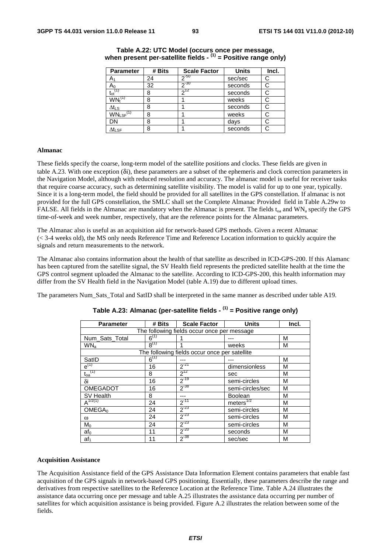| <b>Parameter</b>                      | # Bits | <b>Scale Factor</b> | <b>Units</b> | Incl. |
|---------------------------------------|--------|---------------------|--------------|-------|
| A٠                                    | 24     | $2^{-50}$           | sec/sec      | C     |
| Aი                                    | 32     | $20 - 30$           | seconds      | С     |
| $\mathfrak{t}_{\mathrm{ot}}$          | 8      | 712                 | seconds      | С     |
| $\mathsf{WN}_{\mathsf{t}}^\mathsf{C}$ | 8      |                     | weeks        | С     |
| $\Delta t_{LS}$                       | 8      |                     | seconds      | С     |
| $WN_{LSF}$ <sup>(1)</sup>             | 8      |                     | weeks        |       |
| DN                                    | 8      |                     | days         |       |
| $\Delta t_{\text{LSF}}$               | 8      |                     | seconds      | С     |

## **Table A.22: UTC Model (occurs once per message, when present per-satellite fields - (1) = Positive range only)**

#### **Almanac**

These fields specify the coarse, long-term model of the satellite positions and clocks. These fields are given in table A.23. With one exception (δi), these parameters are a subset of the ephemeris and clock correction parameters in the Navigation Model, although with reduced resolution and accuracy. The almanac model is useful for receiver tasks that require coarse accuracy, such as determining satellite visibility. The model is valid for up to one year, typically. Since it is a long-term model, the field should be provided for all satellites in the GPS constellation. If almanac is not provided for the full GPS constellation, the SMLC shall set the Complete Almanac Provided field in Table A.29w to FALSE. All fields in the Almanac are mandatory when the Almanac is present. The fields  $t_{oa}$  and WN<sub>a</sub> specify the GPS time-of-week and week number, respectively, that are the reference points for the Almanac parameters.

The Almanac also is useful as an acquisition aid for network-based GPS methods. Given a recent Almanac (< 3-4 weeks old), the MS only needs Reference Time and Reference Location information to quickly acquire the signals and return measurements to the network.

The Almanac also contains information about the health of that satellite as described in ICD-GPS-200. If this Alamanc has been captured from the satellite signal, the SV Health field represents the predicted satellite health at the time the GPS control segment uploaded the Almanac to the satellite. According to ICD-GPS-200, this health information may differ from the SV Health field in the Navigation Model (table A.19) due to different upload times.

The parameters Num\_Sats\_Total and SatID shall be interpreted in the same manner as described under table A19.

| <b>Parameter</b>   | # Bits                                      | <b>Scale Factor</b>                           | <b>Units</b>          | Incl. |  |  |  |
|--------------------|---------------------------------------------|-----------------------------------------------|-----------------------|-------|--|--|--|
|                    | The following fields occur once per message |                                               |                       |       |  |  |  |
| Num_Sats_Total     | $6^{(1)}$                                   |                                               |                       | M     |  |  |  |
| WN <sub>a</sub>    | $8^{(1)}$                                   |                                               | weeks                 | M     |  |  |  |
|                    |                                             | The following fields occur once per satellite |                       |       |  |  |  |
| SatID              | $6^{(1)}$                                   |                                               |                       | M     |  |  |  |
| $e^{(1)}$          | 16                                          | $2^{-21}$                                     | dimensionless         | M     |  |  |  |
| $t_{oa}^{(1)}$     | 8                                           | $2^{12}$                                      | sec                   | M     |  |  |  |
| δi                 | 16                                          | $2^{-19}$                                     | semi-circles          | M     |  |  |  |
| <b>OMEGADOT</b>    | 16                                          | $2^{-38}$                                     | semi-circles/sec      | M     |  |  |  |
| SV Health          | 8                                           | ---                                           | <b>Boolean</b>        | M     |  |  |  |
| $A^{1/2(1)}$       | 24                                          | $2^{-11}$                                     | meters <sup>1/2</sup> | M     |  |  |  |
| OMEGA <sub>0</sub> | 24                                          | $2^{-23}$                                     | semi-circles          | M     |  |  |  |
| $\omega$           | 24                                          | $2^{-23}$                                     | semi-circles          | M     |  |  |  |
| $M_0$              | 24                                          | $2^{-23}$                                     | semi-circles          | M     |  |  |  |
| af <sub>0</sub>    | 11                                          | $2^{-20}$                                     | seconds               | M     |  |  |  |
| af <sub>1</sub>    | 11                                          | $2^{-38}$                                     | sec/sec               | M     |  |  |  |

## **Table A.23: Almanac (per-satellite fields - (1) = Positive range only)**

### **Acquisition Assistance**

The Acquisition Assistance field of the GPS Assistance Data Information Element contains parameters that enable fast acquisition of the GPS signals in network-based GPS positioning. Essentially, these parameters describe the range and derivatives from respective satellites to the Reference Location at the Reference Time. Table A.24 illustrates the assistance data occurring once per message and table A.25 illustrates the assistance data occurring per number of satellites for which acquisition assistance is being provided. Figure A.2 illustrates the relation between some of the fields.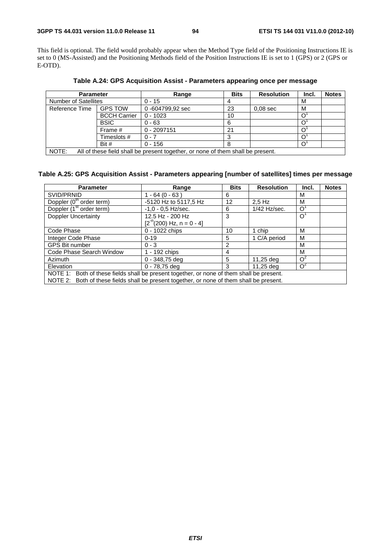This field is optional. The field would probably appear when the Method Type field of the Positioning Instructions IE is set to 0 (MS-Assisted) and the Positioning Methods field of the Position Instructions IE is set to 1 (GPS) or 2 (GPS or E-OTD).

| Table A.24: GPS Acquisition Assist - Parameters appearing once per message |       |             |            |       |              |  |  |
|----------------------------------------------------------------------------|-------|-------------|------------|-------|--------------|--|--|
| <b>Parameter</b>                                                           | Range | <b>Bits</b> | Resolution | Incl. | <b>Notes</b> |  |  |

| <b>Parameter</b>                                                                         |                     | Range            | <b>Bits</b> | <b>Resolution</b> | inci. | <b>Notes</b> |  |
|------------------------------------------------------------------------------------------|---------------------|------------------|-------------|-------------------|-------|--------------|--|
| <b>Number of Satellites</b>                                                              |                     | $0 - 15$         |             |                   | М     |              |  |
| Reference Time                                                                           | <b>GPS TOW</b>      | 0 -604799,92 sec | 23          | $0.08$ sec        | M     |              |  |
|                                                                                          | <b>BCCH Carrier</b> | $0 - 1023$       | 10          |                   |       |              |  |
|                                                                                          | <b>BSIC</b>         | $0 - 63$         | 6           |                   |       |              |  |
|                                                                                          | Frame #             | $0 - 2097151$    | 21          |                   |       |              |  |
|                                                                                          | Timeslots #         | $0 - 7$          |             |                   |       |              |  |
|                                                                                          | Bit #               | $0 - 156$        |             |                   |       |              |  |
| NOTE:<br>All of these field shall be present together, or none of them shall be present. |                     |                  |             |                   |       |              |  |

field shall be present together, or none of them shall be present.

## **Table A.25: GPS Acquisition Assist - Parameters appearing [number of satellites] times per message**

| <b>Parameter</b>                                                                          | Range                        | <b>Bits</b> | <b>Resolution</b> | Incl.          | <b>Notes</b> |  |  |
|-------------------------------------------------------------------------------------------|------------------------------|-------------|-------------------|----------------|--------------|--|--|
| SVID/PRNID                                                                                | $1 - 64 (0 - 63)$            | 6           |                   | М              |              |  |  |
| Doppler (0 <sup>th</sup> order term)                                                      | -5120 Hz to 5117,5 Hz        | 12          | $2.5$ Hz          | М              |              |  |  |
| Doppler (1 <sup>st</sup> order term)                                                      | $-1,0 - 0,5$ Hz/sec.         | 6           | $1/42$ Hz/sec.    | $\circ$        |              |  |  |
| <b>Doppler Uncertainty</b>                                                                | 12.5 Hz - 200 Hz             | 3           |                   | O <sup>1</sup> |              |  |  |
|                                                                                           | $[2^{n}(200)$ Hz, n = 0 - 4] |             |                   |                |              |  |  |
| Code Phase                                                                                | 0 - 1022 chips               | 10          | 1 chip            | M              |              |  |  |
| Integer Code Phase                                                                        | $0 - 19$                     | 5           | 1 C/A period      | M              |              |  |  |
| <b>GPS Bit number</b>                                                                     | $0 - 3$                      | 2           |                   | м              |              |  |  |
| Code Phase Search Window                                                                  | 1 - 192 chips                | 4           |                   | м              |              |  |  |
| Azimuth                                                                                   | $0 - 348,75$ deg             | 5           | 11,25 deg         | $\Omega^2$     |              |  |  |
| Elevation                                                                                 | $0 - 78,75$ deg              | 3           | 11,25 deg         | $\Omega^2$     |              |  |  |
| NOTE 1: Both of these fields shall be present together, or none of them shall be present. |                              |             |                   |                |              |  |  |
| NOTE 2: Both of these fields shall be present together, or none of them shall be present. |                              |             |                   |                |              |  |  |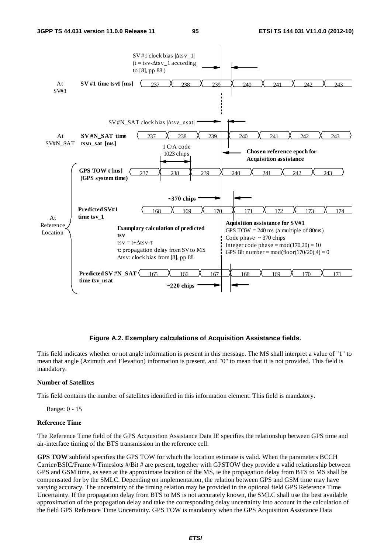

### **Figure A.2. Exemplary calculations of Acquisition Assistance fields.**

This field indicates whether or not angle information is present in this message. The MS shall interpret a value of "1" to mean that angle (Azimuth and Elevation) information is present, and "0" to mean that it is not provided. This field is mandatory.

## **Number of Satellites**

This field contains the number of satellites identified in this information element. This field is mandatory.

Range: 0 - 15

#### **Reference Time**

The Reference Time field of the GPS Acquisition Assistance Data IE specifies the relationship between GPS time and air-interface timing of the BTS transmission in the reference cell.

**GPS TOW** subfield specifies the GPS TOW for which the location estimate is valid. When the parameters BCCH Carrier/BSIC/Frame #/Timeslots #/Bit # are present, together with GPSTOW they provide a valid relationship between GPS and GSM time, as seen at the approximate location of the MS, ie the propagation delay from BTS to MS shall be compensated for by the SMLC. Depending on implementation, the relation between GPS and GSM time may have varying accuracy. The uncertainty of the timing relation may be provided in the optional field GPS Reference Time Uncertainty. If the propagation delay from BTS to MS is not accurately known, the SMLC shall use the best available approximation of the propagation delay and take the corresponding delay uncertainty into account in the calculation of the field GPS Reference Time Uncertainty. GPS TOW is mandatory when the GPS Acquisition Assistance Data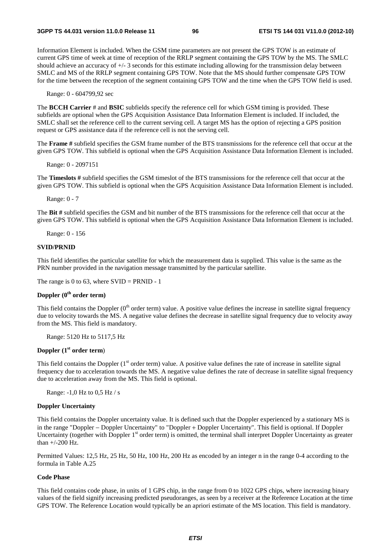Information Element is included. When the GSM time parameters are not present the GPS TOW is an estimate of current GPS time of week at time of reception of the RRLP segment containing the GPS TOW by the MS. The SMLC should achieve an accuracy of +/- 3 seconds for this estimate including allowing for the transmission delay between SMLC and MS of the RRLP segment containing GPS TOW. Note that the MS should further compensate GPS TOW for the time between the reception of the segment containing GPS TOW and the time when the GPS TOW field is used.

Range: 0 - 604799,92 sec

The **BCCH Carrier** # and **BSIC** subfields specify the reference cell for which GSM timing is provided. These subfields are optional when the GPS Acquisition Assistance Data Information Element is included. If included, the SMLC shall set the reference cell to the current serving cell. A target MS has the option of rejecting a GPS position request or GPS assistance data if the reference cell is not the serving cell.

The **Frame #** subfield specifies the GSM frame number of the BTS transmissions for the reference cell that occur at the given GPS TOW. This subfield is optional when the GPS Acquisition Assistance Data Information Element is included.

Range: 0 - 2097151

The **Timeslots #** subfield specifies the GSM timeslot of the BTS transmissions for the reference cell that occur at the given GPS TOW. This subfield is optional when the GPS Acquisition Assistance Data Information Element is included.

Range: 0 - 7

The **Bit #** subfield specifies the GSM and bit number of the BTS transmissions for the reference cell that occur at the given GPS TOW. This subfield is optional when the GPS Acquisition Assistance Data Information Element is included.

Range: 0 - 156

#### **SVID/PRNID**

This field identifies the particular satellite for which the measurement data is supplied. This value is the same as the PRN number provided in the navigation message transmitted by the particular satellite.

The range is 0 to 63, where  $SVID = PRNID - 1$ 

## **Doppler (0th order term)**

This field contains the Doppler  $(0<sup>th</sup>$  order term) value. A positive value defines the increase in satellite signal frequency due to velocity towards the MS. A negative value defines the decrease in satellite signal frequency due to velocity away from the MS. This field is mandatory.

Range: 5120 Hz to 5117,5 Hz

## **Doppler (1st order term**)

This field contains the Doppler  $(1<sup>st</sup> order term)$  value. A positive value defines the rate of increase in satellite signal frequency due to acceleration towards the MS. A negative value defines the rate of decrease in satellite signal frequency due to acceleration away from the MS. This field is optional.

Range: -1,0 Hz to 0,5 Hz / s

## **Doppler Uncertainty**

This field contains the Doppler uncertainty value. It is defined such that the Doppler experienced by a stationary MS is in the range "Doppler − Doppler Uncertainty" to "Doppler + Doppler Uncertainty". This field is optional. If Doppler Uncertainty (together with Doppler  $1<sup>st</sup>$  order term) is omitted, the terminal shall interpret Doppler Uncertainty as greater than +/-200 Hz.

Permitted Values: 12,5 Hz, 25 Hz, 50 Hz, 100 Hz, 200 Hz as encoded by an integer n in the range 0-4 according to the formula in Table A.25

## **Code Phase**

This field contains code phase, in units of 1 GPS chip, in the range from 0 to 1022 GPS chips, where increasing binary values of the field signify increasing predicted pseudoranges, as seen by a receiver at the Reference Location at the time GPS TOW. The Reference Location would typically be an apriori estimate of the MS location. This field is mandatory.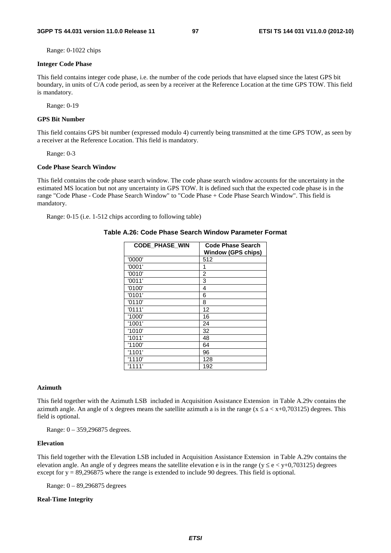Range: 0-1022 chips

#### **Integer Code Phase**

This field contains integer code phase, i.e. the number of the code periods that have elapsed since the latest GPS bit boundary, in units of C/A code period, as seen by a receiver at the Reference Location at the time GPS TOW. This field is mandatory.

Range: 0-19

## **GPS Bit Number**

This field contains GPS bit number (expressed modulo 4) currently being transmitted at the time GPS TOW, as seen by a receiver at the Reference Location. This field is mandatory.

Range: 0-3

#### **Code Phase Search Window**

This field contains the code phase search window. The code phase search window accounts for the uncertainty in the estimated MS location but not any uncertainty in GPS TOW. It is defined such that the expected code phase is in the range "Code Phase - Code Phase Search Window" to "Code Phase + Code Phase Search Window". This field is mandatory.

Range: 0-15 (i.e. 1-512 chips according to following table)

#### **Table A.26: Code Phase Search Window Parameter Format**

| <b>CODE PHASE WIN</b> | <b>Code Phase Search</b><br><b>Window (GPS chips)</b> |
|-----------------------|-------------------------------------------------------|
| '0000'                | 512                                                   |
| '0001'                | 1                                                     |
| '0010'                | $\overline{2}$                                        |
| '0011'                | 3                                                     |
| '0100'                | 4                                                     |
| '0101'                | 6                                                     |
| '0110'                | 8                                                     |
| '0111'                | 12                                                    |
| '1000'                | 16                                                    |
| '1001'                | 24                                                    |
| '1010'                | 32                                                    |
| '1011'                | 48                                                    |
| '1100'                | 64                                                    |
| '1101'                | 96                                                    |
| '1110'                | 128                                                   |
| '1111'                | 192                                                   |

### **Azimuth**

This field together with the Azimuth LSB included in Acquisition Assistance Extension in Table A.29v contains the azimuth angle. An angle of x degrees means the satellite azimuth a is in the range ( $x \le a \lt x+0.703125$ ) degrees. This field is optional.

Range: 0 – 359,296875 degrees.

## **Elevation**

This field together with the Elevation LSB included in Acquisition Assistance Extension in Table A.29v contains the elevation angle. An angle of y degrees means the satellite elevation e is in the range ( $y \le e \lt y+0.703125$ ) degrees except for  $y = 89,296875$  where the range is extended to include 90 degrees. This field is optional.

Range: 0 – 89,296875 degrees

## **Real-Time Integrity**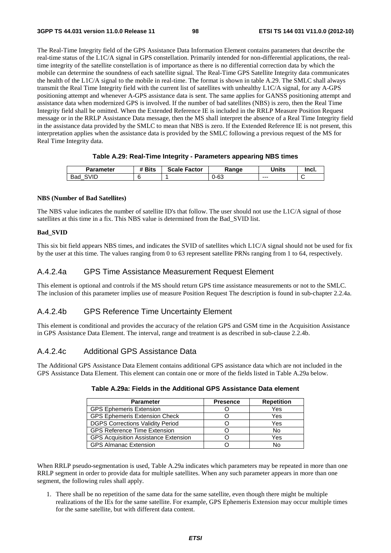The Real-Time Integrity field of the GPS Assistance Data Information Element contains parameters that describe the real-time status of the L1C/A signal in GPS constellation. Primarily intended for non-differential applications, the realtime integrity of the satellite constellation is of importance as there is no differential correction data by which the mobile can determine the soundness of each satellite signal. The Real-Time GPS Satellite Integrity data communicates the health of the L1C/A signal to the mobile in real-time. The format is shown in table A.29. The SMLC shall always transmit the Real Time Integrity field with the current list of satellites with unhealthy L1C/A signal, for any A-GPS positioning attempt and whenever A-GPS assistance data is sent. The same applies for GANSS positioning attempt and assistance data when modernized GPS is involved. If the number of bad satellites (NBS) is zero, then the Real Time Integrity field shall be omitted. When the Extended Reference IE is included in the RRLP Measure Position Request message or in the RRLP Assistance Data message, then the MS shall interpret the absence of a Real Time Integrity field in the assistance data provided by the SMLC to mean that NBS is zero. If the Extended Reference IE is not present, this interpretation applies when the assistance data is provided by the SMLC following a previous request of the MS for Real Time Integrity data.

## **Table A.29: Real-Time Integrity - Parameters appearing NBS times**

| <b>Parameter</b> | <b>Bits</b> | <b>Scale Factor</b> | Ranqe | Units   | Incl. |
|------------------|-------------|---------------------|-------|---------|-------|
| SVID<br>Bad      |             |                     | ว-63  | $- - -$ | ∼     |

### **NBS (Number of Bad Satellites)**

The NBS value indicates the number of satellite ID's that follow. The user should not use the L1C/A signal of those satellites at this time in a fix. This NBS value is determined from the Bad\_SVID list.

## **Bad\_SVID**

This six bit field appears NBS times, and indicates the SVID of satellites which L1C/A signal should not be used for fix by the user at this time. The values ranging from 0 to 63 represent satellite PRNs ranging from 1 to 64, respectively.

## A.4.2.4a GPS Time Assistance Measurement Request Element

This element is optional and controls if the MS should return GPS time assistance measurements or not to the SMLC. The inclusion of this parameter implies use of measure Position Request The description is found in sub-chapter 2.2.4a.

## A.4.2.4b GPS Reference Time Uncertainty Element

This element is conditional and provides the accuracy of the relation GPS and GSM time in the Acquisition Assistance in GPS Assistance Data Element. The interval, range and treatment is as described in sub-clause 2.2.4b.

## A.4.2.4c Additional GPS Assistance Data

The Additional GPS Assistance Data Element contains additional GPS assistance data which are not included in the GPS Assistance Data Element. This element can contain one or more of the fields listed in Table A.29a below.

| <b>Parameter</b>                            | <b>Presence</b> | <b>Repetition</b> |
|---------------------------------------------|-----------------|-------------------|
| <b>GPS Ephemeris Extension</b>              |                 | Yes               |
| <b>GPS Ephemeris Extension Check</b>        |                 | Yes               |
| <b>DGPS Corrections Validity Period</b>     |                 | Yes               |
| <b>GPS Reference Time Extension</b>         |                 | No                |
| <b>GPS Acquisition Assistance Extension</b> |                 | Yes               |
| <b>GPS Almanac Extension</b>                |                 |                   |

| Table A.29a: Fields in the Additional GPS Assistance Data element |  |
|-------------------------------------------------------------------|--|
|-------------------------------------------------------------------|--|

When RRLP pseudo-segmentation is used, Table A.29a indicates which parameters may be repeated in more than one RRLP segment in order to provide data for multiple satellites. When any such parameter appears in more than one segment, the following rules shall apply.

1. There shall be no repetition of the same data for the same satellite, even though there might be multiple realizations of the IEs for the same satellite. For example, GPS Ephemeris Extension may occur multiple times for the same satellite, but with different data content.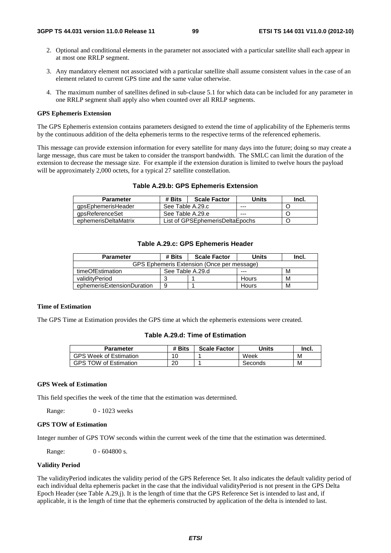- 2. Optional and conditional elements in the parameter not associated with a particular satellite shall each appear in at most one RRLP segment.
- 3. Any mandatory element not associated with a particular satellite shall assume consistent values in the case of an element related to current GPS time and the same value otherwise.
- 4. The maximum number of satellites defined in sub-clause 5.1 for which data can be included for any parameter in one RRLP segment shall apply also when counted over all RRLP segments.

#### **GPS Ephemeris Extension**

The GPS Ephemeris extension contains parameters designed to extend the time of applicability of the Ephemeris terms by the continuous addition of the delta ephemeris terms to the respective terms of the referenced ephemeris.

This message can provide extension information for every satellite for many days into the future; doing so may create a large message, thus care must be taken to consider the transport bandwidth. The SMLC can limit the duration of the extension to decrease the message size. For example if the extension duration is limited to twelve hours the payload will be approximately 2,000 octets, for a typical 27 satellite constellation.

| <b>Parameter</b>     | # Bits                          | <b>Scale Factor</b> | Units | Incl. |
|----------------------|---------------------------------|---------------------|-------|-------|
| gpsEphemerisHeader   | See Table A.29.c                |                     | ---   |       |
| gpsReferenceSet      | See Table A.29.e                |                     | ---   |       |
| ephemerisDeltaMatrix | List of GPSEphemerisDeltaEpochs |                     |       |       |

#### **Table A.29.c: GPS Ephemeris Header**

| <b>Parameter</b>                           | # Bits           | <b>Scale Factor</b> | Units   | Incl. |  |  |
|--------------------------------------------|------------------|---------------------|---------|-------|--|--|
| GPS Ephemeris Extension (Once per message) |                  |                     |         |       |  |  |
| timeOfEstimation                           | See Table A.29.d |                     | $- - -$ | М     |  |  |
| validitvPeriod                             |                  |                     | Hours   | М     |  |  |
| ephemerisExtensionDuration                 | 9                |                     | Hours   | M     |  |  |

## **Time of Estimation**

The GPS Time at Estimation provides the GPS time at which the ephemeris extensions were created.

## **Table A.29.d: Time of Estimation**

| <b>Parameter</b>              | <b>Bits</b> | <b>Scale Factor</b> | Units   | Incl. |
|-------------------------------|-------------|---------------------|---------|-------|
| <b>GPS Week of Estimation</b> | 10          |                     | Week    | M     |
| <b>GPS TOW of Estimation</b>  | 20          |                     | Seconds | M     |

## **GPS Week of Estimation**

This field specifies the week of the time that the estimation was determined.

Range: 0 - 1023 weeks

### **GPS TOW of Estimation**

Integer number of GPS TOW seconds within the current week of the time that the estimation was determined.

Range: 0 - 604800 s.

## **Validity Period**

The validityPeriod indicates the validity period of the GPS Reference Set. It also indicates the default validity period of each individual delta ephemeris packet in the case that the individual validityPeriod is not present in the GPS Delta Epoch Header (see Table A.29.j). It is the length of time that the GPS Reference Set is intended to last and, if applicable, it is the length of time that the ephemeris constructed by application of the delta is intended to last.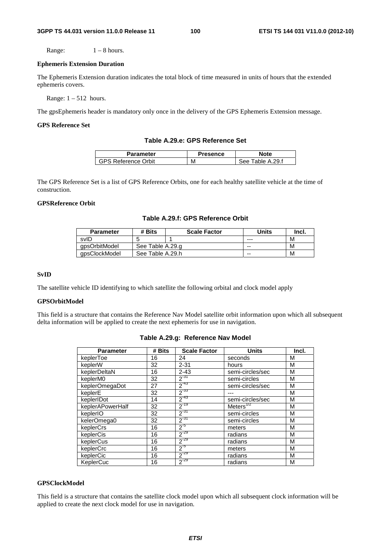Range:  $1 - 8$  hours.

#### **Ephemeris Extension Duration**

The Ephemeris Extension duration indicates the total block of time measured in units of hours that the extended ephemeris covers.

Range:  $1 - 512$  hours.

The gpsEphemeris header is mandatory only once in the delivery of the GPS Ephemeris Extension message.

## **GPS Reference Set**

### **Table A.29.e: GPS Reference Set**

| <b>Parameter</b> | 'resence | Note             |
|------------------|----------|------------------|
| रeference Orbit  | М        | ple A.29.f<br>ء∩ |

The GPS Reference Set is a list of GPS Reference Orbits, one for each healthy satellite vehicle at the time of construction.

## **GPSReference Orbit**

### **Table A.29.f: GPS Reference Orbit**

| <b>Parameter</b> | # Bits           | <b>Scale Factor</b> | Units | Incl. |
|------------------|------------------|---------------------|-------|-------|
| svID             |                  |                     | ---   | М     |
| apsOrbitModel    |                  | See Table A.29.g    |       | М     |
| apsClockModel    | See Table A.29.h |                     | --    | М     |

#### **SvID**

The satellite vehicle ID identifying to which satellite the following orbital and clock model apply

## **GPSOrbitModel**

This field is a structure that contains the Reference Nav Model satellite orbit information upon which all subsequent delta information will be applied to create the next ephemeris for use in navigation.

| <b>Parameter</b> | # Bits | <b>Scale Factor</b> | <b>Units</b>     | Incl. |
|------------------|--------|---------------------|------------------|-------|
| keplerToe        | 16     | 24                  | seconds          | М     |
| keplerW          | 32     | $2 - 31$            | hours            | M     |
| keplerDeltaN     | 16     | $2 - 43$            | semi-circles/sec | M     |
| keplerM0         | 32     | $2^{-31}$           | semi-circles     | M     |
| keplerOmegaDot   | 27     | $2^{-43}$           | semi-circles/sec | M     |
| keplerE          | 32     | $2^{-33}$           |                  | M     |
| keplerIDot       | 14     | $2^{-43}$           | semi-circles/sec | M     |
| keplerAPowerHalf | 32     | $2^{-19}$           | Meters $^{772}$  | M     |
| keplerIO         | 32     | $2^{-31}$           | semi-circles     | М     |
| kelerOmega0      | 32     | $2^{-31}$           | semi-circles     | M     |
| keplerCrs        | 16     | $2^{5}$             | meters           | M     |
| keplerCis        | 16     | $2^{-29}$           | radians          | M     |
| keplerCus        | 16     | $2^{-29}$           | radians          | M     |
| keplerCrc        | 16     | $2^{5}$             | meters           | M     |
| keplerCic        | 16     | $2^{-29}$           | radians          | M     |
| KeplerCuc        | 16     | $2^{-29}$           | radians          | M     |

## **Table A.29.g: Reference Nav Model**

#### **GPSClockModel**

This field is a structure that contains the satellite clock model upon which all subsequent clock information will be applied to create the next clock model for use in navigation.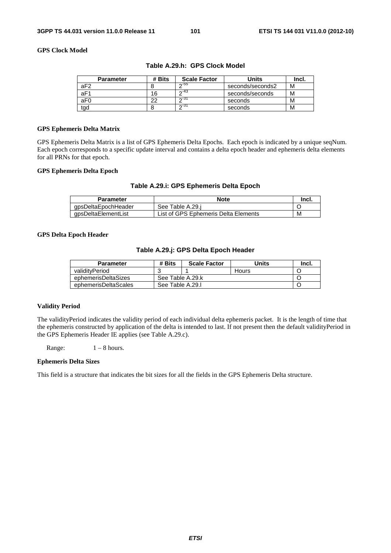## **GPS Clock Model**

| <b>Parameter</b> | # Bits | <b>Scale Factor</b> | Units            | Incl. |
|------------------|--------|---------------------|------------------|-------|
| aF <sub>2</sub>  |        | ਨ-55                | seconds/seconds2 | М     |
| aF1              | 16     | ឹ−43                | seconds/seconds  | М     |
| aF <sub>0</sub>  | າາ     | $\sim$ 31           | seconds          | М     |
| tad              |        | $\sim$ 31           | seconds          | М     |

## **Table A.29.h: GPS Clock Model**

### **GPS Ephemeris Delta Matrix**

GPS Ephemeris Delta Matrix is a list of GPS Ephemeris Delta Epochs. Each epoch is indicated by a unique seqNum. Each epoch corresponds to a specific update interval and contains a delta epoch header and ephemeris delta elements for all PRNs for that epoch.

## **GPS Ephemeris Delta Epoch**

## **Table A.29.i: GPS Ephemeris Delta Epoch**

| Parameter |                     | <b>Note</b>                          | Incl. |
|-----------|---------------------|--------------------------------------|-------|
|           | qpsDeltaEpochHeader | See Table A.29.i                     |       |
|           | qpsDeltaElementList | List of GPS Ephemeris Delta Elements | M     |

### **GPS Delta Epoch Header**

### **Table A.29.j: GPS Delta Epoch Header**

| <b>Parameter</b>     | # Bits           | <b>Scale Factor</b> | Units | lncl. |
|----------------------|------------------|---------------------|-------|-------|
| validityPeriod       |                  |                     | Hours |       |
| ephemerisDeltaSizes  | See Table A.29.k |                     |       |       |
| ephemerisDeltaScales | See Table A.29.I |                     |       |       |

### **Validity Period**

The validityPeriod indicates the validity period of each individual delta ephemeris packet. It is the length of time that the ephemeris constructed by application of the delta is intended to last. If not present then the default validityPeriod in the GPS Ephemeris Header IE applies (see Table A.29.c).

Range:  $1 - 8$  hours.

#### **Ephemeris Delta Sizes**

This field is a structure that indicates the bit sizes for all the fields in the GPS Ephemeris Delta structure.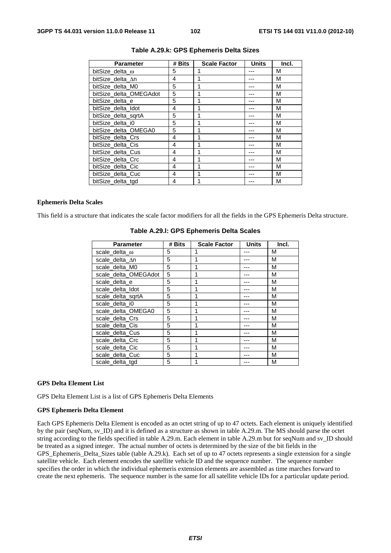| <b>Parameter</b>       | # Bits | <b>Scale Factor</b> | <b>Units</b> | Incl. |
|------------------------|--------|---------------------|--------------|-------|
| bitSize_delta_ω        | 5      | 1                   |              | M     |
| bitSize delta ∆n       | 4      | 1                   |              | M     |
| bitSize_delta_M0       | 5      | 1                   |              | M     |
| bitSize_delta_OMEGAdot | 5      | 1                   |              | М     |
| bitSize delta e        | 5      | 1                   |              | M     |
| bitSize_delta_Idot     | 4      | 1                   |              | M     |
| bitSize delta sgrtA    | 5      | 1                   |              | М     |
| bitSize delta i0       | 5      |                     |              | М     |
| bitSize_delta_OMEGA0   | 5      | 1                   |              | M     |
| bitSize delta Crs      | 4      |                     |              | M     |
| bitSize delta Cis      | 4      | 1                   |              | M     |
| bitSize delta Cus      | 4      | 1                   |              | M     |
| bitSize_delta_Crc      | 4      | 1                   |              | M     |
| bitSize delta Cic      | 4      | 1                   |              | M     |
| bitSize delta Cuc      | 4      | 1                   |              | М     |
| bitSize_delta_tgd      | 4      | 1                   |              | М     |

## **Table A.29.k: GPS Ephemeris Delta Sizes**

#### **Ephemeris Delta Scales**

This field is a structure that indicates the scale factor modifiers for all the fields in the GPS Ephemeris Delta structure.

| <b>Parameter</b>      | # Bits | <b>Scale Factor</b> | <b>Units</b> | Incl. |
|-----------------------|--------|---------------------|--------------|-------|
| scale_delta_ $\omega$ | 5      |                     |              | м     |
| scale_delta_∆n        | 5      |                     |              | M     |
| scale_delta_M0        | 5      |                     |              | M     |
| scale_delta_OMEGAdot  | 5      | 1                   |              | М     |
| scale_delta_e         | 5      |                     |              | M     |
| scale_delta_Idot      | 5      |                     |              | М     |
| scale_delta_sqrtA     | 5      |                     |              | M     |
| scale delta i0        | 5      |                     |              | M     |
| scale_delta_OMEGA0    | 5      |                     |              | M     |
| scale_delta_Crs       | 5      | 1                   |              | M     |
| scale delta Cis       | 5      | 1                   |              | М     |
| scale_delta_Cus       | 5      |                     |              | M     |
| scale_delta_Crc       | 5      |                     |              | м     |
| scale_delta_Cic       | 5      |                     |              | M     |
| scale_delta_Cuc       | 5      |                     |              | м     |
| scale delta tgd       | 5      |                     |              | М     |

### **Table A.29.l: GPS Ephemeris Delta Scales**

#### **GPS Delta Element List**

GPS Delta Element List is a list of GPS Ephemeris Delta Elements

#### **GPS Ephemeris Delta Element**

Each GPS Ephemeris Delta Element is encoded as an octet string of up to 47 octets. Each element is uniquely identified by the pair (seqNum, sv\_ID) and it is defined as a structure as shown in table A.29.m. The MS should parse the octet string according to the fields specified in table A.29.m. Each element in table A.29.m but for seqNum and sv\_ID should be treated as a signed integer. The actual number of octets is determined by the size of the bit fields in the GPS\_Ephemeris\_Delta\_Sizes table (table A.29.k). Each set of up to 47 octets represents a single extension for a single satellite vehicle. Each element encodes the satellite vehicle ID and the sequence number. The sequence number specifies the order in which the individual ephemeris extension elements are assembled as time marches forward to create the next ephemeris. The sequence number is the same for all satellite vehicle IDs for a particular update period.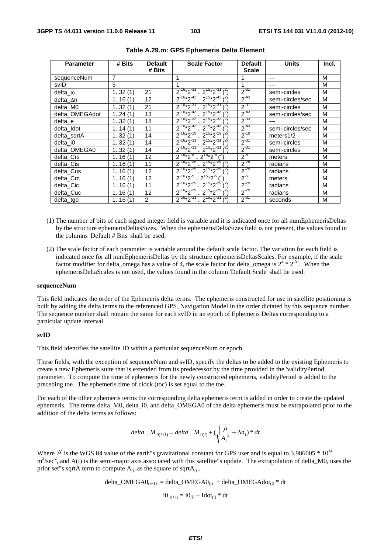| <b>Parameter</b> | # Bits | <b>Default</b><br># Bits | <b>Scale Factor</b>                               | <b>Default</b><br><b>Scale</b> | <b>Units</b>     | Incl. |
|------------------|--------|--------------------------|---------------------------------------------------|--------------------------------|------------------|-------|
| sequenceNum      | 7      |                          |                                                   |                                | ---              | M     |
| svID             | 5      |                          | 1                                                 | 1                              | ---              | M     |
| delta $\omega$   | 132(1) | 21                       | $2^{16*2^{31}} \cdot 2^{15*2^{31}1^{21}}$         | $2^{-31}$                      | semi-circles     | M     |
| delta_∆n         | 116(1) | 12                       | $2^{-16}*2^{-43}$ $2^{15}*2^{-43}$                | $2^{-43}$                      | semi-circles/sec | M     |
| delta_M0         | 132(1) | 21                       | $2^{-16*2^{31}}$ $2^{15*2^{31}}$                  | $2^{-31}$                      | semi-circles     | M     |
| delta OMEGAdot   | 124(1) | 13                       | $2^{-16}*2^{-43}$ $2^{15}*2^{-43}$                | $2^{-43}$                      | semi-circles/sec | M     |
| delta e          | 132(1) | 18                       | $2^{-16}*2^{-33}$ $2^{-15}*2^{-33}$               | $2^{-33}$                      |                  | M     |
| delta Idot       | 114(1) | 11                       | $2^{-16}*2^{-43}$ $2^{15}*2^{-43}$                | $2^{-43}$                      | semi-circles/sec | M     |
| delta sgrtA      | 132(1) | 14                       | $2^{-16}*2^{-19}$ $2^{15}*2^{-19}$                | $2^{-19}$                      | meters $1/2$     | M     |
| delta i0         | 132(1) | 14                       | $2^{-16}*2^{-31}$ $2^{15}*2^{-31}$ $1^2$          | $2^{-31}$                      | semi-circles     | M     |
| delta OMEGA0     | 132(1) | 14                       | $2^{-16}*2^{-31}$ $2^{15}*2^{-31}$                | $2^{-31}$                      | semi-circles     | M     |
| delta Crs        | 116(1) | 12                       | $2^{-16}*2^{-5}$ $2^{15}*2^{-5}$ $\binom{2}{1}$   | $2^{-5}$                       | meters           | M     |
| delta Cis        | 116(1) | 11                       | $2^{-16}*2^{-29}$ $2^{15}*2^{-29}$ $1^{25}$       | $2^{-29}$                      | radians          | M     |
| delta Cus        | 116(1) | 12                       | $2^{-16}*2^{-29}$ $2^{15}*2^{-29}$                | $2^{-29}$                      | radians          | M     |
| delta Crc        | 116(1) | 12                       | $2^{-16}*2^{-5}$ $2^{15}*2^{-5}$ $(2)$            | $2^{5}$                        | meters           | M     |
| delta_Cic        | 116(1) | 11                       | $2^{-16}*2^{-29}$ $2^{15}*2^{-29}$ $1^{21}$       | $2^{-29}$                      | radians          | M     |
| delta Cuc        | 116(1) | 12                       | $2^{-16}*2^{-29}$ $2^{15}*2^{-29}$ $1^2$          | $2^{-29}$                      | radians          | M     |
| delta_tgd        | 116(1) | 2                        | $2^{-16}*2^{-31}$ $2^{15}*2^{-31}$ $\binom{2}{3}$ | $2^{-31}$                      | seconds          | M     |

- (1) The number of bits of each signed integer field is variable and it is indicated once for all numEphemerisDeltas by the structure ephemerisDeltasSizes. When the ephemerisDeltaSizes field is not present, the values found in the columns 'Default # Bits' shall be used.
- (2) The scale factor of each parameter is variable around the default scale factor. The variation for each field is indicated once for all numEphemerisDeltas by the structure ephemerisDeltasScales. For example, if the scale factor modifier for delta\_omega has a value of 4, the scale factor for delta\_omega is  $2^4 * 2^{31}$ . When the ephemerisDeltaScales is not used, the values found in the column 'Default Scale' shall be used.

#### **sequenceNum**

This field indicates the order of the Ephemeris delta terms. The ephemeris constructed for use in satellite positioning is built by adding the delta terms to the referenced GPS\_Navigation Model in the order dictated by this sequence number. The sequence number shall remain the same for each svID in an epoch of Ephemeris Deltas corresponding to a particular update interval.

#### **svID**

This field identifies the satellite ID within a particular sequenceNum or epoch.

These fields, with the exception of sequenceNum and svID, specify the deltas to be added to the existing Ephemeris to create a new Ephemeris suite that is extended from its predecessor by the time provided in the 'validityPeriod' parameter. To compute the time of ephemeris for the newly constructed ephemeris, validityPeriod is added to the preceding toe. The ephemeris time of clock (toc) is set equal to the toe.

For each of the other ephemeris terms the corresponding delta ephemeris term is added in order to create the updated ephemeris. The terms delta\_M0, delta\_i0, and delta\_OMEGA0 of the delta ephemeris must be extrapolated prior to the addition of the delta terms as follows:

$$
delta_{-}M_{0(i+1)} = delta_{-}M_{0(i)} + (\sqrt{\frac{\mu}{A_i^3}} + \Delta n_i) * dt
$$

Where  $\mu$  is the WGS 84 value of the earth"s gravitational constant for GPS user and is equal to 3,986005  $*$  10<sup>14</sup>  $m<sup>3</sup>/sec<sup>2</sup>$ , and A(i) is the semi-major axis associated with this satellite"s update. The extrapolation of delta\_M0, uses the prior set"s sqrtA term to compute  $A_{(i)}$  as the square of sqrt $A_{(i)}$ .

delta\_OMEGA<sub>(i+1)</sub> = delta\_OMEGA<sub>(i)</sub> + delta\_OMEGAdot<sub>(i)</sub> \* dt  
 
$$
i0_{(i+1)} = i0_{(i)} + Idot(i) * dt
$$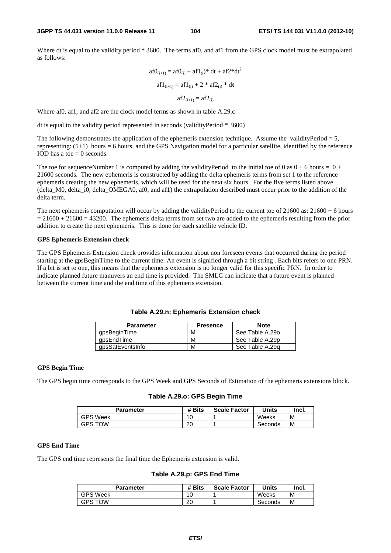Where dt is equal to the validity period \* 3600. The terms af0, and af1 from the GPS clock model must be extrapolated as follows:

$$
af0_{(i+1)} = af0_{(i)} + af1_{(i)} * dt + af2 * dt2
$$

$$
af1_{(i+1)} = af1_{(i)} + 2 * af2_{(i)} * dt
$$

$$
af2_{(i+1)} = af2_{(i)}
$$

Where af0, af1, and af2 are the clock model terms as shown in table A.29.c

dt is equal to the validity period represented in seconds (validityPeriod \* 3600)

The following demonstrates the application of the ephemeris extension technique. Assume the validityPeriod  $= 5$ , representing: (5+1) hours = 6 hours, and the GPS Navigation model for a particular satellite, identified by the reference IOD has a toe  $= 0$  seconds.

The toe for sequenceNumber 1 is computed by adding the validityPeriod to the initial toe of 0 as  $0 + 6$  hours =  $0 +$ 21600 seconds. The new ephemeris is constructed by adding the delta ephemeris terms from set 1 to the reference ephemeris creating the new ephemeris, which will be used for the next six hours. For the five terms listed above (delta\_M0, delta\_i0, delta\_OMEGA0, af0, and af1) the extrapolation described must occur prior to the addition of the delta term.

The next ephemeris computation will occur by adding the validityPeriod to the current toe of  $21600$  as:  $21600 + 6$  hours  $= 21600 + 21600 = 43200$ . The ephemeris delta terms from set two are added to the ephemeris resulting from the prior addition to create the next ephemeris. This is done for each satellite vehicle ID.

### **GPS Ephemeris Extension check**

The GPS Ephemeris Extension check provides information about non foreseen events that occurred during the period starting at the gpsBeginTime to the current time. An event is signified through a bit string . Each bits refers to one PRN. If a bit is set to one, this means that the ephemeris extension is no longer valid for this specific PRN. In order to indicate planned future manuvers an end time is provided. The SMLC can indicate that a future event is planned between the current time and the end time of this ephemeris extension.

| <b>Parameter</b> | <b>Presence</b> | <b>Note</b>     |
|------------------|-----------------|-----------------|
| gpsBeginTime     | М               | See Table A.29o |
| qpsEndTime       | м               | See Table A.29p |
| gpsSatEventsInfo | м               | See Table A.29g |

## **Table A.29.n: Ephemeris Extension check**

#### **GPS Begin Time**

The GPS begin time corresponds to the GPS Week and GPS Seconds of Estimation of the ephemeris extensions block.

### **Table A.29.o: GPS Begin Time**

| Parameter       | # Bits | <b>Scale Factor</b> | Units   | Incl. |
|-----------------|--------|---------------------|---------|-------|
| <b>GPS Week</b> | u      |                     | Weeks   | M     |
| <b>GPS TOW</b>  | 20     |                     | Seconds | M     |

## **GPS End Time**

The GPS end time represents the final time the Ephemeris extension is valid.

**Table A.29.p: GPS End Time** 

| Parameter       | # Bits    | <b>Scale Factor</b> | Units   | Incl. |
|-----------------|-----------|---------------------|---------|-------|
| <b>GPS Week</b> | 10        |                     | Weeks   | М     |
| <b>GPS TOW</b>  | nr.<br>∠∪ |                     | Seconds | М     |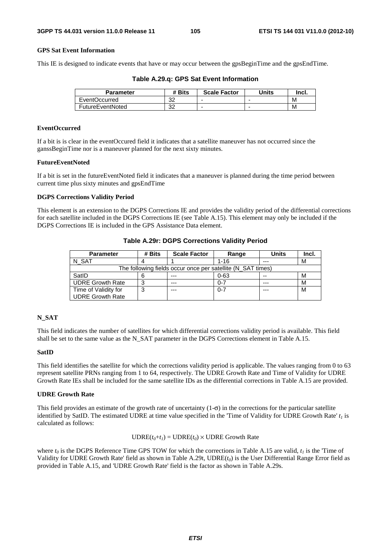## **GPS Sat Event Information**

This IE is designed to indicate events that have or may occur between the gpsBeginTime and the gpsEndTime.

**Table A.29.q: GPS Sat Event Information** 

| <b>Parameter</b>     | # Bits   | <b>Scale Factor</b> | Units | Incl. |
|----------------------|----------|---------------------|-------|-------|
| <b>EventOccurred</b> | ົດ<br>ےں |                     |       | M     |
| FutureEventNoted     | ົດ<br>ےں |                     | -     | M     |

### **EventOccurred**

If a bit is is clear in the eventOccured field it indicates that a satellite maneuver has not occurred since the ganssBeginTime nor is a maneuver planned for the next sixty minutes.

## **FutureEventNoted**

If a bit is set in the futureEventNoted field it indicates that a maneuver is planned during the time period between current time plus sixty minutes and gpsEndTime

#### **DGPS Corrections Validity Period**

This element is an extension to the DGPS Corrections IE and provides the validity period of the differential corrections for each satellite included in the DGPS Corrections IE (see Table A.15). This element may only be included if the DGPS Corrections IE is included in the GPS Assistance Data element.

| <b>Parameter</b>                                            | # Bits | <b>Scale Factor</b> | Range    | Units   | Incl. |
|-------------------------------------------------------------|--------|---------------------|----------|---------|-------|
| N SAT                                                       |        |                     | $1 - 16$ | $- - -$ | М     |
| The following fields occur once per satellite (N_SAT times) |        |                     |          |         |       |
| SatID                                                       |        | ---                 | $0 - 63$ | $-$     | м     |
| <b>UDRE Growth Rate</b>                                     |        | $- - -$             | 0-7      | $- - -$ | М     |
| Time of Validity for                                        |        | ---                 | $0 - 7$  | $- - -$ | м     |
| <b>UDRE Growth Rate</b>                                     |        |                     |          |         |       |

**Table A.29r: DGPS Corrections Validity Period** 

### **N\_SAT**

This field indicates the number of satellites for which differential corrections validity period is available. This field shall be set to the same value as the N\_SAT parameter in the DGPS Corrections element in Table A.15.

### **SatID**

This field identifies the satellite for which the corrections validity period is applicable. The values ranging from 0 to 63 represent satellite PRNs ranging from 1 to 64, respectively. The UDRE Growth Rate and Time of Validity for UDRE Growth Rate IEs shall be included for the same satellite IDs as the differential corrections in Table A.15 are provided.

### **UDRE Growth Rate**

This field provides an estimate of the growth rate of uncertainty  $(1-\sigma)$  in the corrections for the particular satellite identified by SatID. The estimated UDRE at time value specified in the 'Time of Validity for UDRE Growth Rate'  $t_1$  is calculated as follows:

## $\text{UDRE}(t_0 + t_1) = \text{UDRE}(t_0) \times \text{UDRE}$  Growth Rate

where  $t_0$  is the DGPS Reference Time GPS TOW for which the corrections in Table A.15 are valid,  $t_1$  is the 'Time of Validity for UDRE Growth Rate' field as shown in Table A.29t, UDRE( $t_0$ ) is the User Differential Range Error field as provided in Table A.15, and 'UDRE Growth Rate' field is the factor as shown in Table A.29s.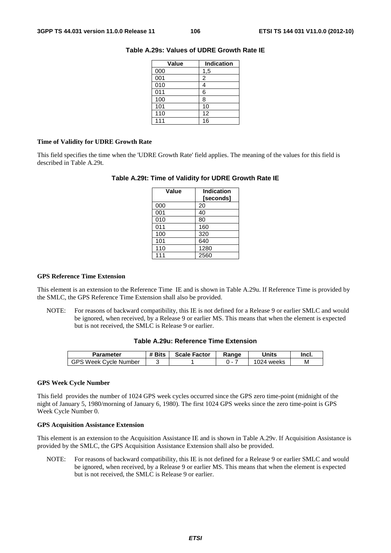| Value | <b>Indication</b> |
|-------|-------------------|
| 000   | 1,5               |
| 001   | 2                 |
| 010   |                   |
| 011   | 6                 |
| 100   | 8                 |
| 101   | 10                |
| 110   | 12                |
| 111   | 16                |

## **Table A.29s: Values of UDRE Growth Rate IE**

### **Time of Validity for UDRE Growth Rate**

This field specifies the time when the 'UDRE Growth Rate' field applies. The meaning of the values for this field is described in Table A.29t.

## **Table A.29t: Time of Validity for UDRE Growth Rate IE**

| Value | <b>Indication</b><br>[seconds] |
|-------|--------------------------------|
| 000   | 20                             |
| 001   | 40                             |
| 010   | 80                             |
| 011   | 160                            |
| 100   | 320                            |
| 101   | 640                            |
| 110   | 1280                           |
| 111   | 2560                           |

## **GPS Reference Time Extension**

This element is an extension to the Reference Time IE and is shown in Table A.29u. If Reference Time is provided by the SMLC, the GPS Reference Time Extension shall also be provided.

NOTE: For reasons of backward compatibility, this IE is not defined for a Release 9 or earlier SMLC and would be ignored, when received, by a Release 9 or earlier MS. This means that when the element is expected but is not received, the SMLC is Release 9 or earlier.

## **Table A.29u: Reference Time Extension**

| Parameter                            | # Bits | <b>Scale Factor</b> | Ranɑe | Units        | Incl. |
|--------------------------------------|--------|---------------------|-------|--------------|-------|
| GPS<br>., Week (*<br>Cvcle<br>Number |        |                     | . .   | 024<br>weeks | М     |

### **GPS Week Cycle Number**

This field provides the number of 1024 GPS week cycles occurred since the GPS zero time-point (midnight of the night of January 5, 1980/morning of January 6, 1980). The first 1024 GPS weeks since the zero time-point is GPS Week Cycle Number 0.

### **GPS Acquisition Assistance Extension**

This element is an extension to the Acquisition Assistance IE and is shown in Table A.29v. If Acquisition Assistance is provided by the SMLC, the GPS Acquisition Assistance Extension shall also be provided.

NOTE: For reasons of backward compatibility, this IE is not defined for a Release 9 or earlier SMLC and would be ignored, when received, by a Release 9 or earlier MS. This means that when the element is expected but is not received, the SMLC is Release 9 or earlier.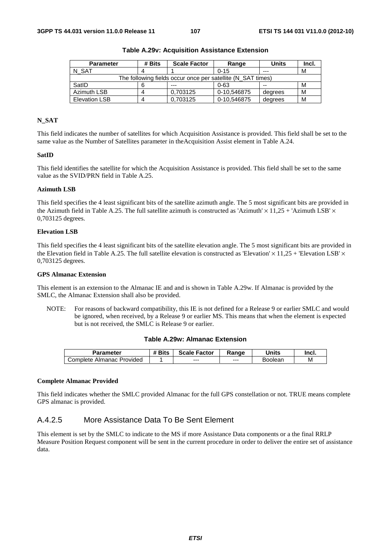| <b>Parameter</b>                                            | # Bits | <b>Scale Factor</b> | Range       | <b>Units</b> | Incl. |
|-------------------------------------------------------------|--------|---------------------|-------------|--------------|-------|
| N SAT                                                       |        |                     | $0 - 15$    | $- - -$      | М     |
| The following fields occur once per satellite (N SAT times) |        |                     |             |              |       |
| SatID                                                       |        | ---                 | $0 - 63$    | $- -$        | м     |
| Azimuth LSB                                                 |        | 0.703125            | 0-10,546875 | degrees      | м     |
| <b>Elevation LSB</b>                                        |        | 0.703125            | 0-10.546875 | degrees      | М     |

**Table A.29v: Acquisition Assistance Extension** 

## **N\_SAT**

This field indicates the number of satellites for which Acquisition Assistance is provided. This field shall be set to the same value as the Number of Satellites parameter in theAcquisition Assist element in Table A.24.

### **SatID**

This field identifies the satellite for which the Acquisition Assistance is provided. This field shall be set to the same value as the SVID/PRN field in Table A.25.

#### **Azimuth LSB**

This field specifies the 4 least significant bits of the satellite azimuth angle. The 5 most significant bits are provided in the Azimuth field in Table A.25. The full satellite azimuth is constructed as 'Azimuth'  $\times$  11,25 + 'Azimuth LSB'  $\times$ 0,703125 degrees.

#### **Elevation LSB**

This field specifies the 4 least significant bits of the satellite elevation angle. The 5 most significant bits are provided in the Elevation field in Table A.25. The full satellite elevation is constructed as 'Elevation'  $\times$  11,25 + 'Elevation LSB'  $\times$ 0,703125 degrees.

#### **GPS Almanac Extension**

This element is an extension to the Almanac IE and and is shown in Table A.29w. If Almanac is provided by the SMLC, the Almanac Extension shall also be provided.

NOTE: For reasons of backward compatibility, this IE is not defined for a Release 9 or earlier SMLC and would be ignored, when received, by a Release 9 or earlier MS. This means that when the element is expected but is not received, the SMLC is Release 9 or earlier.

## **Table A.29w: Almanac Extension**

| Parameter                                  | <b><i># Bits</i></b> | <b>Scale Factor</b> | Ranɑe   | Units   | Incl. |
|--------------------------------------------|----------------------|---------------------|---------|---------|-------|
| <b>Provided</b><br>Complete ∂<br>. Almanac |                      | $--$                | $- - -$ | Boolean | M     |

#### **Complete Almanac Provided**

This field indicates whether the SMLC provided Almanac for the full GPS constellation or not. TRUE means complete GPS almanac is provided.

## A.4.2.5 More Assistance Data To Be Sent Element

This element is set by the SMLC to indicate to the MS if more Assistance Data components or a the final RRLP Measure Position Request component will be sent in the current procedure in order to deliver the entire set of assistance data.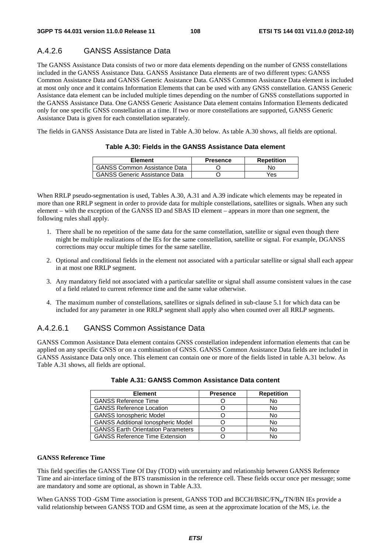## A.4.2.6 GANSS Assistance Data

The GANSS Assistance Data consists of two or more data elements depending on the number of GNSS constellations included in the GANSS Assistance Data. GANSS Assistance Data elements are of two different types: GANSS Common Assistance Data and GANSS Generic Assistance Data. GANSS Common Assistance Data element is included at most only once and it contains Information Elements that can be used with any GNSS constellation. GANSS Generic Assistance data element can be included multiple times depending on the number of GNSS constellations supported in the GANSS Assistance Data. One GANSS Generic Assistance Data element contains Information Elements dedicated only for one specific GNSS constellation at a time. If two or more constellations are supported, GANSS Generic Assistance Data is given for each constellation separately.

The fields in GANSS Assistance Data are listed in Table A.30 below. As table A.30 shows, all fields are optional.

| Element                              | <b>Presence</b> | Repetition |
|--------------------------------------|-----------------|------------|
| <b>GANSS Common Assistance Data</b>  |                 | No.        |
| <b>GANSS Generic Assistance Data</b> |                 | Yes        |

## **Table A.30: Fields in the GANSS Assistance Data element**

When RRLP pseudo-segmentation is used, Tables A.30, A.31 and A.39 indicate which elements may be repeated in more than one RRLP segment in order to provide data for multiple constellations, satellites or signals. When any such element – with the exception of the GANSS ID and SBAS ID element – appears in more than one segment, the following rules shall apply.

- 1. There shall be no repetition of the same data for the same constellation, satellite or signal even though there might be multiple realizations of the IEs for the same constellation, satellite or signal. For example, DGANSS corrections may occur multiple times for the same satellite.
- 2. Optional and conditional fields in the element not associated with a particular satellite or signal shall each appear in at most one RRLP segment.
- 3. Any mandatory field not associated with a particular satellite or signal shall assume consistent values in the case of a field related to current reference time and the same value otherwise.
- 4. The maximum number of constellations, satellites or signals defined in sub-clause 5.1 for which data can be included for any parameter in one RRLP segment shall apply also when counted over all RRLP segments.

## A.4.2.6.1 GANSS Common Assistance Data

GANSS Common Assistance Data element contains GNSS constellation independent information elements that can be applied on any specific GNSS or on a combination of GNSS. GANSS Common Assistance Data fields are included in GANSS Assistance Data only once. This element can contain one or more of the fields listed in table A.31 below. As Table A.31 shows, all fields are optional.

| <b>Element</b>                            | <b>Presence</b> | <b>Repetition</b> |
|-------------------------------------------|-----------------|-------------------|
| <b>GANSS Reference Time</b>               |                 | No                |
| <b>GANSS Reference Location</b>           |                 | No                |
| <b>GANSS lonospheric Model</b>            |                 | No                |
| <b>GANSS Additional Ionospheric Model</b> |                 | No                |
| <b>GANSS Earth Orientation Parameters</b> |                 | No                |
| <b>GANSS Reference Time Extension</b>     |                 |                   |

| Table A.31: GANSS Common Assistance Data content |  |
|--------------------------------------------------|--|
|--------------------------------------------------|--|

#### **GANSS Reference Time**

This field specifies the GANSS Time Of Day (TOD) with uncertainty and relationship between GANSS Reference Time and air-interface timing of the BTS transmission in the reference cell. These fields occur once per message; some are mandatory and some are optional, as shown in Table A.33.

When GANSS TOD -GSM Time association is present, GANSS TOD and BCCH/BSIC/FN<sub>m</sub>/TN/BN IEs provide a valid relationship between GANSS TOD and GSM time, as seen at the approximate location of the MS, i.e. the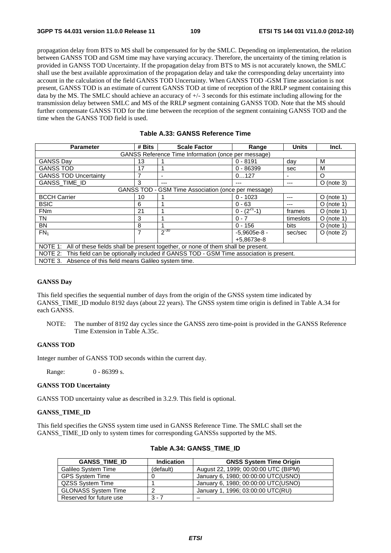propagation delay from BTS to MS shall be compensated for by the SMLC. Depending on implementation, the relation between GANSS TOD and GSM time may have varying accuracy. Therefore, the uncertainty of the timing relation is provided in GANSS TOD Uncertainty. If the propagation delay from BTS to MS is not accurately known, the SMLC shall use the best available approximation of the propagation delay and take the corresponding delay uncertainty into account in the calculation of the field GANSS TOD Uncertainty. When GANSS TOD -GSM Time association is not present, GANSS TOD is an estimate of current GANSS TOD at time of reception of the RRLP segment containing this data by the MS. The SMLC should achieve an accuracy of +/- 3 seconds for this estimate including allowing for the transmission delay between SMLC and MS of the RRLP segment containing GANSS TOD. Note that the MS should further compensate GANSS TOD for the time between the reception of the segment containing GANSS TOD and the time when the GANSS TOD field is used.

| <b>Parameter</b>                                                                              | # Bits | <b>Scale Factor</b> | Range              | <b>Units</b> | Incl.        |
|-----------------------------------------------------------------------------------------------|--------|---------------------|--------------------|--------------|--------------|
| GANSS Reference Time Information (once per message)                                           |        |                     |                    |              |              |
| <b>GANSS Day</b>                                                                              | 13     |                     | $0 - 8191$         | day          | м            |
| <b>GANSS TOD</b>                                                                              | 17     |                     | $0 - 86399$        | sec          | M            |
| <b>GANSS TOD Uncertainty</b>                                                                  | 7      |                     | 0127               |              | O            |
| GANSS_TIME_ID                                                                                 | 3      | ---                 | ---                | ---          | $O$ (note 3) |
| GANSS TOD - GSM Time Association (once per message)                                           |        |                     |                    |              |              |
| <b>BCCH Carrier</b>                                                                           | 10     |                     | $0 - 1023$         |              | $O$ (note 1) |
| <b>BSIC</b>                                                                                   | 6      |                     | $0 - 63$           | ---          | O (note 1)   |
| <b>FNm</b>                                                                                    | 21     |                     | $0 - (2^{27} - 1)$ | frames       | $O$ (note 1) |
| TN                                                                                            | 3      |                     | $0 - 7$            | timeslots    | $O$ (note 1) |
| <b>BN</b>                                                                                     | 8      |                     | $0 - 156$          | bits         | $O$ (note 1) |
| FN <sub>1</sub>                                                                               | 7      | $2^{-30}$           | $-5.9605e-8 -$     | sec/sec      | $O$ (note 2) |
|                                                                                               |        |                     | +5.8673e-8         |              |              |
| NOTE 1: All of these fields shall be present together, or none of them shall be present.      |        |                     |                    |              |              |
| NOTE 2: This field can be optionally included if GANSS TOD - GSM Time association is present. |        |                     |                    |              |              |
| NOTE 3.<br>Absence of this field means Galileo system time.                                   |        |                     |                    |              |              |

## **Table A.33: GANSS Reference Time**

#### **GANSS Day**

This field specifies the sequential number of days from the origin of the GNSS system time indicated by GANSS TIME ID modulo 8192 days (about 22 years). The GNSS system time origin is defined in Table A.34 for each GANSS.

NOTE: The number of 8192 day cycles since the GANSS zero time-point is provided in the GANSS Reference Time Extension in Table A.35c.

#### **GANSS TOD**

Integer number of GANSS TOD seconds within the current day.

Range: 0 - 86399 s.

#### **GANSS TOD Uncertainty**

GANSS TOD uncertainty value as described in 3.2.9. This field is optional.

#### **GANSS\_TIME\_ID**

This field specifies the GNSS system time used in GANSS Reference Time. The SMLC shall set the GANSS\_TIME\_ID only to system times for corresponding GANSSs supported by the MS.

| <b>GANSS TIME ID</b>       | <b>Indication</b> | <b>GNSS System Time Origin</b>       |
|----------------------------|-------------------|--------------------------------------|
| Galileo System Time        | (default)         | August 22, 1999; 00:00:00 UTC (BIPM) |
| <b>GPS System Time</b>     |                   | January 6, 1980; 00:00:00 UTC(USNO)  |
| QZSS System Time           |                   | January 6, 1980; 00:00:00 UTC(USNO)  |
| <b>GLONASS System Time</b> |                   | January 1, 1996; 03:00:00 UTC(RU)    |
| Reserved for future use    | $3 - 7$           |                                      |

## **Table A.34: GANSS\_TIME\_ID**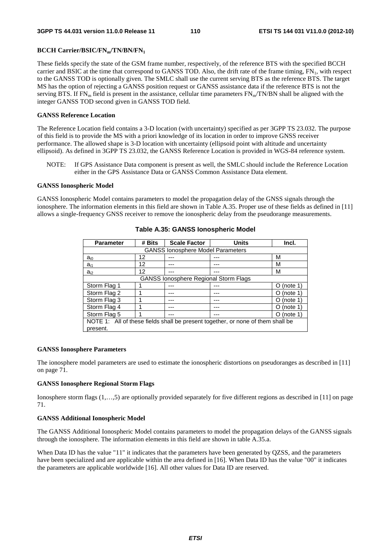## **BCCH Carrier/BSIC/FNm/TN/BN/FN1**

These fields specify the state of the GSM frame number, respectively, of the reference BTS with the specified BCCH carrier and BSIC at the time that correspond to GANSS TOD. Also, the drift rate of the frame timing,  $FN_1$ , with respect to the GANSS TOD is optionally given. The SMLC shall use the current serving BTS as the reference BTS. The target MS has the option of rejecting a GANSS position request or GANSS assistance data if the reference BTS is not the serving BTS. If  $FN_m$  field is present in the assistance, cellular time parameters  $FN_m/TN/BN$  shall be aligned with the integer GANSS TOD second given in GANSS TOD field.

## **GANSS Reference Location**

The Reference Location field contains a 3-D location (with uncertainty) specified as per 3GPP TS 23.032. The purpose of this field is to provide the MS with a priori knowledge of its location in order to improve GNSS receiver performance. The allowed shape is 3-D location with uncertainty (ellipsoid point with altitude and uncertainty ellipsoid). As defined in 3GPP TS 23.032, the GANSS Reference Location is provided in WGS-84 reference system.

NOTE: If GPS Assistance Data component is present as well, the SMLC should include the Reference Location either in the GPS Assistance Data or GANSS Common Assistance Data element.

#### **GANSS Ionospheric Model**

GANSS Ionospheric Model contains parameters to model the propagation delay of the GNSS signals through the ionosphere. The information elements in this field are shown in Table A.35. Proper use of these fields as defined in [11] allows a single-frequency GNSS receiver to remove the ionospheric delay from the pseudorange measurements.

| <b>Parameter</b>                                                                | # Bits | <b>Scale Factor</b>                          | <b>Units</b> | Incl.                |  |
|---------------------------------------------------------------------------------|--------|----------------------------------------------|--------------|----------------------|--|
| <b>GANSS lonosphere Model Parameters</b>                                        |        |                                              |              |                      |  |
| $a_{i0}$                                                                        | 12     |                                              |              | м                    |  |
| $a_{i1}$                                                                        | 12     |                                              |              | м                    |  |
| $a_{i2}$                                                                        | 12     |                                              |              | м                    |  |
|                                                                                 |        | <b>GANSS lonosphere Regional Storm Flags</b> |              |                      |  |
| Storm Flag 1                                                                    |        |                                              |              | $O$ (note 1)         |  |
| Storm Flag 2                                                                    |        |                                              |              | (note 1)<br>O        |  |
| Storm Flag 3                                                                    |        |                                              |              | (note 1)<br>$\Omega$ |  |
| Storm Flag 4                                                                    |        |                                              |              | (note 1)<br>O        |  |
| Storm Flag 5                                                                    |        |                                              |              | (note 1)<br>O        |  |
| NOTE 1: All of these fields shall be present together, or none of them shall be |        |                                              |              |                      |  |
| present.                                                                        |        |                                              |              |                      |  |

#### **Table A.35: GANSS Ionospheric Model**

#### **GANSS Ionosphere Parameters**

The ionosphere model parameters are used to estimate the ionospheric distortions on pseudoranges as described in [11] on page 71.

### **GANSS Ionosphere Regional Storm Flags**

Ionosphere storm flags (1,…,5) are optionally provided separately for five different regions as described in [11] on page 71.

#### **GANSS Additional Ionospheric Model**

The GANSS Additional Ionospheric Model contains parameters to model the propagation delays of the GANSS signals through the ionosphere. The information elements in this field are shown in table A.35.a.

When Data ID has the value "11" it indicates that the parameters have been generated by QZSS, and the parameters have been specialized and are applicable within the area defined in [16]. When Data ID has the value "00" it indicates the parameters are applicable worldwide [16]. All other values for Data ID are reserved.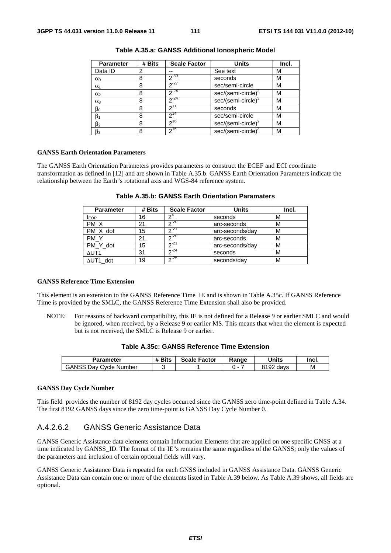| <b>Parameter</b> | # Bits | <b>Scale Factor</b> | <b>Units</b>                   | Incl. |
|------------------|--------|---------------------|--------------------------------|-------|
| Data ID          | 2      |                     | See text                       | М     |
| $\alpha$         | 8      | $2^{-30}$           | seconds                        | М     |
| $\alpha_1$       | 8      | $2^{-27}$           | sec/semi-circle                | м     |
| $\alpha_2$       | 8      | $2^{-24}$           | sec/(semi-circle) <sup>2</sup> | М     |
| $\alpha_3$       | 8      | $2^{-24}$           | sec/(semi-circle) <sup>3</sup> | м     |
| $\beta_0$        | 8      | $2^{11}$            | seconds                        | М     |
| β1               | 8      | $2^{14}$            | sec/semi-circle                | м     |
| $\beta_2$        | 8      | $2^{16}$            | $sec/(semi-circle)^2$          | М     |
| $\beta_3$        | 8      | 216                 | sec/(semi-circle) <sup>3</sup> | м     |

**Table A.35.a: GANSS Additional Ionospheric Model** 

#### **GANSS Earth Orientation Parameters**

The GANSS Earth Orientation Parameters provides parameters to construct the ECEF and ECI coordinate transformation as defined in [12] and are shown in Table A.35.b. GANSS Earth Orientation Parameters indicate the relationship between the Earth"s rotational axis and WGS-84 reference system.

| <b>Parameter</b> | # Bits | <b>Scale Factor</b> | <b>Units</b>    | Incl. |
|------------------|--------|---------------------|-----------------|-------|
| t <sub>EOP</sub> | 16     |                     | seconds         | М     |
| PM X             | 21     | $20 - 20$           | arc-seconds     | М     |
| PM X dot         | 15     | $2^{21}$            | arc-seconds/day | М     |
| PM Y             | 21     | 20                  | arc-seconds     | М     |
| PM Y dot         | 15     | 21                  | arc-seconds/day | М     |
| $\Delta$ UT1     | 31     | $2^{24}$            | seconds         | М     |
| $\Delta$ UT1 dot | 19     | 25                  | seconds/day     | М     |

**Table A.35.b: GANSS Earth Orientation Paramaters** 

#### **GANSS Reference Time Extension**

This element is an extension to the GANSS Reference Time IE and is shown in Table A.35c. If GANSS Reference Time is provided by the SMLC, the GANSS Reference Time Extension shall also be provided.

NOTE: For reasons of backward compatibility, this IE is not defined for a Release 9 or earlier SMLC and would be ignored, when received, by a Release 9 or earlier MS. This means that when the element is expected but is not received, the SMLC is Release 9 or earlier.

| Table A.35c: GANSS Reference Time Extension |  |
|---------------------------------------------|--|
|---------------------------------------------|--|

| Parameter                     | # Bits | <b>Scale Factor</b> | Range | <b>Units</b> | Incl. |
|-------------------------------|--------|---------------------|-------|--------------|-------|
| <b>GANSS Day Cycle Number</b> |        |                     |       | 8192 days    | М     |

#### **GANSS Day Cycle Number**

This field provides the number of 8192 day cycles occurred since the GANSS zero time-point defined in Table A.34. The first 8192 GANSS days since the zero time-point is GANSS Day Cycle Number 0.

## A.4.2.6.2 GANSS Generic Assistance Data

GANSS Generic Assistance data elements contain Information Elements that are applied on one specific GNSS at a time indicated by GANSS\_ID. The format of the IE"s remains the same regardless of the GANSS; only the values of the parameters and inclusion of certain optional fields will vary.

GANSS Generic Assistance Data is repeated for each GNSS included in GANSS Assistance Data. GANSS Generic Assistance Data can contain one or more of the elements listed in Table A.39 below. As Table A.39 shows, all fields are optional.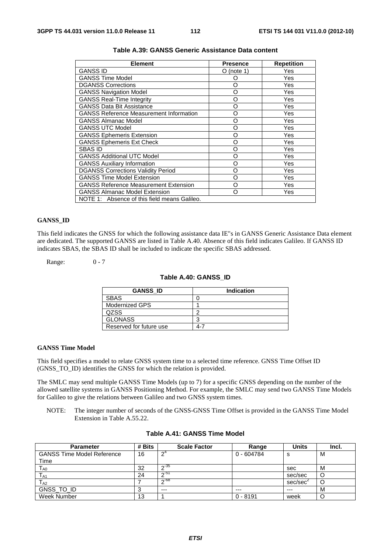| <b>Element</b>                                 | <b>Presence</b> | <b>Repetition</b> |
|------------------------------------------------|-----------------|-------------------|
| <b>GANSS ID</b>                                | O (note 1)      | Yes               |
| <b>GANSS Time Model</b>                        | Ω               | Yes               |
| <b>DGANSS Corrections</b>                      | O               | Yes               |
| <b>GANSS Navigation Model</b>                  | O               | Yes               |
| <b>GANSS Real-Time Integrity</b>               | O               | Yes               |
| <b>GANSS Data Bit Assistance</b>               | O               | Yes               |
| <b>GANSS Reference Measurement Information</b> | O               | Yes               |
| <b>GANSS Almanac Model</b>                     | O               | Yes               |
| <b>GANSS UTC Model</b>                         | O               | Yes               |
| <b>GANSS Ephemeris Extension</b>               | O               | Yes               |
| <b>GANSS Ephemeris Ext Check</b>               | O               | Yes               |
| SBAS ID                                        | O               | Yes               |
| <b>GANSS Additional UTC Model</b>              | റ               | Yes               |
| <b>GANSS Auxiliary Information</b>             | O               | Yes               |
| <b>DGANSS Corrections Validity Period</b>      | റ               | Yes               |
| <b>GANSS Time Model Extension</b>              | റ               | Yes               |
| <b>GANSS Reference Measurement Extension</b>   | റ               | Yes               |
| <b>GANSS Almanac Model Extension</b>           | റ               | Yes               |
| NOTE 1: Absence of this field means Galileo.   |                 |                   |

## **Table A.39: GANSS Generic Assistance Data content**

## **GANSS\_ID**

This field indicates the GNSS for which the following assistance data IE"s in GANSS Generic Assistance Data element are dedicated. The supported GANSS are listed in Table A.40. Absence of this field indicates Galileo. If GANSS ID indicates SBAS, the SBAS ID shall be included to indicate the specific SBAS addressed.

Range: 0 - 7

#### **Table A.40: GANSS\_ID**

| <b>GANSS ID</b>         | Indication |
|-------------------------|------------|
| <b>SBAS</b>             |            |
| Modernized GPS          |            |
| <b>QZSS</b>             | c          |
| <b>GLONASS</b>          | ◠          |
| Reserved for future use | 4-7        |

#### **GANSS Time Model**

This field specifies a model to relate GNSS system time to a selected time reference. GNSS Time Offset ID (GNSS\_TO\_ID) identifies the GNSS for which the relation is provided.

The SMLC may send multiple GANSS Time Models (up to 7) for a specific GNSS depending on the number of the allowed satellite systems in GANSS Positioning Method. For example, the SMLC may send two GANSS Time Models for Galileo to give the relations between Galileo and two GNSS system times.

NOTE: The integer number of seconds of the GNSS-GNSS Time Offset is provided in the GANSS Time Model Extension in Table A.55.22.

| <b>Parameter</b>                  | # Bits | <b>Scale Factor</b> | Range        | <b>Units</b> | Incl. |
|-----------------------------------|--------|---------------------|--------------|--------------|-------|
| <b>GANSS Time Model Reference</b> | 16     | $\mathsf{\Omega}^4$ | $0 - 604784$ | s            | M     |
| Time                              |        |                     |              |              |       |
| $T_{\sf A0}$                      | 32     | $\sim$ 35           |              | sec          | м     |
| T <sub>A1</sub>                   | 24     | ഹ-51                |              | sec/sec      |       |
| $T_{A2}$                          |        | _ი−68               |              | sec/sec      |       |
| GNSS_TO_ID                        |        | $---$               | $---$        | $---$        | м     |
| Week Number                       | 13     |                     | $0 - 8191$   | week         |       |

#### **Table A.41: GANSS Time Model**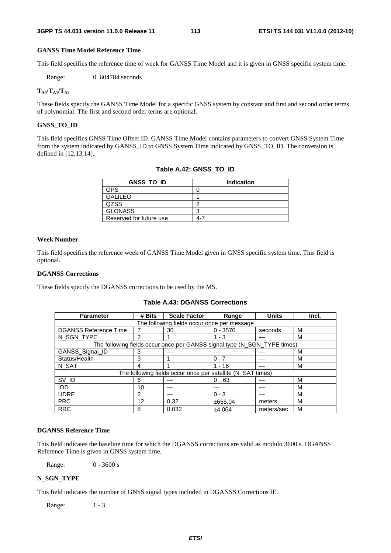## **GANSS Time Model Reference Time**

This field specifies the reference time of week for GANSS Time Model and it is given in GNSS specific system time.

Range: 0 604784 seconds

## $T_{A0}/T_{A1}/T_{A2}$

These fields specify the GANSS Time Model for a specific GNSS system by constant and first and second order terms of polynomial. The first and second order terms are optional.

## **GNSS\_TO\_ID**

This field specifies GNSS Time Offset ID. GANSS Time Model contains parameters to convert GNSS System Time from the system indicated by GANSS\_ID to GNSS System Time indicated by GNSS\_TO\_ID. The conversion is defined in [12,13,14].

| <b>GNSS TO ID</b>       | <b>Indication</b> |
|-------------------------|-------------------|
| GPS                     |                   |
| <b>GALILEO</b>          |                   |
| <b>QZSS</b>             | ╭                 |
| <b>GLONASS</b>          | ◠                 |
| Reserved for future use |                   |

|  | Table A.42: GNSS TO ID |
|--|------------------------|
|  |                        |

#### **Week Number**

This field specifies the reference week of GANSS Time Model given in GNSS specific system time. This field is optional.

#### **DGANSS Corrections**

These fields specify the DGANSS corrections to be used by the MS.

| Table A.43: DGANSS Corrections |  |
|--------------------------------|--|
|--------------------------------|--|

| <b>Parameter</b>                            | # Bits         | <b>Scale Factor</b>                                                      | Range      | <b>Units</b> | Incl. |  |  |
|---------------------------------------------|----------------|--------------------------------------------------------------------------|------------|--------------|-------|--|--|
| The following fields occur once per message |                |                                                                          |            |              |       |  |  |
| <b>DGANSS Reference Time</b>                |                | 30                                                                       | $0 - 3570$ | seconds      | м     |  |  |
| N SGN TYPE                                  | 2              |                                                                          | $1 - 3$    |              | М     |  |  |
|                                             |                | The following fields occur once per GANSS signal type (N_SGN_TYPE times) |            |              |       |  |  |
| GANSS_Signal_ID                             | 3              | ---                                                                      |            |              | М     |  |  |
| Status/Health                               | 3              |                                                                          | $0 - 7$    |              | М     |  |  |
| N SAT                                       | 4              |                                                                          | 1 - 16     | ---          | м     |  |  |
|                                             |                | The following fields occur once per satellite (N_SAT times)              |            |              |       |  |  |
| SV_ID                                       | 6              |                                                                          | 063        |              | M     |  |  |
| <b>IOD</b>                                  | 10             |                                                                          |            |              | м     |  |  |
| <b>UDRE</b>                                 | $\overline{2}$ | ---                                                                      | $0 - 3$    |              | М     |  |  |
| <b>PRC</b>                                  | 12             | 0.32                                                                     | ±655,04    | meters       | м     |  |  |
| <b>RRC</b>                                  | 8              | 0.032                                                                    | ±4.064     | meters/sec   | М     |  |  |

#### **DGANSS Reference Time**

This field indicates the baseline time for which the DGANSS corrections are valid as modulo 3600 s. DGANSS Reference Time is given in GNSS system time.

Range: 0 - 3600 s

#### **N\_SGN\_TYPE**

This field indicates the number of GNSS signal types included in DGANSS Corrections IE.

Range: 1 - 3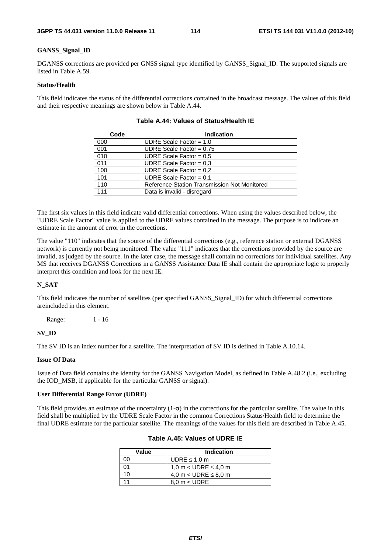#### **GANSS\_Signal\_ID**

DGANSS corrections are provided per GNSS signal type identified by GANSS\_Signal\_ID. The supported signals are listed in Table A.59.

## **Status/Health**

This field indicates the status of the differential corrections contained in the broadcast message. The values of this field and their respective meanings are shown below in Table A.44.

| Code | <b>Indication</b>                            |  |  |  |  |  |
|------|----------------------------------------------|--|--|--|--|--|
| 000  | UDRE Scale Factor = $1,0$                    |  |  |  |  |  |
| 001  | UDRE Scale Factor = $0.75$                   |  |  |  |  |  |
| 010  | UDRE Scale Factor = $0.5$                    |  |  |  |  |  |
| 011  | UDRE Scale Factor = $0.3$                    |  |  |  |  |  |
| 100  | UDRE Scale Factor = $0.2$                    |  |  |  |  |  |
| 101  | UDRE Scale Factor = $0.1$                    |  |  |  |  |  |
| 110  | Reference Station Transmission Not Monitored |  |  |  |  |  |
| 111  | Data is invalid - disregard                  |  |  |  |  |  |

**Table A.44: Values of Status/Health IE** 

The first six values in this field indicate valid differential corrections. When using the values described below, the "UDRE Scale Factor" value is applied to the UDRE values contained in the message. The purpose is to indicate an estimate in the amount of error in the corrections.

The value "110" indicates that the source of the differential corrections (e.g., reference station or external DGANSS network) is currently not being monitored. The value "111" indicates that the corrections provided by the source are invalid, as judged by the source. In the later case, the message shall contain no corrections for individual satellites. Any MS that receives DGANSS Corrections in a GANSS Assistance Data IE shall contain the appropriate logic to properly interpret this condition and look for the next IE.

## **N\_SAT**

This field indicates the number of satellites (per specified GANSS\_Signal\_ID) for which differential corrections areincluded in this element.

Range: 1 - 16

#### **SV\_ID**

The SV ID is an index number for a satellite. The interpretation of SV ID is defined in Table A.10.14.

## **Issue Of Data**

Issue of Data field contains the identity for the GANSS Navigation Model, as defined in Table A.48.2 (i.e., excluding the IOD\_MSB, if applicable for the particular GANSS or signal).

#### **User Differential Range Error (UDRE)**

This field provides an estimate of the uncertainty  $(1-\sigma)$  in the corrections for the particular satellite. The value in this field shall be multiplied by the UDRE Scale Factor in the common Corrections Status/Health field to determine the final UDRE estimate for the particular satellite. The meanings of the values for this field are described in Table A.45.

| Value | <b>Indication</b>         |  |
|-------|---------------------------|--|
|       | UDRE $\leq 1.0$ m         |  |
|       | 1,0 m < UDRE $\leq$ 4,0 m |  |
| 10    | 4,0 m < UDRE $\leq$ 8,0 m |  |
|       | $8.0 m <$ UDRE            |  |

## **Table A.45: Values of UDRE IE**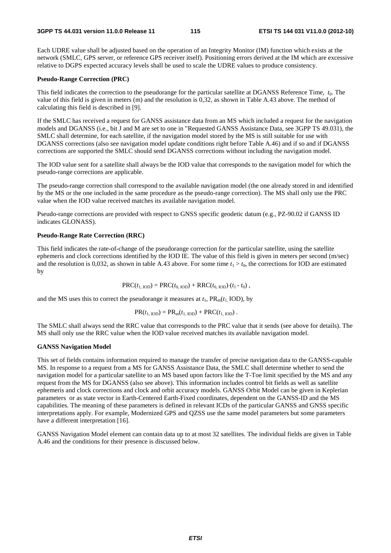Each UDRE value shall be adjusted based on the operation of an Integrity Monitor (IM) function which exists at the network (SMLC, GPS server, or reference GPS receiver itself). Positioning errors derived at the IM which are excessive relative to DGPS expected accuracy levels shall be used to scale the UDRE values to produce consistency.

#### **Pseudo-Range Correction (PRC)**

This field indicates the correction to the pseudorange for the particular satellite at DGANSS Reference Time, *t*0. The value of this field is given in meters (m) and the resolution is 0,32, as shown in Table A.43 above. The method of calculating this field is described in [9].

If the SMLC has received a request for GANSS assistance data from an MS which included a request for the navigation models and DGANSS (i.e., bit J and M are set to one in "Requested GANSS Assistance Data, see 3GPP TS 49.031), the SMLC shall determine, for each satellite, if the navigation model stored by the MS is still suitable for use with DGANSS corrections (also see navigation model update conditions right before Table A.46) and if so and if DGANSS corrections are supported the SMLC should send DGANSS corrections without including the navigation model.

The IOD value sent for a satellite shall always be the IOD value that corresponds to the navigation model for which the pseudo-range corrections are applicable.

The pseudo-range correction shall correspond to the available navigation model (the one already stored in and identified by the MS or the one included in the same procedure as the pseudo-range correction). The MS shall only use the PRC value when the IOD value received matches its available navigation model.

Pseudo-range corrections are provided with respect to GNSS specific geodetic datum (e.g., PZ-90.02 if GANSS ID indicates GLONASS).

#### **Pseudo-Range Rate Correction (RRC)**

This field indicates the rate-of-change of the pseudorange correction for the particular satellite, using the satellite ephemeris and clock corrections identified by the IOD IE. The value of this field is given in meters per second (m/sec) and the resolution is 0,032, as shown in table A.43 above. For some time  $t_1 > t_0$ , the corrections for IOD are estimated by

$$
PRC(t_{1,\text{IOD}}) = PRC(t_{0,\text{IOD}}) + RRC(t_{0,\text{IOD}}) \cdot (t_1 - t_0),
$$

and the MS uses this to correct the pseudorange it measures at  $t_1$ ,  $PR_m(t_1 | OD)$ , by

$$
PR(t_{1, DDD}) = PR_m(t_{1, DDD}) + PRC(t_{1, DDD}).
$$

The SMLC shall always send the RRC value that corresponds to the PRC value that it sends (see above for details). The MS shall only use the RRC value when the IOD value received matches its available navigation model.

#### **GANSS Navigation Model**

This set of fields contains information required to manage the transfer of precise navigation data to the GANSS-capable MS. In response to a request from a MS for GANSS Assistance Data, the SMLC shall determine whether to send the navigation model for a particular satellite to an MS based upon factors like the T-Toe limit specified by the MS and any request from the MS for DGANSS (also see above). This information includes control bit fields as well as satellite ephemeris and clock corrections and clock and orbit accuracy models. GANSS Orbit Model can be given in Keplerian parameters or as state vector in Earth-Centered Earth-Fixed coordinates, dependent on the GANSS-ID and the MS capabilities. The meaning of these parameters is defined in relevant ICDs of the particular GANSS and GNSS specific interpretations apply. For example, Modernized GPS and QZSS use the same model parameters but some parameters have a different interpretation [16].

GANSS Navigation Model element can contain data up to at most 32 satellites. The individual fields are given in Table A.46 and the conditions for their presence is discussed below.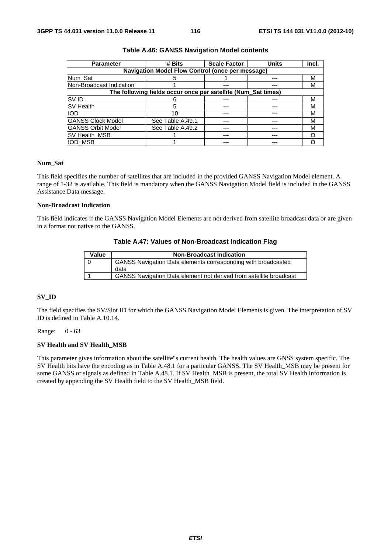| <b>Parameter</b>                                 | # Bits                                                        | <b>Scale Factor</b> | <b>Units</b> | Incl. |  |  |  |
|--------------------------------------------------|---------------------------------------------------------------|---------------------|--------------|-------|--|--|--|
| Navigation Model Flow Control (once per message) |                                                               |                     |              |       |  |  |  |
| Num Sat                                          |                                                               |                     | ---          | M     |  |  |  |
| INon-Broadcast Indication                        |                                                               |                     |              | M     |  |  |  |
|                                                  | The following fields occur once per satellite (Num_Sat times) |                     |              |       |  |  |  |
| <b>SVID</b>                                      |                                                               |                     |              | М     |  |  |  |
| <b>SV Health</b>                                 | 5                                                             | ---                 |              | М     |  |  |  |
| <b>IOD</b>                                       | 10                                                            | ---                 |              | M     |  |  |  |
| <b>GANSS Clock Model</b>                         | See Table A.49.1                                              |                     |              | М     |  |  |  |
| <b>GANSS Orbit Model</b>                         | See Table A.49.2                                              |                     |              | М     |  |  |  |
| <b>SV Health MSB</b>                             |                                                               |                     |              |       |  |  |  |
| <b>IOD MSB</b>                                   |                                                               |                     |              |       |  |  |  |

#### **Table A.46: GANSS Navigation Model contents**

## **Num\_Sat**

This field specifies the number of satellites that are included in the provided GANSS Navigation Model element. A range of 1-32 is available. This field is mandatory when the GANSS Navigation Model field is included in the GANSS Assistance Data message.

#### **Non-Broadcast Indication**

This field indicates if the GANSS Navigation Model Elements are not derived from satellite broadcast data or are given in a format not native to the GANSS.

#### **Table A.47: Values of Non-Broadcast Indication Flag**

| Value | <b>Non-Broadcast Indication</b>                                      |
|-------|----------------------------------------------------------------------|
|       | <b>GANSS Navigation Data elements corresponding with broadcasted</b> |
|       | data                                                                 |
|       | GANSS Navigation Data element not derived from satellite broadcast   |

## **SV\_ID**

The field specifies the SV/Slot ID for which the GANSS Navigation Model Elements is given. The interpretation of SV ID is defined in Table A.10.14.

Range: 0 - 63

#### **SV Health and SV Health\_MSB**

This parameter gives information about the satellite"s current health. The health values are GNSS system specific. The SV Health bits have the encoding as in Table A.48.1 for a particular GANSS. The SV Health\_MSB may be present for some GANSS or signals as defined in Table A.48.1. If SV Health\_MSB is present, the total SV Health information is created by appending the SV Health field to the SV Health\_MSB field.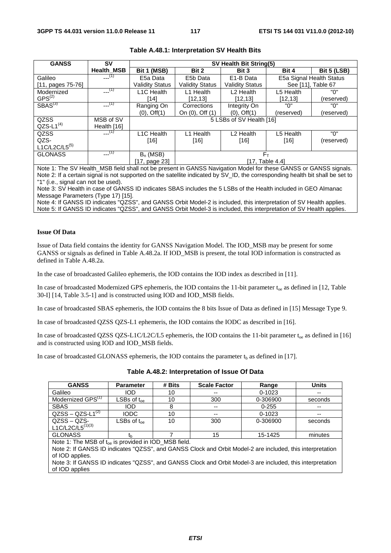| <b>GANSS</b>        | SV                | SV Health Bit String(5)          |                        |                          |                    |                          |  |
|---------------------|-------------------|----------------------------------|------------------------|--------------------------|--------------------|--------------------------|--|
|                     | <b>Health MSB</b> | Bit 1 (MSB)                      | Bit 2                  | Bit 3                    | Bit 4              | <b>Bit 5 (LSB)</b>       |  |
| Galileo             | $-(-1)$           | E5a Data                         | E5b Data               | E1-B Data                |                    | E5a Signal Health Status |  |
| $[11, pages 75-76]$ |                   | <b>Validity Status</b>           | <b>Validity Status</b> | <b>Validity Status</b>   | See [11]. Table 67 |                          |  |
| Modernized          | $-(-1)$           | L <sub>1</sub> C Health          | L1 Health              | L <sub>2</sub> Health    | L5 Health          | "በ"                      |  |
| $GPS^{(2)}$         |                   | [14]                             | [12, 13]               | [12,13]                  | [12, 13]           | (reserved)               |  |
| $S}{BAS}^{(3)}$     | $---(1)$          | Ranging On                       | Corrections            | Integrity On             | "በ"                | "በ"                      |  |
|                     |                   | $(0),$ Off $(1)$                 | On (0), Off (1)        | $(0)$ , Off $(1)$        | (reserved)         | (reserved)               |  |
| QZSS                | MSB of SV         |                                  |                        | 5 LSBs of SV Health [16] |                    |                          |  |
| $QZS-L1^{(4)}$      | Health [16]       |                                  |                        |                          |                    |                          |  |
| QZSS                | $---(1)$          | L1C Health                       | Health<br>l 1          | L <sub>2</sub> Health    | L5 Health          | "በ"                      |  |
| QZS-                |                   | [16]                             | $[16]$                 | $[16]$                   | $[16]$             | (reserved)               |  |
| $L1C/L2C/L5^{(5)}$  |                   |                                  |                        |                          |                    |                          |  |
| <b>GLONASS</b>      | $-$ (1)           | $F_{\rm T}$<br>$B_n$ (MSB)       |                        |                          |                    |                          |  |
|                     |                   | [17, Table 4.4]<br>[17, page 23] |                        |                          |                    |                          |  |

### **Table A.48.1: Interpretation SV Health Bits**

Note 1: The SV Health\_MSB field shall not be present in GANSS Navigation Model for these GANSS or GANSS signals. Note 2: If a certain signal is not supported on the satellite indicated by SV\_ID, the corresponding health bit shall be set to "1" (i.e., signal can not be used).

Note 3: SV Health in case of GANSS ID indicates SBAS includes the 5 LSBs of the Health included in GEO Almanac Message Parameters (Type 17) [15].

Note 4: If GANSS ID indicates "QZSS", and GANSS Orbit Model-2 is included, this interpretation of SV Health applies. Note 5: If GANSS ID indicates "QZSS", and GANSS Orbit Model-3 is included, this interpretation of SV Health applies.

#### **Issue Of Data**

Issue of Data field contains the identity for GANSS Navigation Model. The IOD\_MSB may be present for some GANSS or signals as defined in Table A.48.2a. If IOD\_MSB is present, the total IOD information is constructed as defined in Table A.48.2a.

In the case of broadcasted Galileo ephemeris, the IOD contains the IOD index as described in [11].

In case of broadcasted Modernized GPS ephemeris, the IOD contains the 11-bit parameter  $t_{oe}$  as defined in [12, Table 30-I] [14, Table 3.5-1] and is constructed using IOD and IOD\_MSB fields.

In case of broadcasted SBAS ephemeris, the IOD contains the 8 bits Issue of Data as defined in [15] Message Type 9.

In case of broadcasted QZSS QZS-L1 ephemeris, the IOD contains the IODC as described in [16].

In case of broadcasted QZSS QZS-L1C/L2C/L5 ephemeris, the IOD contains the 11-bit parameter  $t_{\text{oe}}$  as defined in [16] and is constructed using IOD and IOD\_MSB fields.

In case of broadcasted GLONASS ephemeris, the IOD contains the parameter  $t<sub>b</sub>$  as defined in [17].

| <b>GANSS</b>                  | <b>Parameter</b>             | # Bits | <b>Scale Factor</b> | Range      | Units   |
|-------------------------------|------------------------------|--------|---------------------|------------|---------|
| Galileo                       | <b>IOD</b>                   | 10     | $-$                 | $0 - 1023$ | $- -$   |
| Modernized GPS <sup>(1)</sup> | $\sf{LSBs}$ of t $_{\sf oe}$ | 10     | 300                 | 0-306900   | seconds |
| <b>SBAS</b>                   | <b>IOD</b>                   | 8      | $- -$               | $0 - 255$  | $- -$   |
| $QZSS - QZS-L1^{(2)}$         | <b>IODC</b>                  | 10     | $-$                 | $0 - 1023$ | $- -$   |
| $QZSS - QZS-$                 | $LSBs$ of $t_{oe}$           | 10     | 300                 | 0-306900   | seconds |
| $L1C/L2C/L5^{(1)(3)}$         |                              |        |                     |            |         |
| <b>GLONASS</b>                | tb                           |        | 15                  | 15-1425    | minutes |

**Table A.48.2: Interpretation of Issue Of Data** 

Note 1: The MSB of t<sub>oe</sub> is provided in IOD\_MSB field.

Note 2: If GANSS ID indicates "QZSS", and GANSS Clock and Orbit Model-2 are included, this interpretation of IOD applies.

Note 3: If GANSS ID indicates "QZSS", and GANSS Clock and Orbit Model-3 are included, this interpretation of IOD applies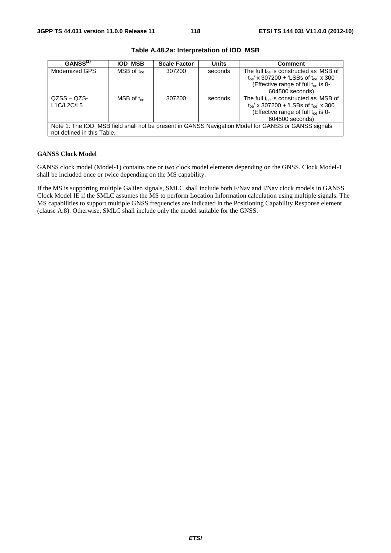| GANSS <sup>(1)</sup>                                                                                                              | <b>IOD MSB</b>            | <b>Scale Factor</b> | <b>Units</b> | <b>Comment</b>                                                                                                                                                      |  |  |
|-----------------------------------------------------------------------------------------------------------------------------------|---------------------------|---------------------|--------------|---------------------------------------------------------------------------------------------------------------------------------------------------------------------|--|--|
| Modernized GPS                                                                                                                    | $MSB$ of $t_{\text{one}}$ | 307200              | seconds      | The full $t_{oe}$ is constructed as 'MSB of<br>$t_{oe}$ ' x 307200 + 'LSBs of $t_{oe}$ ' x 300<br>(Effective range of full t <sub>oe</sub> is 0-<br>604500 seconds) |  |  |
| $QZSS - QZS$<br>L1C/L2C/L5                                                                                                        | $MSB$ of $t_{\text{oe}}$  | 307200              | seconds      | The full $t_{oe}$ is constructed as 'MSB of<br>$t_{oe}$ ' x 307200 + 'LSBs of $t_{oe}$ ' x 300<br>(Effective range of full t <sub>oe</sub> is 0-<br>604500 seconds) |  |  |
| Note 1: The IOD_MSB field shall not be present in GANSS Navigation Model for GANSS or GANSS signals<br>not defined in this Table. |                           |                     |              |                                                                                                                                                                     |  |  |

**Table A.48.2a: Interpretation of IOD\_MSB** 

#### **GANSS Clock Model**

GANSS clock model (Model-1) contains one or two clock model elements depending on the GNSS. Clock Model-1 shall be included once or twice depending on the MS capability.

If the MS is supporting multiple Galileo signals, SMLC shall include both F/Nav and I/Nav clock models in GANSS Clock Model IE if the SMLC assumes the MS to perform Location Information calculation using multiple signals. The MS capabilities to support multiple GNSS frequencies are indicated in the Positioning Capability Response element (clause A.8). Otherwise, SMLC shall include only the model suitable for the GNSS.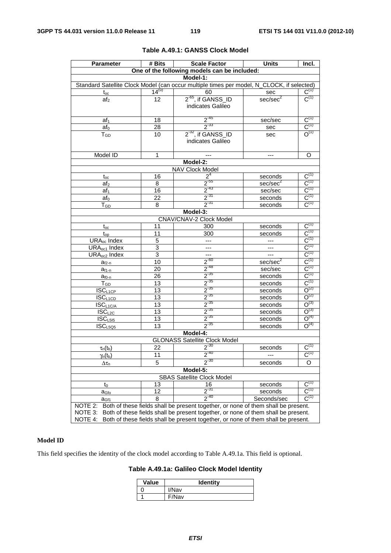| <b>Parameter</b>                                            | # Bits                                                                            | <b>Scale Factor</b>                                                                       | <b>Units</b>                                     | Incl.                                       |  |
|-------------------------------------------------------------|-----------------------------------------------------------------------------------|-------------------------------------------------------------------------------------------|--------------------------------------------------|---------------------------------------------|--|
| One of the following models can be included:                |                                                                                   |                                                                                           |                                                  |                                             |  |
|                                                             |                                                                                   | Model-1:                                                                                  |                                                  |                                             |  |
|                                                             |                                                                                   | Standard Satellite Clock Model (can occur multiple times per model, N_CLOCK, if selected) |                                                  |                                             |  |
| $t_{oc}$                                                    | $14^{(u)}$                                                                        | 60                                                                                        | sec                                              | $C^{(1)}$                                   |  |
| af <sub>2</sub>                                             | 12                                                                                | $2-65$ , if GANSS_ID                                                                      | sec/sec <sup>2</sup>                             | $C^{(1)}$                                   |  |
|                                                             |                                                                                   | indicates Galileo                                                                         |                                                  |                                             |  |
|                                                             |                                                                                   |                                                                                           |                                                  |                                             |  |
| af <sub>1</sub>                                             | 18                                                                                | $2^{-45}$                                                                                 | sec/sec                                          | $\overline{C}^{(1)}$                        |  |
| af <sub>0</sub>                                             | 28                                                                                | $2^{-33}$                                                                                 | sec                                              | $C^{(1)}$                                   |  |
| $T_{GD}$                                                    | 10                                                                                | $2-32$ , if GANSS_ID                                                                      | sec                                              | $O^{(1)}$                                   |  |
|                                                             |                                                                                   | indicates Galileo                                                                         |                                                  |                                             |  |
|                                                             |                                                                                   |                                                                                           |                                                  |                                             |  |
| Model ID                                                    | 1                                                                                 |                                                                                           | ---                                              | O                                           |  |
|                                                             |                                                                                   | Model-2:                                                                                  |                                                  |                                             |  |
|                                                             |                                                                                   | NAV Clock Model<br>2 <sup>4</sup>                                                         |                                                  | $C^{(1)}$                                   |  |
| $t_{oc}$                                                    | 16                                                                                | $2^{55}$                                                                                  | seconds                                          |                                             |  |
| af <sub>2</sub>                                             | 8                                                                                 | $2^{-43}$                                                                                 | sec/sec <sup>2</sup>                             | $C^{(1)}$                                   |  |
| af <sub>1</sub>                                             | 16                                                                                | $2^{31}$                                                                                  | sec/sec                                          | $C^{(1)}$<br>$C^{(1)}$                      |  |
| $af_0$                                                      | 22                                                                                | $2^{-31}$                                                                                 | seconds                                          | $C^{(1)}$                                   |  |
| $\mathsf{T}_{\mathsf{GD}}$                                  | 8                                                                                 |                                                                                           | seconds                                          |                                             |  |
|                                                             |                                                                                   | Model-3:                                                                                  |                                                  |                                             |  |
|                                                             |                                                                                   | CNAV/CNAV-2 Clock Model                                                                   |                                                  | $C^{(1)}$                                   |  |
| $t_{\rm oc}$                                                | 11                                                                                | 300                                                                                       | seconds                                          | $C^{(1)}$                                   |  |
| $t_{op}$                                                    | 11                                                                                | 300                                                                                       | seconds                                          |                                             |  |
| URA <sub>oc</sub> Index                                     | 5<br>3                                                                            | $\overline{a}$                                                                            |                                                  | $\frac{\mathbf{C}^{(1)}}{\mathbf{C}^{(1)}}$ |  |
| URA <sub>oc1</sub> Index<br><b>URA</b> <sub>oc2</sub> Index | $\overline{3}$                                                                    |                                                                                           | $\overline{a}$                                   | $C^{(1)}$                                   |  |
|                                                             | 10                                                                                | 44<br>$2^{-60}$                                                                           | $\hspace{0.05cm} \ldots$<br>sec/sec <sup>2</sup> | $C^{(1)}$                                   |  |
| $a_{f2-n}$                                                  | 20                                                                                | $2^{-48}$                                                                                 | sec/sec                                          | $C^{(1)}$                                   |  |
| $a_{f1-n}$                                                  | 26                                                                                |                                                                                           | seconds                                          | $C^{(1)}$                                   |  |
| $a_{f0-n}$<br>$T_{GD}$                                      | 13                                                                                | $\frac{2^{35}}{2^{35}}$                                                                   | seconds                                          | $C^{(1)}$                                   |  |
| $ISC_{L1CP}$                                                | 13                                                                                |                                                                                           | seconds                                          | $O^{(2)}$                                   |  |
| $ISC_{L1CD}$                                                | $\overline{13}$                                                                   | $\frac{2^{35}}{2^{35}}$<br>$\frac{2^{35}}{2^{35}}$                                        | seconds                                          | $O^{(2)}$                                   |  |
| $\overline{\sf{ISC}}_{\sf L1C/A}$                           | 13                                                                                |                                                                                           | seconds                                          | $O^{(3)}$                                   |  |
| $ISC_{L2C}$                                                 | 13                                                                                | $2^{35}$                                                                                  | seconds                                          | $O^{(3)}$                                   |  |
| ISC <sub>L515</sub>                                         | 13                                                                                | $2^{-35}$                                                                                 | seconds                                          | $O^{(4)}$                                   |  |
| $\overline{\text{ISC}_{L5Q5}}$                              | 13                                                                                | $\frac{1}{2}$ -35                                                                         | seconds                                          | $O^{(4)}$                                   |  |
|                                                             |                                                                                   | Model-4:                                                                                  |                                                  |                                             |  |
|                                                             |                                                                                   | <b>GLONASS Satellite Clock Model</b>                                                      |                                                  |                                             |  |
| $\tau_n(t_b)$                                               | 22                                                                                | $2^{-30}$                                                                                 | seconds                                          | $C^{(1)}$                                   |  |
| $\gamma_n(t_b)$                                             | 11                                                                                | 2                                                                                         | ---                                              | $C^{(1)}$                                   |  |
|                                                             | 5                                                                                 | $2^{-30}$                                                                                 | seconds                                          | O                                           |  |
| $\Delta\tau_{\textsf{n}}$                                   |                                                                                   |                                                                                           |                                                  |                                             |  |
| Model-5:<br><b>SBAS Satellite Clock Model</b>               |                                                                                   |                                                                                           |                                                  |                                             |  |
|                                                             | 13                                                                                | 16                                                                                        | seconds                                          | $\overline{C^{(1)}}$                        |  |
| to                                                          | 12                                                                                | $2^{-31}$                                                                                 | seconds                                          | $\textsf{C}^{\textsf{(1)}}$                 |  |
| a <sub>Gfo</sub>                                            | 8                                                                                 | $2^{-40}$                                                                                 | Seconds/sec                                      | $C^{(1)}$                                   |  |
| a <sub>Gf1</sub><br>NOTE 2:                                 |                                                                                   | Both of these fields shall be present together, or none of them shall be present.         |                                                  |                                             |  |
| NOTE 3:                                                     |                                                                                   | Both of these fields shall be present together, or none of them shall be present.         |                                                  |                                             |  |
| NOTE 4:                                                     |                                                                                   |                                                                                           |                                                  |                                             |  |
|                                                             | Both of these fields shall be present together, or none of them shall be present. |                                                                                           |                                                  |                                             |  |

## **Table A.49.1: GANSS Clock Model**

## **Model ID**

This field specifies the identity of the clock model according to Table A.49.1a. This field is optional.

**Table A.49.1a: Galileo Clock Model Identity** 

| Value | <b>Identity</b> |
|-------|-----------------|
|       | I/Nav           |
|       | F/Nav           |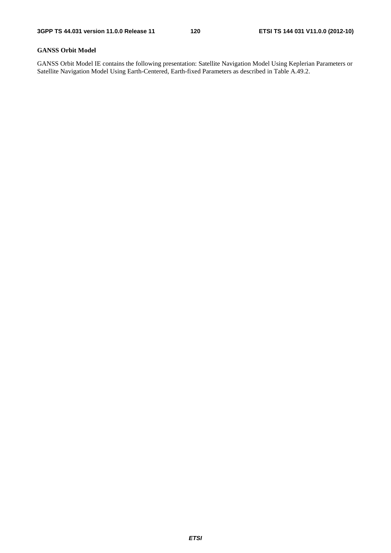## **GANSS Orbit Model**

GANSS Orbit Model IE contains the following presentation: Satellite Navigation Model Using Keplerian Parameters or Satellite Navigation Model Using Earth-Centered, Earth-fixed Parameters as described in Table A.49.2.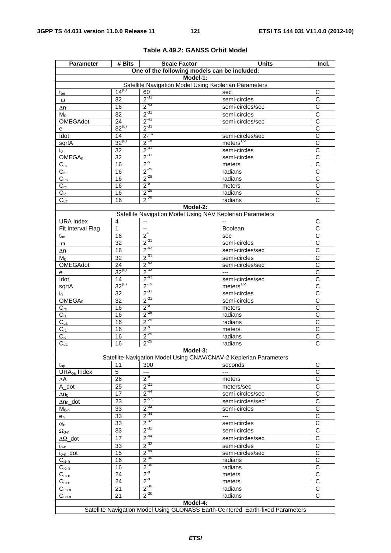| <b>Parameter</b>               | # Bits                                                                          | <b>Scale Factor</b>                                               | <b>Units</b>                     | Incl.                      |  |
|--------------------------------|---------------------------------------------------------------------------------|-------------------------------------------------------------------|----------------------------------|----------------------------|--|
|                                |                                                                                 | One of the following models can be included:                      |                                  |                            |  |
|                                |                                                                                 | Model-1:                                                          |                                  |                            |  |
|                                |                                                                                 | Satellite Navigation Model Using Keplerian Parameters             |                                  |                            |  |
| $t_{oe}$                       | $14^{(u)}$                                                                      | 60                                                                | sec                              | C                          |  |
| $\omega$                       | 32                                                                              | $2^{31}$                                                          | semi-circles                     | C                          |  |
| Δn                             | 16                                                                              | $2^{-43}$                                                         | semi-circles/sec                 | $\overline{\text{c}}$      |  |
| Mo                             | 32                                                                              | $2^{-31}$                                                         | semi-circles                     | $\overline{C}$             |  |
| OMEGAdot                       | $\overline{24}$                                                                 | $2^{-43}$                                                         | semi-circles/sec                 | $\overline{\text{c}}$      |  |
| е                              | $32^{(u)}$                                                                      | $2^{-33}$                                                         | $---$                            | $\overline{C}$             |  |
| Idot                           | 14                                                                              | $\frac{2^{-43}}{2^{-19}}$                                         | semi-circles/sec                 | $\overline{\text{c}}$      |  |
| sqrtA                          | $32^{(u)}$                                                                      |                                                                   | meters <sup>1/2</sup>            | $\overline{\text{c}}$      |  |
| I <sub>0</sub>                 | 32                                                                              | $2^{-31}$                                                         | semi-circles                     | C                          |  |
| OMEGA <sub>0</sub>             | $\overline{32}$                                                                 | $2^{-31}$                                                         | semi-circles                     | $\overline{\text{c}}$      |  |
| $C_{rs}$                       | 16                                                                              | $2^{5}$                                                           | meters                           | C                          |  |
| $C_{is}$                       | 16                                                                              | $2^{-29}$                                                         | radians                          | $\overline{\text{c}}$      |  |
| $C_{us}$                       | 16                                                                              | $2^{-29}$                                                         | radians                          | $\overline{\text{c}}$      |  |
| $C_{rc}$                       | 16                                                                              | $2^{5}$                                                           | meters                           | $\overline{\text{c}}$      |  |
| $C_{ic}$                       | 16                                                                              | $2^{-29}$                                                         | radians                          | $\overline{C}$             |  |
| $C_{uc}$                       | 16                                                                              | $2^{-29}$                                                         | radians                          | C                          |  |
|                                |                                                                                 | Model-2:                                                          |                                  |                            |  |
|                                |                                                                                 | Satellite Navigation Model Using NAV Keplerian Parameters         |                                  |                            |  |
| <b>URA</b> Index               | 4                                                                               | $\overline{\phantom{a}}$                                          |                                  | C                          |  |
| Fit Interval Flag              | 1                                                                               | $\ddotsc$                                                         | Boolean                          | $\overline{\text{c}}$      |  |
| $t_{oe}$                       | 16                                                                              | 2 <sup>4</sup>                                                    | sec                              | C                          |  |
| $\omega$                       | 32                                                                              | $2^{-31}$                                                         | semi-circles                     | $\overline{C}$             |  |
| $\Delta n$                     | 16                                                                              | $2^{-43}$                                                         | semi-circles/sec                 | $\overline{\text{c}}$      |  |
| $M_0$                          | 32                                                                              | $2^{-31}$                                                         | semi-circles                     | C                          |  |
| OMEGAdot                       | $\overline{24}$                                                                 | $2^{-43}$                                                         | semi-circles/sec                 | $\overline{\text{c}}$      |  |
| e                              | $32^{(u)}$                                                                      | $2^{-33}$                                                         | $\overline{a}$                   | $\overline{\text{c}}$      |  |
| Idot                           | 14                                                                              | $2^{-43}$                                                         | semi-circles/sec                 | $\overline{\text{c}}$      |  |
| sqrtA                          | $32^{(u)}$                                                                      | $2^{-19}$                                                         | meters $^{1/2}$                  | С                          |  |
| İ0.                            | 32                                                                              | $2^{-31}$                                                         | semi-circles                     | $\overline{C}$             |  |
| OMEGA <sub>0</sub>             | $\overline{32}$                                                                 | $2^{-31}$                                                         | semi-circles                     | $\overline{\text{c}}$      |  |
| $C_{rs}$                       | 16                                                                              | $2^{5}$                                                           | meters                           | $\overline{\text{c}}$      |  |
| $C_{is}$                       | 16                                                                              | $2^{-29}$                                                         | radians                          | $\overline{C}$             |  |
| $C_{us}$                       | 16                                                                              | $2^{-29}$                                                         | radians                          | $\overline{C}$             |  |
| $C_{rc}$                       | 16                                                                              | $2^{5}$                                                           | meters                           | $\overline{C}$             |  |
| $C_{ic}$                       | 16                                                                              | $2^{-29}$                                                         | radians                          | C                          |  |
| $C_{uc}$                       | 16                                                                              | $2^{-29}$                                                         | radians                          | $\overline{\text{c}}$      |  |
|                                |                                                                                 | Model-3:                                                          |                                  |                            |  |
|                                |                                                                                 | Satellite Navigation Model Using CNAV/CNAV-2 Keplerian Parameters |                                  |                            |  |
| $t_{op}$                       | 11                                                                              | 300                                                               | seconds                          | С                          |  |
| URA <sub>oe</sub> Index        | $\overline{5}$                                                                  | ---                                                               | $---$                            | $\overline{\text{c}}$      |  |
| ΔΑ                             | 26                                                                              | $2^{-9}$                                                          | meters                           | $\overline{C}$             |  |
| A_dot                          | 25                                                                              | $2^{-21}$                                                         | meters/sec                       | $\overline{\text{c}}$      |  |
| $\Delta$ n $_{\rm O}$          | 17                                                                              | $2^{-44}$                                                         | semi-circles/sec                 | $\overline{C}$             |  |
| $\Delta n_0$ _dot              | 23                                                                              | $2^{57}$                                                          | semi-circles/sec <sup>2</sup>    | $\overline{C}$             |  |
| $M_{0-n}$                      | 33                                                                              | $2^{-32}$                                                         | semi-circles                     | $\overline{C}$             |  |
| $e_n$                          | 33                                                                              | $2^{-34}$                                                         | $---$                            | С                          |  |
|                                | 33                                                                              | $2^{-32}$                                                         | semi-circles                     | $\overline{\text{c}}$      |  |
| $\omega_{n}$<br>$\Omega_{0-n}$ | 33                                                                              | $2^{-32}$                                                         | semi-circles                     | $\overline{\text{c}}$      |  |
| $\Delta\Omega$ _dot            | 17                                                                              | $2^{-44}$                                                         | semi-circles/sec                 | $\overline{C}$             |  |
|                                | 33                                                                              | $2^{-32}$                                                         |                                  | C                          |  |
| lo-n                           | 15                                                                              | $2^{-44}$                                                         | semi-circles<br>semi-circles/sec | $\overline{C}$             |  |
| $i_{0-n}$ _dot                 | 16                                                                              | $2^{-30}$                                                         | radians                          | $\overline{C}$             |  |
| $C_{is-n}$                     |                                                                                 | $2^{-30}$                                                         |                                  |                            |  |
| $C_{ic-n}$                     | 16                                                                              | $2^{-8}$                                                          | radians                          | С<br>$\overline{\text{c}}$ |  |
| $C_{\underline{rs-n}}$         | 24                                                                              | $2^{-8}$                                                          | meters                           |                            |  |
| $C_{rc-n}$                     | 24                                                                              | $2^{-30}$                                                         | meters                           | $\overline{C}$             |  |
| $C_{us-n}$                     | 21                                                                              | $2^{-30}$                                                         | radians                          | $\overline{\mathsf{C}}$    |  |
| $C_{uc-n}$                     | 21                                                                              |                                                                   | radians                          | C                          |  |
|                                |                                                                                 | Model-4:                                                          |                                  |                            |  |
|                                | Satellite Navigation Model Using GLONASS Earth-Centered, Earth-fixed Parameters |                                                                   |                                  |                            |  |

## **Table A.49.2: GANSS Orbit Model**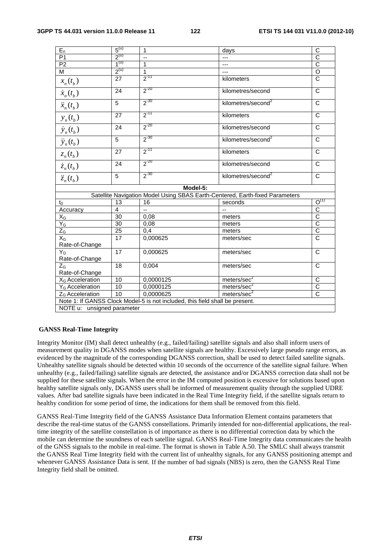| $E_n$                       | 5 <sup>(u)</sup> | 1                                                                            | days                                                                         | C                     |
|-----------------------------|------------------|------------------------------------------------------------------------------|------------------------------------------------------------------------------|-----------------------|
| P <sub>1</sub>              | $2^{(u)}$        | $\overline{\phantom{a}}$                                                     | $\overline{a}$                                                               | $\overline{c}$        |
| P2                          | 1 <sup>(u)</sup> | $\overline{1}$                                                               | ---                                                                          | $\overline{\text{c}}$ |
| M                           | $2^{(u)}$        | $\overline{1}$                                                               | ---                                                                          | $\overline{O}$        |
| $x_n(t_b)$                  | 27               | $2^{-11}$                                                                    | kilometers                                                                   | $\overline{C}$        |
| $\dot{x}_n(t_b)$            | $\overline{24}$  | $2^{-20}$                                                                    | kilometres/second                                                            | $\overline{\text{c}}$ |
| $\ddot{x}_n(t_b)$           | 5                | $2^{-30}$                                                                    | kilometres/second <sup>2</sup>                                               | $\mathsf{C}$          |
| $y_n(t_b)$                  | 27               | $2^{-11}$                                                                    | kilometers                                                                   | $\mathsf{C}$          |
| $\dot{y}_n(t_b)$            | 24               | $2^{-20}$                                                                    | kilometres/second                                                            | C                     |
| $\ddot{y}_n(t_b)$           | 5                | $2^{-30}$                                                                    | kilometres/second <sup>2</sup>                                               | C                     |
| $z_n(t_b)$                  | 27               | $2^{-11}$                                                                    | kilometers                                                                   | $\mathsf{C}$          |
| $\dot{z}_n(t_b)$            | 24               | $2^{-20}$                                                                    | kilometres/second                                                            | $\mathsf{C}$          |
| $\ddot{z}_n(t_h)$           | 5                | $2^{-30}$                                                                    | kilometres/second <sup>2</sup>                                               | C                     |
|                             |                  | Model-5:                                                                     |                                                                              |                       |
|                             |                  |                                                                              | Satellite Navigation Model Using SBAS Earth-Centered, Earth-fixed Parameters |                       |
| $t_0$                       | 13               | 16                                                                           | seconds                                                                      | $O^{(1)}$             |
| Accuracy                    | $\overline{4}$   | $\overline{a}$                                                               |                                                                              |                       |
| $X_G$                       | 30               | 0,08                                                                         | meters                                                                       | $\frac{1}{2}$         |
| $Y_G$                       | $\overline{30}$  | 0,08                                                                         | meters                                                                       |                       |
| $Z_G$                       | $\overline{25}$  | 0,4                                                                          | meters                                                                       |                       |
| $X_G$                       | 17               | 0,000625                                                                     | meters/sec                                                                   | $\overline{c}$        |
| Rate-of-Change              |                  |                                                                              |                                                                              |                       |
| $Y_G$                       | 17               | 0,000625                                                                     | meters/sec                                                                   | $\overline{\text{c}}$ |
| Rate-of-Change              |                  |                                                                              |                                                                              |                       |
| $Z_{G}$                     | $\overline{18}$  | 0,004                                                                        | meters/sec                                                                   | $\overline{\text{c}}$ |
| Rate-of-Change              |                  |                                                                              |                                                                              |                       |
| X <sub>G</sub> Acceleration | 10               | 0,0000125                                                                    | meters/sec <sup>2</sup>                                                      | C                     |
| Y <sub>G</sub> Acceleration | 10               | 0,0000125                                                                    | meters/sec <sup>2</sup>                                                      | $\overline{\text{c}}$ |
| Z <sub>G</sub> Acceleration | 10               | 0,0000625                                                                    | meters/sec $2$                                                               | $\overline{C}$        |
|                             |                  | Note 1: If GANSS Clock Model-5 is not included, this field shall be present. |                                                                              |                       |
| NOTE u: unsigned parameter  |                  |                                                                              |                                                                              |                       |
|                             |                  |                                                                              |                                                                              |                       |

#### **GANSS Real-Time Integrity**

Integrity Monitor (IM) shall detect unhealthy (e.g., failed/failing) satellite signals and also shall inform users of measurement quality in DGANSS modes when satellite signals are healthy. Excessively large pseudo range errors, as evidenced by the magnitude of the corresponding DGANSS correction, shall be used to detect failed satellite signals. Unhealthy satellite signals should be detected within 10 seconds of the occurrence of the satellite signal failure. When unhealthy (e.g., failed/failing) satellite signals are detected, the assistance and/or DGANSS correction data shall not be supplied for these satellite signals. When the error in the IM computed position is excessive for solutions based upon healthy satellite signals only, DGANSS users shall be informed of measurement quality through the supplied UDRE values. After bad satellite signals have been indicated in the Real Time Integrity field, if the satellite signals return to healthy condition for some period of time, the indications for them shall be removed from this field.

GANSS Real-Time Integrity field of the GANSS Assistance Data Information Element contains parameters that describe the real-time status of the GANSS constellations. Primarily intended for non-differential applications, the realtime integrity of the satellite constellation is of importance as there is no differential correction data by which the mobile can determine the soundness of each satellite signal. GANSS Real-Time Integrity data communicates the health of the GNSS signals to the mobile in real-time. The format is shown in Table A.50. The SMLC shall always transmit the GANSS Real Time Integrity field with the current list of unhealthy signals, for any GANSS positioning attempt and whenever GANSS Assistance Data is sent. If the number of bad signals (NBS) is zero, then the GANSS Real Time Integrity field shall be omitted.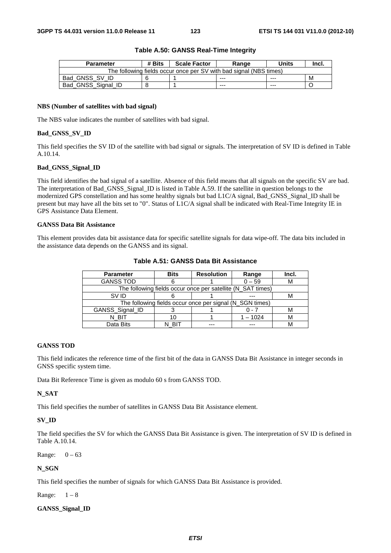| <b>Parameter</b>                                                   | # Bits | <b>Scale Factor</b> | Range   | Units   | Incl. |
|--------------------------------------------------------------------|--------|---------------------|---------|---------|-------|
| The following fields occur once per SV with bad signal (NBS times) |        |                     |         |         |       |
| Bad GNSS SV ID                                                     |        |                     | $- - -$ | $- - -$ | M     |
| Bad_GNSS_Signal_ID                                                 |        |                     | $- - -$ | ---     |       |

#### **Table A.50: GANSS Real-Time Integrity**

#### **NBS (Number of satellites with bad signal)**

The NBS value indicates the number of satellites with bad signal.

#### **Bad\_GNSS\_SV\_ID**

This field specifies the SV ID of the satellite with bad signal or signals. The interpretation of SV ID is defined in Table A.10.14.

#### **Bad\_GNSS\_Signal\_ID**

This field identifies the bad signal of a satellite. Absence of this field means that all signals on the specific SV are bad. The interpretation of Bad\_GNSS\_Signal\_ID is listed in Table A.59. If the satellite in question belongs to the modernized GPS constellation and has some healthy signals but bad L1C/A signal, Bad\_GNSS\_Signal\_ID shall be present but may have all the bits set to "0". Status of L1C/A signal shall be indicated with Real-Time Integrity IE in GPS Assistance Data Element.

#### **GANSS Data Bit Assistance**

This element provides data bit assistance data for specific satellite signals for data wipe-off. The data bits included in the assistance data depends on the GANSS and its signal.

| <b>Parameter</b> | <b>Bits</b>                                                 | <b>Resolution</b> | Range      | Incl. |  |  |
|------------------|-------------------------------------------------------------|-------------------|------------|-------|--|--|
| <b>GANSS TOD</b> |                                                             |                   | $0 - 59$   |       |  |  |
|                  | The following fields occur once per satellite (N_SAT times) |                   |            |       |  |  |
| SV ID            |                                                             |                   |            |       |  |  |
|                  | The following fields occur once per signal (N_SGN times)    |                   |            |       |  |  |
| GANSS_Signal_ID  |                                                             |                   | ი - 7      |       |  |  |
| N BIT            | 10                                                          |                   | $1 - 1024$ |       |  |  |
| Data Bits        |                                                             |                   |            |       |  |  |

#### **Table A.51: GANSS Data Bit Assistance**

#### **GANSS TOD**

This field indicates the reference time of the first bit of the data in GANSS Data Bit Assistance in integer seconds in GNSS specific system time.

Data Bit Reference Time is given as modulo 60 s from GANSS TOD.

#### **N\_SAT**

This field specifies the number of satellites in GANSS Data Bit Assistance element.

### **SV\_ID**

The field specifies the SV for which the GANSS Data Bit Assistance is given. The interpretation of SV ID is defined in Table A.10.14.

Range:  $0 - 63$ 

#### **N\_SGN**

This field specifies the number of signals for which GANSS Data Bit Assistance is provided.

Range:  $1-8$ 

#### **GANSS\_Signal\_ID**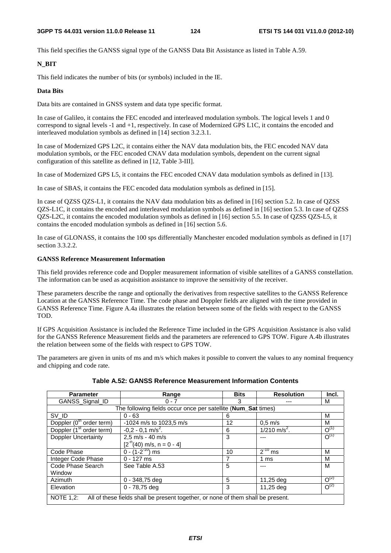This field specifies the GANSS signal type of the GANSS Data Bit Assistance as listed in Table A.59.

## **N\_BIT**

This field indicates the number of bits (or symbols) included in the IE.

## **Data Bits**

Data bits are contained in GNSS system and data type specific format.

In case of Galileo, it contains the FEC encoded and interleaved modulation symbols. The logical levels 1 and 0 correspond to signal levels -1 and +1, respectively. In case of Modernized GPS L1C, it contains the encoded and interleaved modulation symbols as defined in [14] section 3.2.3.1.

In case of Modernized GPS L2C, it contains either the NAV data modulation bits, the FEC encoded NAV data modulation symbols, or the FEC encoded CNAV data modulation symbols, dependent on the current signal configuration of this satellite as defined in [12, Table 3-III].

In case of Modernized GPS L5, it contains the FEC encoded CNAV data modulation symbols as defined in [13].

In case of SBAS, it contains the FEC encoded data modulation symbols as defined in [15].

In case of QZSS QZS-L1, it contains the NAV data modulation bits as defined in [16] section 5.2. In case of QZSS QZS-L1C, it contains the encoded and interleaved modulation symbols as defined in [16] section 5.3. In case of QZSS QZS-L2C, it contains the encoded modulation symbols as defined in [16] section 5.5. In case of QZSS QZS-L5, it contains the encoded modulation symbols as defined in [16] section 5.6.

In case of GLONASS, it contains the 100 sps differentially Manchester encoded modulation symbols as defined in [17] section 3.3.2.2.

## **GANSS Reference Measurement Information**

This field provides reference code and Doppler measurement information of visible satellites of a GANSS constellation. The information can be used as acquisition assistance to improve the sensitivity of the receiver.

These parameters describe the range and optionally the derivatives from respective satellites to the GANSS Reference Location at the GANSS Reference Time. The code phase and Doppler fields are aligned with the time provided in GANSS Reference Time. Figure A.4a illustrates the relation between some of the fields with respect to the GANSS TOD.

If GPS Acquisition Assistance is included the Reference Time included in the GPS Acquisition Assistance is also valid for the GANSS Reference Measurement fields and the parameters are referenced to GPS TOW. Figure A.4b illustrates the relation between some of the fields with respect to GPS TOW.

The parameters are given in units of ms and m/s which makes it possible to convert the values to any nominal frequency and chipping and code rate.

| <b>Parameter</b>                                              | Range                                                                            | <b>Bits</b> | <b>Resolution</b>          | Incl.     |  |  |
|---------------------------------------------------------------|----------------------------------------------------------------------------------|-------------|----------------------------|-----------|--|--|
| GANSS Signal ID                                               | $0 - 7$                                                                          |             |                            | м         |  |  |
| The following fields occur once per satellite (Num_Sat times) |                                                                                  |             |                            |           |  |  |
| SV ID                                                         | $0 - 63$                                                                         | 6           |                            | М         |  |  |
| Doppler (0 <sup>th</sup> order term)                          | -1024 m/s to 1023,5 m/s                                                          | 12          | $0.5$ m/s                  | м         |  |  |
| Doppler (1 <sup>st</sup> order term)                          | $-0.2 - 0.1$ m/s <sup>2</sup> .                                                  | 6           | $1/210$ m/s <sup>2</sup> . | $O^{(1)}$ |  |  |
| <b>Doppler Uncertainty</b>                                    | $2,5$ m/s - 40 m/s                                                               | 3           |                            | $O^{(1)}$ |  |  |
|                                                               | $[2^{n}(40)$ m/s, n = 0 - 4]                                                     |             |                            |           |  |  |
| Code Phase                                                    | $0 - (1 - 2^{-10})$ ms                                                           | 10          | $2^{-10}$ ms               | M         |  |  |
| Integer Code Phase                                            | $0 - 127$ ms                                                                     |             | 1 ms                       | М         |  |  |
| Code Phase Search                                             | See Table A.53                                                                   | 5           | ---                        | M         |  |  |
| Window                                                        |                                                                                  |             |                            |           |  |  |
| Azimuth                                                       | $0 - 348,75$ deg                                                                 | 5           | 11,25 deg                  | $O^{(2)}$ |  |  |
| Elevation                                                     | 0 - 78,75 deg                                                                    | 3           | 11,25 deg                  | $O^{(2)}$ |  |  |
| <b>NOTE 1.2:</b>                                              | All of these fields shall be present together, or none of them shall be present. |             |                            |           |  |  |

**Table A.52: GANSS Reference Measurement Information Contents**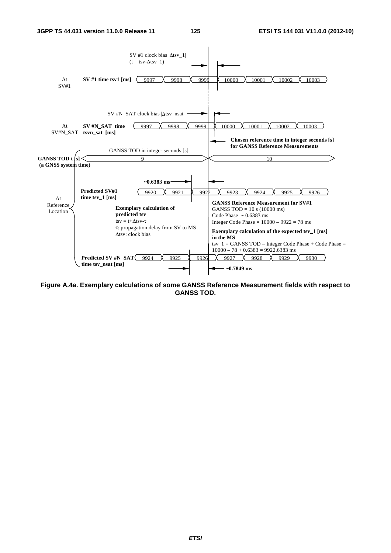

**Figure A.4a. Exemplary calculations of some GANSS Reference Measurement fields with respect to GANSS TOD.**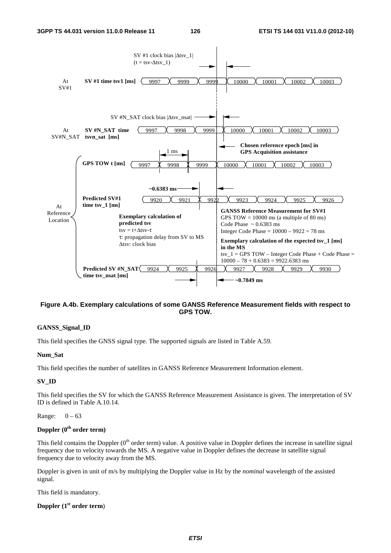

## **Figure A.4b. Exemplary calculations of some GANSS Reference Measurement fields with respect to GPS TOW.**

## **GANSS\_Signal\_ID**

This field specifies the GNSS signal type. The supported signals are listed in Table A.59.

#### **Num\_Sat**

This field specifies the number of satellites in GANSS Reference Measurement Information element.

#### **SV\_ID**

This field specifies the SV for which the GANSS Reference Measurement Assistance is given. The interpretation of SV ID is defined in Table A.10.14.

Range:  $0 - 63$ 

## **Doppler (0th order term)**

This field contains the Doppler  $(0<sup>th</sup>$  order term) value. A positive value in Doppler defines the increase in satellite signal frequency due to velocity towards the MS. A negative value in Doppler defines the decrease in satellite signal frequency due to velocity away from the MS.

Doppler is given in unit of m/s by multiplying the Doppler value in Hz by the *nominal* wavelength of the assisted signal.

This field is mandatory.

## **Doppler (1st order term**)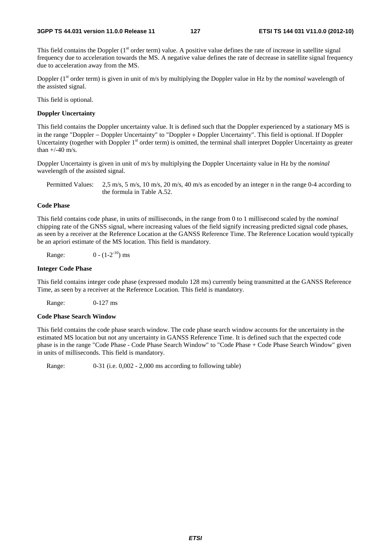This field contains the Doppler  $(1<sup>st</sup> order term)$  value. A positive value defines the rate of increase in satellite signal frequency due to acceleration towards the MS. A negative value defines the rate of decrease in satellite signal frequency due to acceleration away from the MS.

Doppler (1<sup>st</sup> order term) is given in unit of m/s by multiplying the Doppler value in Hz by the *nominal* wavelength of the assisted signal.

This field is optional.

#### **Doppler Uncertainty**

This field contains the Doppler uncertainty value. It is defined such that the Doppler experienced by a stationary MS is in the range "Doppler − Doppler Uncertainty" to "Doppler + Doppler Uncertainty". This field is optional. If Doppler Uncertainty (together with Doppler 1<sup>st</sup> order term) is omitted, the terminal shall interpret Doppler Uncertainty as greater than  $+/-40$  m/s.

Doppler Uncertainty is given in unit of m/s by multiplying the Doppler Uncertainty value in Hz by the *nominal* wavelength of the assisted signal.

Permitted Values: 2,5 m/s, 5 m/s, 10 m/s, 20 m/s, 40 m/s as encoded by an integer n in the range 0-4 according to the formula in Table A.52.

## **Code Phase**

This field contains code phase, in units of milliseconds, in the range from 0 to 1 millisecond scaled by the *nominal* chipping rate of the GNSS signal, where increasing values of the field signify increasing predicted signal code phases, as seen by a receiver at the Reference Location at the GANSS Reference Time. The Reference Location would typically be an apriori estimate of the MS location. This field is mandatory.

Range:  $0 - (1 - 2^{-10})$  ms

#### **Integer Code Phase**

This field contains integer code phase (expressed modulo 128 ms) currently being transmitted at the GANSS Reference Time, as seen by a receiver at the Reference Location. This field is mandatory.

Range: 0-127 ms

#### **Code Phase Search Window**

This field contains the code phase search window. The code phase search window accounts for the uncertainty in the estimated MS location but not any uncertainty in GANSS Reference Time. It is defined such that the expected code phase is in the range "Code Phase - Code Phase Search Window" to "Code Phase + Code Phase Search Window" given in units of milliseconds. This field is mandatory.

Range: 0-31 (i.e. 0,002 - 2,000 ms according to following table)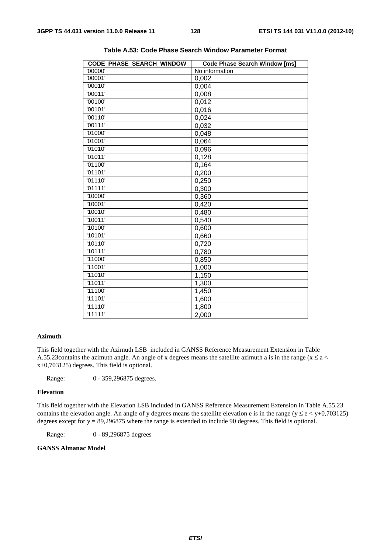| '00000'<br>No information<br>'00001'<br>0,002<br>'00010'<br>0,004<br>'00011'<br>0,008<br>'00100'<br>0,012<br>'00101'<br>0,016<br>'00110'<br>0,024<br>'00111'<br>0,032<br>'01000'<br>0,048<br>'01001'<br>0,064<br>'01010'<br>0,096<br>'01011'<br>0,128<br>'01100'<br>0,164<br>'01101'<br>0,200<br>'01110'<br>0,250<br>'01111'<br>0,300<br>'10000'<br>0,360<br>'10001'<br>0,420<br>'10010'<br>0,480<br>'10011'<br>0,540<br>'10100'<br>0,600<br>'10101'<br>0,660<br>'10110'<br>0,720<br>'10111'<br>0,780<br>'11000'<br>0,850<br>'11001'<br>1,000<br>'11010'<br>1,150<br>'11011'<br>1,300<br>'11100'<br>1,450<br>'11101'<br>1,600<br>'11110'<br>1,800<br>'11111'<br>2,000 | CODE_PHASE_SEARCH_WINDOW | <b>Code Phase Search Window [ms]</b> |
|-----------------------------------------------------------------------------------------------------------------------------------------------------------------------------------------------------------------------------------------------------------------------------------------------------------------------------------------------------------------------------------------------------------------------------------------------------------------------------------------------------------------------------------------------------------------------------------------------------------------------------------------------------------------------|--------------------------|--------------------------------------|
|                                                                                                                                                                                                                                                                                                                                                                                                                                                                                                                                                                                                                                                                       |                          |                                      |
|                                                                                                                                                                                                                                                                                                                                                                                                                                                                                                                                                                                                                                                                       |                          |                                      |
|                                                                                                                                                                                                                                                                                                                                                                                                                                                                                                                                                                                                                                                                       |                          |                                      |
|                                                                                                                                                                                                                                                                                                                                                                                                                                                                                                                                                                                                                                                                       |                          |                                      |
|                                                                                                                                                                                                                                                                                                                                                                                                                                                                                                                                                                                                                                                                       |                          |                                      |
|                                                                                                                                                                                                                                                                                                                                                                                                                                                                                                                                                                                                                                                                       |                          |                                      |
|                                                                                                                                                                                                                                                                                                                                                                                                                                                                                                                                                                                                                                                                       |                          |                                      |
|                                                                                                                                                                                                                                                                                                                                                                                                                                                                                                                                                                                                                                                                       |                          |                                      |
|                                                                                                                                                                                                                                                                                                                                                                                                                                                                                                                                                                                                                                                                       |                          |                                      |
|                                                                                                                                                                                                                                                                                                                                                                                                                                                                                                                                                                                                                                                                       |                          |                                      |
|                                                                                                                                                                                                                                                                                                                                                                                                                                                                                                                                                                                                                                                                       |                          |                                      |
|                                                                                                                                                                                                                                                                                                                                                                                                                                                                                                                                                                                                                                                                       |                          |                                      |
|                                                                                                                                                                                                                                                                                                                                                                                                                                                                                                                                                                                                                                                                       |                          |                                      |
|                                                                                                                                                                                                                                                                                                                                                                                                                                                                                                                                                                                                                                                                       |                          |                                      |
|                                                                                                                                                                                                                                                                                                                                                                                                                                                                                                                                                                                                                                                                       |                          |                                      |
|                                                                                                                                                                                                                                                                                                                                                                                                                                                                                                                                                                                                                                                                       |                          |                                      |
|                                                                                                                                                                                                                                                                                                                                                                                                                                                                                                                                                                                                                                                                       |                          |                                      |
|                                                                                                                                                                                                                                                                                                                                                                                                                                                                                                                                                                                                                                                                       |                          |                                      |
|                                                                                                                                                                                                                                                                                                                                                                                                                                                                                                                                                                                                                                                                       |                          |                                      |
|                                                                                                                                                                                                                                                                                                                                                                                                                                                                                                                                                                                                                                                                       |                          |                                      |
|                                                                                                                                                                                                                                                                                                                                                                                                                                                                                                                                                                                                                                                                       |                          |                                      |
|                                                                                                                                                                                                                                                                                                                                                                                                                                                                                                                                                                                                                                                                       |                          |                                      |
|                                                                                                                                                                                                                                                                                                                                                                                                                                                                                                                                                                                                                                                                       |                          |                                      |
|                                                                                                                                                                                                                                                                                                                                                                                                                                                                                                                                                                                                                                                                       |                          |                                      |
|                                                                                                                                                                                                                                                                                                                                                                                                                                                                                                                                                                                                                                                                       |                          |                                      |
|                                                                                                                                                                                                                                                                                                                                                                                                                                                                                                                                                                                                                                                                       |                          |                                      |
|                                                                                                                                                                                                                                                                                                                                                                                                                                                                                                                                                                                                                                                                       |                          |                                      |
|                                                                                                                                                                                                                                                                                                                                                                                                                                                                                                                                                                                                                                                                       |                          |                                      |
|                                                                                                                                                                                                                                                                                                                                                                                                                                                                                                                                                                                                                                                                       |                          |                                      |
|                                                                                                                                                                                                                                                                                                                                                                                                                                                                                                                                                                                                                                                                       |                          |                                      |
|                                                                                                                                                                                                                                                                                                                                                                                                                                                                                                                                                                                                                                                                       |                          |                                      |
|                                                                                                                                                                                                                                                                                                                                                                                                                                                                                                                                                                                                                                                                       |                          |                                      |

**Table A.53: Code Phase Search Window Parameter Format** 

## **Azimuth**

This field together with the Azimuth LSB included in GANSS Reference Measurement Extension in Table A.55.23 contains the azimuth angle. An angle of x degrees means the satellite azimuth a is in the range ( $x \le a$  < x+0,703125) degrees. This field is optional.

Range: 0 - 359,296875 degrees.

#### **Elevation**

This field together with the Elevation LSB included in GANSS Reference Measurement Extension in Table A.55.23 contains the elevation angle. An angle of y degrees means the satellite elevation e is in the range ( $y \le e \lt y+0.703125$ ) degrees except for  $y = 89,296875$  where the range is extended to include 90 degrees. This field is optional.

Range: 0 - 89,296875 degrees

## **GANSS Almanac Model**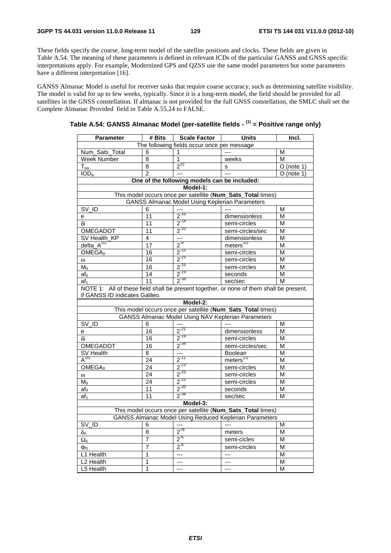These fields specify the coarse, long-term model of the satellite positions and clocks. These fields are given in Table A.54. The meaning of these parameters is defined in relevant ICDs of the particular GANSS and GNSS specific interpretations apply. For example, Modernized GPS and QZSS use the same model parameters but some parameters have a different interpretation [16].

GANSS Almanac Model is useful for receiver tasks that require coarse accuracy, such as determining satellite visibility. The model is valid for up to few weeks, typically. Since it is a long-term model, the field should be provided for all satellites in the GNSS constellation. If almanac is not provided for the full GNSS constellation, the SMLC shall set the Complete Almanac Provided field in Table A.55.24 to FALSE.

| Table A.54: GANSS Almanac Model (per-satellite fields - <sup>(1)</sup> = Positive range only) |
|-----------------------------------------------------------------------------------------------|
|                                                                                               |

| <b>Parameter</b>                                                                        | # Bits          | <b>Scale Factor</b>                                   | Units                                                       | Incl.                   |  |
|-----------------------------------------------------------------------------------------|-----------------|-------------------------------------------------------|-------------------------------------------------------------|-------------------------|--|
|                                                                                         |                 | The following fields occur once per message           |                                                             |                         |  |
| Num_Sats_Total                                                                          | 6               | 1                                                     |                                                             | M                       |  |
| Week Number                                                                             | 8               | 1                                                     | weeks                                                       | M                       |  |
| $\mathsf{T}_{\mathsf{oa}}$                                                              | $\overline{8}$  | $2^{12}$                                              | s                                                           | $O$ (note 1)            |  |
| IOD <sub>a</sub>                                                                        | $\overline{2}$  | $\overline{a}$                                        | $\sim$                                                      | $\overline{O}$ (note 1) |  |
|                                                                                         |                 | One of the following models can be included:          |                                                             |                         |  |
|                                                                                         |                 | Model-1:                                              |                                                             |                         |  |
|                                                                                         |                 |                                                       | This model occurs once per satellite (Num_Sats_Total times) |                         |  |
|                                                                                         |                 | <b>GANSS Almanac Model Using Keplerian Parameters</b> |                                                             |                         |  |
| $SV$ <sub>ID</sub>                                                                      | 6               |                                                       |                                                             | M                       |  |
| е                                                                                       | 11              | $2^{-16}$                                             | dimensionless                                               | M                       |  |
| δi                                                                                      | 11              | $2^{-14}$                                             | semi-circles                                                | M                       |  |
| OMEGADOT                                                                                | 11              | $2^{-33}$                                             | semi-circles/sec                                            | M                       |  |
| SV Health_KP                                                                            | 4               | $\overline{\phantom{a}}$                              | dimensionless                                               | M                       |  |
| delta $A^{1/2}$                                                                         | 17              | $2^{9}$                                               | meters $^{1/2}$                                             | M                       |  |
| OMEGA <sub>0</sub>                                                                      | $\overline{16}$ | $2^{-15}$                                             | semi-circles                                                | M                       |  |
| $\omega$                                                                                | 16              | $2^{-15}$                                             | semi-circles                                                | M                       |  |
| M <sub>0</sub>                                                                          | 16              | $\frac{2^{15}}{2^{19}}$                               | semi-circles                                                | M                       |  |
| $af_0$                                                                                  | 14              |                                                       | seconds                                                     | M                       |  |
| af <sub>1</sub>                                                                         | 11              | $2^{-38}$                                             | sec/sec                                                     | M                       |  |
| NOTE 1: All of these field shall be present together, or none of them shall be present, |                 |                                                       |                                                             |                         |  |
| if GANSS ID indicates Galileo.                                                          |                 |                                                       |                                                             |                         |  |
|                                                                                         |                 | Model-2:                                              |                                                             |                         |  |
|                                                                                         |                 |                                                       | This model occurs once per satellite (Num_Sats_Total times) |                         |  |
|                                                                                         |                 |                                                       | <b>GANSS Almanac Model Using NAV Keplerian Parameters</b>   |                         |  |
| SV_ID                                                                                   | 6               |                                                       |                                                             | M                       |  |
| e                                                                                       | $\overline{16}$ | $2^{-21}$                                             | dimensionless                                               | M                       |  |
| δi                                                                                      | $\overline{16}$ | $2^{-19}$                                             | semi-circles                                                | M                       |  |
| <b>OMEGADOT</b>                                                                         | $\overline{16}$ | $2^{-38}$                                             | semi-circles/sec                                            | M                       |  |
| SV Health                                                                               | 8               | $\frac{1}{2^{11}}$                                    | Boolean                                                     | M                       |  |
| $A^{1/2}$                                                                               | 24              |                                                       | $meters$ <sup>1/2</sup>                                     | M                       |  |
| OMEGA <sub>0</sub>                                                                      | $\overline{24}$ | $2^{-23}$                                             | semi-circles                                                | M                       |  |
| $\omega$                                                                                | 24              | $2^{-23}$                                             | semi-circles                                                | M                       |  |
| $M_0$                                                                                   | 24              | $2^{-23}$                                             | semi-circles                                                | M                       |  |
| af <sub>0</sub>                                                                         | $\overline{11}$ | $2^{-20}$                                             | seconds                                                     | M                       |  |
| af <sub>1</sub>                                                                         | 11              | $2^{-38}$                                             | sec/sec                                                     | M                       |  |
|                                                                                         |                 | Model-3:                                              |                                                             |                         |  |
| This model occurs once per satellite (Num_Sats_Total times)                             |                 |                                                       |                                                             |                         |  |
|                                                                                         |                 |                                                       | GANSS Almanac Model Using Reduced Keplerian Parameters      |                         |  |
| SV ID                                                                                   | 6               |                                                       | $\overline{a}$                                              | M                       |  |
| $\delta_{\mathsf{A}}$                                                                   | 8               | $2^{+9}$                                              | meters                                                      | M                       |  |
| $\Omega_0$                                                                              | 7               | $2^{6}$                                               | semi-cicles                                                 | M                       |  |
| $\Phi_0$                                                                                | $\overline{7}$  | $2^{6}$                                               | semi-circles                                                | M                       |  |
| L1 Health                                                                               | 1               | $---$                                                 | $---$                                                       | M                       |  |
| L <sub>2</sub> Health                                                                   | 1               | ---                                                   | $---$                                                       | M                       |  |
| L5 Health                                                                               | 1               | $---$                                                 | $---$                                                       | M                       |  |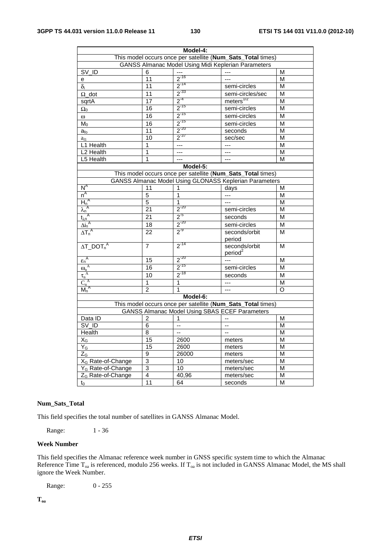| Model-4:                            |                                                             |                          |                                                               |          |  |  |
|-------------------------------------|-------------------------------------------------------------|--------------------------|---------------------------------------------------------------|----------|--|--|
|                                     | This model occurs once per satellite (Num_Sats_Total times) |                          |                                                               |          |  |  |
|                                     | <b>GANSS Almanac Model Using Midi Keplerian Parameters</b>  |                          |                                                               |          |  |  |
| SV_ID                               | 6                                                           |                          |                                                               | Μ        |  |  |
| e                                   | 11                                                          | $2^{-16}$                | ---                                                           | М        |  |  |
| $\delta_i$                          | 11                                                          | $2^{-14}$                | semi-circles                                                  | M        |  |  |
| $\Omega$ dot                        | 11                                                          | $2^{-33}$                | semi-circles/sec                                              | M        |  |  |
| sqrtA                               | 17                                                          | $2^{-4}$                 | meters <sup>1/2</sup>                                         | M        |  |  |
| $\Omega_0$                          | 16                                                          | $2^{-15}$                | semi-circles                                                  | M        |  |  |
| $\omega$                            | 16                                                          | $2^{-15}$                | semi-circles                                                  | M        |  |  |
| M <sub>0</sub>                      | $\overline{16}$                                             | $2^{-15}$                | semi-circles                                                  | M        |  |  |
| $a_{\text{fo}}$                     | 11                                                          | $2^{-20}$                | seconds                                                       | M        |  |  |
| $a_{f1}$                            | 10                                                          | $2^{37}$                 | sec/sec                                                       | M        |  |  |
| L1 Health                           | 1                                                           | $---$                    | $---$                                                         | M        |  |  |
| L2 Health                           | 1                                                           | $---$                    | ---                                                           | M        |  |  |
| L5 Health                           | 1                                                           | $---$                    | $---$                                                         | M        |  |  |
|                                     |                                                             | Model-5:                 |                                                               |          |  |  |
|                                     |                                                             |                          | This model occurs once per satellite (Num_Sats_Total times)   |          |  |  |
|                                     |                                                             |                          | <b>GANSS Almanac Model Using GLONASS Keplerian Parameters</b> |          |  |  |
| $N^A$                               | 11                                                          | 1                        | days                                                          | M        |  |  |
| $n^A$                               | 5                                                           | $\overline{1}$           |                                                               | M        |  |  |
| $H_n^A$                             | 5                                                           | 1                        |                                                               | M        |  |  |
| $\lambda_n^A$                       | $\overline{21}$                                             | $2^{-20}$                | semi-circles                                                  | M        |  |  |
| $t_{\lambda n}^{\text{A}}$          | 21                                                          | $2^{5}$                  | seconds                                                       | M        |  |  |
|                                     | 18                                                          | $2^{-20}$                | semi-circles                                                  | М        |  |  |
| $\frac{\Delta i_n^A}{\Delta T_n^A}$ | 22                                                          | $2^{-9}$                 | seconds/orbit                                                 | М        |  |  |
|                                     |                                                             |                          | period                                                        |          |  |  |
| $\Delta T\_DOT_n^A$                 | $\overline{7}$                                              | $2^{-14}$                | seconds/orbit                                                 | М        |  |  |
|                                     |                                                             |                          | period <sup>2</sup>                                           |          |  |  |
| $\epsilon_n^A$                      | $\overline{15}$                                             | $2^{-20}$                | $\overline{a}$                                                | M        |  |  |
| $\overline{\omega_n^{\;A}}$         | 16                                                          | $2^{-15}$                | semi-circles                                                  | M        |  |  |
| $\tau_n^{\ A}$                      | 10                                                          | $2^{-18}$                | seconds                                                       | M        |  |  |
| $C_n^A$                             | 1                                                           | $\overline{1}$           | ---                                                           | M        |  |  |
| $M_n^A$                             | $\mathfrak{p}$                                              | 1                        | ---                                                           | $\Omega$ |  |  |
|                                     |                                                             | Model-6:                 |                                                               |          |  |  |
|                                     |                                                             |                          | This model occurs once per satellite (Num_Sats_Total times)   |          |  |  |
|                                     |                                                             |                          | <b>GANSS Almanac Model Using SBAS ECEF Parameters</b>         |          |  |  |
| Data ID                             | 2                                                           | 1                        |                                                               | M        |  |  |
| SV_ID                               | 6                                                           | $\overline{\phantom{a}}$ | Ξ.                                                            | M        |  |  |
| Health                              | $\overline{8}$                                              | ÷.                       | $\overline{a}$                                                | M        |  |  |
| $\mathsf{X}_{\mathsf{G}}$           | 15                                                          | 2600                     | meters                                                        | M        |  |  |
| $Y_G$                               | 15                                                          | 2600                     | meters                                                        | М        |  |  |
| $Z_{G}$                             | 9                                                           | 26000                    | meters                                                        | M        |  |  |
| X <sub>G</sub> Rate-of-Change       | 3                                                           | 10                       | meters/sec                                                    | M        |  |  |
| Y <sub>G</sub> Rate-of-Change       | 3                                                           | 10                       | meters/sec                                                    | M        |  |  |
| Z <sub>G</sub> Rate-of-Change       | 4                                                           | 40,96                    | meters/sec                                                    | Μ        |  |  |
| $t_0$                               | 11                                                          | 64                       | seconds                                                       | M        |  |  |
|                                     |                                                             |                          |                                                               |          |  |  |

## **Num\_Sats\_Total**

This field specifies the total number of satellites in GANSS Almanac Model.

Range: 1 - 36

#### **Week Number**

This field specifies the Almanac reference week number in GNSS specific system time to which the Almanac Reference Time  $T_{oa}$  is referenced, modulo 256 weeks. If  $T_{oa}$  is not included in GANSS Almanac Model, the MS shall ignore the Week Number.

Range: 0 - 255

**Toa**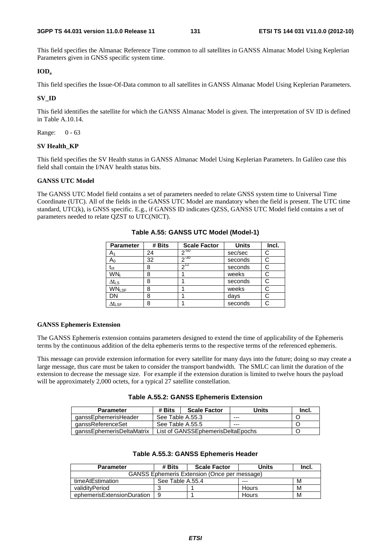This field specifies the Almanac Reference Time common to all satellites in GANSS Almanac Model Using Keplerian Parameters given in GNSS specific system time.

## **IODa**

This field specifies the Issue-Of-Data common to all satellites in GANSS Almanac Model Using Keplerian Parameters.

### **SV\_ID**

This field identifies the satellite for which the GANSS Almanac Model is given. The interpretation of SV ID is defined in Table A.10.14.

Range: 0 - 63

### **SV Health\_KP**

This field specifies the SV Health status in GANSS Almanac Model Using Keplerian Parameters. In Galileo case this field shall contain the I/NAV health status bits.

## **GANSS UTC Model**

The GANSS UTC Model field contains a set of parameters needed to relate GNSS system time to Universal Time Coordinate (UTC). All of the fields in the GANSS UTC Model are mandatory when the field is present. The UTC time standard, UTC(k), is GNSS specific. E.g., if GANSS ID indicates QZSS, GANSS UTC Model field contains a set of parameters needed to relate QZST to UTC(NICT).

| <b>Parameter</b>          | # Bits | <b>Scale Factor</b> | <b>Units</b> | Incl. |
|---------------------------|--------|---------------------|--------------|-------|
| A۱                        | 24     | $2^{-50}$           | sec/sec      | C     |
| $A_0$                     | 32     | $2 - 30$            | seconds      |       |
| $t_{ot}$                  | 8      | $2^{12}$            | seconds      |       |
| WN,                       | 8      |                     | weeks        |       |
| ∆t∟s                      | 8      |                     | seconds      |       |
| <b>WNLSF</b>              | 8      |                     | weeks        |       |
| DN                        | 8      |                     | davs         |       |
| $\Delta t_{\textsf{LSF}}$ | 8      |                     | seconds      |       |

**Table A.55: GANSS UTC Model (Model-1)** 

#### **GANSS Ephemeris Extension**

The GANSS Ephemeris extension contains parameters designed to extend the time of applicability of the Ephemeris terms by the continuous addition of the delta ephemeris terms to the respective terms of the referenced ephemeris.

This message can provide extension information for every satellite for many days into the future; doing so may create a large message, thus care must be taken to consider the transport bandwidth. The SMLC can limit the duration of the extension to decrease the message size. For example if the extension duration is limited to twelve hours the payload will be approximately 2,000 octets, for a typical 27 satellite constellation.

|  |  |  | Table A.55.2: GANSS Ephemeris Extension |  |
|--|--|--|-----------------------------------------|--|
|--|--|--|-----------------------------------------|--|

| <b>Parameter</b>          | # Bits           | <b>Scale Factor</b>               | Units | Incl. |  |
|---------------------------|------------------|-----------------------------------|-------|-------|--|
| qanssEphemerisHeader      | See Table A.55.3 |                                   | ---   |       |  |
| qanssReferenceSet         | See Table A.55.5 |                                   | $--$  |       |  |
| aanssEphemerisDeltaMatrix |                  | List of GANSSEphemerisDeltaEpochs |       |       |  |

## **Table A.55.3: GANSS Ephemeris Header**

| <b>Parameter</b>                                    | # Bits           | <b>Scale Factor</b> | Units | Incl. |  |  |  |
|-----------------------------------------------------|------------------|---------------------|-------|-------|--|--|--|
| <b>GANSS Ephemeris Extension (Once per message)</b> |                  |                     |       |       |  |  |  |
| timeAtEstimation                                    | See Table A.55.4 |                     | $--$  | M     |  |  |  |
| validityPeriod                                      |                  |                     | Hours | M     |  |  |  |
| ephemerisExtensionDuration                          | -9               |                     | Hours | M     |  |  |  |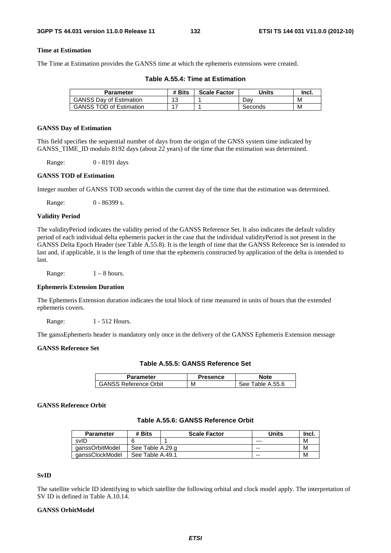## **Time at Estimation**

The Time at Estimation provides the GANSS time at which the ephemeris extensions were created.

| Parameter                      | # Bits | <b>Scale Factor</b> | Units   | Incl. |
|--------------------------------|--------|---------------------|---------|-------|
| <b>GANSS Dav of Estimation</b> | 12     |                     | Dav     | M     |
| <b>GANSS TOD of Estimation</b> |        |                     | Seconds | М     |

**Table A.55.4: Time at Estimation** 

#### **GANSS Day of Estimation**

This field specifies the sequential number of days from the origin of the GNSS system time indicated by GANSS TIME ID modulo 8192 days (about 22 years) of the time that the estimation was determined.

Range: 0 - 8191 days

## **GANSS TOD of Estimation**

Integer number of GANSS TOD seconds within the current day of the time that the estimation was determined.

Range: 0 - 86399 s.

#### **Validity Period**

The validityPeriod indicates the validity period of the GANSS Reference Set. It also indicates the default validity period of each individual delta ephemeris packet in the case that the individual validityPeriod is not present in the GANSS Delta Epoch Header (see Table A.55.8). It is the length of time that the GANSS Reference Set is intended to last and, if applicable, it is the length of time that the ephemeris constructed by application of the delta is intended to last.

Range:  $1 - 8$  hours.

#### **Ephemeris Extension Duration**

The Ephemeris Extension duration indicates the total block of time measured in units of hours that the extended ephemeris covers.

Range: 1 - 512 Hours.

The ganssEphemeris header is mandatory only once in the delivery of the GANSS Ephemeris Extension message

## **GANSS Reference Set**

| Table A.55.5: GANSS Reference Set |  |  |  |  |  |
|-----------------------------------|--|--|--|--|--|
|-----------------------------------|--|--|--|--|--|

| Parameter                    | Presence | lote                |
|------------------------------|----------|---------------------|
| <b>GANSS Reference Orbit</b> | М        | Fable A.55.6<br>see |

#### **GANSS Reference Orbit**

## **Table A.55.6: GANSS Reference Orbit**

| <b>Parameter</b> | # Bits           | <b>Scale Factor</b> | Units | lnci. |
|------------------|------------------|---------------------|-------|-------|
| svID             |                  |                     | ---   | N     |
| qanssOrbitModel  | See Table A.29.g |                     | $- -$ | N     |
| qanssClockModel  | See Table A.49.1 |                     | $- -$ | N     |

#### **SvID**

The satellite vehicle ID identifying to which satellite the following orbital and clock model apply. The interpretation of SV ID is defined in Table A.10.14.

## **GANSS OrbitModel**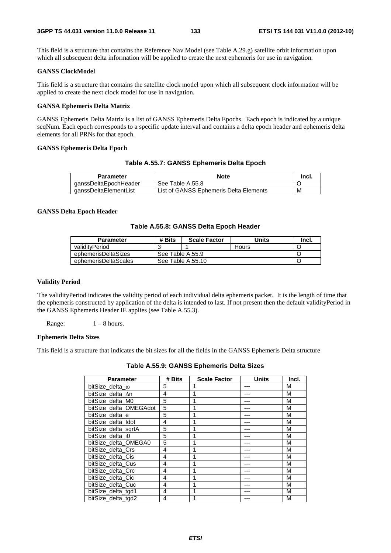This field is a structure that contains the Reference Nav Model (see Table A.29.g) satellite orbit information upon which all subsequent delta information will be applied to create the next ephemeris for use in navigation.

#### **GANSS ClockModel**

This field is a structure that contains the satellite clock model upon which all subsequent clock information will be applied to create the next clock model for use in navigation.

## **GANSA Ephemeris Delta Matrix**

GANSS Ephemeris Delta Matrix is a list of GANSS Ephemeris Delta Epochs. Each epoch is indicated by a unique seqNum. Each epoch corresponds to a specific update interval and contains a delta epoch header and ephemeris delta elements for all PRNs for that epoch.

### **GANSS Ephemeris Delta Epoch**

## **Table A.55.7: GANSS Ephemeris Delta Epoch**

| Parameter             | <b>Note</b>                            | -Incl. |
|-----------------------|----------------------------------------|--------|
| qanssDeltaEpochHeader | See Table A.55.8                       |        |
| ganssDeltaElementList | List of GANSS Ephemeris Delta Elements | м      |

#### **GANSS Delta Epoch Header**

## **Table A.55.8: GANSS Delta Epoch Header**

| <b>Parameter</b>     | # Bits | <b>Scale Factor</b> | Units | -Incl. |
|----------------------|--------|---------------------|-------|--------|
| validitvPeriod       |        |                     | Hours |        |
| ephemerisDeltaSizes  |        | See Table A.55.9    |       |        |
| ephemerisDeltaScales |        | See Table A.55.10   |       |        |

#### **Validity Period**

The validityPeriod indicates the validity period of each individual delta ephemeris packet. It is the length of time that the ephemeris constructed by application of the delta is intended to last. If not present then the default validityPeriod in the GANSS Ephemeris Header IE applies (see Table A.55.3).

Range:  $1 - 8$  hours.

#### **Ephemeris Delta Sizes**

This field is a structure that indicates the bit sizes for all the fields in the GANSS Ephemeris Delta structure

| <b>Parameter</b>       | # Bits | <b>Scale Factor</b> | Units | Incl. |
|------------------------|--------|---------------------|-------|-------|
| bitSize delta $\omega$ | 5      |                     |       | М     |
| bitSize delta An       | 4      |                     |       | M     |
| bitSize delta M0       | 5      |                     |       | M     |
| bitSize delta OMEGAdot | 5      |                     |       | M     |
| bitSize delta e        | 5      |                     |       | M     |
| bitSize delta Idot     | 4      |                     |       | M     |
| bitSize delta sgrtA    | 5      |                     |       | М     |
| bitSize delta i0       | 5      |                     |       | M     |
| bitSize_delta_OMEGA0   | 5      |                     |       | M     |
| bitSize delta Crs      | 4      |                     |       | M     |
| bitSize delta Cis      | 4      |                     |       | M     |
| bitSize delta Cus      | 4      |                     |       | M     |
| bitSize delta Crc      | 4      |                     |       | M     |
| bitSize_delta_Cic      | 4      |                     |       | M     |
| bitSize delta Cuc      | 4      |                     |       | M     |
| bitSize delta tgd1     | 4      |                     |       | M     |
| bitSize delta tgd2     | 4      |                     |       | M     |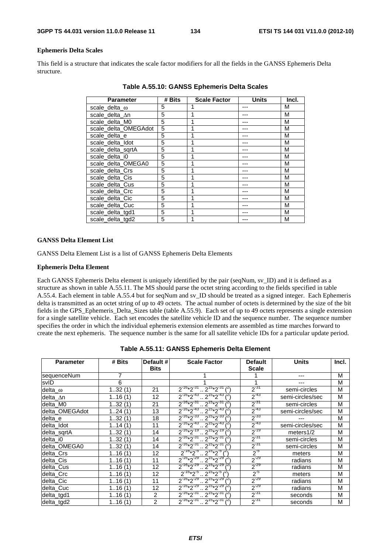#### **Ephemeris Delta Scales**

This field is a structure that indicates the scale factor modifiers for all the fields in the GANSS Ephemeris Delta structure.

| <b>Parameter</b>      | # Bits | <b>Scale Factor</b> | <b>Units</b> | Incl. |
|-----------------------|--------|---------------------|--------------|-------|
| scale_delta_ $\omega$ | 5      |                     |              | M     |
| scale_delta_An        | 5      |                     |              | М     |
| scale_delta_M0        | 5      |                     |              | М     |
| scale delta OMEGAdot  | 5      |                     |              | М     |
| scale delta e         | 5      | 1                   |              | М     |
| scale delta Idot      | 5      | 1                   |              | М     |
| scale delta sgrtA     | 5      | 1                   |              | М     |
| scale delta i0        | 5      |                     |              | М     |
| scale_delta_OMEGA0    | 5      |                     |              | M     |
| scale_delta_Crs       | 5      |                     |              | M     |
| scale_delta_Cis       | 5      | 1                   |              | M     |
| scale_delta_Cus       | 5      |                     |              | M     |
| scale delta Crc       | 5      |                     |              | M     |
| scale delta Cic       | 5      | 1                   |              | M     |
| scale delta Cuc       | 5      | 1                   |              | M     |
| scale_delta_tgd1      | 5      | 1                   |              | M     |
| scale_delta_tgd2      | 5      | 1                   |              | М     |

**Table A.55.10: GANSS Ephemeris Delta Scales** 

#### **GANSS Delta Element List**

GANSS Delta Element List is a list of GANSS Ephemeris Delta Elements

#### **Ephemeris Delta Element**

Each GANSS Ephemeris Delta element is uniquely identified by the pair (seqNum, sv\_ID) and it is defined as a structure as shown in table A.55.11. The MS should parse the octet string according to the fields specified in table A.55.4. Each element in table A.55.4 but for seqNum and sv\_ID should be treated as a signed integer. Each Ephemeris delta is transmitted as an octet string of up to 49 octets. The actual number of octets is determined by the size of the bit fields in the GPS\_Ephemeris\_Delta\_Sizes table (table A.55.9). Each set of up to 49 octets represents a single extension for a single satellite vehicle. Each set encodes the satellite vehicle ID and the sequence number. The sequence number specifies the order in which the individual ephemeris extension elements are assembled as time marches forward to create the next ephemeris. The sequence number is the same for all satellite vehicle IDs for a particular update period.

| <b>Parameter</b> | # Bits | Default #<br><b>Bits</b> | <b>Scale Factor</b>                                 | <b>Default</b><br><b>Scale</b> | <b>Units</b>     | Incl. |
|------------------|--------|--------------------------|-----------------------------------------------------|--------------------------------|------------------|-------|
| sequenceNum      | 7      |                          |                                                     |                                |                  | M     |
| svID             | 6      |                          |                                                     | 1                              |                  | M     |
| delta_o          | 132(1) | 21                       | $2^{16*2^{31}} \cdot 2^{15*2^{31}}$                 | $2^{-31}$                      | semi-circles     | M     |
| delta_∆n         | 116(1) | 12                       | $2^{-16}*2^{-43}$ $2^{15}*2^{-43}$                  | $2^{-43}$                      | semi-circles/sec | M     |
| delta M0         | 132(1) | 21                       | $2^{-16*2^{-31}}$ $2^{15*2^{-31}}$                  | $2^{-31}$                      | semi-circles     | M     |
| delta_OMEGAdot   | 124(1) | 13                       | $2^{-16*2^{-43}} \cdot 2^{15*2^{-43}}$              | $2^{-43}$                      | semi-circles/sec | M     |
| delta_e          | 132(1) | 18                       | $2^{-16}*2^{-33}$ $2^{15}*2^{-33}$ $2^{15}$         | $2^{-33}$                      |                  | M     |
| delta_Idot       | 114(1) | 11                       | $2^{-16*2^{-43}}$ , $2^{15*2^{-43}}$ $\binom{2}{1}$ | $2^{-43}$                      | semi-circles/sec | M     |
| delta_sqrtA      | 132(1) | 14                       | $2^{-16*2^{-19}}$ $2^{15*2^{-19}}$ $3^{21}$         | $2^{-19}$                      | meters1/2        | M     |
| delta_i0         | 132(1) | 14                       | $2^{-16*2^{-31}}$ $2^{15*2^{-31}}$                  | $2^{-31}$                      | semi-circles     | M     |
| delta OMEGA0     | 132(1) | 14                       | $2^{-16*2^{-31}}$ , $2^{15*2^{-31}}$ $\binom{2}{1}$ | $2^{31}$                       | semi-circles     | M     |
| delta_Crs        | 116(1) | 12                       | $2^{16}*2^{15}$ , $2^{15}*2^{15}$                   | $2^{5}$                        | meters           | M     |
| delta_Cis        | 116(1) | 11                       | $2^{-16}*2^{-29}$ $2^{15}*2^{-29}$                  | $2^{-29}$                      | radians          | M     |
| delta_Cus        | 116(1) | $12 \overline{ }$        | $2^{16*2^{29}} \cdot 2^{15*2^{29}}$                 | $2^{-29}$                      | radians          | M     |
| delta_Crc        | 116(1) | 12                       | $2^{-16*}2^{-5}$ $2^{15*}2^{-5}$ $3^{-2}$           | $2^{5}$                        | meters           | M     |
| delta Cic        | 116(1) | 11                       | $2^{-16*2^{29}}$ $2^{15*2^{29}}$                    | $2^{-29}$                      | radians          | M     |
| delta_Cuc        | 116(1) | $12 \overline{ }$        | $2^{-16}*2^{-29}$ $2^{15}*2^{-29}$                  | $2^{-29}$                      | radians          | M     |
| delta_tgd1       | 116(1) | 2                        | $2^{16*2^{31}} \cdot 2^{15*2^{31}}$                 | $2^{31}$                       | seconds          | M     |
| delta_tgd2       | 116(1) | $\overline{2}$           | $2^{-16*2^{31}} \cdot 2^{15*2^{31}$ (2)             | $2^{-31}$                      | seconds          | M     |

|  |  |  | Table A.55.11: GANSS Ephemeris Delta Element |  |  |
|--|--|--|----------------------------------------------|--|--|
|--|--|--|----------------------------------------------|--|--|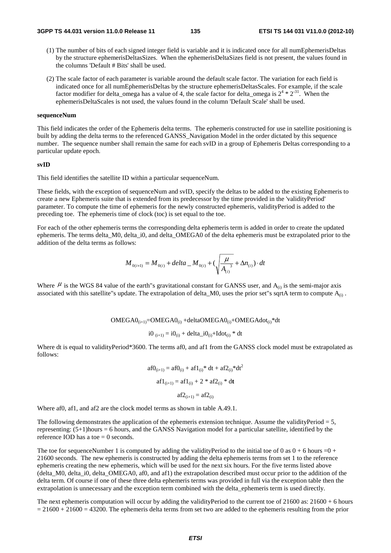- (1) The number of bits of each signed integer field is variable and it is indicated once for all numEphemerisDeltas by the structure ephemerisDeltasSizes. When the ephemerisDeltaSizes field is not present, the values found in the columns 'Default # Bits' shall be used.
- (2) The scale factor of each parameter is variable around the default scale factor. The variation for each field is indicated once for all numEphemerisDeltas by the structure ephemerisDeltasScales. For example, if the scale factor modifier for delta\_omega has a value of 4, the scale factor for delta\_omega is  $2^4 * 2^{31}$ . When the ephemerisDeltaScales is not used, the values found in the column 'Default Scale' shall be used.

#### **sequenceNum**

This field indicates the order of the Ephemeris delta terms. The ephemeris constructed for use in satellite positioning is built by adding the delta terms to the referenced GANSS\_Navigation Model in the order dictated by this sequence number. The sequence number shall remain the same for each svID in a group of Ephemeris Deltas corresponding to a particular update epoch.

#### **svID**

This field identifies the satellite ID within a particular sequenceNum.

These fields, with the exception of sequenceNum and svID, specify the deltas to be added to the existing Ephemeris to create a new Ephemeris suite that is extended from its predecessor by the time provided in the 'validityPeriod' parameter. To compute the time of ephemeris for the newly constructed ephemeris, validityPeriod is added to the preceding toe. The ephemeris time of clock (toc) is set equal to the toe.

For each of the other ephemeris terms the corresponding delta ephemeris term is added in order to create the updated ephemeris. The terms delta\_M0, delta\_i0, and delta\_OMEGA0 of the delta ephemeris must be extrapolated prior to the addition of the delta terms as follows:

$$
M_{0(i+1)} = M_{0(i)} + delta \_M_{0(i)} + (\sqrt{\frac{\mu}{A_{(i)}}^3} + \Delta n_{(i)}) \cdot dt
$$

Where  $\mu$  is the WGS 84 value of the earth"s gravitational constant for GANSS user, and  $A_{(i)}$  is the semi-major axis associated with this satellite"s update. The extrapolation of delta\_M0, uses the prior set"s sqrtA term to compute  $A_{(i)}$ .

 $OMEGA0_{(i+1)} = OMEGA0_{(i)} + deltaOMEGA0_{(i)} + OMEGA0_{(i)} *dt$ 

$$
i0_{(i+1)} = i0_{(i)} + delta_i = i0_{(i)} + Idot_{(i)}
$$
 \* dt

Where dt is equal to validityPeriod\*3600. The terms af0, and af1 from the GANSS clock model must be extrapolated as follows:

$$
af0_{(i+1)} = af0_{(i)} + af1_{(i)} * dt + af2_{(i)} * dt2
$$

$$
af1_{(i+1)} = af1_{(i)} + 2 * af2_{(i)} * dt
$$

$$
af2_{(i+1)} = af2_{(i)}
$$

Where af0, af1, and af2 are the clock model terms as shown in table A.49.1.

The following demonstrates the application of the ephemeris extension technique. Assume the validityPeriod  $= 5$ , representing: (5+1)hours = 6 hours, and the GANSS Navigation model for a particular satellite, identified by the reference IOD has a toe  $= 0$  seconds.

The toe for sequenceNumber 1 is computed by adding the validityPeriod to the initial toe of 0 as  $0 + 6$  hours =  $0 + 1$ 21600 seconds. The new ephemeris is constructed by adding the delta ephemeris terms from set 1 to the reference ephemeris creating the new ephemeris, which will be used for the next six hours. For the five terms listed above (delta\_M0, delta\_i0, delta\_OMEGA0, af0, and af1) the extrapolation described must occur prior to the addition of the delta term. Of course if one of these three delta ephemeris terms was provided in full via the exception table then the extrapolation is unnecessary and the exception term combined with the delta\_ephemeris term is used directly.

The next ephemeris computation will occur by adding the validityPeriod to the current toe of  $21600$  as:  $21600 + 6$  hours  $= 21600 + 21600 = 43200$ . The ephemeris delta terms from set two are added to the ephemeris resulting from the prior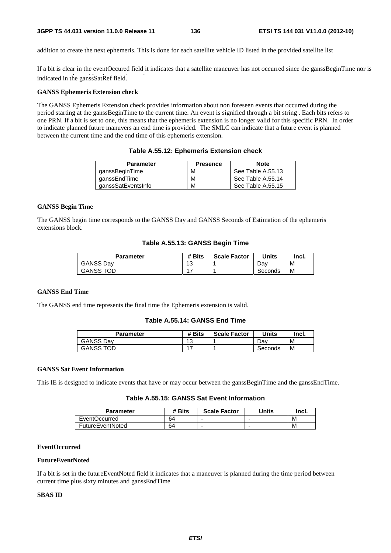addition to create the next ephemeris. This is done for each satellite vehicle ID listed in the provided satellite list

indicated in the ganssSatRef field. If a bit is clear in the eventOccured field it indicates that a satellite maneuver has not occurred since the ganssBeginTime nor is

#### **GANSS Ephemeris Extension check**

The GANSS Ephemeris Extension check provides information about non foreseen events that occurred during the period starting at the ganssBeginTime to the current time. An event is signified through a bit string . Each bits refers to one PRN. If a bit is set to one, this means that the ephemeris extension is no longer valid for this specific PRN. In order to indicate planned future manuvers an end time is provided. The SMLC can indicate that a future event is planned between the current time and the end time of this ephemeris extension.

| <b>Parameter</b>   | <b>Presence</b> | <b>Note</b>       |
|--------------------|-----------------|-------------------|
| qanssBeginTime     | м               | See Table A.55.13 |
| qanssEndTime       | м               | See Table A.55.14 |
| ganssSatEventsInfo | м               | See Table A.55.15 |

**Table A.55.12: Ephemeris Extension check** 

## **GANSS Begin Time**

The GANSS begin time corresponds to the GANSS Day and GANSS Seconds of Estimation of the ephemeris extensions block.

## **Table A.55.13: GANSS Begin Time**

| Parameter        | # Bits    | <b>Scale Factor</b> | Units   | Incl. |
|------------------|-----------|---------------------|---------|-------|
| <b>GANSS Dav</b> | 12<br>ں ا |                     | Dav     | M     |
| <b>GANSS TOD</b> |           |                     | Seconds | М     |

## **GANSS End Time**

The GANSS end time represents the final time the Ephemeris extension is valid.

## **Table A.55.14: GANSS End Time**

| Parameter        | # Bits | <b>Scale Factor</b> | Units   | Incl. |
|------------------|--------|---------------------|---------|-------|
| <b>GANSS Dav</b> | 13     |                     | Dav     | М     |
| <b>GANSS TOD</b> | 17     |                     | Seconds | M     |

## **GANSS Sat Event Information**

This IE is designed to indicate events that have or may occur between the ganssBeginTime and the ganssEndTime.

## **Table A.55.15: GANSS Sat Event Information**

| <b>Parameter</b>     | # Bits | <b>Scale Factor</b> | <b>Units</b> | Incl. |
|----------------------|--------|---------------------|--------------|-------|
| <b>EventOccurred</b> | 64     | -                   | -            | M     |
| FutureEventNoted     | 64     | -                   |              | M     |

## **EventOccurred**

#### **FutureEventNoted**

If a bit is set in the futureEventNoted field it indicates that a maneuver is planned during the time period between current time plus sixty minutes and ganssEndTime

#### **SBAS ID**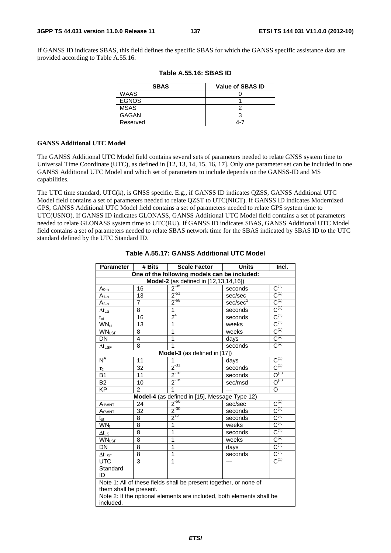If GANSS ID indicates SBAS, this field defines the specific SBAS for which the GANSS specific assistance data are provided according to Table A.55.16.

| <b>SBAS</b>  | <b>Value of SBAS ID</b> |
|--------------|-------------------------|
| <b>WAAS</b>  |                         |
| <b>EGNOS</b> |                         |
| MSAS         |                         |
| <b>GAGAN</b> |                         |
| Reserved     | 4-7                     |

|  |  | Table A.55.16: SBAS ID |
|--|--|------------------------|
|--|--|------------------------|

### **GANSS Additional UTC Model**

The GANSS Additional UTC Model field contains several sets of parameters needed to relate GNSS system time to Universal Time Coordinate (UTC), as defined in [12, 13, 14, 15, 16, 17]. Only one parameter set can be included in one GANSS Additional UTC Model and which set of parameters to include depends on the GANSS-ID and MS capabilities.

The UTC time standard, UTC(k), is GNSS specific. E.g., if GANSS ID indicates QZSS, GANSS Additional UTC Model field contains a set of parameters needed to relate QZST to UTC(NICT). If GANSS ID indicates Modernized GPS, GANSS Additional UTC Model field contains a set of parameters needed to relate GPS system time to UTC(USNO). If GANSS ID indicates GLONASS, GANSS Additional UTC Model field contains a set of parameters needed to relate GLONASS system time to UTC(RU). If GANSS ID indicates SBAS, GANSS Additional UTC Model field contains a set of parameters needed to relate SBAS network time for the SBAS indicated by SBAS ID to the UTC standard defined by the UTC Standard ID.

| <b>Parameter</b>                                                  | # Bits         | <b>Scale Factor</b>                                                   | <b>Units</b>         | Incl.                                |  |  |
|-------------------------------------------------------------------|----------------|-----------------------------------------------------------------------|----------------------|--------------------------------------|--|--|
| One of the following models can be included:                      |                |                                                                       |                      |                                      |  |  |
| Model-2 (as defined in [12,13,14,16])                             |                |                                                                       |                      |                                      |  |  |
| $A_{0-0}$                                                         | 16             | $2^{-35}$                                                             | seconds              | $\overline{C^{(1)}}$                 |  |  |
| $A_{1-n}$                                                         | 13             | $2^{51}$                                                              | sec/sec              | $C^{(1)}$                            |  |  |
| $A_{2-n}$                                                         | $\overline{7}$ | $2^{-68}$                                                             | sec/sec <sup>2</sup> | $C^{(1)}$                            |  |  |
| $\Delta t$ LS                                                     | 8              | $\overline{1}$                                                        | seconds              | $C^{(1)}$                            |  |  |
| $t_{\rm ot}$                                                      | 16             | $2^4$                                                                 | seconds              | $C^{(1)}$                            |  |  |
| <b>WN</b> <sub>ot</sub>                                           | 13             | 1                                                                     | weeks                | $C^{(1)}$                            |  |  |
| <b>WNLSF</b>                                                      | 8              | 1                                                                     | weeks                | $C^{(1)}$                            |  |  |
| <b>DN</b>                                                         | 4              | 1                                                                     | days                 | $C^{(1)}$                            |  |  |
| $\Delta t_{LSF}$                                                  | 8              | 1                                                                     | seconds              | $C^{(1)}$                            |  |  |
|                                                                   |                | Model-3 (as defined in [17])                                          |                      |                                      |  |  |
| $N^A$                                                             | 11             | 1                                                                     | days                 | $C^{(1)}$                            |  |  |
| $\tau_c$                                                          | 32             | $2^{31}$                                                              | seconds              | $\overline{C^{(1)}}$                 |  |  |
| <b>B1</b>                                                         | 11             | $2^{-10}$                                                             | seconds              | $\overline{O^{(2)}}$                 |  |  |
| <b>B2</b>                                                         | 10             | $2^{-16}$                                                             | sec/msd              | $O^{(2)}$                            |  |  |
| <b>KP</b>                                                         | $\mathcal{P}$  | 1                                                                     |                      | O                                    |  |  |
|                                                                   |                | Model-4 (as defined in [15], Message Type 12)                         |                      |                                      |  |  |
| A <sub>1</sub> WNT                                                | 24             | $2^{50}$                                                              | sec/sec              | $\text{C}^{\scriptscriptstyle{(1)}}$ |  |  |
| $A_{\text{OWNT}}$                                                 | 32             | $2^{-30}$                                                             | seconds              | $C^{(1)}$                            |  |  |
| $t_{\rm ot}$                                                      | 8              | $2^{12}$                                                              | seconds              | $C^{(1)}$                            |  |  |
| $WN_t$                                                            | 8              | 1                                                                     | weeks                | $C^{(1)}$                            |  |  |
| $\Delta t_{LS}$                                                   | 8              | 1                                                                     | seconds              | $C^{(1)}$                            |  |  |
| <b>WNLSF</b>                                                      | 8              | 1                                                                     | weeks                | $C^{(1)}$                            |  |  |
| DN                                                                | 8              | 1                                                                     | days                 | $C^{(1)}$                            |  |  |
| $\Delta t_{\textsf{LSF}}$                                         | 8              | 1                                                                     | seconds              | $C^{(1)}$                            |  |  |
| <b>UTC</b>                                                        | 3              | 1                                                                     |                      | $C^{(1)}$                            |  |  |
| Standard                                                          |                |                                                                       |                      |                                      |  |  |
| ID                                                                |                |                                                                       |                      |                                      |  |  |
| Note 1: All of these fields shall be present together, or none of |                |                                                                       |                      |                                      |  |  |
| them shall be present.                                            |                |                                                                       |                      |                                      |  |  |
|                                                                   |                | Note 2: If the optional elements are included, both elements shall be |                      |                                      |  |  |
| included.                                                         |                |                                                                       |                      |                                      |  |  |
|                                                                   |                |                                                                       |                      |                                      |  |  |

## **Table A.55.17: GANSS Additional UTC Model**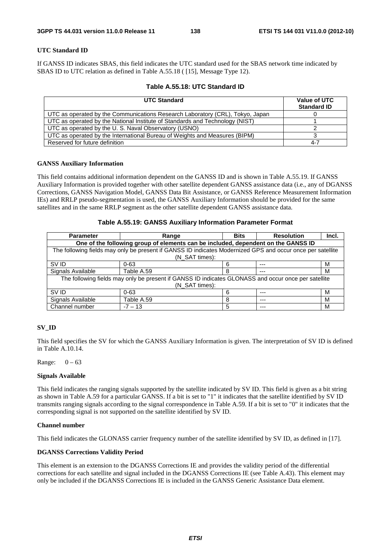## **UTC Standard ID**

If GANSS ID indicates SBAS, this field indicates the UTC standard used for the SBAS network time indicated by SBAS ID to UTC relation as defined in Table A.55.18 ( [15], Message Type 12).

| Table A.55.18: UTC Standard ID |  |
|--------------------------------|--|
|--------------------------------|--|

| <b>UTC Standard</b>                                                           | Value of UTC<br><b>Standard ID</b> |
|-------------------------------------------------------------------------------|------------------------------------|
| UTC as operated by the Communications Research Laboratory (CRL), Tokyo, Japan |                                    |
| UTC as operated by the National Institute of Standards and Technology (NIST)  |                                    |
| UTC as operated by the U.S. Naval Observatory (USNO)                          |                                    |
| UTC as operated by the International Bureau of Weights and Measures (BIPM)    |                                    |
| Reserved for future definition                                                | $4 - 7$                            |

### **GANSS Auxiliary Information**

This field contains additional information dependent on the GANSS ID and is shown in Table A.55.19. If GANSS Auxiliary Information is provided together with other satellite dependent GANSS assistance data (i.e., any of DGANSS Corrections, GANSS Navigation Model, GANSS Data Bit Assistance, or GANSS Reference Measurement Information IEs) and RRLP pseudo-segmentation is used, the GANSS Auxiliary Information should be provided for the same satellites and in the same RRLP segment as the other satellite dependent GANSS assistance data.

### **Table A.55.19: GANSS Auxiliary Information Parameter Format**

| <b>Parameter</b>                                                                  | Range                                                                                                      | <b>Bits</b> | <b>Resolution</b> | Incl. |  |  |  |
|-----------------------------------------------------------------------------------|------------------------------------------------------------------------------------------------------------|-------------|-------------------|-------|--|--|--|
| One of the following group of elements can be included, dependent on the GANSS ID |                                                                                                            |             |                   |       |  |  |  |
|                                                                                   | The following fields may only be present if GANSS ID indicates Modernized GPS and occur once per satellite |             |                   |       |  |  |  |
|                                                                                   | (N SAT times):                                                                                             |             |                   |       |  |  |  |
| SV ID                                                                             | $0 - 63$                                                                                                   | 6           | $---$             | м     |  |  |  |
| Signals Available                                                                 | Table A.59                                                                                                 | 8           | ---               | м     |  |  |  |
|                                                                                   | The following fields may only be present if GANSS ID indicates GLONASS and occur once per satellite        |             |                   |       |  |  |  |
|                                                                                   | (N SAT times):                                                                                             |             |                   |       |  |  |  |
| SV ID                                                                             | $0 - 63$                                                                                                   | 6           | ---               | м     |  |  |  |
| Signals Available                                                                 | Table A.59                                                                                                 | 8           | $--$              | м     |  |  |  |
| Channel number                                                                    | $-7 - 13$                                                                                                  | 5           | $---$             | м     |  |  |  |

## **SV\_ID**

This field specifies the SV for which the GANSS Auxiliary Information is given. The interpretation of SV ID is defined in Table A.10.14.

Range:  $0 - 63$ 

#### **Signals Available**

This field indicates the ranging signals supported by the satellite indicated by SV ID. This field is given as a bit string as shown in Table A.59 for a particular GANSS. If a bit is set to "1" it indicates that the satellite identified by SV ID transmits ranging signals according to the signal correspondence in Table A.59. If a bit is set to "0" it indicates that the corresponding signal is not supported on the satellite identified by SV ID.

#### **Channel number**

This field indicates the GLONASS carrier frequency number of the satellite identified by SV ID, as defined in [17].

## **DGANSS Corrections Validity Period**

This element is an extension to the DGANSS Corrections IE and provides the validity period of the differential corrections for each satellite and signal included in the DGANSS Corrections IE (see Table A.43). This element may only be included if the DGANSS Corrections IE is included in the GANSS Generic Assistance Data element.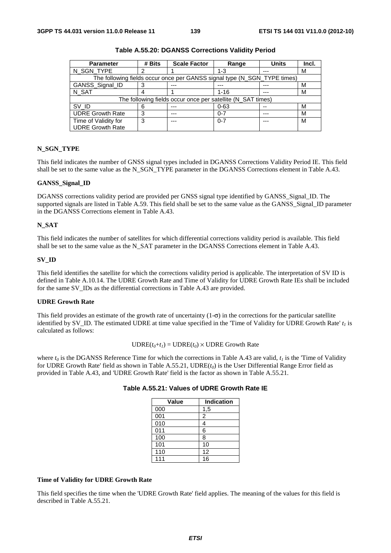| <b>Parameter</b>                                            | # Bits | <b>Scale Factor</b>                                                      | Range    | <b>Units</b> | Incl. |
|-------------------------------------------------------------|--------|--------------------------------------------------------------------------|----------|--------------|-------|
| N_SGN_TYPE                                                  |        |                                                                          | $1 - 3$  | ---          | м     |
|                                                             |        | The following fields occur once per GANSS signal type (N_SGN_TYPE times) |          |              |       |
| GANSS_Signal_ID                                             |        |                                                                          |          |              | м     |
| N SAT                                                       |        |                                                                          | $1 - 16$ | ---          | М     |
| The following fields occur once per satellite (N_SAT times) |        |                                                                          |          |              |       |
| SV ID                                                       |        |                                                                          | $0 - 63$ |              | M     |
| <b>UDRE Growth Rate</b>                                     |        | $- - -$                                                                  | $0 - 7$  | ---          | м     |
| Time of Validity for                                        | 3      | ---                                                                      | $0 - 7$  | $---$        | м     |
| <b>UDRE Growth Rate</b>                                     |        |                                                                          |          |              |       |

**Table A.55.20: DGANSS Corrections Validity Period** 

## **N\_SGN\_TYPE**

This field indicates the number of GNSS signal types included in DGANSS Corrections Validity Period IE. This field shall be set to the same value as the N\_SGN\_TYPE parameter in the DGANSS Corrections element in Table A.43.

## **GANSS\_Signal\_ID**

DGANSS corrections validity period are provided per GNSS signal type identified by GANSS\_Signal\_ID. The supported signals are listed in Table A.59. This field shall be set to the same value as the GANSS\_Signal\_ID parameter in the DGANSS Corrections element in Table A.43.

#### **N\_SAT**

This field indicates the number of satellites for which differential corrections validity period is available. This field shall be set to the same value as the N\_SAT parameter in the DGANSS Corrections element in Table A.43.

#### **SV\_ID**

This field identifies the satellite for which the corrections validity period is applicable. The interpretation of SV ID is defined in Table A.10.14. The UDRE Growth Rate and Time of Validity for UDRE Growth Rate IEs shall be included for the same SV\_IDs as the differential corrections in Table A.43 are provided.

#### **UDRE Growth Rate**

This field provides an estimate of the growth rate of uncertainty  $(1-\sigma)$  in the corrections for the particular satellite identified by SV<sub>ID</sub>. The estimated UDRE at time value specified in the 'Time of Validity for UDRE Growth Rate'  $t_1$  is calculated as follows:

#### $\text{UDRE}(t_0 + t_1) = \text{UDRE}(t_0) \times \text{UDRE}$  Growth Rate

where  $t_0$  is the DGANSS Reference Time for which the corrections in Table A.43 are valid,  $t_1$  is the 'Time of Validity for UDRE Growth Rate' field as shown in Table A.55.21, UDRE(*t0*) is the User Differential Range Error field as provided in Table A.43, and 'UDRE Growth Rate' field is the factor as shown in Table A.55.21.

| Value | Indication |
|-------|------------|
| 000   | 1,5        |
| 001   | 2          |
| 010   | 4          |
| 011   | 6          |
| 100   | 8          |
| 101   | 10         |
| 110   | 12         |
| 111   | 16         |

**Table A.55.21: Values of UDRE Growth Rate IE** 

## **Time of Validity for UDRE Growth Rate**

This field specifies the time when the 'UDRE Growth Rate' field applies. The meaning of the values for this field is described in Table A.55.21.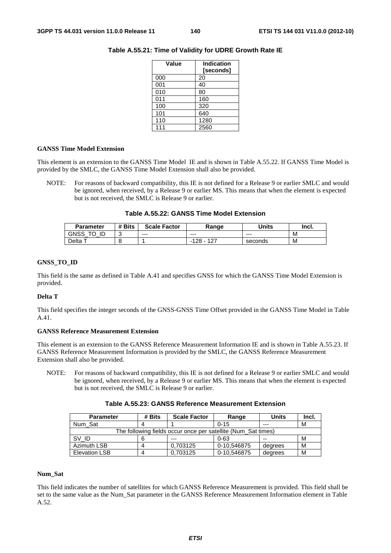| Value | <b>Indication</b><br>[seconds] |
|-------|--------------------------------|
| 000   | 20                             |
| 001   | 40                             |
| 010   | 80                             |
| 011   | 160                            |
| 100   | 320                            |
| 101   | 640                            |
| 110   | 1280                           |
| 111   | 2560                           |

## **Table A.55.21: Time of Validity for UDRE Growth Rate IE**

## **GANSS Time Model Extension**

This element is an extension to the GANSS Time Model IE and is shown in Table A.55.22. If GANSS Time Model is provided by the SMLC, the GANSS Time Model Extension shall also be provided.

NOTE: For reasons of backward compatibility, this IE is not defined for a Release 9 or earlier SMLC and would be ignored, when received, by a Release 9 or earlier MS. This means that when the element is expected but is not received, the SMLC is Release 9 or earlier.

| <b>Parameter</b> | # Bits | <b>Scale Factor</b> | Range            | Units   | Incl. |
|------------------|--------|---------------------|------------------|---------|-------|
| GNSS<br>ID       | ັ      | $--$                | $--$             | $--$    | M     |
| Delta            |        |                     | -127<br>128<br>- | seconds | M     |

## **GNSS\_TO\_ID**

This field is the same as defined in Table A.41 and specifies GNSS for which the GANSS Time Model Extension is provided.

#### **Delta T**

This field specifies the integer seconds of the GNSS-GNSS Time Offset provided in the GANSS Time Model in Table A.41.

## **GANSS Reference Measurement Extension**

This element is an extension to the GANSS Reference Measurement Information IE and is shown in Table A.55.23. If GANSS Reference Measurement Information is provided by the SMLC, the GANSS Reference Measurement Extension shall also be provided.

NOTE: For reasons of backward compatibility, this IE is not defined for a Release 9 or earlier SMLC and would be ignored, when received, by a Release 9 or earlier MS. This means that when the element is expected but is not received, the SMLC is Release 9 or earlier.

| <b>Parameter</b>     | # Bits | <b>Scale Factor</b>                                           | Range       | Units   | Incl. |
|----------------------|--------|---------------------------------------------------------------|-------------|---------|-------|
| Num Sat              |        |                                                               | $0 - 15$    | ---     | М     |
|                      |        | The following fields occur once per satellite (Num_Sat times) |             |         |       |
| SV ID                |        | ---                                                           | $0 - 63$    | --      | М     |
| Azimuth LSB          |        | 0.703125                                                      | 0-10.546875 | degrees | М     |
| <b>Elevation LSB</b> |        | 0.703125                                                      | 0-10,546875 | degrees | М     |

## **Num\_Sat**

This field indicates the number of satellites for which GANSS Reference Measurement is provided. This field shall be set to the same value as the Num\_Sat parameter in the GANSS Reference Measurement Information element in Table A.52.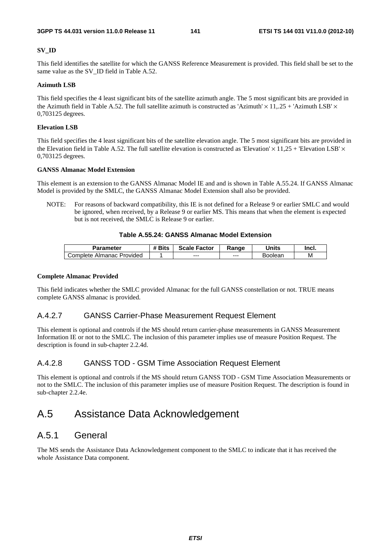## **SV\_ID**

This field identifies the satellite for which the GANSS Reference Measurement is provided. This field shall be set to the same value as the SV\_ID field in Table A.52.

## **Azimuth LSB**

This field specifies the 4 least significant bits of the satellite azimuth angle. The 5 most significant bits are provided in the Azimuth field in Table A.52. The full satellite azimuth is constructed as 'Azimuth'  $\times$  11,.25 + 'Azimuth LSB'  $\times$ 0,703125 degrees.

## **Elevation LSB**

This field specifies the 4 least significant bits of the satellite elevation angle. The 5 most significant bits are provided in the Elevation field in Table A.52. The full satellite elevation is constructed as 'Elevation'  $\times$  11,25 + 'Elevation LSB'  $\times$ 0,703125 degrees.

## **GANSS Almanac Model Extension**

This element is an extension to the GANSS Almanac Model IE and and is shown in Table A.55.24. If GANSS Almanac Model is provided by the SMLC, the GANSS Almanac Model Extension shall also be provided.

NOTE: For reasons of backward compatibility, this IE is not defined for a Release 9 or earlier SMLC and would be ignored, when received, by a Release 9 or earlier MS. This means that when the element is expected but is not received, the SMLC is Release 9 or earlier.

## **Table A.55.24: GANSS Almanac Model Extension**

| Parameter                 | # Bits | <b>Scale Factor</b> | Ranɑe | Jnits          | Incl. |
|---------------------------|--------|---------------------|-------|----------------|-------|
| Complete Almanac Provided |        | $--$                | ---   | <b>Boolear</b> | М     |

## **Complete Almanac Provided**

This field indicates whether the SMLC provided Almanac for the full GANSS constellation or not. TRUE means complete GANSS almanac is provided.

## A.4.2.7 GANSS Carrier-Phase Measurement Request Element

This element is optional and controls if the MS should return carrier-phase measurements in GANSS Measurement Information IE or not to the SMLC. The inclusion of this parameter implies use of measure Position Request. The description is found in sub-chapter 2.2.4d.

## A.4.2.8 GANSS TOD - GSM Time Association Request Element

This element is optional and controls if the MS should return GANSS TOD - GSM Time Association Measurements or not to the SMLC. The inclusion of this parameter implies use of measure Position Request. The description is found in sub-chapter 2.2.4e.

## A.5 Assistance Data Acknowledgement

## A.5.1 General

The MS sends the Assistance Data Acknowledgement component to the SMLC to indicate that it has received the whole Assistance Data component.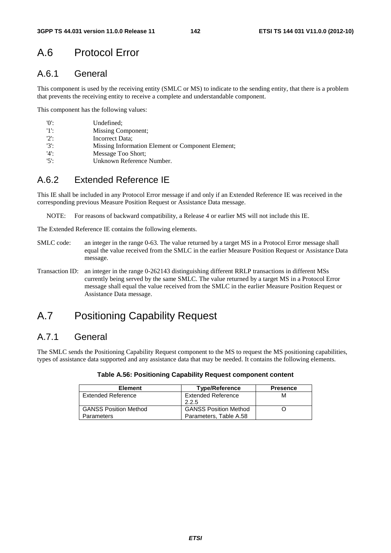# A.6 Protocol Error

## A.6.1 General

This component is used by the receiving entity (SMLC or MS) to indicate to the sending entity, that there is a problem that prevents the receiving entity to receive a complete and understandable component.

This component has the following values:

| '0':    | Undefined:                                        |
|---------|---------------------------------------------------|
| 11:     | Missing Component;                                |
| $'2$ :  | Incorrect Data;                                   |
| $'3'$ : | Missing Information Element or Component Element; |
| $'4$ :  | Message Too Short:                                |
| $'5$ :  | Unknown Reference Number.                         |

## A.6.2 Extended Reference IE

This IE shall be included in any Protocol Error message if and only if an Extended Reference IE was received in the corresponding previous Measure Position Request or Assistance Data message.

NOTE: For reasons of backward compatibility, a Release 4 or earlier MS will not include this IE.

The Extended Reference IE contains the following elements.

- SMLC code: an integer in the range 0-63. The value returned by a target MS in a Protocol Error message shall equal the value received from the SMLC in the earlier Measure Position Request or Assistance Data message.
- Transaction ID: an integer in the range 0-262143 distinguishing different RRLP transactions in different MSs currently being served by the same SMLC. The value returned by a target MS in a Protocol Error message shall equal the value received from the SMLC in the earlier Measure Position Request or Assistance Data message.

## A.7 Positioning Capability Request

## A.7.1 General

The SMLC sends the Positioning Capability Request component to the MS to request the MS positioning capabilities, types of assistance data supported and any assistance data that may be needed. It contains the following elements.

| <b>Element</b>               | <b>Type/Reference</b>        | <b>Presence</b> |
|------------------------------|------------------------------|-----------------|
| Extended Reference           | <b>Extended Reference</b>    | М               |
|                              | 2.2.5                        |                 |
| <b>GANSS Position Method</b> | <b>GANSS Position Method</b> |                 |
| <b>Parameters</b>            | Parameters, Table A.58       |                 |

## **Table A.56: Positioning Capability Request component content**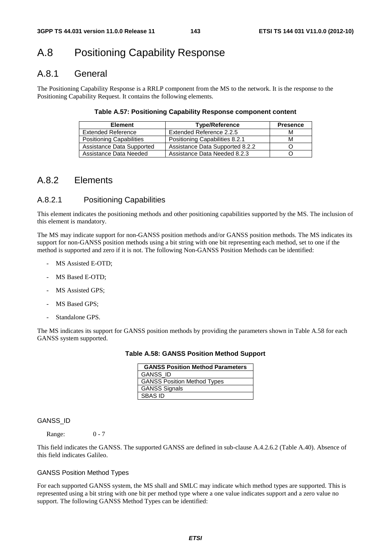## A.8 Positioning Capability Response

## A.8.1 General

The Positioning Capability Response is a RRLP component from the MS to the network. It is the response to the Positioning Capability Request. It contains the following elements.

## **Table A.57: Positioning Capability Response component content**

| <b>Element</b>                  | <b>Type/Reference</b>           | <b>Presence</b> |
|---------------------------------|---------------------------------|-----------------|
| <b>Extended Reference</b>       | Extended Reference 2.2.5        | м               |
| <b>Positioning Capabilities</b> | Positioning Capabilities 8.2.1  | м               |
| Assistance Data Supported       | Assistance Data Supported 8.2.2 |                 |
| Assistance Data Needed          | Assistance Data Needed 8.2.3    |                 |

## A.8.2 Elements

## A.8.2.1 Positioning Capabilities

This element indicates the positioning methods and other positioning capabilities supported by the MS. The inclusion of this element is mandatory.

The MS may indicate support for non-GANSS position methods and/or GANSS position methods. The MS indicates its support for non-GANSS position methods using a bit string with one bit representing each method, set to one if the method is supported and zero if it is not. The following Non-GANSS Position Methods can be identified:

- MS Assisted E-OTD:
- MS Based E-OTD;
- MS Assisted GPS;
- MS Based GPS;
- Standalone GPS.

The MS indicates its support for GANSS position methods by providing the parameters shown in Table A.58 for each GANSS system supported.

**Table A.58: GANSS Position Method Support** 

| <b>GANSS Position Method Parameters</b> |
|-----------------------------------------|
| GANSS_ID                                |
| <b>GANSS Position Method Types</b>      |
| <b>GANSS Signals</b>                    |
| <b>SBAS ID</b>                          |

#### GANSS\_ID

Range: 0 - 7

This field indicates the GANSS. The supported GANSS are defined in sub-clause A.4.2.6.2 (Table A.40). Absence of this field indicates Galileo.

#### GANSS Position Method Types

For each supported GANSS system, the MS shall and SMLC may indicate which method types are supported. This is represented using a bit string with one bit per method type where a one value indicates support and a zero value no support. The following GANSS Method Types can be identified: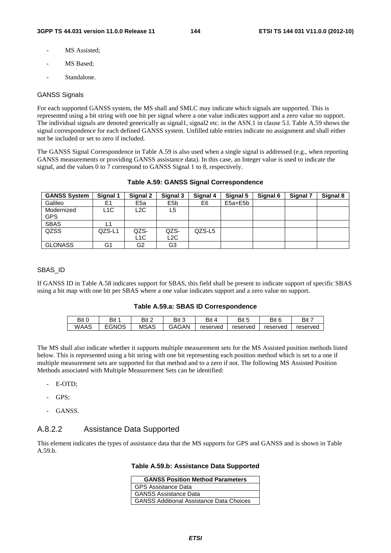- MS Assisted:
- MS Based;
- Standalone.

#### GANSS Signals

For each supported GANSS system, the MS shall and SMLC may indicate which signals are supported. This is represented using a bit string with one bit per signal where a one value indicates support and a zero value no support. The individual signals are denoted generically as signal1, signal2 etc. in the ASN.1 in clause 5.l. Table A.59 shows the signal correspondence for each defined GANSS system. Unfilled table entries indicate no assignment and shall either not be included or set to zero if included.

The GANSS Signal Correspondence in Table A.59 is also used when a single signal is addressed (e.g., when reporting GANSS measurements or providing GANSS assistance data). In this case, an Integer value is used to indicate the signal, and the values 0 to 7 correspond to GANSS Signal 1 to 8, respectively.

| <b>GANSS System</b> | Signal 1         | Signal 2        | Signal 3         | Signal 4 | Signal 5    | Signal 6 | Signal 7 | Signal 8 |
|---------------------|------------------|-----------------|------------------|----------|-------------|----------|----------|----------|
| Galileo             | E1               | E <sub>5a</sub> | E <sub>5</sub> b | E6       | $E5a + E5b$ |          |          |          |
| Modernized          | L <sub>1</sub> C | L2C             | L5               |          |             |          |          |          |
| <b>GPS</b>          |                  |                 |                  |          |             |          |          |          |
| <b>SBAS</b>         | L1               |                 |                  |          |             |          |          |          |
| QZSS                | QZS-L1           | QZS-            | QZS-             | QZS-L5   |             |          |          |          |
|                     |                  | L1C             | L2C              |          |             |          |          |          |
| <b>GLONASS</b>      | G1               | G2              | G3               |          |             |          |          |          |

#### **Table A.59: GANSS Signal Correspondence**

#### SBAS\_ID

If GANSS ID in Table A.58 indicates support for SBAS, this field shall be present to indicate support of specific SBAS using a bit map with one bit per SBAS where a one value indicates support and a zero value no support.

#### **Table A.59.a: SBAS ID Correspondence**

| Bit C | Bit   | Bit 2 | Bit 3 | Bit      | Bit<br>$\overline{\phantom{a}}$ | Bit 6    | Bit 7    |
|-------|-------|-------|-------|----------|---------------------------------|----------|----------|
| WAAS  | EGNOS | MSAS  | GAGAN | reserved | reserved                        | reserved | reserved |

The MS shall also indicate whether it supports multiple measurement sets for the MS Assisted position methods listed below. This is represented using a bit string with one bit representing each position method which is set to a one if multiple measurement sets are supported for that method and to a zero if not. The following MS Assisted Position Methods associated with Multiple Measurement Sets can be identified:

- E-OTD;
- GPS:
- GANSS.

### A.8.2.2 Assistance Data Supported

This element indicates the types of assistance data that the MS supports for GPS and GANSS and is shown in Table A.59.b.

#### **Table A.59.b: Assistance Data Supported**

| <b>GANSS Position Method Parameters</b>         |  |  |  |  |
|-------------------------------------------------|--|--|--|--|
| <b>GPS Assistance Data</b>                      |  |  |  |  |
| <b>GANSS Assistance Data</b>                    |  |  |  |  |
| <b>GANSS Additional Assistance Data Choices</b> |  |  |  |  |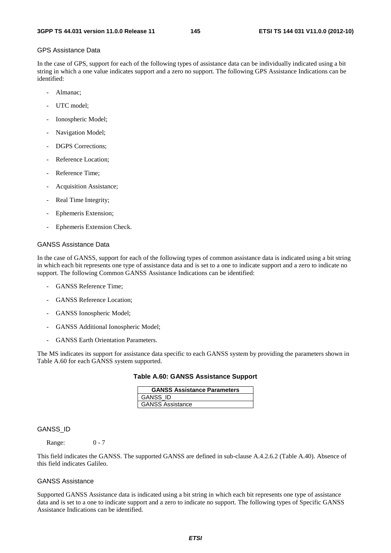#### GPS Assistance Data

In the case of GPS, support for each of the following types of assistance data can be individually indicated using a bit string in which a one value indicates support and a zero no support. The following GPS Assistance Indications can be identified:

- Almanac:
- UTC model:
- Ionospheric Model;
- Navigation Model;
- DGPS Corrections:
- Reference Location;
- Reference Time;
- Acquisition Assistance;
- Real Time Integrity;
- Ephemeris Extension;
- Ephemeris Extension Check.

#### GANSS Assistance Data

In the case of GANSS, support for each of the following types of common assistance data is indicated using a bit string in which each bit represents one type of assistance data and is set to a one to indicate support and a zero to indicate no support. The following Common GANSS Assistance Indications can be identified:

- GANSS Reference Time:
- GANSS Reference Location:
- GANSS Ionospheric Model;
- GANSS Additional Ionospheric Model;
- GANSS Earth Orientation Parameters.

The MS indicates its support for assistance data specific to each GANSS system by providing the parameters shown in Table A.60 for each GANSS system supported.

#### **Table A.60: GANSS Assistance Support**

| <b>GANSS Assistance Parameters</b> |  |
|------------------------------------|--|
| <b>GANSS ID</b>                    |  |
| <b>GANSS Assistance</b>            |  |

#### GANSS\_ID

Range: 0 - 7

This field indicates the GANSS. The supported GANSS are defined in sub-clause A.4.2.6.2 (Table A.40). Absence of this field indicates Galileo.

#### GANSS Assistance

Supported GANSS Assistance data is indicated using a bit string in which each bit represents one type of assistance data and is set to a one to indicate support and a zero to indicate no support. The following types of Specific GANSS Assistance Indications can be identified.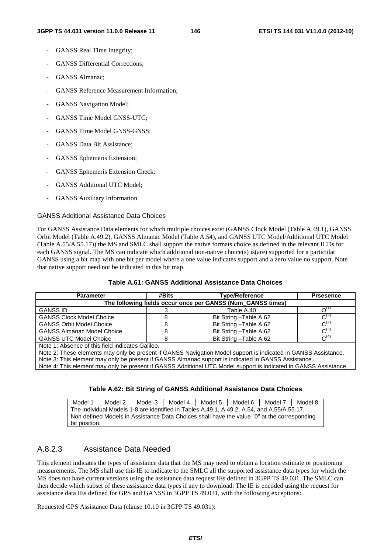- GANSS Real Time Integrity;
- GANSS Differential Corrections;
- GANSS Almanac;
- GANSS Reference Measurement Information:
- GANSS Navigation Model;
- GANSS Time Model GNSS-UTC;
- GANSS Time Model GNSS-GNSS:
- GANSS Data Bit Assistance;
- GANSS Ephemeris Extension;
- GANSS Ephemeris Extension Check;
- GANSS Additional UTC Model;
- GANSS Auxiliary Information.

#### GANSS Additional Assistance Data Choices

For GANSS Assistance Data elements for which multiple choices exist (GANSS Clock Model (Table A.49.1), GANSS Orbit Model (Table A.49.2), GANSS Almanac Model (Table A.54), and GANSS UTC Model/Additional UTC Model (Table A.55/A.55.17)) the MS and SMLC shall support the native formats choice as defined in the relevant ICDs for each GANSS signal. The MS can indicate which additional non-native choice(s) is(are) supported for a particular GANSS using a bit map with one bit per model where a one value indicates support and a zero value no support. Note that native support need not be indicated in this bit map.

| <b>Parameter</b>                                            | #Bits | <b>Type/Reference</b>   | <b>Prsesence</b>    |  |  |  |
|-------------------------------------------------------------|-------|-------------------------|---------------------|--|--|--|
| The following fields occur once per GANSS (Num GANSS times) |       |                         |                     |  |  |  |
| <b>GANSS ID</b>                                             |       | Table A.40              | $\Omega^{(1)}$      |  |  |  |
| <b>GANSS Clock Model Choice</b>                             | 8     | Bit String - Table A.62 | $C^{(2)}$           |  |  |  |
| <b>GANSS Orbit Model Choice</b>                             |       | Bit String - Table A.62 | $C^{(2)}$           |  |  |  |
| <b>GANSS Almanac Model Choice</b>                           |       | Bit String - Table A.62 | $\mathcal{C}^{(3)}$ |  |  |  |
| <b>GANSS UTC Model Choice</b>                               | ö     | Bit String - Table A.62 | $\mathcal{C}^{(4)}$ |  |  |  |
| Note 1: Absence of this field indicates Galileo.            |       |                         |                     |  |  |  |

#### **Table A.61: GANSS Additional Assistance Data Choices**

Note 2: These elements may only be present if GANSS Navigation Model support is indicated in GANSS Assistance.

Note 3: This element may only be present if GANSS Almanac support is indicated in GANSS Assistance.

Note 4: This element may only be present if GANSS Additional UTC Model support is indicated in GANSS Assistance.

### **Table A.62: Bit String of GANSS Additional Assistance Data Choices**

Model 1 | Model 2 | Model 3 | Model 4 | Model 5 | Model 6 | Model 7 | Model 8 The individual Models 1-8 are identified in Tables A.49.1, A.49.2, A.54, and A.55/A.55.17. Non defined Models in Assistance Data Choices shall have the value "0" at the corresponding bit position.

## A.8.2.3 Assistance Data Needed

This element indicates the types of assistance data that the MS may need to obtain a location estimate or positioning measurements. The MS shall use this IE to indicate to the SMLC all the supported assistance data types for which the MS does not have current versions using the assistance data request IEs defined in 3GPP TS 49.031. The SMLC can then decide which subset of these assistance data types if any to download. The IE is encoded using the request for assistance data IEs defined for GPS and GANSS in 3GPP TS 49.031, with the following exceptions:

Requested GPS Assistance Data (clause 10.10 in 3GPP TS 49.031):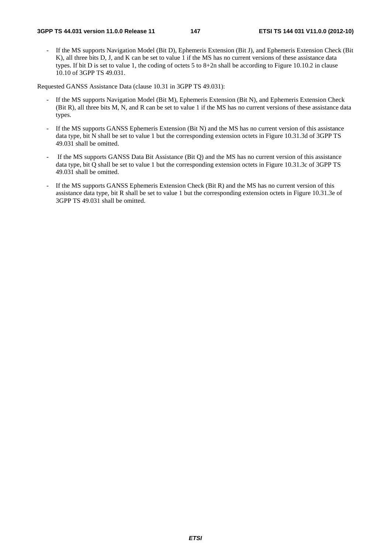If the MS supports Navigation Model (Bit D), Ephemeris Extension (Bit J), and Ephemeris Extension Check (Bit K), all three bits D, J, and K can be set to value 1 if the MS has no current versions of these assistance data types. If bit D is set to value 1, the coding of octets 5 to 8+2n shall be according to Figure 10.10.2 in clause 10.10 of 3GPP TS 49.031.

Requested GANSS Assistance Data (clause 10.31 in 3GPP TS 49.031):

- If the MS supports Navigation Model (Bit M), Ephemeris Extension (Bit N), and Ephemeris Extension Check (Bit R), all three bits M, N, and R can be set to value 1 if the MS has no current versions of these assistance data types.
- If the MS supports GANSS Ephemeris Extension (Bit N) and the MS has no current version of this assistance data type, bit N shall be set to value 1 but the corresponding extension octets in Figure 10.31.3d of 3GPP TS 49.031 shall be omitted.
- If the MS supports GANSS Data Bit Assistance (Bit Q) and the MS has no current version of this assistance data type, bit Q shall be set to value 1 but the corresponding extension octets in Figure 10.31.3c of 3GPP TS 49.031 shall be omitted.
- If the MS supports GANSS Ephemeris Extension Check (Bit R) and the MS has no current version of this assistance data type, bit R shall be set to value 1 but the corresponding extension octets in Figure 10.31.3e of 3GPP TS 49.031 shall be omitted.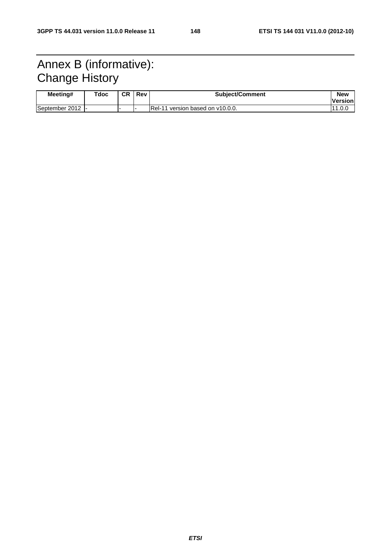# Annex B (informative): Change History

| Meeting#         | Tdoc | <b>CR</b> | Rev | <b>Subiect/Comment</b>            | <b>New</b><br><b>IVersion</b> |
|------------------|------|-----------|-----|-----------------------------------|-------------------------------|
| September 2012 - |      |           |     | IRel-11 version based on v10.0.0. | 1.U.l                         |